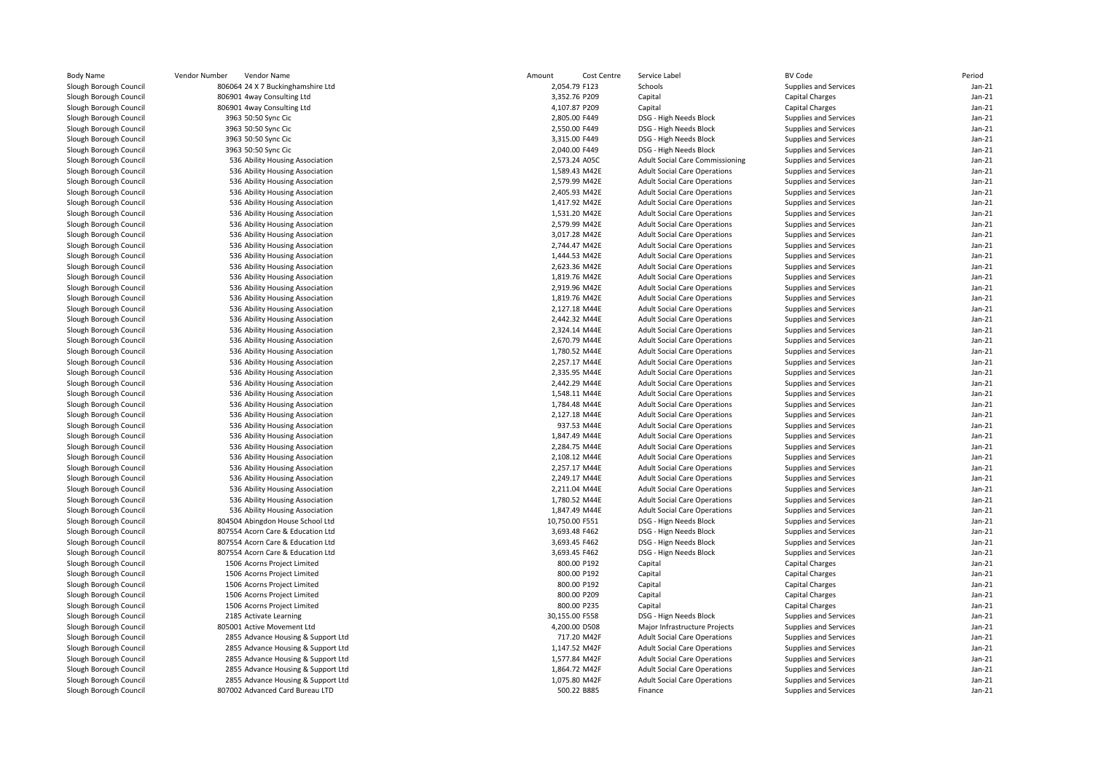| <b>Body Name</b>       | Vendor Number | Vendor Name                        | Amount         | Cost Centre | Service Label                       | <b>BV Code</b>         |                       | Period   |
|------------------------|---------------|------------------------------------|----------------|-------------|-------------------------------------|------------------------|-----------------------|----------|
| Slough Borough Council |               | 806064 24 X 7 Buckinghamshire Ltd  | 2,054.79 F123  |             | Schools                             |                        | Supplies and Services | $Jan-21$ |
| Slough Borough Council |               | 806901 4way Consulting Ltd         | 3,352.76 P209  |             | Capital                             | <b>Capital Charges</b> |                       | $Jan-21$ |
| Slough Borough Council |               | 806901 4way Consulting Ltd         | 4,107.87 P209  |             | Capital                             | <b>Capital Charges</b> |                       | $Jan-21$ |
| Slough Borough Council |               | 3963 50:50 Sync Cic                | 2,805.00 F449  |             | DSG - High Needs Block              |                        | Supplies and Services | $Jan-21$ |
| Slough Borough Council |               | 3963 50:50 Sync Cic                | 2,550.00 F449  |             | DSG - High Needs Block              |                        | Supplies and Services | $Jan-21$ |
| Slough Borough Council |               | 3963 50:50 Sync Cic                | 3,315.00 F449  |             | DSG - High Needs Block              |                        | Supplies and Services | $Jan-21$ |
| Slough Borough Council |               | 3963 50:50 Sync Cic                | 2,040.00 F449  |             | DSG - High Needs Block              |                        | Supplies and Services | $Jan-21$ |
| Slough Borough Council |               | 536 Ability Housing Association    | 2,573.24 A05C  |             | Adult Social Care Commissioning     |                        | Supplies and Services | $Jan-21$ |
| Slough Borough Council |               | 536 Ability Housing Association    | 1,589.43 M42E  |             | <b>Adult Social Care Operations</b> |                        | Supplies and Services | Jan-21   |
| Slough Borough Council |               | 536 Ability Housing Association    | 2,579.99 M42E  |             | <b>Adult Social Care Operations</b> |                        | Supplies and Services | $Jan-21$ |
| Slough Borough Council |               | 536 Ability Housing Association    | 2,405.93 M42E  |             | <b>Adult Social Care Operations</b> |                        | Supplies and Services | Jan-21   |
| Slough Borough Council |               | 536 Ability Housing Association    | 1,417.92 M42E  |             | <b>Adult Social Care Operations</b> |                        | Supplies and Services | Jan-21   |
| Slough Borough Council |               | 536 Ability Housing Association    | 1,531.20 M42E  |             | <b>Adult Social Care Operations</b> |                        | Supplies and Services | Jan-21   |
| Slough Borough Council |               | 536 Ability Housing Association    | 2,579.99 M42E  |             | <b>Adult Social Care Operations</b> |                        | Supplies and Services | $Jan-21$ |
| Slough Borough Council |               | 536 Ability Housing Association    | 3,017.28 M42E  |             | <b>Adult Social Care Operations</b> |                        | Supplies and Services | Jan-21   |
| Slough Borough Council |               | 536 Ability Housing Association    | 2,744.47 M42E  |             | <b>Adult Social Care Operations</b> |                        | Supplies and Services | $Jan-21$ |
| Slough Borough Council |               | 536 Ability Housing Association    | 1,444.53 M42E  |             | <b>Adult Social Care Operations</b> |                        | Supplies and Services | $Jan-21$ |
| Slough Borough Council |               | 536 Ability Housing Association    | 2,623.36 M42E  |             | <b>Adult Social Care Operations</b> |                        | Supplies and Services | $Jan-21$ |
| Slough Borough Council |               | 536 Ability Housing Association    | 1,819.76 M42E  |             | <b>Adult Social Care Operations</b> |                        | Supplies and Services | $Jan-21$ |
| Slough Borough Council |               | 536 Ability Housing Association    | 2,919.96 M42E  |             | <b>Adult Social Care Operations</b> |                        | Supplies and Services | $Jan-21$ |
| Slough Borough Council |               |                                    | 1,819.76 M42E  |             | <b>Adult Social Care Operations</b> |                        | Supplies and Services | Jan-21   |
|                        |               | 536 Ability Housing Association    |                |             |                                     |                        |                       | $Jan-21$ |
| Slough Borough Council |               | 536 Ability Housing Association    | 2,127.18 M44E  |             | <b>Adult Social Care Operations</b> |                        | Supplies and Services |          |
| Slough Borough Council |               | 536 Ability Housing Association    | 2,442.32 M44E  |             | <b>Adult Social Care Operations</b> |                        | Supplies and Services | Jan-21   |
| Slough Borough Council |               | 536 Ability Housing Association    | 2,324.14 M44E  |             | <b>Adult Social Care Operations</b> |                        | Supplies and Services | $Jan-21$ |
| Slough Borough Council |               | 536 Ability Housing Association    | 2,670.79 M44E  |             | <b>Adult Social Care Operations</b> |                        | Supplies and Services | $Jan-21$ |
| Slough Borough Council |               | 536 Ability Housing Association    | 1,780.52 M44E  |             | <b>Adult Social Care Operations</b> |                        | Supplies and Services | $Jan-21$ |
| Slough Borough Council |               | 536 Ability Housing Association    | 2,257.17 M44E  |             | <b>Adult Social Care Operations</b> |                        | Supplies and Services | $Jan-21$ |
| Slough Borough Council |               | 536 Ability Housing Association    | 2,335.95 M44E  |             | <b>Adult Social Care Operations</b> |                        | Supplies and Services | $Jan-21$ |
| Slough Borough Council |               | 536 Ability Housing Association    | 2,442.29 M44E  |             | <b>Adult Social Care Operations</b> |                        | Supplies and Services | Jan-21   |
| Slough Borough Council |               | 536 Ability Housing Association    | 1,548.11 M44E  |             | <b>Adult Social Care Operations</b> |                        | Supplies and Services | $Jan-21$ |
| Slough Borough Council |               | 536 Ability Housing Association    | 1,784.48 M44E  |             | <b>Adult Social Care Operations</b> |                        | Supplies and Services | Jan-21   |
| Slough Borough Council |               | 536 Ability Housing Association    | 2,127.18 M44E  |             | <b>Adult Social Care Operations</b> |                        | Supplies and Services | $Jan-21$ |
| Slough Borough Council |               | 536 Ability Housing Association    |                | 937.53 M44E | <b>Adult Social Care Operations</b> |                        | Supplies and Services | Jan-21   |
| Slough Borough Council |               | 536 Ability Housing Association    | 1,847.49 M44E  |             | <b>Adult Social Care Operations</b> |                        | Supplies and Services | $Jan-21$ |
| Slough Borough Council |               | 536 Ability Housing Association    | 2,284.75 M44E  |             | <b>Adult Social Care Operations</b> |                        | Supplies and Services | $Jan-21$ |
| Slough Borough Council |               | 536 Ability Housing Association    | 2.108.12 M44E  |             | <b>Adult Social Care Operations</b> |                        | Supplies and Services | $Jan-21$ |
| Slough Borough Council |               | 536 Ability Housing Association    | 2,257.17 M44E  |             | <b>Adult Social Care Operations</b> |                        | Supplies and Services | $Jan-21$ |
| Slough Borough Council |               | 536 Ability Housing Association    | 2,249.17 M44E  |             | <b>Adult Social Care Operations</b> |                        | Supplies and Services | Jan-21   |
| Slough Borough Council |               | 536 Ability Housing Association    | 2,211.04 M44E  |             | <b>Adult Social Care Operations</b> |                        | Supplies and Services | $Jan-21$ |
| Slough Borough Council |               | 536 Ability Housing Association    | 1,780.52 M44E  |             | <b>Adult Social Care Operations</b> |                        | Supplies and Services | Jan-21   |
| Slough Borough Council |               | 536 Ability Housing Association    | 1,847.49 M44E  |             | <b>Adult Social Care Operations</b> |                        | Supplies and Services | $Jan-21$ |
| Slough Borough Council |               | 804504 Abingdon House School Ltd   | 10,750.00 F551 |             | DSG - Hign Needs Block              |                        | Supplies and Services | Jan-21   |
| Slough Borough Council |               | 807554 Acorn Care & Education Ltd  | 3,693.48 F462  |             | DSG - Hign Needs Block              |                        | Supplies and Services | $Jan-21$ |
| Slough Borough Council |               | 807554 Acorn Care & Education Ltd  | 3,693.45 F462  |             | DSG - Hign Needs Block              |                        | Supplies and Services | Jan-21   |
| Slough Borough Council |               | 807554 Acorn Care & Education Ltd  | 3,693.45 F462  |             | DSG - Hign Needs Block              |                        | Supplies and Services | $Jan-21$ |
| Slough Borough Council |               | 1506 Acorns Project Limited        |                | 800.00 P192 | Capital                             | <b>Capital Charges</b> |                       | Jan-21   |
| Slough Borough Council |               | 1506 Acorns Project Limited        |                | 800.00 P192 | Capital                             | <b>Capital Charges</b> |                       | $Jan-21$ |
| Slough Borough Council |               | 1506 Acorns Project Limited        | 800.00 P192    |             | Capital                             | Capital Charges        |                       | Jan-21   |
| Slough Borough Council |               | 1506 Acorns Project Limited        | 800.00 P209    |             | Capital                             | Capital Charges        |                       | $Jan-21$ |
| Slough Borough Council |               | 1506 Acorns Project Limited        | 800.00 P235    |             | Capital                             | <b>Capital Charges</b> |                       | Jan-21   |
| Slough Borough Council |               | 2185 Activate Learning             | 30,155.00 F558 |             | DSG - Hign Needs Block              |                        | Supplies and Services | $Jan-21$ |
| Slough Borough Council |               | 805001 Active Movement Ltd         | 4,200.00 D508  |             | Major Infrastructure Projects       |                        | Supplies and Services | $Jan-21$ |
| Slough Borough Council |               | 2855 Advance Housing & Support Ltd |                | 717.20 M42F | <b>Adult Social Care Operations</b> |                        | Supplies and Services | $Jan-21$ |
| Slough Borough Council |               | 2855 Advance Housing & Support Ltd | 1,147.52 M42F  |             | <b>Adult Social Care Operations</b> |                        | Supplies and Services | $Jan-21$ |
| Slough Borough Council |               | 2855 Advance Housing & Support Ltd | 1,577.84 M42F  |             | <b>Adult Social Care Operations</b> |                        | Supplies and Services | $Jan-21$ |
| Slough Borough Council |               | 2855 Advance Housing & Support Ltd | 1,864.72 M42F  |             | <b>Adult Social Care Operations</b> |                        | Supplies and Services | $Jan-21$ |
| Slough Borough Council |               | 2855 Advance Housing & Support Ltd | 1,075.80 M42F  |             | <b>Adult Social Care Operations</b> |                        | Supplies and Services | $Jan-21$ |
| Slough Borough Council |               | 807002 Advanced Card Bureau LTD    |                | 500.22 B885 | Finance                             |                        | Supplies and Services | $Jan-21$ |
|                        |               |                                    |                |             |                                     |                        |                       |          |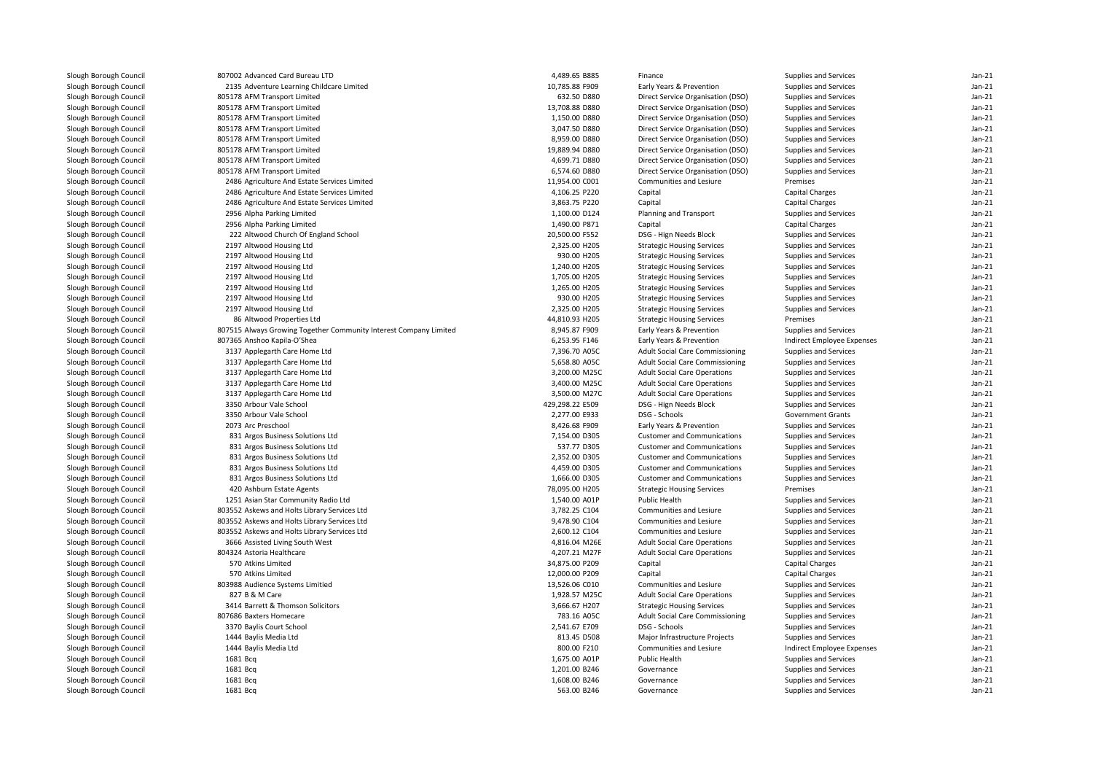| Slough Borough Council | 807002 Advanced Card Bureau LTD                                   | 4,489.65 B885   | Finance                                | Supplies and Services      | Jan-21   |
|------------------------|-------------------------------------------------------------------|-----------------|----------------------------------------|----------------------------|----------|
| Slough Borough Council | 2135 Adventure Learning Childcare Limited                         | 10,785.88 F909  | Early Years & Prevention               | Supplies and Services      | $Jan-21$ |
| Slough Borough Council | 805178 AFM Transport Limited                                      | 632.50 D880     | Direct Service Organisation (DSO)      | Supplies and Services      | $Jan-21$ |
| Slough Borough Council | 805178 AFM Transport Limited                                      | 13,708.88 D880  | Direct Service Organisation (DSO)      | Supplies and Services      | $Jan-21$ |
| Slough Borough Council | 805178 AFM Transport Limited                                      | 1,150.00 D880   | Direct Service Organisation (DSO)      | Supplies and Services      | $Jan-21$ |
| Slough Borough Council | 805178 AFM Transport Limited                                      | 3,047.50 D880   | Direct Service Organisation (DSO)      | Supplies and Services      | $Jan-21$ |
| Slough Borough Council | 805178 AFM Transport Limited                                      | 8,959.00 D880   | Direct Service Organisation (DSO)      | Supplies and Services      | $Jan-21$ |
| Slough Borough Council | 805178 AFM Transport Limited                                      | 19,889.94 D880  | Direct Service Organisation (DSO)      | Supplies and Services      | $Jan-21$ |
| Slough Borough Council | 805178 AFM Transport Limited                                      | 4,699.71 D880   | Direct Service Organisation (DSO)      | Supplies and Services      | $Jan-21$ |
| Slough Borough Council | 805178 AFM Transport Limited                                      | 6,574.60 D880   | Direct Service Organisation (DSO)      | Supplies and Services      | $Jan-21$ |
| Slough Borough Council | 2486 Agriculture And Estate Services Limited                      | 11,954.00 C001  | Communities and Lesiure                | Premises                   | $Jan-21$ |
| Slough Borough Council | 2486 Agriculture And Estate Services Limited                      | 4,106.25 P220   | Capital                                | Capital Charges            | $Jan-21$ |
| Slough Borough Council | 2486 Agriculture And Estate Services Limited                      | 3,863.75 P220   | Capital                                | Capital Charges            | $Jan-21$ |
| Slough Borough Council | 2956 Alpha Parking Limited                                        | 1,100.00 D124   | Planning and Transport                 | Supplies and Services      | $Jan-21$ |
| Slough Borough Council | 2956 Alpha Parking Limited                                        | 1,490.00 P871   | Capital                                | <b>Capital Charges</b>     | $Jan-21$ |
| Slough Borough Council | 222 Altwood Church Of England School                              | 20,500.00 F552  | DSG - Hign Needs Block                 | Supplies and Services      | $Jan-21$ |
|                        |                                                                   |                 |                                        |                            |          |
| Slough Borough Council | 2197 Altwood Housing Ltd                                          | 2,325.00 H205   | <b>Strategic Housing Services</b>      | Supplies and Services      | $Jan-21$ |
| Slough Borough Council | 2197 Altwood Housing Ltd                                          | 930.00 H205     | <b>Strategic Housing Services</b>      | Supplies and Services      | $Jan-21$ |
| Slough Borough Council | 2197 Altwood Housing Ltd                                          | 1,240.00 H205   | <b>Strategic Housing Services</b>      | Supplies and Services      | $Jan-21$ |
| Slough Borough Council | 2197 Altwood Housing Ltd                                          | 1,705.00 H205   | <b>Strategic Housing Services</b>      | Supplies and Services      | $Jan-21$ |
| Slough Borough Council | 2197 Altwood Housing Ltd                                          | 1,265.00 H205   | <b>Strategic Housing Services</b>      | Supplies and Services      | $Jan-21$ |
| Slough Borough Council | 2197 Altwood Housing Ltd                                          | 930.00 H205     | <b>Strategic Housing Services</b>      | Supplies and Services      | $Jan-21$ |
| Slough Borough Council | 2197 Altwood Housing Ltd                                          | 2,325.00 H205   | <b>Strategic Housing Services</b>      | Supplies and Services      | $Jan-21$ |
| Slough Borough Council | 86 Altwood Properties Ltd                                         | 44,810.93 H205  | <b>Strategic Housing Services</b>      | Premises                   | $Jan-21$ |
| Slough Borough Council | 807515 Always Growing Together Community Interest Company Limited | 8,945.87 F909   | Early Years & Prevention               | Supplies and Services      | $Jan-21$ |
| Slough Borough Council | 807365 Anshoo Kapila-O'Shea                                       | 6,253.95 F146   | Early Years & Prevention               | Indirect Employee Expenses | $Jan-21$ |
| Slough Borough Council | 3137 Applegarth Care Home Ltd                                     | 7,396.70 A05C   | <b>Adult Social Care Commissioning</b> | Supplies and Services      | $Jan-21$ |
| Slough Borough Council | 3137 Applegarth Care Home Ltd                                     | 5,658.80 A05C   | <b>Adult Social Care Commissioning</b> | Supplies and Services      | $Jan-21$ |
| Slough Borough Council | 3137 Applegarth Care Home Ltd                                     | 3,200.00 M25C   | <b>Adult Social Care Operations</b>    | Supplies and Services      | $Jan-21$ |
| Slough Borough Council | 3137 Applegarth Care Home Ltd                                     | 3,400.00 M25C   | <b>Adult Social Care Operations</b>    | Supplies and Services      | $Jan-21$ |
| Slough Borough Council | 3137 Applegarth Care Home Ltd                                     | 3,500.00 M27C   | <b>Adult Social Care Operations</b>    | Supplies and Services      | $Jan-21$ |
| Slough Borough Council | 3350 Arbour Vale School                                           | 429,298.22 E509 | DSG - Hign Needs Block                 | Supplies and Services      | $Jan-21$ |
| Slough Borough Council | 3350 Arbour Vale School                                           | 2,277.00 E933   | DSG - Schools                          | <b>Government Grants</b>   | $Jan-21$ |
| Slough Borough Council | 2073 Arc Preschool                                                | 8,426.68 F909   | Early Years & Prevention               | Supplies and Services      | $Jan-21$ |
| Slough Borough Council | 831 Argos Business Solutions Ltd                                  | 7,154.00 D305   | <b>Customer and Communications</b>     | Supplies and Services      | $Jan-21$ |
| Slough Borough Council | 831 Argos Business Solutions Ltd                                  | 537.77 D305     | <b>Customer and Communications</b>     | Supplies and Services      | $Jan-21$ |
| Slough Borough Council | 831 Argos Business Solutions Ltd                                  | 2,352.00 D305   | <b>Customer and Communications</b>     | Supplies and Services      | $Jan-21$ |
| Slough Borough Council | 831 Argos Business Solutions Ltd                                  | 4,459.00 D305   | <b>Customer and Communications</b>     | Supplies and Services      | $Jan-21$ |
| Slough Borough Council | 831 Argos Business Solutions Ltd                                  | 1,666.00 D305   | <b>Customer and Communications</b>     | Supplies and Services      | $Jan-21$ |
| Slough Borough Council | 420 Ashburn Estate Agents                                         | 78,095.00 H205  | <b>Strategic Housing Services</b>      | Premises                   | $Jan-21$ |
| Slough Borough Council | 1251 Asian Star Community Radio Ltd                               | 1,540.00 A01P   | Public Health                          | Supplies and Services      | Jan-21   |
| Slough Borough Council | 803552 Askews and Holts Library Services Ltd                      | 3,782.25 C104   | Communities and Lesiure                | Supplies and Services      | $Jan-21$ |
| Slough Borough Council | 803552 Askews and Holts Library Services Ltd                      | 9,478.90 C104   | <b>Communities and Lesiure</b>         | Supplies and Services      | $Jan-21$ |
| Slough Borough Council | 803552 Askews and Holts Library Services Ltd                      | 2,600.12 C104   | Communities and Lesiure                | Supplies and Services      | $Jan-21$ |
| Slough Borough Council | 3666 Assisted Living South West                                   | 4,816.04 M26E   | <b>Adult Social Care Operations</b>    | Supplies and Services      | $Jan-21$ |
| Slough Borough Council | 804324 Astoria Healthcare                                         | 4,207.21 M27F   | <b>Adult Social Care Operations</b>    | Supplies and Services      | $Jan-21$ |
| Slough Borough Council | 570 Atkins Limited                                                | 34,875.00 P209  | Capital                                | <b>Capital Charges</b>     | $Jan-21$ |
| Slough Borough Council | 570 Atkins Limited                                                | 12,000.00 P209  | Capital                                | <b>Capital Charges</b>     | $Jan-21$ |
| Slough Borough Council | 803988 Audience Systems Limitied                                  | 13,526.06 C010  | Communities and Lesiure                | Supplies and Services      | $Jan-21$ |
| Slough Borough Council | 827 B & M Care                                                    | 1,928.57 M25C   | <b>Adult Social Care Operations</b>    | Supplies and Services      | $Jan-21$ |
| Slough Borough Council | 3414 Barrett & Thomson Solicitors                                 | 3,666.67 H207   | <b>Strategic Housing Services</b>      | Supplies and Services      | $Jan-21$ |
| Slough Borough Council | 807686 Baxters Homecare                                           | 783.16 A05C     | Adult Social Care Commissioning        | Supplies and Services      | $Jan-21$ |
| Slough Borough Council | 3370 Baylis Court School                                          | 2,541.67 E709   | DSG - Schools                          | Supplies and Services      | $Jan-21$ |
| Slough Borough Council | 1444 Baylis Media Ltd                                             | 813.45 D508     | Major Infrastructure Projects          | Supplies and Services      | $Jan-21$ |
| Slough Borough Council | 1444 Baylis Media Ltd                                             | 800.00 F210     | Communities and Lesiure                |                            | $Jan-21$ |
| Slough Borough Council |                                                                   | 1,675.00 A01P   | Public Health                          | Indirect Employee Expenses | $Jan-21$ |
|                        | 1681 Bcq                                                          |                 |                                        | Supplies and Services      |          |
| Slough Borough Council | 1681 Bcq                                                          | 1,201.00 B246   | Governance                             | Supplies and Services      | $Jan-21$ |
| Slough Borough Council | 1681 Bcq                                                          | 1,608.00 B246   | Governance                             | Supplies and Services      | $Jan-21$ |
| Slough Borough Council | 1681 Bcq                                                          | 563.00 B246     | Governance                             | Supplies and Services      | $Jan-21$ |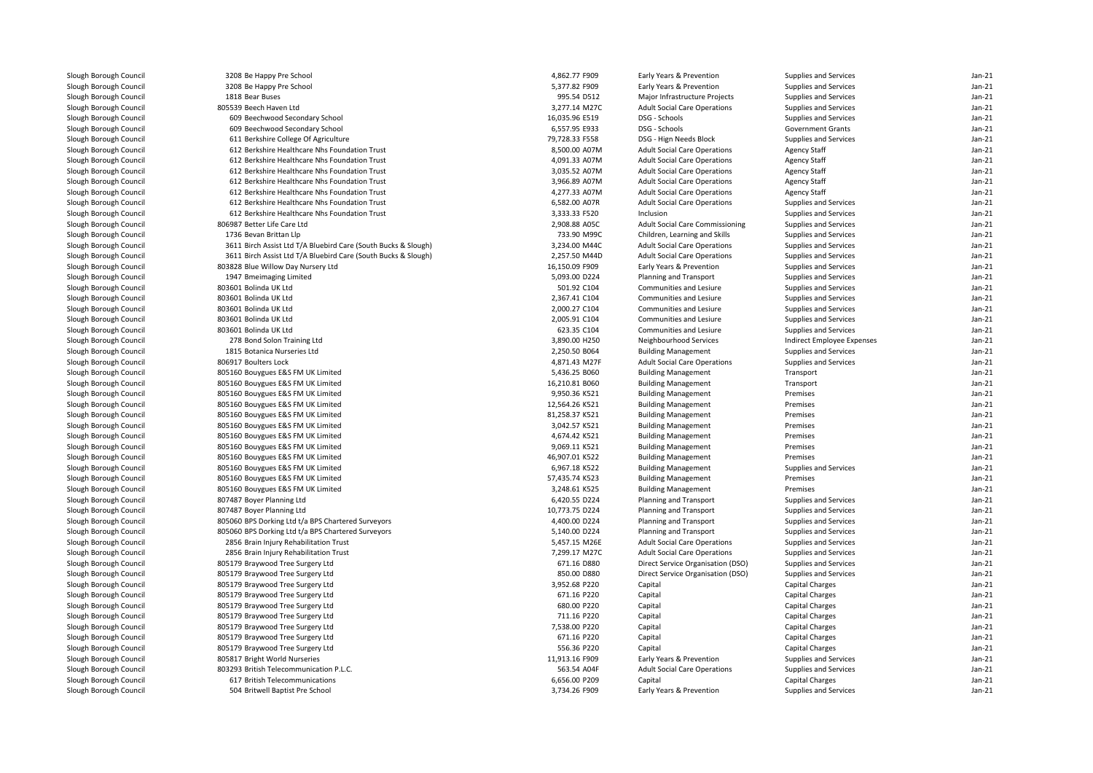| Slough Borough Council | 3208 Be Happy Pre School                                       | 4,862.77 F909  | Early Years & Prevention            | Supplies and Services             | $Jan-21$ |
|------------------------|----------------------------------------------------------------|----------------|-------------------------------------|-----------------------------------|----------|
| Slough Borough Council | 3208 Be Happy Pre School                                       | 5,377.82 F909  | Early Years & Prevention            | Supplies and Services             | $Jan-21$ |
| Slough Borough Council | 1818 Bear Buses                                                | 995.54 D512    | Major Infrastructure Projects       | Supplies and Services             | $Jan-21$ |
| Slough Borough Council | 805539 Beech Haven Ltd                                         | 3,277.14 M27C  | <b>Adult Social Care Operations</b> | Supplies and Services             | $Jan-21$ |
| Slough Borough Council | 609 Beechwood Secondary School                                 | 16,035.96 E519 | DSG - Schools                       | Supplies and Services             | $Jan-21$ |
| Slough Borough Council | 609 Beechwood Secondary School                                 | 6,557.95 E933  | DSG - Schools                       | <b>Government Grants</b>          | $Jan-21$ |
| Slough Borough Council | 611 Berkshire College Of Agriculture                           | 79,728.33 F558 | DSG - Hign Needs Block              | Supplies and Services             | $Jan-21$ |
| Slough Borough Council | 612 Berkshire Healthcare Nhs Foundation Trust                  | 8,500.00 A07M  | <b>Adult Social Care Operations</b> | <b>Agency Staff</b>               | $Jan-21$ |
| Slough Borough Council | 612 Berkshire Healthcare Nhs Foundation Trust                  | 4,091.33 A07M  | <b>Adult Social Care Operations</b> | <b>Agency Staff</b>               | $Jan-21$ |
| Slough Borough Council | 612 Berkshire Healthcare Nhs Foundation Trust                  | 3,035.52 A07M  | <b>Adult Social Care Operations</b> | <b>Agency Staff</b>               | $Jan-21$ |
| Slough Borough Council | 612 Berkshire Healthcare Nhs Foundation Trust                  | 3,966.89 A07M  | <b>Adult Social Care Operations</b> | <b>Agency Staff</b>               | $Jan-21$ |
| Slough Borough Council | 612 Berkshire Healthcare Nhs Foundation Trust                  | 4,277.33 A07M  | <b>Adult Social Care Operations</b> | <b>Agency Staff</b>               | $Jan-21$ |
| Slough Borough Council | 612 Berkshire Healthcare Nhs Foundation Trust                  | 6,582.00 A07R  | <b>Adult Social Care Operations</b> | Supplies and Services             | $Jan-21$ |
| Slough Borough Council | 612 Berkshire Healthcare Nhs Foundation Trust                  | 3,333.33 F520  | Inclusion                           | Supplies and Services             | $Jan-21$ |
| Slough Borough Council | 806987 Better Life Care Ltd                                    | 2,908.88 A05C  | Adult Social Care Commissioning     | Supplies and Services             | $Jan-21$ |
| Slough Borough Council | 1736 Bevan Brittan Llp                                         | 733.90 M99C    | Children, Learning and Skills       | Supplies and Services             | $Jan-21$ |
|                        |                                                                | 3,234.00 M44C  |                                     |                                   | $Jan-21$ |
| Slough Borough Council | 3611 Birch Assist Ltd T/A Bluebird Care (South Bucks & Slough) |                | <b>Adult Social Care Operations</b> | Supplies and Services             | $Jan-21$ |
| Slough Borough Council | 3611 Birch Assist Ltd T/A Bluebird Care (South Bucks & Slough) | 2,257.50 M44D  | <b>Adult Social Care Operations</b> | Supplies and Services             |          |
| Slough Borough Council | 803828 Blue Willow Day Nursery Ltd                             | 16,150.09 F909 | Early Years & Prevention            | Supplies and Services             | $Jan-21$ |
| Slough Borough Council | 1947 Bmeimaging Limited                                        | 5,093.00 D224  | Planning and Transport              | Supplies and Services             | $Jan-21$ |
| Slough Borough Council | 803601 Bolinda UK Ltd                                          | 501.92 C104    | Communities and Lesiure             | Supplies and Services             | $Jan-21$ |
| Slough Borough Council | 803601 Bolinda UK Ltd                                          | 2,367.41 C104  | Communities and Lesiure             | Supplies and Services             | $Jan-21$ |
| Slough Borough Council | 803601 Bolinda UK Ltd                                          | 2,000.27 C104  | Communities and Lesiure             | Supplies and Services             | $Jan-21$ |
| Slough Borough Council | 803601 Bolinda UK Ltd                                          | 2,005.91 C104  | Communities and Lesiure             | Supplies and Services             | $Jan-21$ |
| Slough Borough Council | 803601 Bolinda UK Ltd                                          | 623.35 C104    | Communities and Lesiure             | Supplies and Services             | $Jan-21$ |
| Slough Borough Council | 278 Bond Solon Training Ltd                                    | 3,890.00 H250  | Neighbourhood Services              | <b>Indirect Employee Expenses</b> | $Jan-21$ |
| Slough Borough Council | 1815 Botanica Nurseries Ltd                                    | 2,250.50 B064  | <b>Building Management</b>          | Supplies and Services             | $Jan-21$ |
| Slough Borough Council | 806917 Boulters Lock                                           | 4,871.43 M27F  | <b>Adult Social Care Operations</b> | Supplies and Services             | $Jan-21$ |
| Slough Borough Council | 805160 Bouygues E&S FM UK Limited                              | 5,436.25 B060  | <b>Building Management</b>          | Transport                         | $Jan-21$ |
| Slough Borough Council | 805160 Bouygues E&S FM UK Limited                              | 16,210.81 B060 | <b>Building Management</b>          | Transport                         | $Jan-21$ |
| Slough Borough Council | 805160 Bouygues E&S FM UK Limited                              | 9,950.36 K521  | <b>Building Management</b>          | Premises                          | $Jan-21$ |
| Slough Borough Council | 805160 Bouygues E&S FM UK Limited                              | 12,564.26 K521 | <b>Building Management</b>          | Premises                          | $Jan-21$ |
| Slough Borough Council | 805160 Bouygues E&S FM UK Limited                              | 81,258.37 K521 | <b>Building Management</b>          | Premises                          | $Jan-21$ |
| Slough Borough Council | 805160 Bouygues E&S FM UK Limited                              | 3,042.57 K521  | <b>Building Management</b>          | Premises                          | $Jan-21$ |
| Slough Borough Council | 805160 Bouygues E&S FM UK Limited                              | 4,674.42 K521  | <b>Building Management</b>          | Premises                          | $Jan-21$ |
| Slough Borough Council | 805160 Bouygues E&S FM UK Limited                              | 9,069.11 K521  | <b>Building Management</b>          | Premises                          | $Jan-21$ |
| Slough Borough Council | 805160 Bouygues E&S FM UK Limited                              | 46,907.01 K522 | <b>Building Management</b>          | Premises                          | $Jan-21$ |
| Slough Borough Council | 805160 Bouygues E&S FM UK Limited                              | 6,967.18 K522  | <b>Building Management</b>          | Supplies and Services             | $Jan-21$ |
| Slough Borough Council | 805160 Bouygues E&S FM UK Limited                              | 57,435.74 K523 | <b>Building Management</b>          | Premises                          | $Jan-21$ |
| Slough Borough Council | 805160 Bouygues E&S FM UK Limited                              | 3,248.61 K525  | <b>Building Management</b>          | Premises                          | $Jan-21$ |
| Slough Borough Council | 807487 Boyer Planning Ltd                                      | 6,420.55 D224  | Planning and Transport              | Supplies and Services             | $Jan-21$ |
| Slough Borough Council | 807487 Boyer Planning Ltd                                      | 10,773.75 D224 | Planning and Transport              | Supplies and Services             | $Jan-21$ |
| Slough Borough Council | 805060 BPS Dorking Ltd t/a BPS Chartered Surveyors             | 4,400.00 D224  | Planning and Transport              | Supplies and Services             | $Jan-21$ |
| Slough Borough Council | 805060 BPS Dorking Ltd t/a BPS Chartered Surveyors             | 5,140.00 D224  | Planning and Transport              | Supplies and Services             | $Jan-21$ |
| Slough Borough Council | 2856 Brain Injury Rehabilitation Trust                         | 5,457.15 M26E  | <b>Adult Social Care Operations</b> | Supplies and Services             | $Jan-21$ |
| Slough Borough Council | 2856 Brain Injury Rehabilitation Trust                         | 7,299.17 M27C  | <b>Adult Social Care Operations</b> | Supplies and Services             | $Jan-21$ |
| Slough Borough Council | 805179 Braywood Tree Surgery Ltd                               | 671.16 D880    | Direct Service Organisation (DSO)   | Supplies and Services             | $Jan-21$ |
| Slough Borough Council | 805179 Braywood Tree Surgery Ltd                               | 850.00 D880    | Direct Service Organisation (DSO)   | Supplies and Services             | $Jan-21$ |
| Slough Borough Council | 805179 Braywood Tree Surgery Ltd                               | 3,952.68 P220  | Capital                             | <b>Capital Charges</b>            | $Jan-21$ |
| Slough Borough Council | 805179 Braywood Tree Surgery Ltd                               | 671.16 P220    | Capital                             | Capital Charges                   | $Jan-21$ |
| Slough Borough Council | 805179 Braywood Tree Surgery Ltd                               | 680.00 P220    | Capital                             | Capital Charges                   | $Jan-21$ |
| Slough Borough Council | 805179 Braywood Tree Surgery Ltd                               | 711.16 P220    | Capital                             | <b>Capital Charges</b>            | $Jan-21$ |
| Slough Borough Council | 805179 Braywood Tree Surgery Ltd                               | 7,538.00 P220  | Capital                             | Capital Charges                   | $Jan-21$ |
| Slough Borough Council | 805179 Braywood Tree Surgery Ltd                               | 671.16 P220    | Capital                             | Capital Charges                   | $Jan-21$ |
| Slough Borough Council | 805179 Braywood Tree Surgery Ltd                               | 556.36 P220    | Capital                             | <b>Capital Charges</b>            | $Jan-21$ |
| Slough Borough Council | 805817 Bright World Nurseries                                  | 11,913.16 F909 | Early Years & Prevention            | Supplies and Services             | $Jan-21$ |
| Slough Borough Council | 803293 British Telecommunication P.L.C.                        | 563.54 A04F    | <b>Adult Social Care Operations</b> | Supplies and Services             | $Jan-21$ |
| Slough Borough Council | 617 British Telecommunications                                 | 6,656.00 P209  | Capital                             | <b>Capital Charges</b>            | $Jan-21$ |
| Slough Borough Council | 504 Britwell Baptist Pre School                                | 3,734.26 F909  | Early Years & Prevention            | Supplies and Services             | $Jan-21$ |
|                        |                                                                |                |                                     |                                   |          |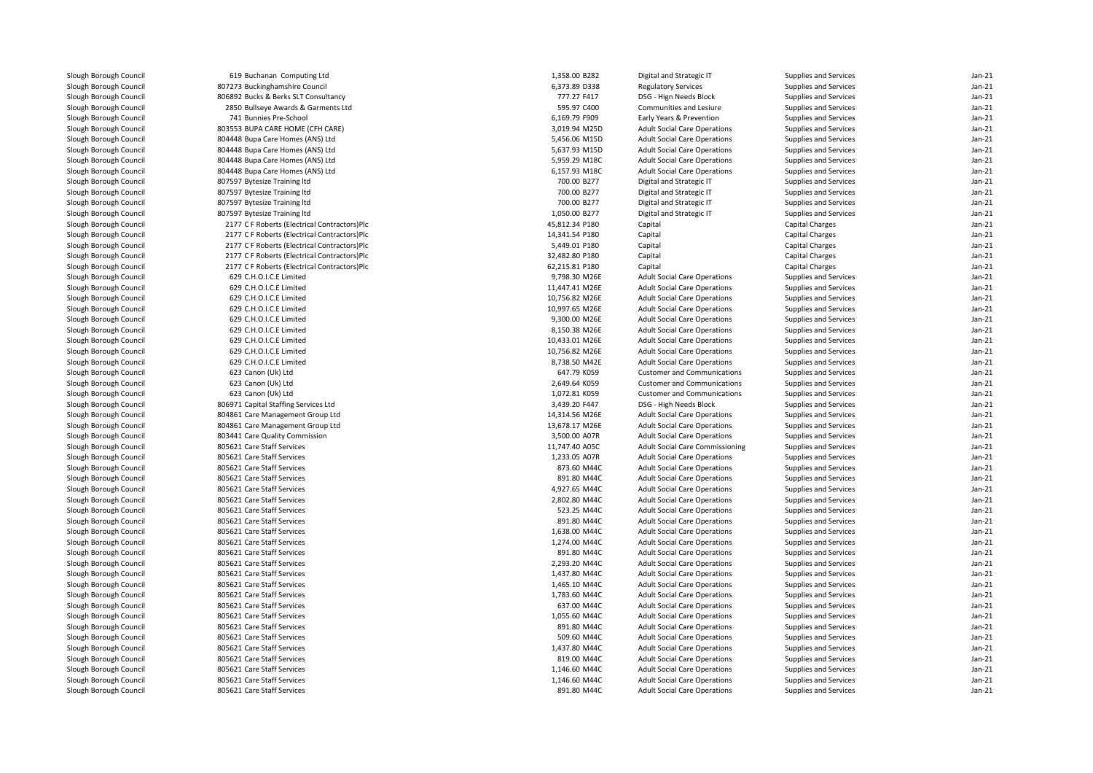| Slough Borough Council | 619 Buchanan Computing Ltd                   | 1,358.00 B282  | Digital and Strategic IT               | Supplies and Services  | $Jan-21$ |
|------------------------|----------------------------------------------|----------------|----------------------------------------|------------------------|----------|
| Slough Borough Council | 807273 Buckinghamshire Council               | 6,373.89 D338  | <b>Regulatory Services</b>             | Supplies and Services  | $Jan-21$ |
| Slough Borough Council | 806892 Bucks & Berks SLT Consultancy         | 777.27 F417    | DSG - Hign Needs Block                 | Supplies and Services  | $Jan-21$ |
| Slough Borough Council | 2850 Bullseye Awards & Garments Ltd          | 595.97 C400    | Communities and Lesiure                | Supplies and Services  | Jan-21   |
| Slough Borough Council | 741 Bunnies Pre-School                       | 6,169.79 F909  | Early Years & Prevention               | Supplies and Services  | $Jan-21$ |
| Slough Borough Council | 803553 BUPA CARE HOME (CFH CARE)             | 3,019.94 M25D  | <b>Adult Social Care Operations</b>    | Supplies and Services  | Jan-21   |
| Slough Borough Council | 804448 Bupa Care Homes (ANS) Ltd             | 5,456.06 M15D  | <b>Adult Social Care Operations</b>    | Supplies and Services  | $Jan-21$ |
| Slough Borough Council | 804448 Bupa Care Homes (ANS) Ltd             | 5,637.93 M15D  | <b>Adult Social Care Operations</b>    | Supplies and Services  | Jan-21   |
| Slough Borough Council | 804448 Bupa Care Homes (ANS) Ltd             | 5,959.29 M18C  | <b>Adult Social Care Operations</b>    | Supplies and Services  | $Jan-21$ |
| Slough Borough Council | 804448 Bupa Care Homes (ANS) Ltd             | 6,157.93 M18C  | <b>Adult Social Care Operations</b>    | Supplies and Services  | $Jan-21$ |
| Slough Borough Council | 807597 Bytesize Training Itd                 | 700.00 B277    | Digital and Strategic IT               | Supplies and Services  | $Jan-21$ |
| Slough Borough Council | 807597 Bytesize Training Itd                 | 700.00 B277    | Digital and Strategic IT               | Supplies and Services  | $Jan-21$ |
| Slough Borough Council | 807597 Bytesize Training Itd                 | 700.00 B277    | Digital and Strategic IT               | Supplies and Services  | $Jan-21$ |
| Slough Borough Council | 807597 Bytesize Training Itd                 | 1,050.00 B277  | Digital and Strategic IT               | Supplies and Services  | $Jan-21$ |
|                        |                                              |                |                                        |                        | $Jan-21$ |
| Slough Borough Council | 2177 C F Roberts (Electrical Contractors)Plc | 45,812.34 P180 | Capital                                | Capital Charges        | $Jan-21$ |
| Slough Borough Council | 2177 C F Roberts (Electrical Contractors)Plc | 14,341.54 P180 | Capital                                | <b>Capital Charges</b> |          |
| Slough Borough Council | 2177 C F Roberts (Electrical Contractors)Plc | 5,449.01 P180  | Capital                                | Capital Charges        | $Jan-21$ |
| Slough Borough Council | 2177 C F Roberts (Electrical Contractors)Plc | 32,482.80 P180 | Capital                                | Capital Charges        | $Jan-21$ |
| Slough Borough Council | 2177 C F Roberts (Electrical Contractors)Plc | 62,215.81 P180 | Capital                                | <b>Capital Charges</b> | Jan-21   |
| Slough Borough Council | 629 C.H.O.I.C.E Limited                      | 9,798.30 M26E  | <b>Adult Social Care Operations</b>    | Supplies and Services  | $Jan-21$ |
| Slough Borough Council | 629 C.H.O.I.C.E Limited                      | 11,447.41 M26E | <b>Adult Social Care Operations</b>    | Supplies and Services  | Jan-21   |
| Slough Borough Council | 629 C.H.O.I.C.E Limited                      | 10,756.82 M26E | <b>Adult Social Care Operations</b>    | Supplies and Services  | $Jan-21$ |
| Slough Borough Council | 629 C.H.O.I.C.E Limited                      | 10,997.65 M26E | <b>Adult Social Care Operations</b>    | Supplies and Services  | Jan-21   |
| Slough Borough Council | 629 C.H.O.I.C.E Limited                      | 9,300.00 M26E  | <b>Adult Social Care Operations</b>    | Supplies and Services  | $Jan-21$ |
| Slough Borough Council | 629 C.H.O.I.C.E Limited                      | 8,150.38 M26E  | <b>Adult Social Care Operations</b>    | Supplies and Services  | Jan-21   |
| Slough Borough Council | 629 C.H.O.I.C.E Limited                      | 10,433.01 M26E | <b>Adult Social Care Operations</b>    | Supplies and Services  | $Jan-21$ |
| Slough Borough Council | 629 C.H.O.I.C.E Limited                      | 10,756.82 M26E | <b>Adult Social Care Operations</b>    | Supplies and Services  | $Jan-21$ |
| Slough Borough Council | 629 C.H.O.I.C.E Limited                      | 8,738.50 M42E  | <b>Adult Social Care Operations</b>    | Supplies and Services  | $Jan-21$ |
| Slough Borough Council | 623 Canon (Uk) Ltd                           | 647.79 K059    | <b>Customer and Communications</b>     | Supplies and Services  | $Jan-21$ |
| Slough Borough Council | 623 Canon (Uk) Ltd                           | 2,649.64 K059  | <b>Customer and Communications</b>     | Supplies and Services  | Jan-21   |
| Slough Borough Council | 623 Canon (Uk) Ltd                           | 1,072.81 K059  | <b>Customer and Communications</b>     | Supplies and Services  | $Jan-21$ |
| Slough Borough Council | 806971 Capital Staffing Services Ltd         | 3,439.20 F447  | DSG - High Needs Block                 | Supplies and Services  | $Jan-21$ |
| Slough Borough Council | 804861 Care Management Group Ltd             | 14,314.56 M26E | <b>Adult Social Care Operations</b>    | Supplies and Services  | $Jan-21$ |
| Slough Borough Council | 804861 Care Management Group Ltd             | 13,678.17 M26E | <b>Adult Social Care Operations</b>    | Supplies and Services  | Jan-21   |
| Slough Borough Council | 803441 Care Quality Commission               | 3,500.00 A07R  | <b>Adult Social Care Operations</b>    | Supplies and Services  | $Jan-21$ |
| Slough Borough Council | 805621 Care Staff Services                   | 11,747.40 A05C | <b>Adult Social Care Commissioning</b> | Supplies and Services  | $Jan-21$ |
| Slough Borough Council | 805621 Care Staff Services                   | 1,233.05 A07R  | <b>Adult Social Care Operations</b>    | Supplies and Services  | $Jan-21$ |
| Slough Borough Council | 805621 Care Staff Services                   | 873.60 M44C    | <b>Adult Social Care Operations</b>    | Supplies and Services  | Jan-21   |
| Slough Borough Council | 805621 Care Staff Services                   | 891.80 M44C    | <b>Adult Social Care Operations</b>    | Supplies and Services  | $Jan-21$ |
| Slough Borough Council | 805621 Care Staff Services                   | 4,927.65 M44C  | <b>Adult Social Care Operations</b>    | Supplies and Services  | $Jan-21$ |
| Slough Borough Council | 805621 Care Staff Services                   | 2,802.80 M44C  | <b>Adult Social Care Operations</b>    | Supplies and Services  | $Jan-21$ |
| Slough Borough Council | 805621 Care Staff Services                   | 523.25 M44C    | <b>Adult Social Care Operations</b>    | Supplies and Services  | $Jan-21$ |
| Slough Borough Council | 805621 Care Staff Services                   | 891.80 M44C    | <b>Adult Social Care Operations</b>    | Supplies and Services  | $Jan-21$ |
| Slough Borough Council | 805621 Care Staff Services                   | 1,638.00 M44C  | <b>Adult Social Care Operations</b>    | Supplies and Services  | $Jan-21$ |
| Slough Borough Council | 805621 Care Staff Services                   | 1,274.00 M44C  | <b>Adult Social Care Operations</b>    | Supplies and Services  | Jan-21   |
| Slough Borough Council | 805621 Care Staff Services                   | 891.80 M44C    | <b>Adult Social Care Operations</b>    | Supplies and Services  | $Jan-21$ |
|                        | 805621 Care Staff Services                   | 2,293.20 M44C  | <b>Adult Social Care Operations</b>    | Supplies and Services  | Jan-21   |
| Slough Borough Council | 805621 Care Staff Services                   | 1,437.80 M44C  |                                        |                        | $Jan-21$ |
| Slough Borough Council |                                              |                | <b>Adult Social Care Operations</b>    | Supplies and Services  |          |
| Slough Borough Council | 805621 Care Staff Services                   | 1,465.10 M44C  | <b>Adult Social Care Operations</b>    | Supplies and Services  | Jan-21   |
| Slough Borough Council | 805621 Care Staff Services                   | 1,783.60 M44C  | <b>Adult Social Care Operations</b>    | Supplies and Services  | $Jan-21$ |
| Slough Borough Council | 805621 Care Staff Services                   | 637.00 M44C    | <b>Adult Social Care Operations</b>    | Supplies and Services  | Jan-21   |
| Slough Borough Council | 805621 Care Staff Services                   | 1,055.60 M44C  | <b>Adult Social Care Operations</b>    | Supplies and Services  | $Jan-21$ |
| Slough Borough Council | 805621 Care Staff Services                   | 891.80 M44C    | <b>Adult Social Care Operations</b>    | Supplies and Services  | Jan-21   |
| Slough Borough Council | 805621 Care Staff Services                   | 509.60 M44C    | <b>Adult Social Care Operations</b>    | Supplies and Services  | $Jan-21$ |
| Slough Borough Council | 805621 Care Staff Services                   | 1,437.80 M44C  | <b>Adult Social Care Operations</b>    | Supplies and Services  | Jan-21   |
| Slough Borough Council | 805621 Care Staff Services                   | 819.00 M44C    | <b>Adult Social Care Operations</b>    | Supplies and Services  | $Jan-21$ |
| Slough Borough Council | 805621 Care Staff Services                   | 1,146.60 M44C  | <b>Adult Social Care Operations</b>    | Supplies and Services  | $Jan-21$ |
| Slough Borough Council | 805621 Care Staff Services                   | 1,146.60 M44C  | <b>Adult Social Care Operations</b>    | Supplies and Services  | Jan-21   |
| Slough Borough Council | 805621 Care Staff Services                   | 891.80 M44C    | <b>Adult Social Care Operations</b>    | Supplies and Services  | $Jan-21$ |
|                        |                                              |                |                                        |                        |          |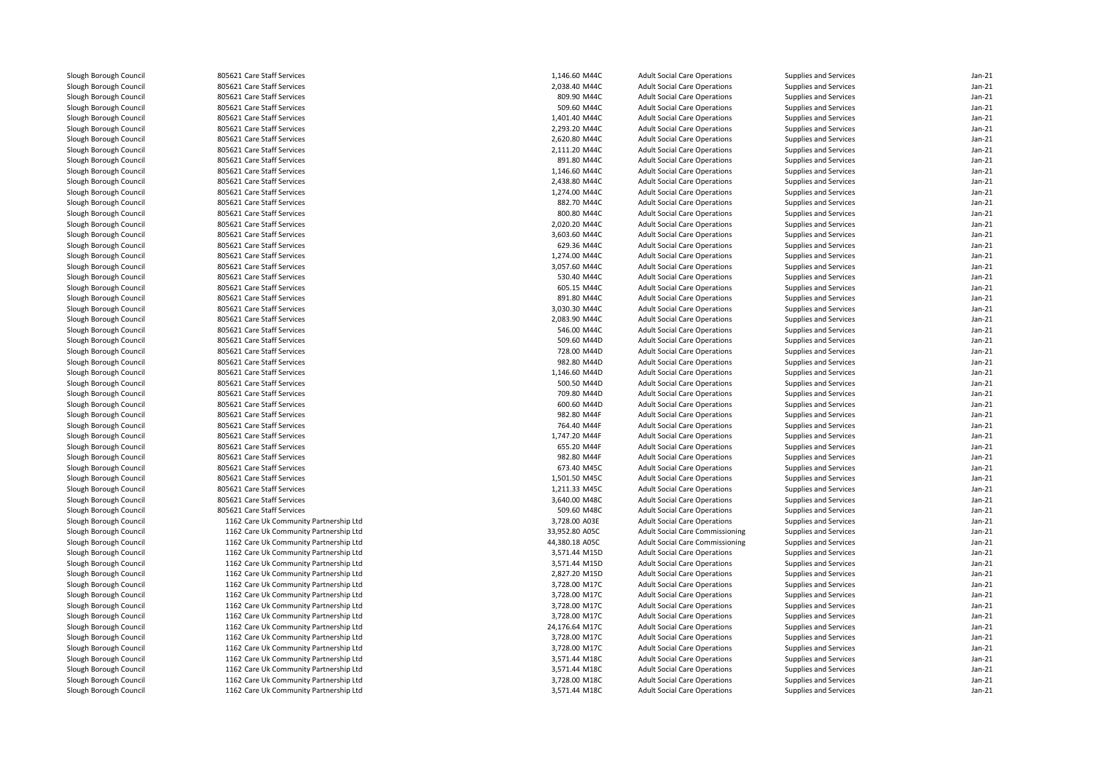| Slough Borough Council | 805621 Care Staff Services             | 1,146.60 M44C  | <b>Adult Social Care Operations</b>    | Supplies and Services | $Jan-21$ |
|------------------------|----------------------------------------|----------------|----------------------------------------|-----------------------|----------|
| Slough Borough Council | 805621 Care Staff Services             | 2,038.40 M44C  | <b>Adult Social Care Operations</b>    | Supplies and Services | $Jan-21$ |
| Slough Borough Council | 805621 Care Staff Services             | 809.90 M44C    | <b>Adult Social Care Operations</b>    | Supplies and Services | $Jan-21$ |
| Slough Borough Council | 805621 Care Staff Services             | 509.60 M44C    | <b>Adult Social Care Operations</b>    | Supplies and Services | Jan-21   |
| Slough Borough Council | 805621 Care Staff Services             | 1,401.40 M44C  | <b>Adult Social Care Operations</b>    | Supplies and Services | $Jan-21$ |
| Slough Borough Council | 805621 Care Staff Services             | 2,293.20 M44C  | <b>Adult Social Care Operations</b>    | Supplies and Services | Jan-21   |
| Slough Borough Council | 805621 Care Staff Services             | 2,620.80 M44C  | <b>Adult Social Care Operations</b>    | Supplies and Services | $Jan-21$ |
| Slough Borough Council | 805621 Care Staff Services             | 2,111.20 M44C  | <b>Adult Social Care Operations</b>    | Supplies and Services | Jan-21   |
| Slough Borough Council | 805621 Care Staff Services             | 891.80 M44C    | <b>Adult Social Care Operations</b>    | Supplies and Services | $Jan-21$ |
| Slough Borough Council | 805621 Care Staff Services             | 1,146.60 M44C  | <b>Adult Social Care Operations</b>    | Supplies and Services | Jan-21   |
| Slough Borough Council | 805621 Care Staff Services             | 2,438.80 M44C  | <b>Adult Social Care Operations</b>    | Supplies and Services | $Jan-21$ |
| Slough Borough Council | 805621 Care Staff Services             | 1,274.00 M44C  | <b>Adult Social Care Operations</b>    | Supplies and Services | Jan-21   |
| Slough Borough Council | 805621 Care Staff Services             | 882.70 M44C    | <b>Adult Social Care Operations</b>    | Supplies and Services | $Jan-21$ |
| Slough Borough Council | 805621 Care Staff Services             | 800.80 M44C    | <b>Adult Social Care Operations</b>    | Supplies and Services | Jan-21   |
| Slough Borough Council | 805621 Care Staff Services             | 2,020.20 M44C  | <b>Adult Social Care Operations</b>    | Supplies and Services | $Jan-21$ |
| Slough Borough Council | 805621 Care Staff Services             | 3,603.60 M44C  | <b>Adult Social Care Operations</b>    | Supplies and Services | Jan-21   |
| Slough Borough Council | 805621 Care Staff Services             | 629.36 M44C    |                                        |                       | $Jan-21$ |
|                        |                                        |                | <b>Adult Social Care Operations</b>    | Supplies and Services |          |
| Slough Borough Council | 805621 Care Staff Services             | 1,274.00 M44C  | <b>Adult Social Care Operations</b>    | Supplies and Services | $Jan-21$ |
| Slough Borough Council | 805621 Care Staff Services             | 3,057.60 M44C  | <b>Adult Social Care Operations</b>    | Supplies and Services | $Jan-21$ |
| Slough Borough Council | 805621 Care Staff Services             | 530.40 M44C    | <b>Adult Social Care Operations</b>    | Supplies and Services | $Jan-21$ |
| Slough Borough Council | 805621 Care Staff Services             | 605.15 M44C    | <b>Adult Social Care Operations</b>    | Supplies and Services | $Jan-21$ |
| Slough Borough Council | 805621 Care Staff Services             | 891.80 M44C    | <b>Adult Social Care Operations</b>    | Supplies and Services | $Jan-21$ |
| Slough Borough Council | 805621 Care Staff Services             | 3,030.30 M44C  | <b>Adult Social Care Operations</b>    | Supplies and Services | $Jan-21$ |
| Slough Borough Council | 805621 Care Staff Services             | 2,083.90 M44C  | <b>Adult Social Care Operations</b>    | Supplies and Services | $Jan-21$ |
| Slough Borough Council | 805621 Care Staff Services             | 546.00 M44C    | <b>Adult Social Care Operations</b>    | Supplies and Services | $Jan-21$ |
| Slough Borough Council | 805621 Care Staff Services             | 509.60 M44D    | <b>Adult Social Care Operations</b>    | Supplies and Services | $Jan-21$ |
| Slough Borough Council | 805621 Care Staff Services             | 728.00 M44D    | <b>Adult Social Care Operations</b>    | Supplies and Services | $Jan-21$ |
| Slough Borough Council | 805621 Care Staff Services             | 982.80 M44D    | <b>Adult Social Care Operations</b>    | Supplies and Services | $Jan-21$ |
| Slough Borough Council | 805621 Care Staff Services             | 1,146.60 M44D  | <b>Adult Social Care Operations</b>    | Supplies and Services | $Jan-21$ |
| Slough Borough Council | 805621 Care Staff Services             | 500.50 M44D    | <b>Adult Social Care Operations</b>    | Supplies and Services | $Jan-21$ |
| Slough Borough Council | 805621 Care Staff Services             | 709.80 M44D    | <b>Adult Social Care Operations</b>    | Supplies and Services | Jan-21   |
| Slough Borough Council | 805621 Care Staff Services             | 600.60 M44D    | <b>Adult Social Care Operations</b>    | Supplies and Services | $Jan-21$ |
| Slough Borough Council | 805621 Care Staff Services             | 982.80 M44F    | <b>Adult Social Care Operations</b>    | Supplies and Services | Jan-21   |
| Slough Borough Council | 805621 Care Staff Services             | 764.40 M44F    | <b>Adult Social Care Operations</b>    | Supplies and Services | $Jan-21$ |
| Slough Borough Council | 805621 Care Staff Services             | 1,747.20 M44F  | <b>Adult Social Care Operations</b>    | Supplies and Services | Jan-21   |
| Slough Borough Council | 805621 Care Staff Services             | 655.20 M44F    | <b>Adult Social Care Operations</b>    | Supplies and Services | $Jan-21$ |
| Slough Borough Council | 805621 Care Staff Services             | 982.80 M44F    | <b>Adult Social Care Operations</b>    | Supplies and Services | $Jan-21$ |
| Slough Borough Council | 805621 Care Staff Services             | 673.40 M45C    | <b>Adult Social Care Operations</b>    | Supplies and Services | $Jan-21$ |
| Slough Borough Council | 805621 Care Staff Services             | 1,501.50 M45C  | <b>Adult Social Care Operations</b>    | Supplies and Services | $Jan-21$ |
| Slough Borough Council | 805621 Care Staff Services             | 1,211.33 M45C  | <b>Adult Social Care Operations</b>    | Supplies and Services | $Jan-21$ |
| Slough Borough Council | 805621 Care Staff Services             | 3,640.00 M48C  | <b>Adult Social Care Operations</b>    | Supplies and Services | Jan-21   |
| Slough Borough Council | 805621 Care Staff Services             | 509.60 M48C    | <b>Adult Social Care Operations</b>    | Supplies and Services | $Jan-21$ |
| Slough Borough Council | 1162 Care Uk Community Partnership Ltd | 3,728.00 A03E  | <b>Adult Social Care Operations</b>    | Supplies and Services | $Jan-21$ |
|                        |                                        |                |                                        |                       |          |
| Slough Borough Council | 1162 Care Uk Community Partnership Ltd | 33,952.80 A05C | <b>Adult Social Care Commissioning</b> | Supplies and Services | $Jan-21$ |
| Slough Borough Council | 1162 Care Uk Community Partnership Ltd | 44,380.18 A05C | <b>Adult Social Care Commissioning</b> | Supplies and Services | Jan-21   |
| Slough Borough Council | 1162 Care Uk Community Partnership Ltd | 3,571.44 M15D  | <b>Adult Social Care Operations</b>    | Supplies and Services | $Jan-21$ |
| Slough Borough Council | 1162 Care Uk Community Partnership Ltd | 3,571.44 M15D  | <b>Adult Social Care Operations</b>    | Supplies and Services | $Jan-21$ |
| Slough Borough Council | 1162 Care Uk Community Partnership Ltd | 2,827.20 M15D  | <b>Adult Social Care Operations</b>    | Supplies and Services | $Jan-21$ |
| Slough Borough Council | 1162 Care Uk Community Partnership Ltd | 3,728.00 M17C  | <b>Adult Social Care Operations</b>    | Supplies and Services | $Jan-21$ |
| Slough Borough Council | 1162 Care Uk Community Partnership Ltd | 3,728.00 M17C  | <b>Adult Social Care Operations</b>    | Supplies and Services | $Jan-21$ |
| Slough Borough Council | 1162 Care Uk Community Partnership Ltd | 3,728.00 M17C  | <b>Adult Social Care Operations</b>    | Supplies and Services | $Jan-21$ |
| Slough Borough Council | 1162 Care Uk Community Partnership Ltd | 3,728.00 M17C  | <b>Adult Social Care Operations</b>    | Supplies and Services | $Jan-21$ |
| Slough Borough Council | 1162 Care Uk Community Partnership Ltd | 24,176.64 M17C | <b>Adult Social Care Operations</b>    | Supplies and Services | $Jan-21$ |
| Slough Borough Council | 1162 Care Uk Community Partnership Ltd | 3,728.00 M17C  | <b>Adult Social Care Operations</b>    | Supplies and Services | $Jan-21$ |
| Slough Borough Council | 1162 Care Uk Community Partnership Ltd | 3,728.00 M17C  | <b>Adult Social Care Operations</b>    | Supplies and Services | Jan-21   |
| Slough Borough Council | 1162 Care Uk Community Partnership Ltd | 3,571.44 M18C  | <b>Adult Social Care Operations</b>    | Supplies and Services | $Jan-21$ |
| Slough Borough Council | 1162 Care Uk Community Partnership Ltd | 3,571.44 M18C  | <b>Adult Social Care Operations</b>    | Supplies and Services | $Jan-21$ |
| Slough Borough Council | 1162 Care Uk Community Partnership Ltd | 3,728.00 M18C  | <b>Adult Social Care Operations</b>    | Supplies and Services | $Jan-21$ |
| Slough Borough Council | 1162 Care Uk Community Partnership Ltd | 3,571.44 M18C  | <b>Adult Social Care Operations</b>    | Supplies and Services | $Jan-21$ |
|                        |                                        |                |                                        |                       |          |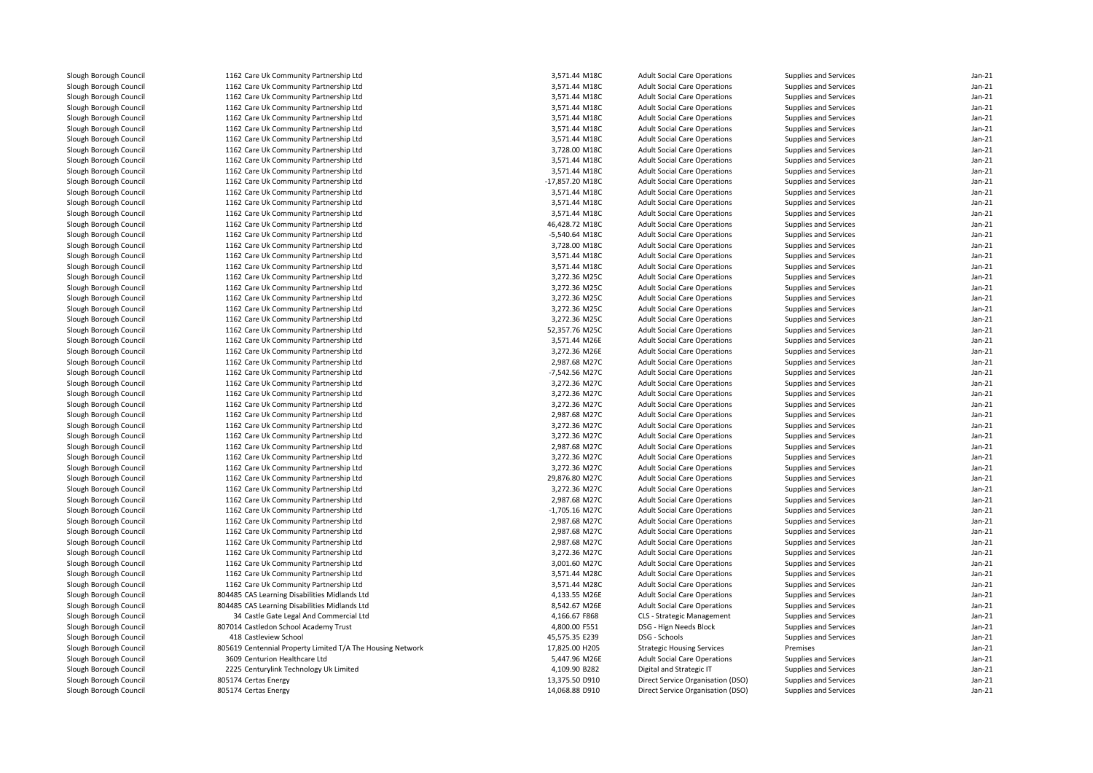| Slough Borough Council | 1162 Care Uk Community Partnership Ltd                                           | 3,571.44 M18C                  | <b>Adult Social Care Operations</b> | Supplies and Services | $Jan-21$           |
|------------------------|----------------------------------------------------------------------------------|--------------------------------|-------------------------------------|-----------------------|--------------------|
| Slough Borough Council | 1162 Care Uk Community Partnership Ltd                                           | 3,571.44 M18C                  | <b>Adult Social Care Operations</b> | Supplies and Services | $Jan-21$           |
| Slough Borough Council | 1162 Care Uk Community Partnership Ltd                                           | 3,571.44 M18C                  | <b>Adult Social Care Operations</b> | Supplies and Services | $Jan-21$           |
| Slough Borough Council | 1162 Care Uk Community Partnership Ltd                                           | 3,571.44 M18C                  | <b>Adult Social Care Operations</b> | Supplies and Services | Jan-21             |
| Slough Borough Council | 1162 Care Uk Community Partnership Ltd                                           | 3,571.44 M18C                  | <b>Adult Social Care Operations</b> | Supplies and Services | $Jan-21$           |
| Slough Borough Council | 1162 Care Uk Community Partnership Ltd                                           | 3,571.44 M18C                  | <b>Adult Social Care Operations</b> | Supplies and Services | Jan-21             |
| Slough Borough Council | 1162 Care Uk Community Partnership Ltd                                           | 3,571.44 M18C                  | <b>Adult Social Care Operations</b> | Supplies and Services | $Jan-21$           |
| Slough Borough Council | 1162 Care Uk Community Partnership Ltd                                           | 3,728.00 M18C                  | <b>Adult Social Care Operations</b> | Supplies and Services | $Jan-21$           |
| Slough Borough Council | 1162 Care Uk Community Partnership Ltd                                           | 3,571.44 M18C                  | <b>Adult Social Care Operations</b> | Supplies and Services | $Jan-21$           |
| Slough Borough Council | 1162 Care Uk Community Partnership Ltd                                           | 3,571.44 M18C                  | <b>Adult Social Care Operations</b> | Supplies and Services | Jan-21             |
| Slough Borough Council | 1162 Care Uk Community Partnership Ltd                                           | -17,857.20 M18C                | <b>Adult Social Care Operations</b> | Supplies and Services | $Jan-21$           |
| Slough Borough Council | 1162 Care Uk Community Partnership Ltd                                           | 3,571.44 M18C                  | <b>Adult Social Care Operations</b> | Supplies and Services | Jan-21             |
| Slough Borough Council | 1162 Care Uk Community Partnership Ltd                                           | 3,571.44 M18C                  | <b>Adult Social Care Operations</b> | Supplies and Services | $Jan-21$           |
| Slough Borough Council | 1162 Care Uk Community Partnership Ltd                                           | 3,571.44 M18C                  | <b>Adult Social Care Operations</b> | Supplies and Services | Jan-21             |
| Slough Borough Council | 1162 Care Uk Community Partnership Ltd                                           | 46,428.72 M18C                 | <b>Adult Social Care Operations</b> | Supplies and Services | $Jan-21$           |
| Slough Borough Council | 1162 Care Uk Community Partnership Ltd                                           | -5,540.64 M18C                 | <b>Adult Social Care Operations</b> | Supplies and Services | Jan-21             |
| Slough Borough Council | 1162 Care Uk Community Partnership Ltd                                           | 3,728.00 M18C                  | <b>Adult Social Care Operations</b> | Supplies and Services | $Jan-21$           |
| Slough Borough Council | 1162 Care Uk Community Partnership Ltd                                           | 3,571.44 M18C                  | <b>Adult Social Care Operations</b> | Supplies and Services | $Jan-21$           |
| Slough Borough Council | 1162 Care Uk Community Partnership Ltd                                           | 3,571.44 M18C                  | <b>Adult Social Care Operations</b> | Supplies and Services | $Jan-21$           |
| Slough Borough Council | 1162 Care Uk Community Partnership Ltd                                           | 3,272.36 M25C                  | <b>Adult Social Care Operations</b> | Supplies and Services | $Jan-21$           |
| Slough Borough Council | 1162 Care Uk Community Partnership Ltd                                           | 3,272.36 M25C                  | <b>Adult Social Care Operations</b> | Supplies and Services | $Jan-21$           |
| Slough Borough Council | 1162 Care Uk Community Partnership Ltd                                           | 3,272.36 M25C                  | <b>Adult Social Care Operations</b> | Supplies and Services | Jan-21             |
| Slough Borough Council | 1162 Care Uk Community Partnership Ltd                                           | 3,272.36 M25C                  | <b>Adult Social Care Operations</b> | Supplies and Services | $Jan-21$           |
| Slough Borough Council | 1162 Care Uk Community Partnership Ltd                                           | 3,272.36 M25C                  | <b>Adult Social Care Operations</b> | Supplies and Services | $Jan-21$           |
| Slough Borough Council | 1162 Care Uk Community Partnership Ltd                                           | 52,357.76 M25C                 | <b>Adult Social Care Operations</b> | Supplies and Services | $Jan-21$           |
| Slough Borough Council | 1162 Care Uk Community Partnership Ltd                                           | 3,571.44 M26E                  | <b>Adult Social Care Operations</b> | Supplies and Services | Jan-21             |
| Slough Borough Council | 1162 Care Uk Community Partnership Ltd                                           | 3,272.36 M26E                  | <b>Adult Social Care Operations</b> | Supplies and Services | $Jan-21$           |
| Slough Borough Council | 1162 Care Uk Community Partnership Ltd                                           | 2,987.68 M27C                  | <b>Adult Social Care Operations</b> | Supplies and Services | $Jan-21$           |
| Slough Borough Council | 1162 Care Uk Community Partnership Ltd                                           | -7,542.56 M27C                 | <b>Adult Social Care Operations</b> | Supplies and Services | $Jan-21$           |
| Slough Borough Council | 1162 Care Uk Community Partnership Ltd                                           | 3,272.36 M27C                  | <b>Adult Social Care Operations</b> | Supplies and Services | $Jan-21$           |
|                        |                                                                                  |                                |                                     |                       |                    |
| Slough Borough Council | 1162 Care Uk Community Partnership Ltd<br>1162 Care Uk Community Partnership Ltd | 3,272.36 M27C<br>3,272.36 M27C | <b>Adult Social Care Operations</b> | Supplies and Services | Jan-21<br>$Jan-21$ |
| Slough Borough Council |                                                                                  |                                | <b>Adult Social Care Operations</b> | Supplies and Services |                    |
| Slough Borough Council | 1162 Care Uk Community Partnership Ltd                                           | 2,987.68 M27C                  | <b>Adult Social Care Operations</b> | Supplies and Services | Jan-21<br>$Jan-21$ |
| Slough Borough Council | 1162 Care Uk Community Partnership Ltd                                           | 3,272.36 M27C                  | <b>Adult Social Care Operations</b> | Supplies and Services |                    |
| Slough Borough Council | 1162 Care Uk Community Partnership Ltd                                           | 3,272.36 M27C<br>2,987.68 M27C | <b>Adult Social Care Operations</b> | Supplies and Services | Jan-21             |
| Slough Borough Council | 1162 Care Uk Community Partnership Ltd                                           |                                | <b>Adult Social Care Operations</b> | Supplies and Services | $Jan-21$           |
| Slough Borough Council | 1162 Care Uk Community Partnership Ltd                                           | 3,272.36 M27C                  | <b>Adult Social Care Operations</b> | Supplies and Services | Jan-21             |
| Slough Borough Council | 1162 Care Uk Community Partnership Ltd                                           | 3,272.36 M27C                  | <b>Adult Social Care Operations</b> | Supplies and Services | $Jan-21$           |
| Slough Borough Council | 1162 Care Uk Community Partnership Ltd                                           | 29,876.80 M27C                 | <b>Adult Social Care Operations</b> | Supplies and Services | Jan-21             |
| Slough Borough Council | 1162 Care Uk Community Partnership Ltd                                           | 3,272.36 M27C                  | <b>Adult Social Care Operations</b> | Supplies and Services | $Jan-21$           |
| Slough Borough Council | 1162 Care Uk Community Partnership Ltd                                           | 2,987.68 M27C                  | <b>Adult Social Care Operations</b> | Supplies and Services | Jan-21             |
| Slough Borough Council | 1162 Care Uk Community Partnership Ltd                                           | -1,705.16 M27C                 | <b>Adult Social Care Operations</b> | Supplies and Services | $Jan-21$           |
| Slough Borough Council | 1162 Care Uk Community Partnership Ltd                                           | 2,987.68 M27C                  | <b>Adult Social Care Operations</b> | Supplies and Services | Jan-21             |
| Slough Borough Council | 1162 Care Uk Community Partnership Ltd                                           | 2,987.68 M27C                  | <b>Adult Social Care Operations</b> | Supplies and Services | $Jan-21$           |
| Slough Borough Council | 1162 Care Uk Community Partnership Ltd                                           | 2,987.68 M27C                  | <b>Adult Social Care Operations</b> | Supplies and Services | Jan-21             |
| Slough Borough Council | 1162 Care Uk Community Partnership Ltd                                           | 3,272.36 M27C                  | <b>Adult Social Care Operations</b> | Supplies and Services | $Jan-21$           |
| Slough Borough Council | 1162 Care Uk Community Partnership Ltd                                           | 3,001.60 M27C                  | <b>Adult Social Care Operations</b> | Supplies and Services | Jan-21             |
| Slough Borough Council | 1162 Care Uk Community Partnership Ltd                                           | 3,571.44 M28C                  | <b>Adult Social Care Operations</b> | Supplies and Services | $Jan-21$           |
| Slough Borough Council | 1162 Care Uk Community Partnership Ltd                                           | 3,571.44 M28C                  | <b>Adult Social Care Operations</b> | Supplies and Services | $Jan-21$           |
| Slough Borough Council | 804485 CAS Learning Disabilities Midlands Ltd                                    | 4,133.55 M26E                  | <b>Adult Social Care Operations</b> | Supplies and Services | $Jan-21$           |
| Slough Borough Council | 804485 CAS Learning Disabilities Midlands Ltd                                    | 8,542.67 M26E                  | <b>Adult Social Care Operations</b> | Supplies and Services | $Jan-21$           |
| Slough Borough Council | 34 Castle Gate Legal And Commercial Ltd                                          | 4,166.67 F868                  | CLS - Strategic Management          | Supplies and Services | $Jan-21$           |
| Slough Borough Council | 807014 Castledon School Academy Trust                                            | 4,800.00 F551                  | DSG - Hign Needs Block              | Supplies and Services | $Jan-21$           |
| Slough Borough Council | 418 Castleview School                                                            | 45,575.35 E239                 | DSG - Schools                       | Supplies and Services | $Jan-21$           |
| Slough Borough Council | 805619 Centennial Property Limited T/A The Housing Network                       | 17,825.00 H205                 | <b>Strategic Housing Services</b>   | Premises              | Jan-21             |
| Slough Borough Council | 3609 Centurion Healthcare Ltd                                                    | 5,447.96 M26E                  | <b>Adult Social Care Operations</b> | Supplies and Services | $Jan-21$           |
| Slough Borough Council | 2225 Centurylink Technology Uk Limited                                           | 4,109.90 B282                  | Digital and Strategic IT            | Supplies and Services | $Jan-21$           |
| Slough Borough Council | 805174 Certas Energy                                                             | 13,375.50 D910                 | Direct Service Organisation (DSO)   | Supplies and Services | $Jan-21$           |
| Slough Borough Council | 805174 Certas Energy                                                             | 14,068.88 D910                 | Direct Service Organisation (DSO)   | Supplies and Services | $Jan-21$           |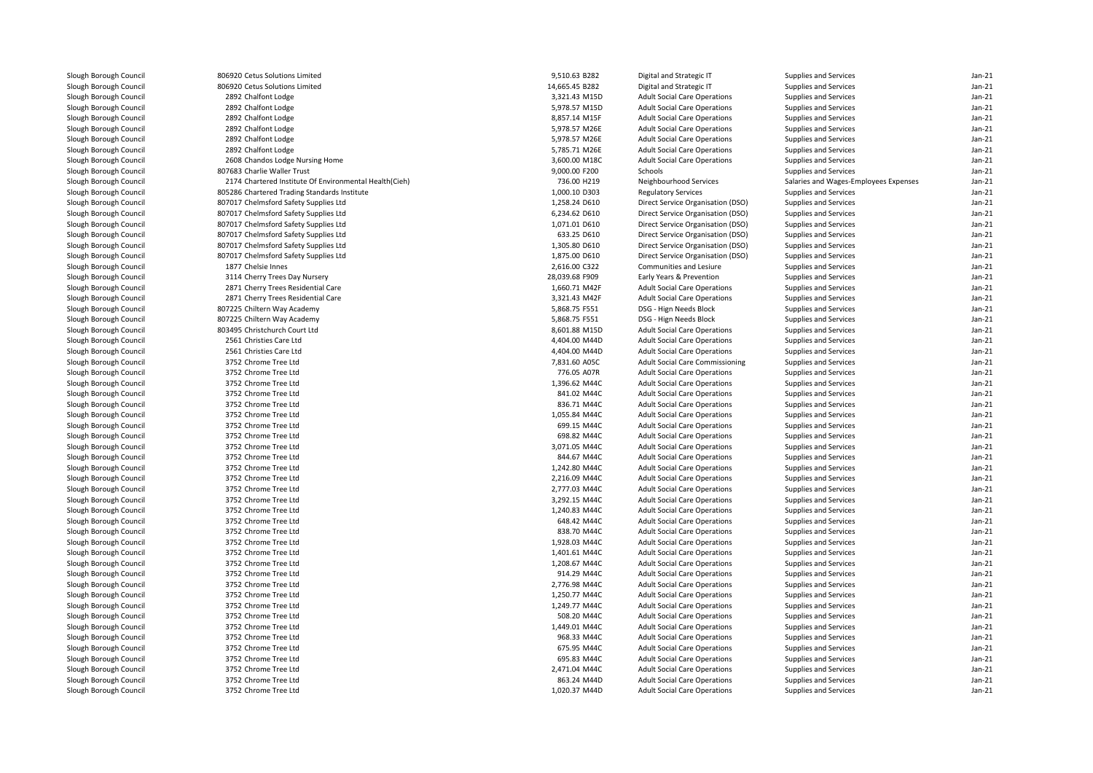| Slough Borough Council | 806920 Cetus Solutions Limited                         | 9,510.63 B282  | Digital and Strategic IT               | Supplies and Services                 | $Jan-21$ |
|------------------------|--------------------------------------------------------|----------------|----------------------------------------|---------------------------------------|----------|
| Slough Borough Council | 806920 Cetus Solutions Limited                         | 14,665.45 B282 | Digital and Strategic IT               | Supplies and Services                 | $Jan-21$ |
| Slough Borough Council | 2892 Chalfont Lodge                                    | 3,321.43 M15D  | <b>Adult Social Care Operations</b>    | Supplies and Services                 | $Jan-21$ |
| Slough Borough Council | 2892 Chalfont Lodge                                    | 5,978.57 M15D  | <b>Adult Social Care Operations</b>    | Supplies and Services                 | $Jan-21$ |
| Slough Borough Council | 2892 Chalfont Lodge                                    | 8,857.14 M15F  | <b>Adult Social Care Operations</b>    | Supplies and Services                 | $Jan-21$ |
| Slough Borough Council | 2892 Chalfont Lodge                                    | 5,978.57 M26E  | <b>Adult Social Care Operations</b>    | Supplies and Services                 | Jan-21   |
| Slough Borough Council | 2892 Chalfont Lodge                                    | 5,978.57 M26E  | <b>Adult Social Care Operations</b>    | Supplies and Services                 | $Jan-21$ |
| Slough Borough Council | 2892 Chalfont Lodge                                    | 5,785.71 M26E  | <b>Adult Social Care Operations</b>    | Supplies and Services                 | $Jan-21$ |
| Slough Borough Council | 2608 Chandos Lodge Nursing Home                        | 3,600.00 M18C  | <b>Adult Social Care Operations</b>    | Supplies and Services                 | $Jan-21$ |
| Slough Borough Council | 807683 Charlie Waller Trust                            | 9,000.00 F200  | Schools                                | Supplies and Services                 | $Jan-21$ |
| Slough Borough Council | 2174 Chartered Institute Of Environmental Health(Cieh) | 736.00 H219    | Neighbourhood Services                 | Salaries and Wages-Employees Expenses | $Jan-21$ |
| Slough Borough Council | 805286 Chartered Trading Standards Institute           | 1,000.10 D303  | <b>Regulatory Services</b>             | Supplies and Services                 | $Jan-21$ |
| Slough Borough Council | 807017 Chelmsford Safety Supplies Ltd                  | 1,258.24 D610  | Direct Service Organisation (DSO)      | Supplies and Services                 | $Jan-21$ |
| Slough Borough Council | 807017 Chelmsford Safety Supplies Ltd                  | 6,234.62 D610  | Direct Service Organisation (DSO)      | Supplies and Services                 | $Jan-21$ |
| Slough Borough Council | 807017 Chelmsford Safety Supplies Ltd                  | 1.071.01 D610  | Direct Service Organisation (DSO)      | Supplies and Services                 | $Jan-21$ |
| Slough Borough Council | 807017 Chelmsford Safety Supplies Ltd                  | 633.25 D610    | Direct Service Organisation (DSO)      | Supplies and Services                 | Jan-21   |
| Slough Borough Council | 807017 Chelmsford Safety Supplies Ltd                  | 1,305.80 D610  | Direct Service Organisation (DSO)      | Supplies and Services                 | $Jan-21$ |
| Slough Borough Council | 807017 Chelmsford Safety Supplies Ltd                  | 1,875.00 D610  | Direct Service Organisation (DSO)      | Supplies and Services                 | $Jan-21$ |
| Slough Borough Council | 1877 Chelsie Innes                                     | 2,616.00 C322  | Communities and Lesiure                | Supplies and Services                 | $Jan-21$ |
| Slough Borough Council | 3114 Cherry Trees Day Nursery                          | 28,039.68 F909 | Early Years & Prevention               | Supplies and Services                 | $Jan-21$ |
| Slough Borough Council | 2871 Cherry Trees Residential Care                     | 1,660.71 M42F  | <b>Adult Social Care Operations</b>    | Supplies and Services                 | $Jan-21$ |
| Slough Borough Council | 2871 Cherry Trees Residential Care                     | 3,321.43 M42F  | <b>Adult Social Care Operations</b>    | Supplies and Services                 | $Jan-21$ |
| Slough Borough Council | 807225 Chiltern Way Academy                            | 5,868.75 F551  | DSG - Hign Needs Block                 | Supplies and Services                 | Jan-21   |
| Slough Borough Council | 807225 Chiltern Way Academy                            | 5,868.75 F551  | DSG - Hign Needs Block                 | Supplies and Services                 | $Jan-21$ |
| Slough Borough Council | 803495 Christchurch Court Ltd                          | 8,601.88 M15D  | <b>Adult Social Care Operations</b>    | Supplies and Services                 | Jan-21   |
| Slough Borough Council | 2561 Christies Care Ltd                                | 4,404.00 M44D  | <b>Adult Social Care Operations</b>    | Supplies and Services                 | $Jan-21$ |
| Slough Borough Council | 2561 Christies Care Ltd                                | 4,404.00 M44D  | <b>Adult Social Care Operations</b>    | Supplies and Services                 | $Jan-21$ |
| Slough Borough Council | 3752 Chrome Tree Ltd                                   | 7,831.60 A05C  | <b>Adult Social Care Commissioning</b> | Supplies and Services                 | $Jan-21$ |
| Slough Borough Council | 3752 Chrome Tree Ltd                                   | 776.05 A07R    | <b>Adult Social Care Operations</b>    | Supplies and Services                 | $Jan-21$ |
| Slough Borough Council | 3752 Chrome Tree Ltd                                   | 1,396.62 M44C  | <b>Adult Social Care Operations</b>    | Supplies and Services                 | Jan-21   |
| Slough Borough Council | 3752 Chrome Tree Ltd                                   | 841.02 M44C    | <b>Adult Social Care Operations</b>    | Supplies and Services                 | $Jan-21$ |
| Slough Borough Council | 3752 Chrome Tree Ltd                                   | 836.71 M44C    | <b>Adult Social Care Operations</b>    | Supplies and Services                 | Jan-21   |
| Slough Borough Council | 3752 Chrome Tree Ltd                                   | 1,055.84 M44C  | <b>Adult Social Care Operations</b>    | Supplies and Services                 | $Jan-21$ |
| Slough Borough Council | 3752 Chrome Tree Ltd                                   | 699.15 M44C    | <b>Adult Social Care Operations</b>    | Supplies and Services                 | $Jan-21$ |
| Slough Borough Council | 3752 Chrome Tree Ltd                                   | 698.82 M44C    | <b>Adult Social Care Operations</b>    | Supplies and Services                 | $Jan-21$ |
| Slough Borough Council | 3752 Chrome Tree Ltd                                   | 3,071.05 M44C  | <b>Adult Social Care Operations</b>    | Supplies and Services                 | $Jan-21$ |
| Slough Borough Council | 3752 Chrome Tree Ltd                                   | 844.67 M44C    | <b>Adult Social Care Operations</b>    | Supplies and Services                 | $Jan-21$ |
| Slough Borough Council | 3752 Chrome Tree Ltd                                   | 1,242.80 M44C  | <b>Adult Social Care Operations</b>    | Supplies and Services                 | $Jan-21$ |
| Slough Borough Council | 3752 Chrome Tree Ltd                                   | 2,216.09 M44C  | <b>Adult Social Care Operations</b>    | Supplies and Services                 | Jan-21   |
| Slough Borough Council | 3752 Chrome Tree Ltd                                   | 2,777.03 M44C  | <b>Adult Social Care Operations</b>    | Supplies and Services                 | $Jan-21$ |
| Slough Borough Council | 3752 Chrome Tree Ltd                                   | 3,292.15 M44C  | <b>Adult Social Care Operations</b>    | Supplies and Services                 | $Jan-21$ |
| Slough Borough Council | 3752 Chrome Tree Ltd                                   | 1,240.83 M44C  | <b>Adult Social Care Operations</b>    | Supplies and Services                 | $Jan-21$ |
| Slough Borough Council | 3752 Chrome Tree Ltd                                   | 648.42 M44C    | <b>Adult Social Care Operations</b>    | Supplies and Services                 | $Jan-21$ |
| Slough Borough Council | 3752 Chrome Tree Ltd                                   | 838.70 M44C    | <b>Adult Social Care Operations</b>    | Supplies and Services                 | Jan-21   |
| Slough Borough Council | 3752 Chrome Tree Ltd                                   | 1,928.03 M44C  | <b>Adult Social Care Operations</b>    | Supplies and Services                 | $Jan-21$ |
| Slough Borough Council | 3752 Chrome Tree Ltd                                   | 1,401.61 M44C  | <b>Adult Social Care Operations</b>    | Supplies and Services                 | $Jan-21$ |
| Slough Borough Council | 3752 Chrome Tree Ltd                                   | 1,208.67 M44C  | <b>Adult Social Care Operations</b>    | Supplies and Services                 | $Jan-21$ |
| Slough Borough Council | 3752 Chrome Tree Ltd                                   | 914.29 M44C    | <b>Adult Social Care Operations</b>    | Supplies and Services                 | $Jan-21$ |
| Slough Borough Council | 3752 Chrome Tree Ltd                                   | 2,776.98 M44C  | <b>Adult Social Care Operations</b>    | Supplies and Services                 | $Jan-21$ |
| Slough Borough Council | 3752 Chrome Tree Ltd                                   | 1,250.77 M44C  | <b>Adult Social Care Operations</b>    | Supplies and Services                 | $Jan-21$ |
| Slough Borough Council | 3752 Chrome Tree Ltd                                   | 1,249.77 M44C  | <b>Adult Social Care Operations</b>    | Supplies and Services                 | $Jan-21$ |
| Slough Borough Council | 3752 Chrome Tree Ltd                                   | 508.20 M44C    | <b>Adult Social Care Operations</b>    | Supplies and Services                 | $Jan-21$ |
| Slough Borough Council | 3752 Chrome Tree Ltd                                   | 1,449.01 M44C  | <b>Adult Social Care Operations</b>    | Supplies and Services                 | $Jan-21$ |
| Slough Borough Council | 3752 Chrome Tree Ltd                                   | 968.33 M44C    | <b>Adult Social Care Operations</b>    | Supplies and Services                 | Jan-21   |
| Slough Borough Council | 3752 Chrome Tree Ltd                                   | 675.95 M44C    | <b>Adult Social Care Operations</b>    | Supplies and Services                 | $Jan-21$ |
| Slough Borough Council | 3752 Chrome Tree Ltd                                   | 695.83 M44C    | <b>Adult Social Care Operations</b>    | Supplies and Services                 | Jan-21   |
| Slough Borough Council | 3752 Chrome Tree Ltd                                   | 2,471.04 M44C  | <b>Adult Social Care Operations</b>    | Supplies and Services                 | $Jan-21$ |
| Slough Borough Council | 3752 Chrome Tree Ltd                                   | 863.24 M44D    | <b>Adult Social Care Operations</b>    | Supplies and Services                 | $Jan-21$ |
| Slough Borough Council | 3752 Chrome Tree Ltd                                   | 1,020.37 M44D  | <b>Adult Social Care Operations</b>    | Supplies and Services                 | $Jan-21$ |
|                        |                                                        |                |                                        |                                       |          |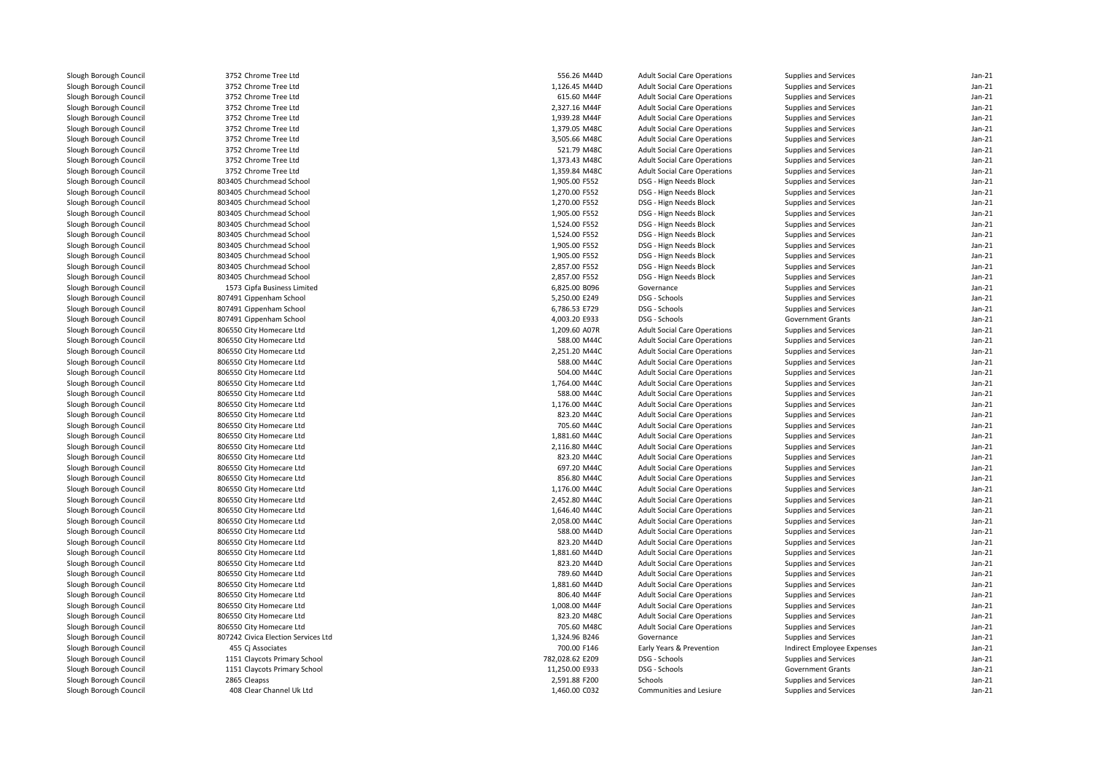| Slough Borough Council | 3752 Chrome Tree Ltd                | 556.26 M44D     | <b>Adult Social Care Operations</b> | Supplies and Services      | $Jan-21$           |
|------------------------|-------------------------------------|-----------------|-------------------------------------|----------------------------|--------------------|
| Slough Borough Council | 3752 Chrome Tree Ltd                | 1,126.45 M44D   | <b>Adult Social Care Operations</b> | Supplies and Services      | $Jan-21$           |
| Slough Borough Council | 3752 Chrome Tree Ltd                | 615.60 M44F     | <b>Adult Social Care Operations</b> | Supplies and Services      | $Jan-21$           |
| Slough Borough Council | 3752 Chrome Tree Ltd                | 2,327.16 M44F   | <b>Adult Social Care Operations</b> | Supplies and Services      | $Jan-21$           |
| Slough Borough Council | 3752 Chrome Tree Ltd                | 1,939.28 M44F   | <b>Adult Social Care Operations</b> | Supplies and Services      | Jan-21             |
| Slough Borough Council | 3752 Chrome Tree Ltd                | 1,379.05 M48C   | <b>Adult Social Care Operations</b> | Supplies and Services      | $Jan-21$           |
| Slough Borough Council | 3752 Chrome Tree Ltd                | 3,505.66 M48C   | <b>Adult Social Care Operations</b> | Supplies and Services      | Jan-21             |
| Slough Borough Council | 3752 Chrome Tree Ltd                | 521.79 M48C     | <b>Adult Social Care Operations</b> | Supplies and Services      | Jan-21             |
| Slough Borough Council | 3752 Chrome Tree Ltd                | 1,373.43 M48C   | <b>Adult Social Care Operations</b> | Supplies and Services      | $Jan-21$           |
| Slough Borough Council | 3752 Chrome Tree Ltd                | 1,359.84 M48C   | <b>Adult Social Care Operations</b> | Supplies and Services      | $Jan-21$           |
| Slough Borough Council | 803405 Churchmead School            | 1,905.00 F552   | DSG - Hign Needs Block              | Supplies and Services      | $Jan-21$           |
| Slough Borough Council | 803405 Churchmead School            | 1,270.00 F552   | DSG - Hign Needs Block              | Supplies and Services      | $Jan-21$           |
| Slough Borough Council | 803405 Churchmead School            | 1,270.00 F552   | DSG - Hign Needs Block              | Supplies and Services      | $Jan-21$           |
| Slough Borough Council | 803405 Churchmead School            | 1,905.00 F552   | DSG - Hign Needs Block              | Supplies and Services      | $Jan-21$           |
| Slough Borough Council | 803405 Churchmead School            | 1,524.00 F552   | DSG - Hign Needs Block              | Supplies and Services      | $Jan-21$           |
| Slough Borough Council | 803405 Churchmead School            | 1,524.00 F552   | DSG - Hign Needs Block              | Supplies and Services      | Jan-21             |
| Slough Borough Council | 803405 Churchmead School            | 1,905.00 F552   | DSG - Hign Needs Block              | Supplies and Services      | $Jan-21$           |
| Slough Borough Council | 803405 Churchmead School            | 1,905.00 F552   | DSG - Hign Needs Block              | Supplies and Services      | Jan-21             |
| Slough Borough Council | 803405 Churchmead School            | 2,857.00 F552   | DSG - Hign Needs Block              | Supplies and Services      | $Jan-21$           |
| Slough Borough Council | 803405 Churchmead School            | 2,857.00 F552   | DSG - Hign Needs Block              | Supplies and Services      | $Jan-21$           |
| Slough Borough Council | 1573 Cipfa Business Limited         | 6,825.00 B096   | Governance                          | Supplies and Services      | $Jan-21$           |
| Slough Borough Council | 807491 Cippenham School             | 5,250.00 E249   | DSG - Schools                       | Supplies and Services      | $Jan-21$           |
| Slough Borough Council | 807491 Cippenham School             | 6,786.53 E729   | DSG - Schools                       | Supplies and Services      | $Jan-21$           |
| Slough Borough Council | 807491 Cippenham School             | 4,003.20 E933   | DSG - Schools                       | <b>Government Grants</b>   | Jan-21             |
| Slough Borough Council | 806550 City Homecare Ltd            | 1,209.60 A07R   | <b>Adult Social Care Operations</b> | Supplies and Services      | $Jan-21$           |
| Slough Borough Council | 806550 City Homecare Ltd            | 588.00 M44C     | <b>Adult Social Care Operations</b> | Supplies and Services      | $Jan-21$           |
| Slough Borough Council | 806550 City Homecare Ltd            | 2,251.20 M44C   | <b>Adult Social Care Operations</b> | Supplies and Services      | $Jan-21$           |
| Slough Borough Council | 806550 City Homecare Ltd            | 588.00 M44C     | <b>Adult Social Care Operations</b> | Supplies and Services      | $Jan-21$           |
| Slough Borough Council | 806550 City Homecare Ltd            | 504.00 M44C     | <b>Adult Social Care Operations</b> | Supplies and Services      | Jan-21             |
| Slough Borough Council | 806550 City Homecare Ltd            | 1,764.00 M44C   | <b>Adult Social Care Operations</b> | Supplies and Services      | $Jan-21$           |
| Slough Borough Council | 806550 City Homecare Ltd            | 588.00 M44C     | <b>Adult Social Care Operations</b> | Supplies and Services      | Jan-21             |
| Slough Borough Council | 806550 City Homecare Ltd            | 1,176.00 M44C   | <b>Adult Social Care Operations</b> | Supplies and Services      | $Jan-21$           |
| Slough Borough Council | 806550 City Homecare Ltd            | 823.20 M44C     | <b>Adult Social Care Operations</b> | Supplies and Services      | Jan-21             |
| Slough Borough Council | 806550 City Homecare Ltd            | 705.60 M44C     | <b>Adult Social Care Operations</b> | Supplies and Services      | $Jan-21$           |
|                        |                                     | 1,881.60 M44C   |                                     |                            |                    |
| Slough Borough Council | 806550 City Homecare Ltd            | 2,116.80 M44C   | <b>Adult Social Care Operations</b> | Supplies and Services      | Jan-21<br>$Jan-21$ |
| Slough Borough Council | 806550 City Homecare Ltd            |                 | <b>Adult Social Care Operations</b> | Supplies and Services      |                    |
| Slough Borough Council | 806550 City Homecare Ltd            | 823.20 M44C     | <b>Adult Social Care Operations</b> | Supplies and Services      | $Jan-21$           |
| Slough Borough Council | 806550 City Homecare Ltd            | 697.20 M44C     | <b>Adult Social Care Operations</b> | Supplies and Services      | $Jan-21$           |
| Slough Borough Council | 806550 City Homecare Ltd            | 856.80 M44C     | <b>Adult Social Care Operations</b> | Supplies and Services      | $Jan-21$           |
| Slough Borough Council | 806550 City Homecare Ltd            | 1,176.00 M44C   | <b>Adult Social Care Operations</b> | Supplies and Services      | $Jan-21$           |
| Slough Borough Council | 806550 City Homecare Ltd            | 2,452.80 M44C   | <b>Adult Social Care Operations</b> | Supplies and Services      | Jan-21             |
| Slough Borough Council | 806550 City Homecare Ltd            | 1,646.40 M44C   | <b>Adult Social Care Operations</b> | Supplies and Services      | Jan-21             |
| Slough Borough Council | 806550 City Homecare Ltd            | 2,058.00 M44C   | <b>Adult Social Care Operations</b> | Supplies and Services      | Jan-21             |
| Slough Borough Council | 806550 City Homecare Ltd            | 588.00 M44D     | <b>Adult Social Care Operations</b> | Supplies and Services      | Jan-21             |
| Slough Borough Council | 806550 City Homecare Ltd            | 823.20 M44D     | <b>Adult Social Care Operations</b> | Supplies and Services      | $Jan-21$           |
| Slough Borough Council | 806550 City Homecare Ltd            | 1,881.60 M44D   | <b>Adult Social Care Operations</b> | Supplies and Services      | Jan-21             |
| Slough Borough Council | 806550 City Homecare Ltd            | 823.20 M44D     | <b>Adult Social Care Operations</b> | Supplies and Services      | $Jan-21$           |
| Slough Borough Council | 806550 City Homecare Ltd            | 789.60 M44D     | <b>Adult Social Care Operations</b> | Supplies and Services      | $Jan-21$           |
| Slough Borough Council | 806550 City Homecare Ltd            | 1,881.60 M44D   | <b>Adult Social Care Operations</b> | Supplies and Services      | $Jan-21$           |
| Slough Borough Council | 806550 City Homecare Ltd            | 806.40 M44F     | <b>Adult Social Care Operations</b> | Supplies and Services      | $Jan-21$           |
| Slough Borough Council | 806550 City Homecare Ltd            | 1,008.00 M44F   | <b>Adult Social Care Operations</b> | Supplies and Services      | $Jan-21$           |
| Slough Borough Council | 806550 City Homecare Ltd            | 823.20 M48C     | <b>Adult Social Care Operations</b> | Supplies and Services      | $Jan-21$           |
| Slough Borough Council | 806550 City Homecare Ltd            | 705.60 M48C     | <b>Adult Social Care Operations</b> | Supplies and Services      | $Jan-21$           |
| Slough Borough Council | 807242 Civica Election Services Ltd | 1,324.96 B246   | Governance                          | Supplies and Services      | Jan-21             |
| Slough Borough Council | 455 Cj Associates                   | 700.00 F146     | Early Years & Prevention            | Indirect Employee Expenses | Jan-21             |
| Slough Borough Council | 1151 Claycots Primary School        | 782,028.62 E209 | DSG - Schools                       | Supplies and Services      | $Jan-21$           |
| Slough Borough Council | 1151 Claycots Primary School        | 11,250.00 E933  | DSG - Schools                       | <b>Government Grants</b>   | $Jan-21$           |
| Slough Borough Council | 2865 Cleapss                        | 2,591.88 F200   | Schools                             | Supplies and Services      | $Jan-21$           |
| Slough Borough Council | 408 Clear Channel Uk Ltd            | 1,460.00 C032   | Communities and Lesiure             | Supplies and Services      | $Jan-21$           |
|                        |                                     |                 |                                     |                            |                    |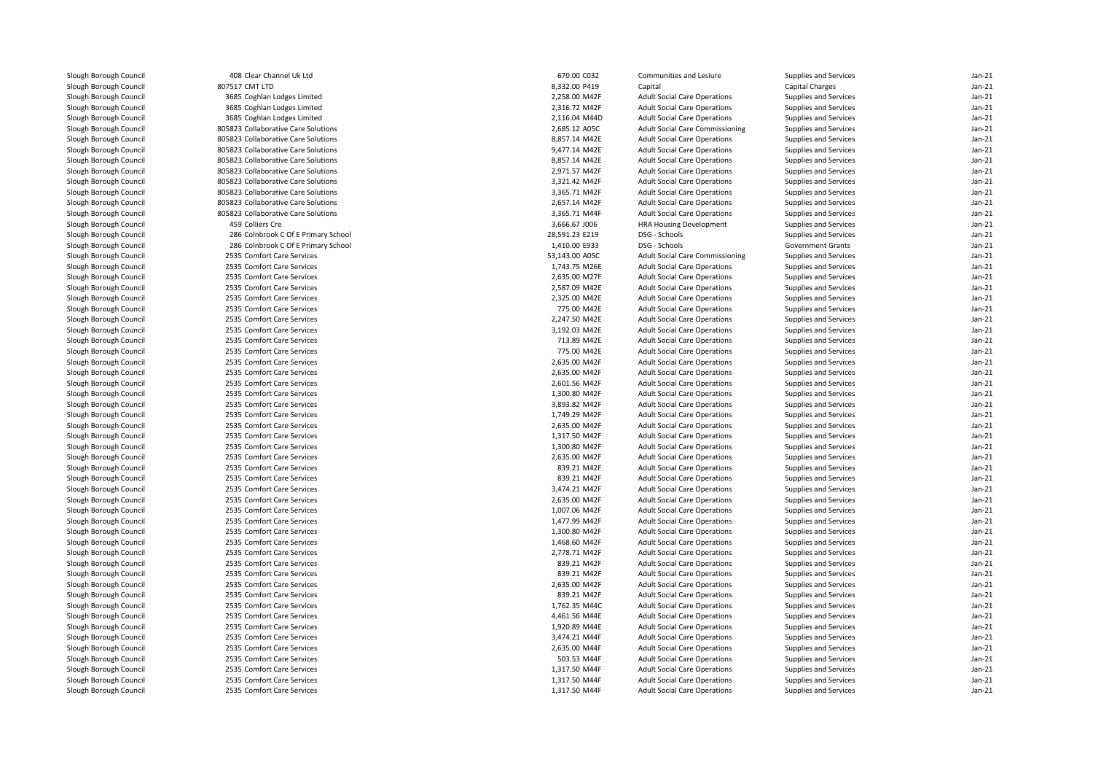| Slough Borough Council | 408 Clear Channel Uk Ltd            | 670.00 C032    | Communities and Lesiure                | Supplies and Services    | $Jan-21$ |
|------------------------|-------------------------------------|----------------|----------------------------------------|--------------------------|----------|
| Slough Borough Council | 807517 CMT LTD                      | 8,332.00 P419  | Capital                                | <b>Capital Charges</b>   | $Jan-21$ |
| Slough Borough Council | 3685 Coghlan Lodges Limited         | 2,258.00 M42F  | <b>Adult Social Care Operations</b>    | Supplies and Services    | $Jan-21$ |
| Slough Borough Council | 3685 Coghlan Lodges Limited         | 2,316.72 M42F  | <b>Adult Social Care Operations</b>    | Supplies and Services    | $Jan-21$ |
|                        |                                     |                |                                        |                          | $Jan-21$ |
| Slough Borough Council | 3685 Coghlan Lodges Limited         | 2,116.04 M44D  | <b>Adult Social Care Operations</b>    | Supplies and Services    |          |
| Slough Borough Council | 805823 Collaborative Care Solutions | 2,685.12 A05C  | <b>Adult Social Care Commissioning</b> | Supplies and Services    | $Jan-21$ |
| Slough Borough Council | 805823 Collaborative Care Solutions | 8,857.14 M42E  | <b>Adult Social Care Operations</b>    | Supplies and Services    | $Jan-21$ |
| Slough Borough Council | 805823 Collaborative Care Solutions | 9,477.14 M42E  | <b>Adult Social Care Operations</b>    | Supplies and Services    | $Jan-21$ |
| Slough Borough Council | 805823 Collaborative Care Solutions | 8,857.14 M42E  | <b>Adult Social Care Operations</b>    | Supplies and Services    | $Jan-21$ |
| Slough Borough Council | 805823 Collaborative Care Solutions | 2,971.57 M42F  | <b>Adult Social Care Operations</b>    | Supplies and Services    | $Jan-21$ |
| Slough Borough Council | 805823 Collaborative Care Solutions | 3,321.42 M42F  | <b>Adult Social Care Operations</b>    | Supplies and Services    | $Jan-21$ |
| Slough Borough Council | 805823 Collaborative Care Solutions | 3,365.71 M42F  | <b>Adult Social Care Operations</b>    | Supplies and Services    | $Jan-21$ |
| Slough Borough Council | 805823 Collaborative Care Solutions | 2,657.14 M42F  | <b>Adult Social Care Operations</b>    | Supplies and Services    | $Jan-21$ |
| Slough Borough Council | 805823 Collaborative Care Solutions | 3,365.71 M44F  | <b>Adult Social Care Operations</b>    | Supplies and Services    | $Jan-21$ |
| Slough Borough Council | 459 Colliers Cre                    | 3,666.67 J006  | <b>HRA Housing Development</b>         | Supplies and Services    | $Jan-21$ |
| Slough Borough Council | 286 Colnbrook C Of E Primary School | 28,591.23 E219 | DSG - Schools                          | Supplies and Services    | $Jan-21$ |
| Slough Borough Council | 286 Colnbrook C Of E Primary School | 1,410.00 E933  | DSG - Schools                          | <b>Government Grants</b> | $Jan-21$ |
| Slough Borough Council | 2535 Comfort Care Services          | 53,143.00 A05C | <b>Adult Social Care Commissioning</b> | Supplies and Services    | $Jan-21$ |
| Slough Borough Council | 2535 Comfort Care Services          | 1,743.75 M26E  | <b>Adult Social Care Operations</b>    | Supplies and Services    | $Jan-21$ |
| Slough Borough Council | 2535 Comfort Care Services          | 2,635.00 M27F  | <b>Adult Social Care Operations</b>    | Supplies and Services    | $Jan-21$ |
| Slough Borough Council | 2535 Comfort Care Services          | 2,587.09 M42E  | <b>Adult Social Care Operations</b>    | Supplies and Services    | $Jan-21$ |
| Slough Borough Council | 2535 Comfort Care Services          | 2,325.00 M42E  | <b>Adult Social Care Operations</b>    | Supplies and Services    | $Jan-21$ |
| Slough Borough Council | 2535 Comfort Care Services          | 775.00 M42E    | <b>Adult Social Care Operations</b>    | Supplies and Services    | $Jan-21$ |
| Slough Borough Council | 2535 Comfort Care Services          | 2,247.50 M42E  | <b>Adult Social Care Operations</b>    | Supplies and Services    | $Jan-21$ |
| Slough Borough Council | 2535 Comfort Care Services          | 3,192.03 M42E  | <b>Adult Social Care Operations</b>    | Supplies and Services    | $Jan-21$ |
| Slough Borough Council | 2535 Comfort Care Services          | 713.89 M42E    | <b>Adult Social Care Operations</b>    | Supplies and Services    | $Jan-21$ |
| Slough Borough Council | 2535 Comfort Care Services          | 775.00 M42E    | <b>Adult Social Care Operations</b>    | Supplies and Services    | $Jan-21$ |
| Slough Borough Council | 2535 Comfort Care Services          | 2,635.00 M42F  | <b>Adult Social Care Operations</b>    | Supplies and Services    | $Jan-21$ |
| Slough Borough Council | 2535 Comfort Care Services          | 2,635.00 M42F  | <b>Adult Social Care Operations</b>    | Supplies and Services    | $Jan-21$ |
| Slough Borough Council | 2535 Comfort Care Services          | 2,601.56 M42F  | <b>Adult Social Care Operations</b>    | Supplies and Services    | $Jan-21$ |
| Slough Borough Council | 2535 Comfort Care Services          | 1,300.80 M42F  | <b>Adult Social Care Operations</b>    | Supplies and Services    | $Jan-21$ |
| Slough Borough Council | 2535 Comfort Care Services          | 3,893.82 M42F  | <b>Adult Social Care Operations</b>    | Supplies and Services    | $Jan-21$ |
| Slough Borough Council | 2535 Comfort Care Services          | 1,749.29 M42F  | <b>Adult Social Care Operations</b>    | Supplies and Services    | $Jan-21$ |
| Slough Borough Council | 2535 Comfort Care Services          | 2,635.00 M42F  | <b>Adult Social Care Operations</b>    | Supplies and Services    | $Jan-21$ |
| Slough Borough Council | 2535 Comfort Care Services          | 1,317.50 M42F  | <b>Adult Social Care Operations</b>    | Supplies and Services    | $Jan-21$ |
| Slough Borough Council | 2535 Comfort Care Services          | 1,300.80 M42F  | <b>Adult Social Care Operations</b>    | Supplies and Services    | $Jan-21$ |
| Slough Borough Council | 2535 Comfort Care Services          | 2,635.00 M42F  | <b>Adult Social Care Operations</b>    | Supplies and Services    | $Jan-21$ |
| Slough Borough Council | 2535 Comfort Care Services          | 839.21 M42F    | <b>Adult Social Care Operations</b>    | Supplies and Services    | $Jan-21$ |
| Slough Borough Council | 2535 Comfort Care Services          | 839.21 M42F    | <b>Adult Social Care Operations</b>    | Supplies and Services    | $Jan-21$ |
| Slough Borough Council | 2535 Comfort Care Services          | 3,474.21 M42F  | <b>Adult Social Care Operations</b>    | Supplies and Services    | $Jan-21$ |
| Slough Borough Council | 2535 Comfort Care Services          | 2,635.00 M42F  | <b>Adult Social Care Operations</b>    | Supplies and Services    | $Jan-21$ |
| Slough Borough Council | 2535 Comfort Care Services          | 1,007.06 M42F  | <b>Adult Social Care Operations</b>    | Supplies and Services    | $Jan-21$ |
| Slough Borough Council | 2535 Comfort Care Services          | 1,477.99 M42F  | <b>Adult Social Care Operations</b>    | Supplies and Services    | $Jan-21$ |
| Slough Borough Council | 2535 Comfort Care Services          | 1,300.80 M42F  | <b>Adult Social Care Operations</b>    | Supplies and Services    | $Jan-21$ |
| Slough Borough Council | 2535 Comfort Care Services          | 1,468.60 M42F  | <b>Adult Social Care Operations</b>    | Supplies and Services    | $Jan-21$ |
| Slough Borough Council | 2535 Comfort Care Services          | 2,778.71 M42F  | <b>Adult Social Care Operations</b>    | Supplies and Services    | $Jan-21$ |
| Slough Borough Council | 2535 Comfort Care Services          | 839.21 M42F    | <b>Adult Social Care Operations</b>    | Supplies and Services    | $Jan-21$ |
| Slough Borough Council | 2535 Comfort Care Services          | 839.21 M42F    | <b>Adult Social Care Operations</b>    | Supplies and Services    | $Jan-21$ |
| Slough Borough Council | 2535 Comfort Care Services          | 2,635.00 M42F  | <b>Adult Social Care Operations</b>    | Supplies and Services    | $Jan-21$ |
| Slough Borough Council | 2535 Comfort Care Services          | 839.21 M42F    | <b>Adult Social Care Operations</b>    | Supplies and Services    | $Jan-21$ |
| Slough Borough Council | 2535 Comfort Care Services          | 1,762.35 M44C  | <b>Adult Social Care Operations</b>    | Supplies and Services    | $Jan-21$ |
| Slough Borough Council | 2535 Comfort Care Services          | 4,461.56 M44E  | <b>Adult Social Care Operations</b>    | Supplies and Services    | $Jan-21$ |
| Slough Borough Council | 2535 Comfort Care Services          | 1,920.89 M44E  | <b>Adult Social Care Operations</b>    | Supplies and Services    | $Jan-21$ |
| Slough Borough Council | 2535 Comfort Care Services          | 3,474.21 M44F  | <b>Adult Social Care Operations</b>    | Supplies and Services    | $Jan-21$ |
| Slough Borough Council | 2535 Comfort Care Services          | 2,635.00 M44F  | <b>Adult Social Care Operations</b>    | Supplies and Services    | $Jan-21$ |
| Slough Borough Council | 2535 Comfort Care Services          | 503.53 M44F    | <b>Adult Social Care Operations</b>    | Supplies and Services    | $Jan-21$ |
| Slough Borough Council | 2535 Comfort Care Services          | 1,317.50 M44F  | <b>Adult Social Care Operations</b>    | Supplies and Services    | $Jan-21$ |
| Slough Borough Council | 2535 Comfort Care Services          | 1,317.50 M44F  | <b>Adult Social Care Operations</b>    | Supplies and Services    | $Jan-21$ |
| Slough Borough Council | 2535 Comfort Care Services          | 1,317.50 M44F  | <b>Adult Social Care Operations</b>    | Supplies and Services    | $Jan-21$ |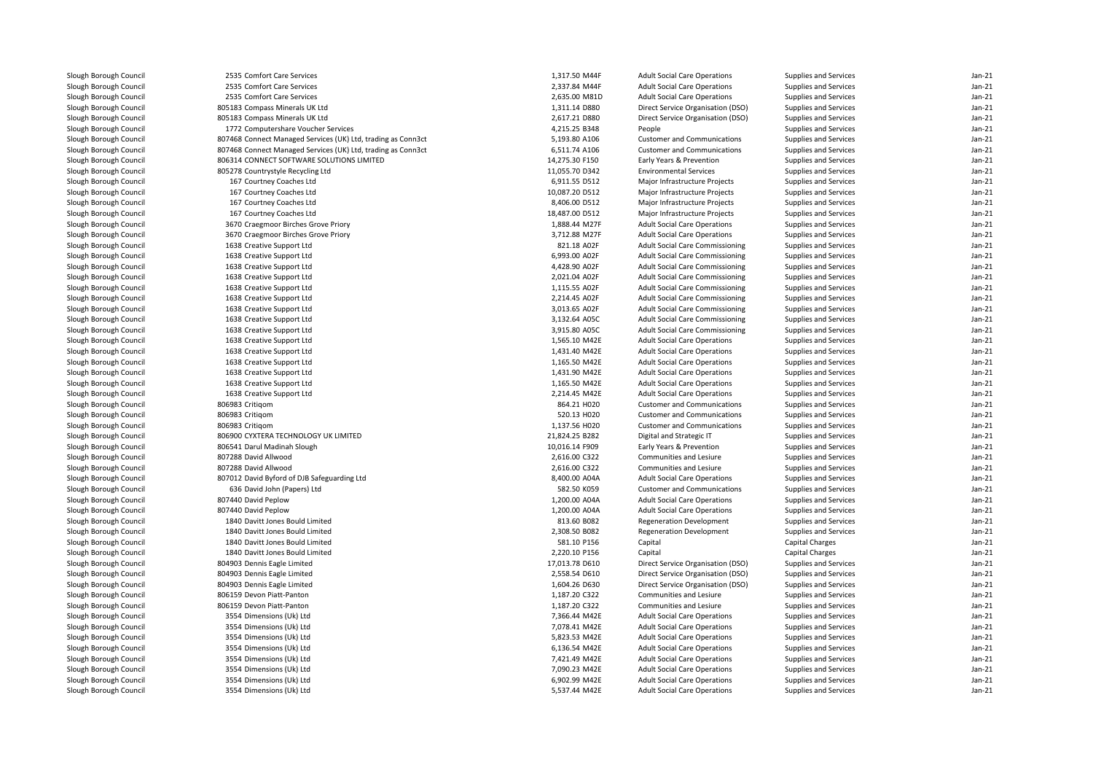| Slough Borough Council                           | 2535 Comfort Care Services                                   | 1,317.50 M44F  | <b>Adult Social Care Operations</b>    | Supplies and Services              | $Jan-21$ |
|--------------------------------------------------|--------------------------------------------------------------|----------------|----------------------------------------|------------------------------------|----------|
| Slough Borough Council                           | 2535 Comfort Care Services                                   | 2,337.84 M44F  | <b>Adult Social Care Operations</b>    | Supplies and Services              | $Jan-21$ |
| Slough Borough Council                           | 2535 Comfort Care Services                                   | 2,635.00 M81D  | <b>Adult Social Care Operations</b>    | Supplies and Services              | $Jan-21$ |
| Slough Borough Council                           | 805183 Compass Minerals UK Ltd                               | 1,311.14 D880  | Direct Service Organisation (DSO)      | Supplies and Services              | $Jan-21$ |
| Slough Borough Council                           | 805183 Compass Minerals UK Ltd                               | 2,617.21 D880  | Direct Service Organisation (DSO)      | Supplies and Services              | $Jan-21$ |
| Slough Borough Council                           | 1772 Computershare Voucher Services                          | 4,215.25 B348  | People                                 | Supplies and Services              | $Jan-21$ |
| Slough Borough Council                           | 807468 Connect Managed Services (UK) Ltd, trading as Conn3ct | 5,193.80 A106  | <b>Customer and Communications</b>     | Supplies and Services              | $Jan-21$ |
| Slough Borough Council                           | 807468 Connect Managed Services (UK) Ltd, trading as Conn3ct | 6,511.74 A106  | <b>Customer and Communications</b>     | Supplies and Services              | $Jan-21$ |
| Slough Borough Council                           | 806314 CONNECT SOFTWARE SOLUTIONS LIMITED                    | 14,275.30 F150 | Early Years & Prevention               | Supplies and Services              | $Jan-21$ |
| Slough Borough Council                           | 805278 Countrystyle Recycling Ltd                            | 11,055.70 D342 | <b>Environmental Services</b>          | Supplies and Services              | $Jan-21$ |
| Slough Borough Council                           | 167 Courtney Coaches Ltd                                     | 6,911.55 D512  | Major Infrastructure Projects          | Supplies and Services              | $Jan-21$ |
| Slough Borough Council                           | 167 Courtney Coaches Ltd                                     | 10,087.20 D512 | Major Infrastructure Projects          | Supplies and Services              | $Jan-21$ |
| Slough Borough Council                           | 167 Courtney Coaches Ltd                                     | 8,406.00 D512  | Major Infrastructure Projects          | Supplies and Services              | $Jan-21$ |
| Slough Borough Council                           | 167 Courtney Coaches Ltd                                     | 18,487.00 D512 | Major Infrastructure Projects          | Supplies and Services              | $Jan-21$ |
| Slough Borough Council                           | 3670 Craegmoor Birches Grove Priory                          | 1,888.44 M27F  | <b>Adult Social Care Operations</b>    | Supplies and Services              | $Jan-21$ |
| Slough Borough Council                           | 3670 Craegmoor Birches Grove Priory                          | 3,712.88 M27F  | <b>Adult Social Care Operations</b>    | Supplies and Services              | $Jan-21$ |
| Slough Borough Council                           | 1638 Creative Support Ltd                                    | 821.18 A02F    | <b>Adult Social Care Commissioning</b> | Supplies and Services              | $Jan-21$ |
| Slough Borough Council                           | 1638 Creative Support Ltd                                    | 6.993.00 A02F  | <b>Adult Social Care Commissioning</b> | Supplies and Services              | $Jan-21$ |
| Slough Borough Council                           | 1638 Creative Support Ltd                                    | 4,428.90 A02F  | <b>Adult Social Care Commissioning</b> | Supplies and Services              | $Jan-21$ |
| Slough Borough Council                           | 1638 Creative Support Ltd                                    | 2,021.04 A02F  | <b>Adult Social Care Commissioning</b> | Supplies and Services              | $Jan-21$ |
| Slough Borough Council                           | 1638 Creative Support Ltd                                    | 1,115.55 A02F  | <b>Adult Social Care Commissioning</b> | Supplies and Services              | $Jan-21$ |
| Slough Borough Council                           | 1638 Creative Support Ltd                                    | 2,214.45 A02F  | Adult Social Care Commissioning        | Supplies and Services              | $Jan-21$ |
| Slough Borough Council                           | 1638 Creative Support Ltd                                    | 3,013.65 A02F  | <b>Adult Social Care Commissioning</b> | Supplies and Services              | $Jan-21$ |
| Slough Borough Council                           | 1638 Creative Support Ltd                                    | 3,132.64 A05C  | <b>Adult Social Care Commissioning</b> | Supplies and Services              | $Jan-21$ |
| Slough Borough Council                           | 1638 Creative Support Ltd                                    | 3,915.80 A05C  | <b>Adult Social Care Commissioning</b> | Supplies and Services              | $Jan-21$ |
| Slough Borough Council                           | 1638 Creative Support Ltd                                    | 1,565.10 M42E  | <b>Adult Social Care Operations</b>    | Supplies and Services              | $Jan-21$ |
| Slough Borough Council                           | 1638 Creative Support Ltd                                    | 1,431.40 M42E  | <b>Adult Social Care Operations</b>    | Supplies and Services              | $Jan-21$ |
| Slough Borough Council                           | 1638 Creative Support Ltd                                    | 1,165.50 M42E  | <b>Adult Social Care Operations</b>    | Supplies and Services              | $Jan-21$ |
| Slough Borough Council                           | 1638 Creative Support Ltd                                    | 1,431.90 M42E  | <b>Adult Social Care Operations</b>    | Supplies and Services              | $Jan-21$ |
| Slough Borough Council                           | 1638 Creative Support Ltd                                    | 1,165.50 M42E  | <b>Adult Social Care Operations</b>    | Supplies and Services              | $Jan-21$ |
| Slough Borough Council                           | 1638 Creative Support Ltd                                    | 2,214.45 M42E  | <b>Adult Social Care Operations</b>    | Supplies and Services              | $Jan-21$ |
| Slough Borough Council                           | 806983 Critigom                                              | 864.21 H020    | <b>Customer and Communications</b>     | Supplies and Services              | $Jan-21$ |
| Slough Borough Council                           | 806983 Critigom                                              | 520.13 H020    | <b>Customer and Communications</b>     | Supplies and Services              | $Jan-21$ |
| Slough Borough Council                           | 806983 Critigom                                              | 1,137.56 H020  | <b>Customer and Communications</b>     | Supplies and Services              | $Jan-21$ |
| Slough Borough Council                           | 806900 CYXTERA TECHNOLOGY UK LIMITED                         | 21,824.25 B282 | Digital and Strategic IT               | Supplies and Services              | $Jan-21$ |
| Slough Borough Council                           | 806541 Darul Madinah Slough                                  | 10,016.14 F909 | Early Years & Prevention               | Supplies and Services              | $Jan-21$ |
| Slough Borough Council                           | 807288 David Allwood                                         | 2,616.00 C322  | Communities and Lesiure                | Supplies and Services              | $Jan-21$ |
| Slough Borough Council                           | 807288 David Allwood                                         | 2,616.00 C322  | Communities and Lesiure                | Supplies and Services              | $Jan-21$ |
| Slough Borough Council                           | 807012 David Byford of DJB Safeguarding Ltd                  | 8,400.00 A04A  | <b>Adult Social Care Operations</b>    | Supplies and Services              | $Jan-21$ |
| Slough Borough Council                           | 636 David John (Papers) Ltd                                  | 582.50 K059    | <b>Customer and Communications</b>     | Supplies and Services              | Jan-21   |
| Slough Borough Council                           | 807440 David Peplow                                          | 1,200.00 A04A  | <b>Adult Social Care Operations</b>    | Supplies and Services              | $Jan-21$ |
| Slough Borough Council                           | 807440 David Peplow                                          | 1,200.00 A04A  | <b>Adult Social Care Operations</b>    | Supplies and Services              | $Jan-21$ |
| Slough Borough Council                           | 1840 Davitt Jones Bould Limited                              | 813.60 B082    | <b>Regeneration Development</b>        | Supplies and Services              | $Jan-21$ |
| Slough Borough Council                           | 1840 Davitt Jones Bould Limited                              | 2,308.50 B082  | <b>Regeneration Development</b>        | Supplies and Services              | Jan-21   |
|                                                  | 1840 Davitt Jones Bould Limited                              | 581.10 P156    | Capital                                |                                    | $Jan-21$ |
| Slough Borough Council<br>Slough Borough Council | 1840 Davitt Jones Bould Limited                              | 2,220.10 P156  | Capital                                | Capital Charges<br>Capital Charges | $Jan-21$ |
|                                                  |                                                              |                |                                        |                                    | $Jan-21$ |
| Slough Borough Council                           | 804903 Dennis Eagle Limited                                  | 17,013.78 D610 | Direct Service Organisation (DSO)      | Supplies and Services              |          |
| Slough Borough Council                           | 804903 Dennis Eagle Limited                                  | 2,558.54 D610  | Direct Service Organisation (DSO)      | Supplies and Services              | $Jan-21$ |
| Slough Borough Council                           | 804903 Dennis Eagle Limited                                  | 1,604.26 D630  | Direct Service Organisation (DSO)      | Supplies and Services              | $Jan-21$ |
| Slough Borough Council                           | 806159 Devon Piatt-Panton                                    | 1,187.20 C322  | Communities and Lesiure                | Supplies and Services              | $Jan-21$ |
| Slough Borough Council                           | 806159 Devon Piatt-Panton                                    | 1,187.20 C322  | Communities and Lesiure                | Supplies and Services              | $Jan-21$ |
| Slough Borough Council                           | 3554 Dimensions (Uk) Ltd                                     | 7,366.44 M42E  | <b>Adult Social Care Operations</b>    | Supplies and Services              | Jan-21   |
| Slough Borough Council                           | 3554 Dimensions (Uk) Ltd                                     | 7,078.41 M42E  | <b>Adult Social Care Operations</b>    | Supplies and Services              | $Jan-21$ |
| Slough Borough Council                           | 3554 Dimensions (Uk) Ltd                                     | 5,823.53 M42E  | <b>Adult Social Care Operations</b>    | Supplies and Services              | Jan-21   |
| Slough Borough Council                           | 3554 Dimensions (Uk) Ltd                                     | 6,136.54 M42E  | <b>Adult Social Care Operations</b>    | Supplies and Services              | Jan-21   |
| Slough Borough Council                           | 3554 Dimensions (Uk) Ltd                                     | 7,421.49 M42E  | <b>Adult Social Care Operations</b>    | Supplies and Services              | Jan-21   |
| Slough Borough Council                           | 3554 Dimensions (Uk) Ltd                                     | 7,090.23 M42E  | <b>Adult Social Care Operations</b>    | Supplies and Services              | $Jan-21$ |
| Slough Borough Council                           | 3554 Dimensions (Uk) Ltd                                     | 6,902.99 M42E  | <b>Adult Social Care Operations</b>    | Supplies and Services              | Jan-21   |
| Slough Borough Council                           | 3554 Dimensions (Uk) Ltd                                     | 5,537.44 M42E  | <b>Adult Social Care Operations</b>    | Supplies and Services              | $Jan-21$ |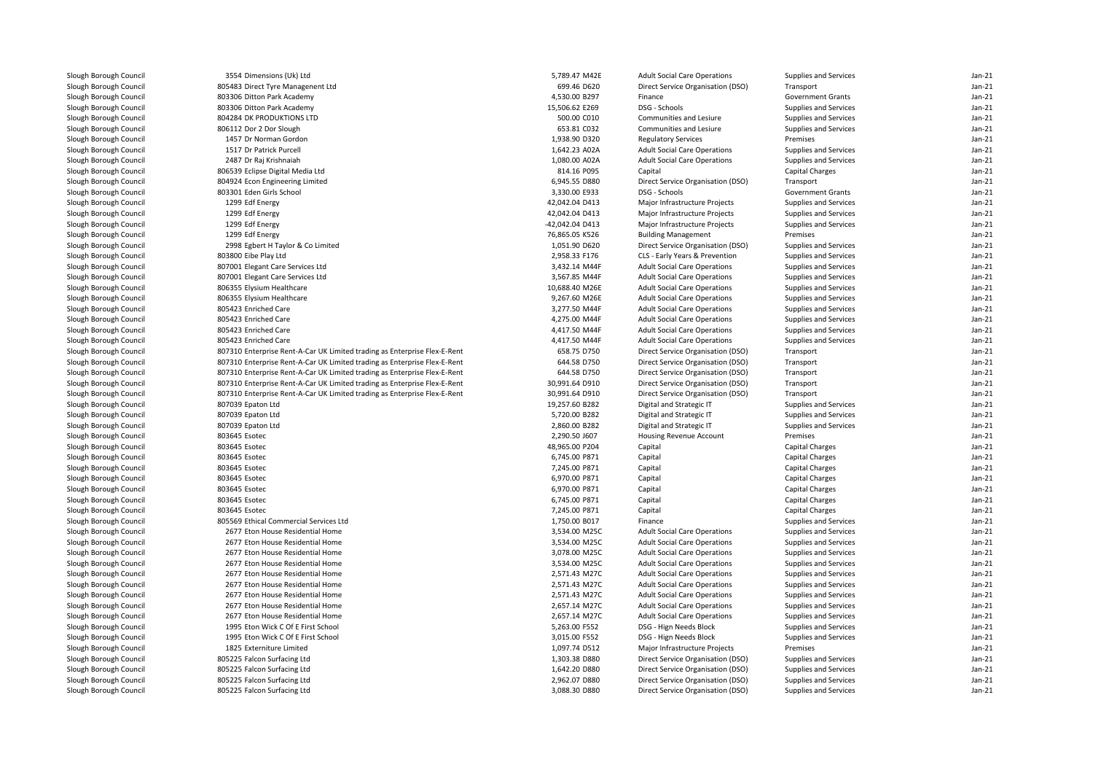| Slough Borough Council | 3554 Dimensions (Uk) Ltd                                                  | 5,789.47 M42E   | <b>Adult Social Care Operations</b> | Supplies and Services    | $Jan-21$             |
|------------------------|---------------------------------------------------------------------------|-----------------|-------------------------------------|--------------------------|----------------------|
| Slough Borough Council | 805483 Direct Tyre Managenent Ltd                                         | 699.46 D620     | Direct Service Organisation (DSO)   | Transport                | $Jan-21$             |
| Slough Borough Council | 803306 Ditton Park Academy                                                | 4,530.00 B297   | Finance                             | <b>Government Grants</b> | $Jan-21$             |
| Slough Borough Council | 803306 Ditton Park Academy                                                | 15,506.62 E269  | DSG - Schools                       | Supplies and Services    | $Jan-21$             |
| Slough Borough Council | 804284 DK PRODUKTIONS LTD                                                 | 500.00 C010     | Communities and Lesiure             | Supplies and Services    | $Jan-21$             |
| Slough Borough Council | 806112 Dor 2 Dor Slough                                                   | 653.81 C032     | Communities and Lesiure             | Supplies and Services    | $Jan-21$             |
| Slough Borough Council | 1457 Dr Norman Gordon                                                     | 1,938.90 D320   | <b>Regulatory Services</b>          | Premises                 | $Jan-21$             |
| Slough Borough Council | 1517 Dr Patrick Purcell                                                   | 1,642.23 A02A   | <b>Adult Social Care Operations</b> | Supplies and Services    | $Jan-21$             |
| Slough Borough Council | 2487 Dr Raj Krishnaiah                                                    | 1,080.00 A02A   | <b>Adult Social Care Operations</b> | Supplies and Services    | Jan-21               |
| Slough Borough Council | 806539 Eclipse Digital Media Ltd                                          | 814.16 P095     | Capital                             | Capital Charges          | $Jan-21$             |
| Slough Borough Council | 804924 Econ Engineering Limited                                           | 6,945.55 D880   | Direct Service Organisation (DSO)   | Transport                | $Jan-21$             |
| Slough Borough Council | 803301 Eden Girls School                                                  | 3,330.00 E933   | DSG - Schools                       | <b>Government Grants</b> | $Jan-21$             |
| Slough Borough Council | 1299 Edf Energy                                                           | 42,042.04 D413  | Major Infrastructure Projects       | Supplies and Services    | Jan-21               |
| Slough Borough Council | 1299 Edf Energy                                                           | 42,042.04 D413  | Major Infrastructure Projects       | Supplies and Services    | $Jan-21$             |
| Slough Borough Council | 1299 Edf Energy                                                           | -42,042.04 D413 | Major Infrastructure Projects       | Supplies and Services    | Jan-21               |
| Slough Borough Council | 1299 Edf Energy                                                           | 76,865.05 K526  | <b>Building Management</b>          | Premises                 | $Jan-21$             |
| Slough Borough Council | 2998 Egbert H Taylor & Co Limited                                         | 1,051.90 D620   | Direct Service Organisation (DSO)   | Supplies and Services    | Jan-21               |
| Slough Borough Council | 803800 Eibe Play Ltd                                                      | 2,958.33 F176   | CLS - Early Years & Prevention      | Supplies and Services    | $Jan-21$             |
| Slough Borough Council | 807001 Elegant Care Services Ltd                                          | 3,432.14 M44F   | <b>Adult Social Care Operations</b> | Supplies and Services    | $Jan-21$             |
| Slough Borough Council | 807001 Elegant Care Services Ltd                                          | 3,567.85 M44F   | <b>Adult Social Care Operations</b> | Supplies and Services    | $Jan-21$             |
| Slough Borough Council | 806355 Elysium Healthcare                                                 | 10,688.40 M26E  | <b>Adult Social Care Operations</b> | Supplies and Services    | $Jan-21$             |
| Slough Borough Council | 806355 Elysium Healthcare                                                 | 9,267.60 M26E   | <b>Adult Social Care Operations</b> | Supplies and Services    | $Jan-21$             |
| Slough Borough Council | 805423 Enriched Care                                                      | 3,277.50 M44F   | <b>Adult Social Care Operations</b> | Supplies and Services    | $Jan-21$             |
| Slough Borough Council | 805423 Enriched Care                                                      | 4,275.00 M44F   | <b>Adult Social Care Operations</b> | Supplies and Services    | $Jan-21$             |
| Slough Borough Council | 805423 Enriched Care                                                      | 4,417.50 M44F   | <b>Adult Social Care Operations</b> | Supplies and Services    | $Jan-21$             |
| Slough Borough Council | 805423 Enriched Care                                                      | 4,417.50 M44F   | <b>Adult Social Care Operations</b> | Supplies and Services    | Jan-21               |
| Slough Borough Council | 807310 Enterprise Rent-A-Car UK Limited trading as Enterprise Flex-E-Rent | 658.75 D750     | Direct Service Organisation (DSO)   | Transport                | $Jan-21$             |
| Slough Borough Council | 807310 Enterprise Rent-A-Car UK Limited trading as Enterprise Flex-E-Rent | 644.58 D750     | Direct Service Organisation (DSO)   | Transport                | $Jan-21$             |
| Slough Borough Council | 807310 Enterprise Rent-A-Car UK Limited trading as Enterprise Flex-E-Rent | 644.58 D750     | Direct Service Organisation (DSO)   | Transport                | $Jan-21$             |
| Slough Borough Council | 807310 Enterprise Rent-A-Car UK Limited trading as Enterprise Flex-E-Rent | 30,991.64 D910  | Direct Service Organisation (DSO)   | Transport                | $Jan-21$             |
| Slough Borough Council |                                                                           |                 |                                     | Transport                | $Jan-21$             |
|                        | 807310 Enterprise Rent-A-Car UK Limited trading as Enterprise Flex-E-Rent | 30,991.64 D910  | Direct Service Organisation (DSO)   |                          |                      |
| Slough Borough Council | 807039 Epaton Ltd                                                         | 19,257.60 B282  | Digital and Strategic IT            | Supplies and Services    | $Jan-21$<br>$Jan-21$ |
| Slough Borough Council | 807039 Epaton Ltd                                                         | 5,720.00 B282   | Digital and Strategic IT            | Supplies and Services    |                      |
| Slough Borough Council | 807039 Epaton Ltd                                                         | 2,860.00 B282   | Digital and Strategic IT            | Supplies and Services    | $Jan-21$             |
| Slough Borough Council | 803645 Esotec                                                             | 2.290.50 J607   | <b>Housing Revenue Account</b>      | Premises                 | $Jan-21$             |
| Slough Borough Council | 803645 Esotec                                                             | 48,965.00 P204  | Capital                             | Capital Charges          | $Jan-21$             |
| Slough Borough Council | 803645 Esotec                                                             | 6,745.00 P871   | Capital                             | Capital Charges          | $Jan-21$             |
| Slough Borough Council | 803645 Esotec                                                             | 7,245.00 P871   | Capital                             | <b>Capital Charges</b>   | $Jan-21$             |
| Slough Borough Council | 803645 Esotec                                                             | 6,970.00 P871   | Capital                             | Capital Charges          | $Jan-21$             |
| Slough Borough Council | 803645 Esotec                                                             | 6,970.00 P871   | Capital                             | Capital Charges          | $Jan-21$             |
| Slough Borough Council | 803645 Esotec                                                             | 6,745.00 P871   | Capital                             | <b>Capital Charges</b>   | $Jan-21$             |
| Slough Borough Council | 803645 Esotec                                                             | 7,245.00 P871   | Capital                             | Capital Charges          | $Jan-21$             |
| Slough Borough Council | 805569 Ethical Commercial Services Ltd                                    | 1,750.00 B017   | Finance                             | Supplies and Services    | $Jan-21$             |
| Slough Borough Council | 2677 Eton House Residential Home                                          | 3,534.00 M25C   | <b>Adult Social Care Operations</b> | Supplies and Services    | $Jan-21$             |
| Slough Borough Council | 2677 Eton House Residential Home                                          | 3,534.00 M25C   | <b>Adult Social Care Operations</b> | Supplies and Services    | $Jan-21$             |
| Slough Borough Council | 2677 Eton House Residential Home                                          | 3,078.00 M25C   | <b>Adult Social Care Operations</b> | Supplies and Services    | Jan-21               |
| Slough Borough Council | 2677 Eton House Residential Home                                          | 3,534.00 M25C   | <b>Adult Social Care Operations</b> | Supplies and Services    | $Jan-21$             |
| Slough Borough Council | 2677 Eton House Residential Home                                          | 2,571.43 M27C   | <b>Adult Social Care Operations</b> | Supplies and Services    | $Jan-21$             |
| Slough Borough Council | 2677 Eton House Residential Home                                          | 2,571.43 M27C   | <b>Adult Social Care Operations</b> | Supplies and Services    | $Jan-21$             |
| Slough Borough Council | 2677 Eton House Residential Home                                          | 2,571.43 M27C   | <b>Adult Social Care Operations</b> | Supplies and Services    | $Jan-21$             |
| Slough Borough Council | 2677 Eton House Residential Home                                          | 2,657.14 M27C   | <b>Adult Social Care Operations</b> | Supplies and Services    | $Jan-21$             |
| Slough Borough Council | 2677 Eton House Residential Home                                          | 2,657.14 M27C   | <b>Adult Social Care Operations</b> | Supplies and Services    | Jan-21               |
| Slough Borough Council | 1995 Eton Wick C Of E First School                                        | 5,263.00 F552   | DSG - Hign Needs Block              | Supplies and Services    | $Jan-21$             |
| Slough Borough Council | 1995 Eton Wick C Of E First School                                        | 3,015.00 F552   | DSG - Hign Needs Block              | Supplies and Services    | Jan-21               |
| Slough Borough Council | 1825 Externiture Limited                                                  | 1,097.74 D512   | Major Infrastructure Projects       | Premises                 | $Jan-21$             |
| Slough Borough Council | 805225 Falcon Surfacing Ltd                                               | 1,303.38 D880   | Direct Service Organisation (DSO)   | Supplies and Services    | Jan-21               |
| Slough Borough Council | 805225 Falcon Surfacing Ltd                                               | 1,642.20 D880   | Direct Service Organisation (DSO)   | Supplies and Services    | $Jan-21$             |
| Slough Borough Council | 805225 Falcon Surfacing Ltd                                               | 2,962.07 D880   | Direct Service Organisation (DSO)   | Supplies and Services    | $Jan-21$             |
| Slough Borough Council | 805225 Falcon Surfacing Ltd                                               | 3,088.30 D880   | Direct Service Organisation (DSO)   | Supplies and Services    | $Jan-21$             |
|                        |                                                                           |                 |                                     |                          |                      |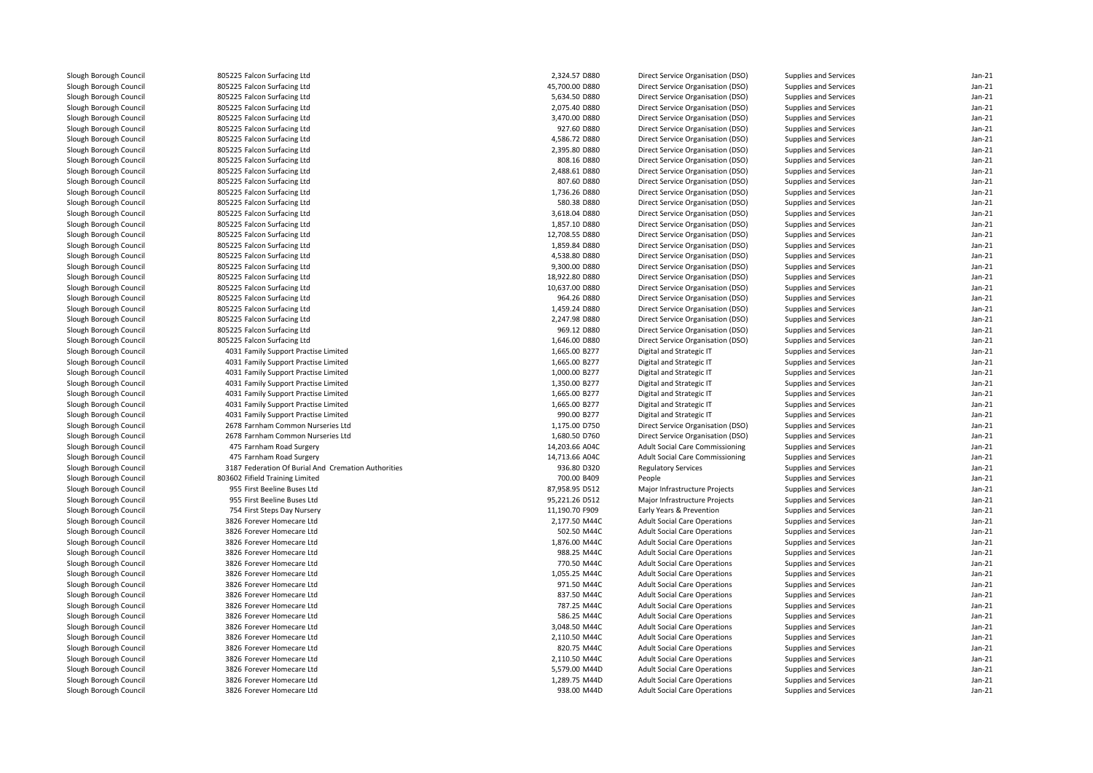| 805225 Falcon Surfacing Ltd | 2,324.57 D880                                                                                                                                                                                                                                                                                                                                                                                                                                                                                                                                                                                                                                                                                                                                                                                                                                                                                                                                                                                                                                                                                                                                                                                                                                                                                                                                                                                                                 | Direct Service Organisation (DSO)                                                                                                                                                                                                                                                                                                                                                                                                                                                                                                                                                                                                                                                                                  | Supplies and Services                                                                                                                                                                                                                                                                                                                                                                                                                                                                                                                                                                                                                                                                                                                                                                                                                                                                                                                                                                                                                                                                                                                                                                                                                                                                                                                                                                                                                                                                                                      | $Jan-21$                                                                                                                                                                                                                                                                                                                                                                                                                                                                                                                                                                                                                                                                                                                                                                                                                                                                                                                                                                                                                                                                               |
|-----------------------------|-------------------------------------------------------------------------------------------------------------------------------------------------------------------------------------------------------------------------------------------------------------------------------------------------------------------------------------------------------------------------------------------------------------------------------------------------------------------------------------------------------------------------------------------------------------------------------------------------------------------------------------------------------------------------------------------------------------------------------------------------------------------------------------------------------------------------------------------------------------------------------------------------------------------------------------------------------------------------------------------------------------------------------------------------------------------------------------------------------------------------------------------------------------------------------------------------------------------------------------------------------------------------------------------------------------------------------------------------------------------------------------------------------------------------------|--------------------------------------------------------------------------------------------------------------------------------------------------------------------------------------------------------------------------------------------------------------------------------------------------------------------------------------------------------------------------------------------------------------------------------------------------------------------------------------------------------------------------------------------------------------------------------------------------------------------------------------------------------------------------------------------------------------------|----------------------------------------------------------------------------------------------------------------------------------------------------------------------------------------------------------------------------------------------------------------------------------------------------------------------------------------------------------------------------------------------------------------------------------------------------------------------------------------------------------------------------------------------------------------------------------------------------------------------------------------------------------------------------------------------------------------------------------------------------------------------------------------------------------------------------------------------------------------------------------------------------------------------------------------------------------------------------------------------------------------------------------------------------------------------------------------------------------------------------------------------------------------------------------------------------------------------------------------------------------------------------------------------------------------------------------------------------------------------------------------------------------------------------------------------------------------------------------------------------------------------------|----------------------------------------------------------------------------------------------------------------------------------------------------------------------------------------------------------------------------------------------------------------------------------------------------------------------------------------------------------------------------------------------------------------------------------------------------------------------------------------------------------------------------------------------------------------------------------------------------------------------------------------------------------------------------------------------------------------------------------------------------------------------------------------------------------------------------------------------------------------------------------------------------------------------------------------------------------------------------------------------------------------------------------------------------------------------------------------|
| 805225 Falcon Surfacing Ltd | 45,700.00 D880                                                                                                                                                                                                                                                                                                                                                                                                                                                                                                                                                                                                                                                                                                                                                                                                                                                                                                                                                                                                                                                                                                                                                                                                                                                                                                                                                                                                                | Direct Service Organisation (DSO)                                                                                                                                                                                                                                                                                                                                                                                                                                                                                                                                                                                                                                                                                  | Supplies and Services                                                                                                                                                                                                                                                                                                                                                                                                                                                                                                                                                                                                                                                                                                                                                                                                                                                                                                                                                                                                                                                                                                                                                                                                                                                                                                                                                                                                                                                                                                      | $Jan-21$                                                                                                                                                                                                                                                                                                                                                                                                                                                                                                                                                                                                                                                                                                                                                                                                                                                                                                                                                                                                                                                                               |
| 805225 Falcon Surfacing Ltd | 5,634.50 D880                                                                                                                                                                                                                                                                                                                                                                                                                                                                                                                                                                                                                                                                                                                                                                                                                                                                                                                                                                                                                                                                                                                                                                                                                                                                                                                                                                                                                 | Direct Service Organisation (DSO)                                                                                                                                                                                                                                                                                                                                                                                                                                                                                                                                                                                                                                                                                  | Supplies and Services                                                                                                                                                                                                                                                                                                                                                                                                                                                                                                                                                                                                                                                                                                                                                                                                                                                                                                                                                                                                                                                                                                                                                                                                                                                                                                                                                                                                                                                                                                      | $Jan-21$                                                                                                                                                                                                                                                                                                                                                                                                                                                                                                                                                                                                                                                                                                                                                                                                                                                                                                                                                                                                                                                                               |
| 805225 Falcon Surfacing Ltd | 2,075.40 D880                                                                                                                                                                                                                                                                                                                                                                                                                                                                                                                                                                                                                                                                                                                                                                                                                                                                                                                                                                                                                                                                                                                                                                                                                                                                                                                                                                                                                 | Direct Service Organisation (DSO)                                                                                                                                                                                                                                                                                                                                                                                                                                                                                                                                                                                                                                                                                  | Supplies and Services                                                                                                                                                                                                                                                                                                                                                                                                                                                                                                                                                                                                                                                                                                                                                                                                                                                                                                                                                                                                                                                                                                                                                                                                                                                                                                                                                                                                                                                                                                      | $Jan-21$                                                                                                                                                                                                                                                                                                                                                                                                                                                                                                                                                                                                                                                                                                                                                                                                                                                                                                                                                                                                                                                                               |
| 805225 Falcon Surfacing Ltd | 3,470.00 D880                                                                                                                                                                                                                                                                                                                                                                                                                                                                                                                                                                                                                                                                                                                                                                                                                                                                                                                                                                                                                                                                                                                                                                                                                                                                                                                                                                                                                 | Direct Service Organisation (DSO)                                                                                                                                                                                                                                                                                                                                                                                                                                                                                                                                                                                                                                                                                  | Supplies and Services                                                                                                                                                                                                                                                                                                                                                                                                                                                                                                                                                                                                                                                                                                                                                                                                                                                                                                                                                                                                                                                                                                                                                                                                                                                                                                                                                                                                                                                                                                      | $Jan-21$                                                                                                                                                                                                                                                                                                                                                                                                                                                                                                                                                                                                                                                                                                                                                                                                                                                                                                                                                                                                                                                                               |
| 805225 Falcon Surfacing Ltd | 927.60 D880                                                                                                                                                                                                                                                                                                                                                                                                                                                                                                                                                                                                                                                                                                                                                                                                                                                                                                                                                                                                                                                                                                                                                                                                                                                                                                                                                                                                                   | Direct Service Organisation (DSO)                                                                                                                                                                                                                                                                                                                                                                                                                                                                                                                                                                                                                                                                                  | Supplies and Services                                                                                                                                                                                                                                                                                                                                                                                                                                                                                                                                                                                                                                                                                                                                                                                                                                                                                                                                                                                                                                                                                                                                                                                                                                                                                                                                                                                                                                                                                                      | $Jan-21$                                                                                                                                                                                                                                                                                                                                                                                                                                                                                                                                                                                                                                                                                                                                                                                                                                                                                                                                                                                                                                                                               |
| 805225 Falcon Surfacing Ltd | 4,586.72 D880                                                                                                                                                                                                                                                                                                                                                                                                                                                                                                                                                                                                                                                                                                                                                                                                                                                                                                                                                                                                                                                                                                                                                                                                                                                                                                                                                                                                                 | Direct Service Organisation (DSO)                                                                                                                                                                                                                                                                                                                                                                                                                                                                                                                                                                                                                                                                                  | Supplies and Services                                                                                                                                                                                                                                                                                                                                                                                                                                                                                                                                                                                                                                                                                                                                                                                                                                                                                                                                                                                                                                                                                                                                                                                                                                                                                                                                                                                                                                                                                                      | $Jan-21$                                                                                                                                                                                                                                                                                                                                                                                                                                                                                                                                                                                                                                                                                                                                                                                                                                                                                                                                                                                                                                                                               |
| 805225 Falcon Surfacing Ltd | 2,395.80 D880                                                                                                                                                                                                                                                                                                                                                                                                                                                                                                                                                                                                                                                                                                                                                                                                                                                                                                                                                                                                                                                                                                                                                                                                                                                                                                                                                                                                                 | Direct Service Organisation (DSO)                                                                                                                                                                                                                                                                                                                                                                                                                                                                                                                                                                                                                                                                                  | Supplies and Services                                                                                                                                                                                                                                                                                                                                                                                                                                                                                                                                                                                                                                                                                                                                                                                                                                                                                                                                                                                                                                                                                                                                                                                                                                                                                                                                                                                                                                                                                                      | $Jan-21$                                                                                                                                                                                                                                                                                                                                                                                                                                                                                                                                                                                                                                                                                                                                                                                                                                                                                                                                                                                                                                                                               |
| 805225 Falcon Surfacing Ltd | 808.16 D880                                                                                                                                                                                                                                                                                                                                                                                                                                                                                                                                                                                                                                                                                                                                                                                                                                                                                                                                                                                                                                                                                                                                                                                                                                                                                                                                                                                                                   |                                                                                                                                                                                                                                                                                                                                                                                                                                                                                                                                                                                                                                                                                                                    |                                                                                                                                                                                                                                                                                                                                                                                                                                                                                                                                                                                                                                                                                                                                                                                                                                                                                                                                                                                                                                                                                                                                                                                                                                                                                                                                                                                                                                                                                                                            | $Jan-21$                                                                                                                                                                                                                                                                                                                                                                                                                                                                                                                                                                                                                                                                                                                                                                                                                                                                                                                                                                                                                                                                               |
| 805225 Falcon Surfacing Ltd | 2,488.61 D880                                                                                                                                                                                                                                                                                                                                                                                                                                                                                                                                                                                                                                                                                                                                                                                                                                                                                                                                                                                                                                                                                                                                                                                                                                                                                                                                                                                                                 | Direct Service Organisation (DSO)                                                                                                                                                                                                                                                                                                                                                                                                                                                                                                                                                                                                                                                                                  | Supplies and Services                                                                                                                                                                                                                                                                                                                                                                                                                                                                                                                                                                                                                                                                                                                                                                                                                                                                                                                                                                                                                                                                                                                                                                                                                                                                                                                                                                                                                                                                                                      | $Jan-21$                                                                                                                                                                                                                                                                                                                                                                                                                                                                                                                                                                                                                                                                                                                                                                                                                                                                                                                                                                                                                                                                               |
|                             |                                                                                                                                                                                                                                                                                                                                                                                                                                                                                                                                                                                                                                                                                                                                                                                                                                                                                                                                                                                                                                                                                                                                                                                                                                                                                                                                                                                                                               |                                                                                                                                                                                                                                                                                                                                                                                                                                                                                                                                                                                                                                                                                                                    |                                                                                                                                                                                                                                                                                                                                                                                                                                                                                                                                                                                                                                                                                                                                                                                                                                                                                                                                                                                                                                                                                                                                                                                                                                                                                                                                                                                                                                                                                                                            | $Jan-21$                                                                                                                                                                                                                                                                                                                                                                                                                                                                                                                                                                                                                                                                                                                                                                                                                                                                                                                                                                                                                                                                               |
| 805225 Falcon Surfacing Ltd | 1,736.26 D880                                                                                                                                                                                                                                                                                                                                                                                                                                                                                                                                                                                                                                                                                                                                                                                                                                                                                                                                                                                                                                                                                                                                                                                                                                                                                                                                                                                                                 | Direct Service Organisation (DSO)                                                                                                                                                                                                                                                                                                                                                                                                                                                                                                                                                                                                                                                                                  | Supplies and Services                                                                                                                                                                                                                                                                                                                                                                                                                                                                                                                                                                                                                                                                                                                                                                                                                                                                                                                                                                                                                                                                                                                                                                                                                                                                                                                                                                                                                                                                                                      | $Jan-21$                                                                                                                                                                                                                                                                                                                                                                                                                                                                                                                                                                                                                                                                                                                                                                                                                                                                                                                                                                                                                                                                               |
|                             |                                                                                                                                                                                                                                                                                                                                                                                                                                                                                                                                                                                                                                                                                                                                                                                                                                                                                                                                                                                                                                                                                                                                                                                                                                                                                                                                                                                                                               |                                                                                                                                                                                                                                                                                                                                                                                                                                                                                                                                                                                                                                                                                                                    |                                                                                                                                                                                                                                                                                                                                                                                                                                                                                                                                                                                                                                                                                                                                                                                                                                                                                                                                                                                                                                                                                                                                                                                                                                                                                                                                                                                                                                                                                                                            | $Jan-21$                                                                                                                                                                                                                                                                                                                                                                                                                                                                                                                                                                                                                                                                                                                                                                                                                                                                                                                                                                                                                                                                               |
|                             |                                                                                                                                                                                                                                                                                                                                                                                                                                                                                                                                                                                                                                                                                                                                                                                                                                                                                                                                                                                                                                                                                                                                                                                                                                                                                                                                                                                                                               |                                                                                                                                                                                                                                                                                                                                                                                                                                                                                                                                                                                                                                                                                                                    |                                                                                                                                                                                                                                                                                                                                                                                                                                                                                                                                                                                                                                                                                                                                                                                                                                                                                                                                                                                                                                                                                                                                                                                                                                                                                                                                                                                                                                                                                                                            | $Jan-21$                                                                                                                                                                                                                                                                                                                                                                                                                                                                                                                                                                                                                                                                                                                                                                                                                                                                                                                                                                                                                                                                               |
|                             |                                                                                                                                                                                                                                                                                                                                                                                                                                                                                                                                                                                                                                                                                                                                                                                                                                                                                                                                                                                                                                                                                                                                                                                                                                                                                                                                                                                                                               |                                                                                                                                                                                                                                                                                                                                                                                                                                                                                                                                                                                                                                                                                                                    |                                                                                                                                                                                                                                                                                                                                                                                                                                                                                                                                                                                                                                                                                                                                                                                                                                                                                                                                                                                                                                                                                                                                                                                                                                                                                                                                                                                                                                                                                                                            | $Jan-21$                                                                                                                                                                                                                                                                                                                                                                                                                                                                                                                                                                                                                                                                                                                                                                                                                                                                                                                                                                                                                                                                               |
|                             |                                                                                                                                                                                                                                                                                                                                                                                                                                                                                                                                                                                                                                                                                                                                                                                                                                                                                                                                                                                                                                                                                                                                                                                                                                                                                                                                                                                                                               |                                                                                                                                                                                                                                                                                                                                                                                                                                                                                                                                                                                                                                                                                                                    |                                                                                                                                                                                                                                                                                                                                                                                                                                                                                                                                                                                                                                                                                                                                                                                                                                                                                                                                                                                                                                                                                                                                                                                                                                                                                                                                                                                                                                                                                                                            | $Jan-21$                                                                                                                                                                                                                                                                                                                                                                                                                                                                                                                                                                                                                                                                                                                                                                                                                                                                                                                                                                                                                                                                               |
|                             |                                                                                                                                                                                                                                                                                                                                                                                                                                                                                                                                                                                                                                                                                                                                                                                                                                                                                                                                                                                                                                                                                                                                                                                                                                                                                                                                                                                                                               |                                                                                                                                                                                                                                                                                                                                                                                                                                                                                                                                                                                                                                                                                                                    |                                                                                                                                                                                                                                                                                                                                                                                                                                                                                                                                                                                                                                                                                                                                                                                                                                                                                                                                                                                                                                                                                                                                                                                                                                                                                                                                                                                                                                                                                                                            | $Jan-21$                                                                                                                                                                                                                                                                                                                                                                                                                                                                                                                                                                                                                                                                                                                                                                                                                                                                                                                                                                                                                                                                               |
|                             |                                                                                                                                                                                                                                                                                                                                                                                                                                                                                                                                                                                                                                                                                                                                                                                                                                                                                                                                                                                                                                                                                                                                                                                                                                                                                                                                                                                                                               |                                                                                                                                                                                                                                                                                                                                                                                                                                                                                                                                                                                                                                                                                                                    |                                                                                                                                                                                                                                                                                                                                                                                                                                                                                                                                                                                                                                                                                                                                                                                                                                                                                                                                                                                                                                                                                                                                                                                                                                                                                                                                                                                                                                                                                                                            | $Jan-21$                                                                                                                                                                                                                                                                                                                                                                                                                                                                                                                                                                                                                                                                                                                                                                                                                                                                                                                                                                                                                                                                               |
|                             |                                                                                                                                                                                                                                                                                                                                                                                                                                                                                                                                                                                                                                                                                                                                                                                                                                                                                                                                                                                                                                                                                                                                                                                                                                                                                                                                                                                                                               |                                                                                                                                                                                                                                                                                                                                                                                                                                                                                                                                                                                                                                                                                                                    |                                                                                                                                                                                                                                                                                                                                                                                                                                                                                                                                                                                                                                                                                                                                                                                                                                                                                                                                                                                                                                                                                                                                                                                                                                                                                                                                                                                                                                                                                                                            | $Jan-21$                                                                                                                                                                                                                                                                                                                                                                                                                                                                                                                                                                                                                                                                                                                                                                                                                                                                                                                                                                                                                                                                               |
|                             |                                                                                                                                                                                                                                                                                                                                                                                                                                                                                                                                                                                                                                                                                                                                                                                                                                                                                                                                                                                                                                                                                                                                                                                                                                                                                                                                                                                                                               |                                                                                                                                                                                                                                                                                                                                                                                                                                                                                                                                                                                                                                                                                                                    |                                                                                                                                                                                                                                                                                                                                                                                                                                                                                                                                                                                                                                                                                                                                                                                                                                                                                                                                                                                                                                                                                                                                                                                                                                                                                                                                                                                                                                                                                                                            | $Jan-21$                                                                                                                                                                                                                                                                                                                                                                                                                                                                                                                                                                                                                                                                                                                                                                                                                                                                                                                                                                                                                                                                               |
|                             |                                                                                                                                                                                                                                                                                                                                                                                                                                                                                                                                                                                                                                                                                                                                                                                                                                                                                                                                                                                                                                                                                                                                                                                                                                                                                                                                                                                                                               |                                                                                                                                                                                                                                                                                                                                                                                                                                                                                                                                                                                                                                                                                                                    |                                                                                                                                                                                                                                                                                                                                                                                                                                                                                                                                                                                                                                                                                                                                                                                                                                                                                                                                                                                                                                                                                                                                                                                                                                                                                                                                                                                                                                                                                                                            | $Jan-21$                                                                                                                                                                                                                                                                                                                                                                                                                                                                                                                                                                                                                                                                                                                                                                                                                                                                                                                                                                                                                                                                               |
|                             |                                                                                                                                                                                                                                                                                                                                                                                                                                                                                                                                                                                                                                                                                                                                                                                                                                                                                                                                                                                                                                                                                                                                                                                                                                                                                                                                                                                                                               |                                                                                                                                                                                                                                                                                                                                                                                                                                                                                                                                                                                                                                                                                                                    |                                                                                                                                                                                                                                                                                                                                                                                                                                                                                                                                                                                                                                                                                                                                                                                                                                                                                                                                                                                                                                                                                                                                                                                                                                                                                                                                                                                                                                                                                                                            | $Jan-21$                                                                                                                                                                                                                                                                                                                                                                                                                                                                                                                                                                                                                                                                                                                                                                                                                                                                                                                                                                                                                                                                               |
|                             |                                                                                                                                                                                                                                                                                                                                                                                                                                                                                                                                                                                                                                                                                                                                                                                                                                                                                                                                                                                                                                                                                                                                                                                                                                                                                                                                                                                                                               |                                                                                                                                                                                                                                                                                                                                                                                                                                                                                                                                                                                                                                                                                                                    |                                                                                                                                                                                                                                                                                                                                                                                                                                                                                                                                                                                                                                                                                                                                                                                                                                                                                                                                                                                                                                                                                                                                                                                                                                                                                                                                                                                                                                                                                                                            | $Jan-21$                                                                                                                                                                                                                                                                                                                                                                                                                                                                                                                                                                                                                                                                                                                                                                                                                                                                                                                                                                                                                                                                               |
|                             |                                                                                                                                                                                                                                                                                                                                                                                                                                                                                                                                                                                                                                                                                                                                                                                                                                                                                                                                                                                                                                                                                                                                                                                                                                                                                                                                                                                                                               |                                                                                                                                                                                                                                                                                                                                                                                                                                                                                                                                                                                                                                                                                                                    |                                                                                                                                                                                                                                                                                                                                                                                                                                                                                                                                                                                                                                                                                                                                                                                                                                                                                                                                                                                                                                                                                                                                                                                                                                                                                                                                                                                                                                                                                                                            | $Jan-21$                                                                                                                                                                                                                                                                                                                                                                                                                                                                                                                                                                                                                                                                                                                                                                                                                                                                                                                                                                                                                                                                               |
|                             |                                                                                                                                                                                                                                                                                                                                                                                                                                                                                                                                                                                                                                                                                                                                                                                                                                                                                                                                                                                                                                                                                                                                                                                                                                                                                                                                                                                                                               |                                                                                                                                                                                                                                                                                                                                                                                                                                                                                                                                                                                                                                                                                                                    |                                                                                                                                                                                                                                                                                                                                                                                                                                                                                                                                                                                                                                                                                                                                                                                                                                                                                                                                                                                                                                                                                                                                                                                                                                                                                                                                                                                                                                                                                                                            | $Jan-21$                                                                                                                                                                                                                                                                                                                                                                                                                                                                                                                                                                                                                                                                                                                                                                                                                                                                                                                                                                                                                                                                               |
|                             |                                                                                                                                                                                                                                                                                                                                                                                                                                                                                                                                                                                                                                                                                                                                                                                                                                                                                                                                                                                                                                                                                                                                                                                                                                                                                                                                                                                                                               |                                                                                                                                                                                                                                                                                                                                                                                                                                                                                                                                                                                                                                                                                                                    |                                                                                                                                                                                                                                                                                                                                                                                                                                                                                                                                                                                                                                                                                                                                                                                                                                                                                                                                                                                                                                                                                                                                                                                                                                                                                                                                                                                                                                                                                                                            | $Jan-21$                                                                                                                                                                                                                                                                                                                                                                                                                                                                                                                                                                                                                                                                                                                                                                                                                                                                                                                                                                                                                                                                               |
|                             |                                                                                                                                                                                                                                                                                                                                                                                                                                                                                                                                                                                                                                                                                                                                                                                                                                                                                                                                                                                                                                                                                                                                                                                                                                                                                                                                                                                                                               |                                                                                                                                                                                                                                                                                                                                                                                                                                                                                                                                                                                                                                                                                                                    |                                                                                                                                                                                                                                                                                                                                                                                                                                                                                                                                                                                                                                                                                                                                                                                                                                                                                                                                                                                                                                                                                                                                                                                                                                                                                                                                                                                                                                                                                                                            | $Jan-21$                                                                                                                                                                                                                                                                                                                                                                                                                                                                                                                                                                                                                                                                                                                                                                                                                                                                                                                                                                                                                                                                               |
|                             |                                                                                                                                                                                                                                                                                                                                                                                                                                                                                                                                                                                                                                                                                                                                                                                                                                                                                                                                                                                                                                                                                                                                                                                                                                                                                                                                                                                                                               |                                                                                                                                                                                                                                                                                                                                                                                                                                                                                                                                                                                                                                                                                                                    |                                                                                                                                                                                                                                                                                                                                                                                                                                                                                                                                                                                                                                                                                                                                                                                                                                                                                                                                                                                                                                                                                                                                                                                                                                                                                                                                                                                                                                                                                                                            | $Jan-21$                                                                                                                                                                                                                                                                                                                                                                                                                                                                                                                                                                                                                                                                                                                                                                                                                                                                                                                                                                                                                                                                               |
|                             |                                                                                                                                                                                                                                                                                                                                                                                                                                                                                                                                                                                                                                                                                                                                                                                                                                                                                                                                                                                                                                                                                                                                                                                                                                                                                                                                                                                                                               |                                                                                                                                                                                                                                                                                                                                                                                                                                                                                                                                                                                                                                                                                                                    |                                                                                                                                                                                                                                                                                                                                                                                                                                                                                                                                                                                                                                                                                                                                                                                                                                                                                                                                                                                                                                                                                                                                                                                                                                                                                                                                                                                                                                                                                                                            | $Jan-21$                                                                                                                                                                                                                                                                                                                                                                                                                                                                                                                                                                                                                                                                                                                                                                                                                                                                                                                                                                                                                                                                               |
|                             |                                                                                                                                                                                                                                                                                                                                                                                                                                                                                                                                                                                                                                                                                                                                                                                                                                                                                                                                                                                                                                                                                                                                                                                                                                                                                                                                                                                                                               |                                                                                                                                                                                                                                                                                                                                                                                                                                                                                                                                                                                                                                                                                                                    |                                                                                                                                                                                                                                                                                                                                                                                                                                                                                                                                                                                                                                                                                                                                                                                                                                                                                                                                                                                                                                                                                                                                                                                                                                                                                                                                                                                                                                                                                                                            | $Jan-21$                                                                                                                                                                                                                                                                                                                                                                                                                                                                                                                                                                                                                                                                                                                                                                                                                                                                                                                                                                                                                                                                               |
|                             |                                                                                                                                                                                                                                                                                                                                                                                                                                                                                                                                                                                                                                                                                                                                                                                                                                                                                                                                                                                                                                                                                                                                                                                                                                                                                                                                                                                                                               |                                                                                                                                                                                                                                                                                                                                                                                                                                                                                                                                                                                                                                                                                                                    |                                                                                                                                                                                                                                                                                                                                                                                                                                                                                                                                                                                                                                                                                                                                                                                                                                                                                                                                                                                                                                                                                                                                                                                                                                                                                                                                                                                                                                                                                                                            | $Jan-21$                                                                                                                                                                                                                                                                                                                                                                                                                                                                                                                                                                                                                                                                                                                                                                                                                                                                                                                                                                                                                                                                               |
|                             |                                                                                                                                                                                                                                                                                                                                                                                                                                                                                                                                                                                                                                                                                                                                                                                                                                                                                                                                                                                                                                                                                                                                                                                                                                                                                                                                                                                                                               |                                                                                                                                                                                                                                                                                                                                                                                                                                                                                                                                                                                                                                                                                                                    |                                                                                                                                                                                                                                                                                                                                                                                                                                                                                                                                                                                                                                                                                                                                                                                                                                                                                                                                                                                                                                                                                                                                                                                                                                                                                                                                                                                                                                                                                                                            | $Jan-21$                                                                                                                                                                                                                                                                                                                                                                                                                                                                                                                                                                                                                                                                                                                                                                                                                                                                                                                                                                                                                                                                               |
|                             |                                                                                                                                                                                                                                                                                                                                                                                                                                                                                                                                                                                                                                                                                                                                                                                                                                                                                                                                                                                                                                                                                                                                                                                                                                                                                                                                                                                                                               |                                                                                                                                                                                                                                                                                                                                                                                                                                                                                                                                                                                                                                                                                                                    |                                                                                                                                                                                                                                                                                                                                                                                                                                                                                                                                                                                                                                                                                                                                                                                                                                                                                                                                                                                                                                                                                                                                                                                                                                                                                                                                                                                                                                                                                                                            | $Jan-21$                                                                                                                                                                                                                                                                                                                                                                                                                                                                                                                                                                                                                                                                                                                                                                                                                                                                                                                                                                                                                                                                               |
|                             |                                                                                                                                                                                                                                                                                                                                                                                                                                                                                                                                                                                                                                                                                                                                                                                                                                                                                                                                                                                                                                                                                                                                                                                                                                                                                                                                                                                                                               |                                                                                                                                                                                                                                                                                                                                                                                                                                                                                                                                                                                                                                                                                                                    |                                                                                                                                                                                                                                                                                                                                                                                                                                                                                                                                                                                                                                                                                                                                                                                                                                                                                                                                                                                                                                                                                                                                                                                                                                                                                                                                                                                                                                                                                                                            | $Jan-21$                                                                                                                                                                                                                                                                                                                                                                                                                                                                                                                                                                                                                                                                                                                                                                                                                                                                                                                                                                                                                                                                               |
|                             |                                                                                                                                                                                                                                                                                                                                                                                                                                                                                                                                                                                                                                                                                                                                                                                                                                                                                                                                                                                                                                                                                                                                                                                                                                                                                                                                                                                                                               |                                                                                                                                                                                                                                                                                                                                                                                                                                                                                                                                                                                                                                                                                                                    |                                                                                                                                                                                                                                                                                                                                                                                                                                                                                                                                                                                                                                                                                                                                                                                                                                                                                                                                                                                                                                                                                                                                                                                                                                                                                                                                                                                                                                                                                                                            | $Jan-21$                                                                                                                                                                                                                                                                                                                                                                                                                                                                                                                                                                                                                                                                                                                                                                                                                                                                                                                                                                                                                                                                               |
|                             |                                                                                                                                                                                                                                                                                                                                                                                                                                                                                                                                                                                                                                                                                                                                                                                                                                                                                                                                                                                                                                                                                                                                                                                                                                                                                                                                                                                                                               |                                                                                                                                                                                                                                                                                                                                                                                                                                                                                                                                                                                                                                                                                                                    |                                                                                                                                                                                                                                                                                                                                                                                                                                                                                                                                                                                                                                                                                                                                                                                                                                                                                                                                                                                                                                                                                                                                                                                                                                                                                                                                                                                                                                                                                                                            | $Jan-21$                                                                                                                                                                                                                                                                                                                                                                                                                                                                                                                                                                                                                                                                                                                                                                                                                                                                                                                                                                                                                                                                               |
|                             |                                                                                                                                                                                                                                                                                                                                                                                                                                                                                                                                                                                                                                                                                                                                                                                                                                                                                                                                                                                                                                                                                                                                                                                                                                                                                                                                                                                                                               |                                                                                                                                                                                                                                                                                                                                                                                                                                                                                                                                                                                                                                                                                                                    |                                                                                                                                                                                                                                                                                                                                                                                                                                                                                                                                                                                                                                                                                                                                                                                                                                                                                                                                                                                                                                                                                                                                                                                                                                                                                                                                                                                                                                                                                                                            | $Jan-21$                                                                                                                                                                                                                                                                                                                                                                                                                                                                                                                                                                                                                                                                                                                                                                                                                                                                                                                                                                                                                                                                               |
|                             |                                                                                                                                                                                                                                                                                                                                                                                                                                                                                                                                                                                                                                                                                                                                                                                                                                                                                                                                                                                                                                                                                                                                                                                                                                                                                                                                                                                                                               |                                                                                                                                                                                                                                                                                                                                                                                                                                                                                                                                                                                                                                                                                                                    |                                                                                                                                                                                                                                                                                                                                                                                                                                                                                                                                                                                                                                                                                                                                                                                                                                                                                                                                                                                                                                                                                                                                                                                                                                                                                                                                                                                                                                                                                                                            |                                                                                                                                                                                                                                                                                                                                                                                                                                                                                                                                                                                                                                                                                                                                                                                                                                                                                                                                                                                                                                                                                        |
|                             |                                                                                                                                                                                                                                                                                                                                                                                                                                                                                                                                                                                                                                                                                                                                                                                                                                                                                                                                                                                                                                                                                                                                                                                                                                                                                                                                                                                                                               |                                                                                                                                                                                                                                                                                                                                                                                                                                                                                                                                                                                                                                                                                                                    |                                                                                                                                                                                                                                                                                                                                                                                                                                                                                                                                                                                                                                                                                                                                                                                                                                                                                                                                                                                                                                                                                                                                                                                                                                                                                                                                                                                                                                                                                                                            | $Jan-21$<br>$Jan-21$                                                                                                                                                                                                                                                                                                                                                                                                                                                                                                                                                                                                                                                                                                                                                                                                                                                                                                                                                                                                                                                                   |
|                             |                                                                                                                                                                                                                                                                                                                                                                                                                                                                                                                                                                                                                                                                                                                                                                                                                                                                                                                                                                                                                                                                                                                                                                                                                                                                                                                                                                                                                               |                                                                                                                                                                                                                                                                                                                                                                                                                                                                                                                                                                                                                                                                                                                    |                                                                                                                                                                                                                                                                                                                                                                                                                                                                                                                                                                                                                                                                                                                                                                                                                                                                                                                                                                                                                                                                                                                                                                                                                                                                                                                                                                                                                                                                                                                            |                                                                                                                                                                                                                                                                                                                                                                                                                                                                                                                                                                                                                                                                                                                                                                                                                                                                                                                                                                                                                                                                                        |
|                             |                                                                                                                                                                                                                                                                                                                                                                                                                                                                                                                                                                                                                                                                                                                                                                                                                                                                                                                                                                                                                                                                                                                                                                                                                                                                                                                                                                                                                               |                                                                                                                                                                                                                                                                                                                                                                                                                                                                                                                                                                                                                                                                                                                    |                                                                                                                                                                                                                                                                                                                                                                                                                                                                                                                                                                                                                                                                                                                                                                                                                                                                                                                                                                                                                                                                                                                                                                                                                                                                                                                                                                                                                                                                                                                            | $Jan-21$                                                                                                                                                                                                                                                                                                                                                                                                                                                                                                                                                                                                                                                                                                                                                                                                                                                                                                                                                                                                                                                                               |
|                             |                                                                                                                                                                                                                                                                                                                                                                                                                                                                                                                                                                                                                                                                                                                                                                                                                                                                                                                                                                                                                                                                                                                                                                                                                                                                                                                                                                                                                               |                                                                                                                                                                                                                                                                                                                                                                                                                                                                                                                                                                                                                                                                                                                    |                                                                                                                                                                                                                                                                                                                                                                                                                                                                                                                                                                                                                                                                                                                                                                                                                                                                                                                                                                                                                                                                                                                                                                                                                                                                                                                                                                                                                                                                                                                            | $Jan-21$                                                                                                                                                                                                                                                                                                                                                                                                                                                                                                                                                                                                                                                                                                                                                                                                                                                                                                                                                                                                                                                                               |
|                             |                                                                                                                                                                                                                                                                                                                                                                                                                                                                                                                                                                                                                                                                                                                                                                                                                                                                                                                                                                                                                                                                                                                                                                                                                                                                                                                                                                                                                               |                                                                                                                                                                                                                                                                                                                                                                                                                                                                                                                                                                                                                                                                                                                    |                                                                                                                                                                                                                                                                                                                                                                                                                                                                                                                                                                                                                                                                                                                                                                                                                                                                                                                                                                                                                                                                                                                                                                                                                                                                                                                                                                                                                                                                                                                            | $Jan-21$                                                                                                                                                                                                                                                                                                                                                                                                                                                                                                                                                                                                                                                                                                                                                                                                                                                                                                                                                                                                                                                                               |
|                             |                                                                                                                                                                                                                                                                                                                                                                                                                                                                                                                                                                                                                                                                                                                                                                                                                                                                                                                                                                                                                                                                                                                                                                                                                                                                                                                                                                                                                               |                                                                                                                                                                                                                                                                                                                                                                                                                                                                                                                                                                                                                                                                                                                    |                                                                                                                                                                                                                                                                                                                                                                                                                                                                                                                                                                                                                                                                                                                                                                                                                                                                                                                                                                                                                                                                                                                                                                                                                                                                                                                                                                                                                                                                                                                            | $Jan-21$                                                                                                                                                                                                                                                                                                                                                                                                                                                                                                                                                                                                                                                                                                                                                                                                                                                                                                                                                                                                                                                                               |
|                             |                                                                                                                                                                                                                                                                                                                                                                                                                                                                                                                                                                                                                                                                                                                                                                                                                                                                                                                                                                                                                                                                                                                                                                                                                                                                                                                                                                                                                               |                                                                                                                                                                                                                                                                                                                                                                                                                                                                                                                                                                                                                                                                                                                    |                                                                                                                                                                                                                                                                                                                                                                                                                                                                                                                                                                                                                                                                                                                                                                                                                                                                                                                                                                                                                                                                                                                                                                                                                                                                                                                                                                                                                                                                                                                            | $Jan-21$                                                                                                                                                                                                                                                                                                                                                                                                                                                                                                                                                                                                                                                                                                                                                                                                                                                                                                                                                                                                                                                                               |
|                             |                                                                                                                                                                                                                                                                                                                                                                                                                                                                                                                                                                                                                                                                                                                                                                                                                                                                                                                                                                                                                                                                                                                                                                                                                                                                                                                                                                                                                               |                                                                                                                                                                                                                                                                                                                                                                                                                                                                                                                                                                                                                                                                                                                    |                                                                                                                                                                                                                                                                                                                                                                                                                                                                                                                                                                                                                                                                                                                                                                                                                                                                                                                                                                                                                                                                                                                                                                                                                                                                                                                                                                                                                                                                                                                            | $Jan-21$                                                                                                                                                                                                                                                                                                                                                                                                                                                                                                                                                                                                                                                                                                                                                                                                                                                                                                                                                                                                                                                                               |
|                             |                                                                                                                                                                                                                                                                                                                                                                                                                                                                                                                                                                                                                                                                                                                                                                                                                                                                                                                                                                                                                                                                                                                                                                                                                                                                                                                                                                                                                               |                                                                                                                                                                                                                                                                                                                                                                                                                                                                                                                                                                                                                                                                                                                    |                                                                                                                                                                                                                                                                                                                                                                                                                                                                                                                                                                                                                                                                                                                                                                                                                                                                                                                                                                                                                                                                                                                                                                                                                                                                                                                                                                                                                                                                                                                            | $Jan-21$                                                                                                                                                                                                                                                                                                                                                                                                                                                                                                                                                                                                                                                                                                                                                                                                                                                                                                                                                                                                                                                                               |
|                             |                                                                                                                                                                                                                                                                                                                                                                                                                                                                                                                                                                                                                                                                                                                                                                                                                                                                                                                                                                                                                                                                                                                                                                                                                                                                                                                                                                                                                               |                                                                                                                                                                                                                                                                                                                                                                                                                                                                                                                                                                                                                                                                                                                    |                                                                                                                                                                                                                                                                                                                                                                                                                                                                                                                                                                                                                                                                                                                                                                                                                                                                                                                                                                                                                                                                                                                                                                                                                                                                                                                                                                                                                                                                                                                            | $Jan-21$                                                                                                                                                                                                                                                                                                                                                                                                                                                                                                                                                                                                                                                                                                                                                                                                                                                                                                                                                                                                                                                                               |
|                             |                                                                                                                                                                                                                                                                                                                                                                                                                                                                                                                                                                                                                                                                                                                                                                                                                                                                                                                                                                                                                                                                                                                                                                                                                                                                                                                                                                                                                               |                                                                                                                                                                                                                                                                                                                                                                                                                                                                                                                                                                                                                                                                                                                    |                                                                                                                                                                                                                                                                                                                                                                                                                                                                                                                                                                                                                                                                                                                                                                                                                                                                                                                                                                                                                                                                                                                                                                                                                                                                                                                                                                                                                                                                                                                            | $Jan-21$                                                                                                                                                                                                                                                                                                                                                                                                                                                                                                                                                                                                                                                                                                                                                                                                                                                                                                                                                                                                                                                                               |
|                             |                                                                                                                                                                                                                                                                                                                                                                                                                                                                                                                                                                                                                                                                                                                                                                                                                                                                                                                                                                                                                                                                                                                                                                                                                                                                                                                                                                                                                               |                                                                                                                                                                                                                                                                                                                                                                                                                                                                                                                                                                                                                                                                                                                    |                                                                                                                                                                                                                                                                                                                                                                                                                                                                                                                                                                                                                                                                                                                                                                                                                                                                                                                                                                                                                                                                                                                                                                                                                                                                                                                                                                                                                                                                                                                            | $Jan-21$                                                                                                                                                                                                                                                                                                                                                                                                                                                                                                                                                                                                                                                                                                                                                                                                                                                                                                                                                                                                                                                                               |
|                             |                                                                                                                                                                                                                                                                                                                                                                                                                                                                                                                                                                                                                                                                                                                                                                                                                                                                                                                                                                                                                                                                                                                                                                                                                                                                                                                                                                                                                               |                                                                                                                                                                                                                                                                                                                                                                                                                                                                                                                                                                                                                                                                                                                    |                                                                                                                                                                                                                                                                                                                                                                                                                                                                                                                                                                                                                                                                                                                                                                                                                                                                                                                                                                                                                                                                                                                                                                                                                                                                                                                                                                                                                                                                                                                            | $Jan-21$                                                                                                                                                                                                                                                                                                                                                                                                                                                                                                                                                                                                                                                                                                                                                                                                                                                                                                                                                                                                                                                                               |
|                             |                                                                                                                                                                                                                                                                                                                                                                                                                                                                                                                                                                                                                                                                                                                                                                                                                                                                                                                                                                                                                                                                                                                                                                                                                                                                                                                                                                                                                               |                                                                                                                                                                                                                                                                                                                                                                                                                                                                                                                                                                                                                                                                                                                    |                                                                                                                                                                                                                                                                                                                                                                                                                                                                                                                                                                                                                                                                                                                                                                                                                                                                                                                                                                                                                                                                                                                                                                                                                                                                                                                                                                                                                                                                                                                            | $Jan-21$                                                                                                                                                                                                                                                                                                                                                                                                                                                                                                                                                                                                                                                                                                                                                                                                                                                                                                                                                                                                                                                                               |
|                             |                                                                                                                                                                                                                                                                                                                                                                                                                                                                                                                                                                                                                                                                                                                                                                                                                                                                                                                                                                                                                                                                                                                                                                                                                                                                                                                                                                                                                               |                                                                                                                                                                                                                                                                                                                                                                                                                                                                                                                                                                                                                                                                                                                    |                                                                                                                                                                                                                                                                                                                                                                                                                                                                                                                                                                                                                                                                                                                                                                                                                                                                                                                                                                                                                                                                                                                                                                                                                                                                                                                                                                                                                                                                                                                            | $Jan-21$                                                                                                                                                                                                                                                                                                                                                                                                                                                                                                                                                                                                                                                                                                                                                                                                                                                                                                                                                                                                                                                                               |
| 3826 Forever Homecare Ltd   |                                                                                                                                                                                                                                                                                                                                                                                                                                                                                                                                                                                                                                                                                                                                                                                                                                                                                                                                                                                                                                                                                                                                                                                                                                                                                                                                                                                                                               | <b>Adult Social Care Operations</b>                                                                                                                                                                                                                                                                                                                                                                                                                                                                                                                                                                                                                                                                                | Supplies and Services                                                                                                                                                                                                                                                                                                                                                                                                                                                                                                                                                                                                                                                                                                                                                                                                                                                                                                                                                                                                                                                                                                                                                                                                                                                                                                                                                                                                                                                                                                      | $Jan-21$                                                                                                                                                                                                                                                                                                                                                                                                                                                                                                                                                                                                                                                                                                                                                                                                                                                                                                                                                                                                                                                                               |
|                             | 2,110.50 M44C                                                                                                                                                                                                                                                                                                                                                                                                                                                                                                                                                                                                                                                                                                                                                                                                                                                                                                                                                                                                                                                                                                                                                                                                                                                                                                                                                                                                                 | <b>Adult Social Care Operations</b>                                                                                                                                                                                                                                                                                                                                                                                                                                                                                                                                                                                                                                                                                | Supplies and Services                                                                                                                                                                                                                                                                                                                                                                                                                                                                                                                                                                                                                                                                                                                                                                                                                                                                                                                                                                                                                                                                                                                                                                                                                                                                                                                                                                                                                                                                                                      | $Jan-21$                                                                                                                                                                                                                                                                                                                                                                                                                                                                                                                                                                                                                                                                                                                                                                                                                                                                                                                                                                                                                                                                               |
| 3826 Forever Homecare Ltd   | 820.75 M44C                                                                                                                                                                                                                                                                                                                                                                                                                                                                                                                                                                                                                                                                                                                                                                                                                                                                                                                                                                                                                                                                                                                                                                                                                                                                                                                                                                                                                   | <b>Adult Social Care Operations</b>                                                                                                                                                                                                                                                                                                                                                                                                                                                                                                                                                                                                                                                                                | Supplies and Services                                                                                                                                                                                                                                                                                                                                                                                                                                                                                                                                                                                                                                                                                                                                                                                                                                                                                                                                                                                                                                                                                                                                                                                                                                                                                                                                                                                                                                                                                                      | $Jan-21$                                                                                                                                                                                                                                                                                                                                                                                                                                                                                                                                                                                                                                                                                                                                                                                                                                                                                                                                                                                                                                                                               |
| 3826 Forever Homecare Ltd   | 2,110.50 M44C                                                                                                                                                                                                                                                                                                                                                                                                                                                                                                                                                                                                                                                                                                                                                                                                                                                                                                                                                                                                                                                                                                                                                                                                                                                                                                                                                                                                                 | <b>Adult Social Care Operations</b>                                                                                                                                                                                                                                                                                                                                                                                                                                                                                                                                                                                                                                                                                | Supplies and Services                                                                                                                                                                                                                                                                                                                                                                                                                                                                                                                                                                                                                                                                                                                                                                                                                                                                                                                                                                                                                                                                                                                                                                                                                                                                                                                                                                                                                                                                                                      | $Jan-21$                                                                                                                                                                                                                                                                                                                                                                                                                                                                                                                                                                                                                                                                                                                                                                                                                                                                                                                                                                                                                                                                               |
| 3826 Forever Homecare Ltd   | 5,579.00 M44D                                                                                                                                                                                                                                                                                                                                                                                                                                                                                                                                                                                                                                                                                                                                                                                                                                                                                                                                                                                                                                                                                                                                                                                                                                                                                                                                                                                                                 | <b>Adult Social Care Operations</b>                                                                                                                                                                                                                                                                                                                                                                                                                                                                                                                                                                                                                                                                                | Supplies and Services                                                                                                                                                                                                                                                                                                                                                                                                                                                                                                                                                                                                                                                                                                                                                                                                                                                                                                                                                                                                                                                                                                                                                                                                                                                                                                                                                                                                                                                                                                      | $Jan-21$                                                                                                                                                                                                                                                                                                                                                                                                                                                                                                                                                                                                                                                                                                                                                                                                                                                                                                                                                                                                                                                                               |
| 3826 Forever Homecare Ltd   | 1,289.75 M44D                                                                                                                                                                                                                                                                                                                                                                                                                                                                                                                                                                                                                                                                                                                                                                                                                                                                                                                                                                                                                                                                                                                                                                                                                                                                                                                                                                                                                 | <b>Adult Social Care Operations</b>                                                                                                                                                                                                                                                                                                                                                                                                                                                                                                                                                                                                                                                                                | Supplies and Services                                                                                                                                                                                                                                                                                                                                                                                                                                                                                                                                                                                                                                                                                                                                                                                                                                                                                                                                                                                                                                                                                                                                                                                                                                                                                                                                                                                                                                                                                                      | $Jan-21$                                                                                                                                                                                                                                                                                                                                                                                                                                                                                                                                                                                                                                                                                                                                                                                                                                                                                                                                                                                                                                                                               |
| 3826 Forever Homecare Ltd   | 938.00 M44D                                                                                                                                                                                                                                                                                                                                                                                                                                                                                                                                                                                                                                                                                                                                                                                                                                                                                                                                                                                                                                                                                                                                                                                                                                                                                                                                                                                                                   | <b>Adult Social Care Operations</b>                                                                                                                                                                                                                                                                                                                                                                                                                                                                                                                                                                                                                                                                                | Supplies and Services                                                                                                                                                                                                                                                                                                                                                                                                                                                                                                                                                                                                                                                                                                                                                                                                                                                                                                                                                                                                                                                                                                                                                                                                                                                                                                                                                                                                                                                                                                      | $Jan-21$                                                                                                                                                                                                                                                                                                                                                                                                                                                                                                                                                                                                                                                                                                                                                                                                                                                                                                                                                                                                                                                                               |
|                             | 805225 Falcon Surfacing Ltd<br>805225 Falcon Surfacing Ltd<br>805225 Falcon Surfacing Ltd<br>805225 Falcon Surfacing Ltd<br>805225 Falcon Surfacing Ltd<br>805225 Falcon Surfacing Ltd<br>805225 Falcon Surfacing Ltd<br>805225 Falcon Surfacing Ltd<br>805225 Falcon Surfacing Ltd<br>805225 Falcon Surfacing Ltd<br>805225 Falcon Surfacing Ltd<br>805225 Falcon Surfacing Ltd<br>805225 Falcon Surfacing Ltd<br>805225 Falcon Surfacing Ltd<br>805225 Falcon Surfacing Ltd<br>4031 Family Support Practise Limited<br>4031 Family Support Practise Limited<br>4031 Family Support Practise Limited<br>4031 Family Support Practise Limited<br>4031 Family Support Practise Limited<br>4031 Family Support Practise Limited<br>4031 Family Support Practise Limited<br>2678 Farnham Common Nurseries Ltd<br>2678 Farnham Common Nurseries Ltd<br>475 Farnham Road Surgery<br>475 Farnham Road Surgery<br>3187 Federation Of Burial And Cremation Authorities<br>803602 Fifield Training Limited<br>955 First Beeline Buses Ltd<br>955 First Beeline Buses Ltd<br>754 First Steps Day Nursery<br>3826 Forever Homecare Ltd<br>3826 Forever Homecare Ltd<br>3826 Forever Homecare Ltd<br>3826 Forever Homecare Ltd<br>3826 Forever Homecare Ltd<br>3826 Forever Homecare Ltd<br>3826 Forever Homecare Ltd<br>3826 Forever Homecare Ltd<br>3826 Forever Homecare Ltd<br>3826 Forever Homecare Ltd<br>3826 Forever Homecare Ltd | 807.60 D880<br>580.38 D880<br>3,618.04 D880<br>1,857.10 D880<br>12,708.55 D880<br>1,859.84 D880<br>4,538.80 D880<br>9,300.00 D880<br>18,922.80 D880<br>10,637.00 D880<br>964.26 D880<br>1,459.24 D880<br>2,247.98 D880<br>969.12 D880<br>1,646.00 D880<br>1,665.00 B277<br>1,665.00 B277<br>1,000.00 B277<br>1,350.00 B277<br>1,665.00 B277<br>1,665.00 B277<br>990.00 B277<br>1,175.00 D750<br>1,680.50 D760<br>14,203.66 A04C<br>14,713.66 A04C<br>936.80 D320<br>700.00 B409<br>87,958.95 D512<br>95,221.26 D512<br>11,190.70 F909<br>2,177.50 M44C<br>502.50 M44C<br>1,876.00 M44C<br>988.25 M44C<br>770.50 M44C<br>1,055.25 M44C<br>971.50 M44C<br>837.50 M44C<br>787.25 M44C<br>586.25 M44C<br>3,048.50 M44C | Direct Service Organisation (DSO)<br>Direct Service Organisation (DSO)<br>Direct Service Organisation (DSO)<br>Direct Service Organisation (DSO)<br>Direct Service Organisation (DSO)<br>Direct Service Organisation (DSO)<br>Direct Service Organisation (DSO)<br>Direct Service Organisation (DSO)<br>Direct Service Organisation (DSO)<br>Direct Service Organisation (DSO)<br>Direct Service Organisation (DSO)<br>Direct Service Organisation (DSO)<br>Direct Service Organisation (DSO)<br>Direct Service Organisation (DSO)<br>Direct Service Organisation (DSO)<br>Direct Service Organisation (DSO)<br>Digital and Strategic IT<br>Digital and Strategic IT<br>Digital and Strategic IT<br>Digital and Strategic IT<br>Digital and Strategic IT<br>Digital and Strategic IT<br>Digital and Strategic IT<br>Direct Service Organisation (DSO)<br>Direct Service Organisation (DSO)<br><b>Adult Social Care Commissioning</b><br><b>Adult Social Care Commissioning</b><br><b>Regulatory Services</b><br>People<br>Major Infrastructure Projects<br>Major Infrastructure Projects<br>Early Years & Prevention<br><b>Adult Social Care Operations</b><br><b>Adult Social Care Operations</b><br><b>Adult Social Care Operations</b><br><b>Adult Social Care Operations</b><br><b>Adult Social Care Operations</b><br><b>Adult Social Care Operations</b><br><b>Adult Social Care Operations</b><br><b>Adult Social Care Operations</b><br><b>Adult Social Care Operations</b><br><b>Adult Social Care Operations</b> | Supplies and Services<br>Supplies and Services<br>Supplies and Services<br>Supplies and Services<br>Supplies and Services<br>Supplies and Services<br>Supplies and Services<br>Supplies and Services<br>Supplies and Services<br>Supplies and Services<br>Supplies and Services<br>Supplies and Services<br>Supplies and Services<br>Supplies and Services<br>Supplies and Services<br>Supplies and Services<br>Supplies and Services<br>Supplies and Services<br>Supplies and Services<br>Supplies and Services<br>Supplies and Services<br>Supplies and Services<br>Supplies and Services<br>Supplies and Services<br>Supplies and Services<br>Supplies and Services<br>Supplies and Services<br>Supplies and Services<br>Supplies and Services<br>Supplies and Services<br>Supplies and Services<br>Supplies and Services<br>Supplies and Services<br>Supplies and Services<br>Supplies and Services<br>Supplies and Services<br>Supplies and Services<br>Supplies and Services<br>Supplies and Services<br>Supplies and Services<br>Supplies and Services<br>Supplies and Services |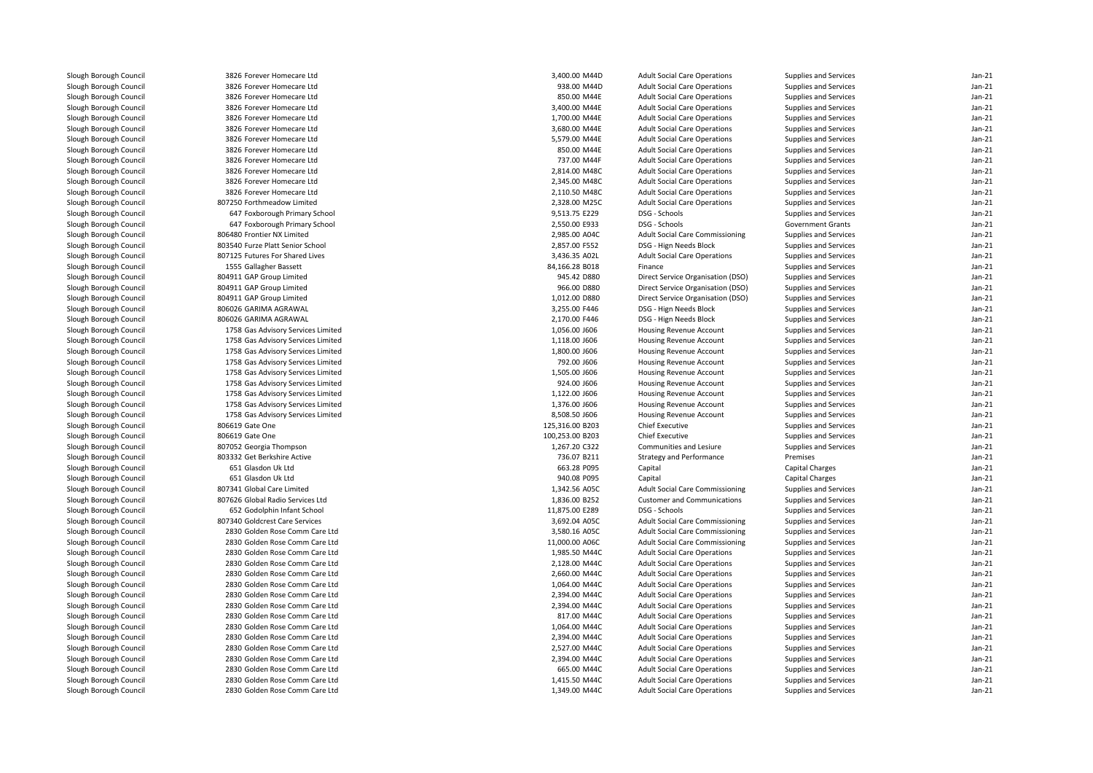| Slough Borough Council                           | 3826 Forever Homecare Ltd          | 3,400.00 M44D   | <b>Adult Social Care Operations</b>                 | Supplies and Services    | $Jan-21$             |
|--------------------------------------------------|------------------------------------|-----------------|-----------------------------------------------------|--------------------------|----------------------|
| Slough Borough Council                           | 3826 Forever Homecare Ltd          | 938.00 M44D     | <b>Adult Social Care Operations</b>                 | Supplies and Services    | $Jan-21$             |
| Slough Borough Council                           | 3826 Forever Homecare Ltd          | 850.00 M44E     | <b>Adult Social Care Operations</b>                 | Supplies and Services    | $Jan-21$             |
| Slough Borough Council                           | 3826 Forever Homecare Ltd          | 3,400.00 M44E   | <b>Adult Social Care Operations</b>                 | Supplies and Services    | $Jan-21$             |
| Slough Borough Council                           | 3826 Forever Homecare Ltd          | 1,700.00 M44E   | <b>Adult Social Care Operations</b>                 | Supplies and Services    | $Jan-21$             |
| Slough Borough Council                           | 3826 Forever Homecare Ltd          | 3,680.00 M44E   | <b>Adult Social Care Operations</b>                 | Supplies and Services    | $Jan-21$             |
| Slough Borough Council                           | 3826 Forever Homecare Ltd          | 5,579.00 M44E   | <b>Adult Social Care Operations</b>                 | Supplies and Services    | $Jan-21$             |
| Slough Borough Council                           | 3826 Forever Homecare Ltd          | 850.00 M44E     | <b>Adult Social Care Operations</b>                 | Supplies and Services    | $Jan-21$             |
| Slough Borough Council                           | 3826 Forever Homecare Ltd          | 737.00 M44F     | <b>Adult Social Care Operations</b>                 | Supplies and Services    | $Jan-21$             |
| Slough Borough Council                           | 3826 Forever Homecare Ltd          | 2,814.00 M48C   | <b>Adult Social Care Operations</b>                 | Supplies and Services    | $Jan-21$             |
| Slough Borough Council                           | 3826 Forever Homecare Ltd          | 2,345.00 M48C   | <b>Adult Social Care Operations</b>                 | Supplies and Services    | $Jan-21$             |
| Slough Borough Council                           | 3826 Forever Homecare Ltd          | 2,110.50 M48C   | <b>Adult Social Care Operations</b>                 | Supplies and Services    | $Jan-21$             |
| Slough Borough Council                           | 807250 Forthmeadow Limited         | 2,328.00 M25C   | <b>Adult Social Care Operations</b>                 | Supplies and Services    | $Jan-21$             |
| Slough Borough Council                           | 647 Foxborough Primary School      | 9,513.75 E229   | DSG - Schools                                       | Supplies and Services    | $Jan-21$             |
| Slough Borough Council                           | 647 Foxborough Primary School      | 2,550.00 E933   | DSG - Schools                                       | <b>Government Grants</b> | $Jan-21$             |
| Slough Borough Council                           | 806480 Frontier NX Limited         | 2,985.00 A04C   | <b>Adult Social Care Commissioning</b>              | Supplies and Services    | $Jan-21$             |
| Slough Borough Council                           | 803540 Furze Platt Senior School   | 2,857.00 F552   | DSG - Hign Needs Block                              | Supplies and Services    | $Jan-21$             |
| Slough Borough Council                           | 807125 Futures For Shared Lives    | 3,436.35 A02L   | <b>Adult Social Care Operations</b>                 | Supplies and Services    | $Jan-21$             |
| Slough Borough Council                           | 1555 Gallagher Bassett             | 84,166.28 B018  | Finance                                             | Supplies and Services    | $Jan-21$             |
| Slough Borough Council                           | 804911 GAP Group Limited           | 945.42 D880     | Direct Service Organisation (DSO)                   | Supplies and Services    | $Jan-21$             |
| Slough Borough Council                           | 804911 GAP Group Limited           | 966.00 D880     | Direct Service Organisation (DSO)                   | Supplies and Services    | $Jan-21$             |
| Slough Borough Council                           | 804911 GAP Group Limited           | 1,012.00 D880   | Direct Service Organisation (DSO)                   | Supplies and Services    | $Jan-21$             |
| Slough Borough Council                           | 806026 GARIMA AGRAWAL              | 3,255.00 F446   | DSG - Hign Needs Block                              | Supplies and Services    | $Jan-21$             |
| Slough Borough Council                           | 806026 GARIMA AGRAWAL              | 2,170.00 F446   | DSG - Hign Needs Block                              | Supplies and Services    | $Jan-21$             |
| Slough Borough Council                           | 1758 Gas Advisory Services Limited | 1,056.00 J606   | <b>Housing Revenue Account</b>                      | Supplies and Services    | $Jan-21$             |
| Slough Borough Council                           | 1758 Gas Advisory Services Limited | 1,118.00 J606   | <b>Housing Revenue Account</b>                      | Supplies and Services    | $Jan-21$             |
| Slough Borough Council                           | 1758 Gas Advisory Services Limited | 1,800.00 J606   | Housing Revenue Account                             | Supplies and Services    | $Jan-21$             |
| Slough Borough Council                           | 1758 Gas Advisory Services Limited | 792.00 J606     | <b>Housing Revenue Account</b>                      | Supplies and Services    | $Jan-21$             |
| Slough Borough Council                           | 1758 Gas Advisory Services Limited | 1,505.00 J606   | Housing Revenue Account                             | Supplies and Services    | $Jan-21$             |
| Slough Borough Council                           | 1758 Gas Advisory Services Limited | 924.00 J606     | <b>Housing Revenue Account</b>                      | Supplies and Services    | $Jan-21$             |
| Slough Borough Council                           | 1758 Gas Advisory Services Limited | 1,122.00 J606   | Housing Revenue Account                             | Supplies and Services    | $Jan-21$             |
| Slough Borough Council                           | 1758 Gas Advisory Services Limited | 1,376.00 J606   | <b>Housing Revenue Account</b>                      | Supplies and Services    | $Jan-21$             |
| Slough Borough Council                           | 1758 Gas Advisory Services Limited | 8,508.50 J606   | Housing Revenue Account                             | Supplies and Services    | $Jan-21$             |
| Slough Borough Council                           | 806619 Gate One                    | 125,316.00 B203 | <b>Chief Executive</b>                              | Supplies and Services    | $Jan-21$             |
| Slough Borough Council                           | 806619 Gate One                    | 100,253.00 B203 | <b>Chief Executive</b>                              | Supplies and Services    | $Jan-21$             |
| Slough Borough Council                           | 807052 Georgia Thompson            | 1,267.20 C322   | Communities and Lesiure                             | Supplies and Services    | $Jan-21$             |
| Slough Borough Council                           | 803332 Get Berkshire Active        | 736.07 B211     | <b>Strategy and Performance</b>                     | Premises                 | $Jan-21$             |
| Slough Borough Council                           | 651 Glasdon Uk Ltd                 | 663.28 P095     | Capital                                             | Capital Charges          | $Jan-21$             |
| Slough Borough Council                           | 651 Glasdon Uk Ltd                 | 940.08 P095     | Capital                                             | <b>Capital Charges</b>   | $Jan-21$             |
| Slough Borough Council                           | 807341 Global Care Limited         |                 |                                                     | Supplies and Services    | $Jan-21$             |
|                                                  |                                    | 1,342.56 A05C   | <b>Adult Social Care Commissioning</b>              |                          | $Jan-21$             |
| Slough Borough Council                           | 807626 Global Radio Services Ltd   | 1,836.00 B252   | <b>Customer and Communications</b><br>DSG - Schools | Supplies and Services    |                      |
| Slough Borough Council<br>Slough Borough Council | 652 Godolphin Infant School        | 11,875.00 E289  |                                                     | Supplies and Services    | $Jan-21$<br>$Jan-21$ |
|                                                  | 807340 Goldcrest Care Services     | 3,692.04 A05C   | <b>Adult Social Care Commissioning</b>              | Supplies and Services    |                      |
| Slough Borough Council                           | 2830 Golden Rose Comm Care Ltd     | 3,580.16 A05C   | <b>Adult Social Care Commissioning</b>              | Supplies and Services    | $Jan-21$             |
| Slough Borough Council                           | 2830 Golden Rose Comm Care Ltd     | 11,000.00 A06C  | <b>Adult Social Care Commissioning</b>              | Supplies and Services    | $Jan-21$             |
| Slough Borough Council                           | 2830 Golden Rose Comm Care Ltd     | 1,985.50 M44C   | <b>Adult Social Care Operations</b>                 | Supplies and Services    | $Jan-21$             |
| Slough Borough Council                           | 2830 Golden Rose Comm Care Ltd     | 2,128.00 M44C   | <b>Adult Social Care Operations</b>                 | Supplies and Services    | $Jan-21$             |
| Slough Borough Council                           | 2830 Golden Rose Comm Care Ltd     | 2,660.00 M44C   | <b>Adult Social Care Operations</b>                 | Supplies and Services    | $Jan-21$             |
| Slough Borough Council                           | 2830 Golden Rose Comm Care Ltd     | 1,064.00 M44C   | <b>Adult Social Care Operations</b>                 | Supplies and Services    | $Jan-21$             |
| Slough Borough Council                           | 2830 Golden Rose Comm Care Ltd     | 2,394.00 M44C   | <b>Adult Social Care Operations</b>                 | Supplies and Services    | $Jan-21$             |
| Slough Borough Council                           | 2830 Golden Rose Comm Care Ltd     | 2,394.00 M44C   | <b>Adult Social Care Operations</b>                 | Supplies and Services    | $Jan-21$             |
| Slough Borough Council                           | 2830 Golden Rose Comm Care Ltd     | 817.00 M44C     | <b>Adult Social Care Operations</b>                 | Supplies and Services    | $Jan-21$             |
| Slough Borough Council                           | 2830 Golden Rose Comm Care Ltd     | 1,064.00 M44C   | <b>Adult Social Care Operations</b>                 | Supplies and Services    | $Jan-21$             |
| Slough Borough Council                           | 2830 Golden Rose Comm Care Ltd     | 2,394.00 M44C   | <b>Adult Social Care Operations</b>                 | Supplies and Services    | $Jan-21$             |
| Slough Borough Council                           | 2830 Golden Rose Comm Care Ltd     | 2,527.00 M44C   | <b>Adult Social Care Operations</b>                 | Supplies and Services    | $Jan-21$             |
| Slough Borough Council                           | 2830 Golden Rose Comm Care Ltd     | 2,394.00 M44C   | <b>Adult Social Care Operations</b>                 | Supplies and Services    | $Jan-21$             |
| Slough Borough Council                           | 2830 Golden Rose Comm Care Ltd     | 665.00 M44C     | <b>Adult Social Care Operations</b>                 | Supplies and Services    | $Jan-21$             |
| Slough Borough Council                           | 2830 Golden Rose Comm Care Ltd     | 1,415.50 M44C   | <b>Adult Social Care Operations</b>                 | Supplies and Services    | $Jan-21$             |
| Slough Borough Council                           | 2830 Golden Rose Comm Care Ltd     | 1,349.00 M44C   | <b>Adult Social Care Operations</b>                 | Supplies and Services    | $Jan-21$             |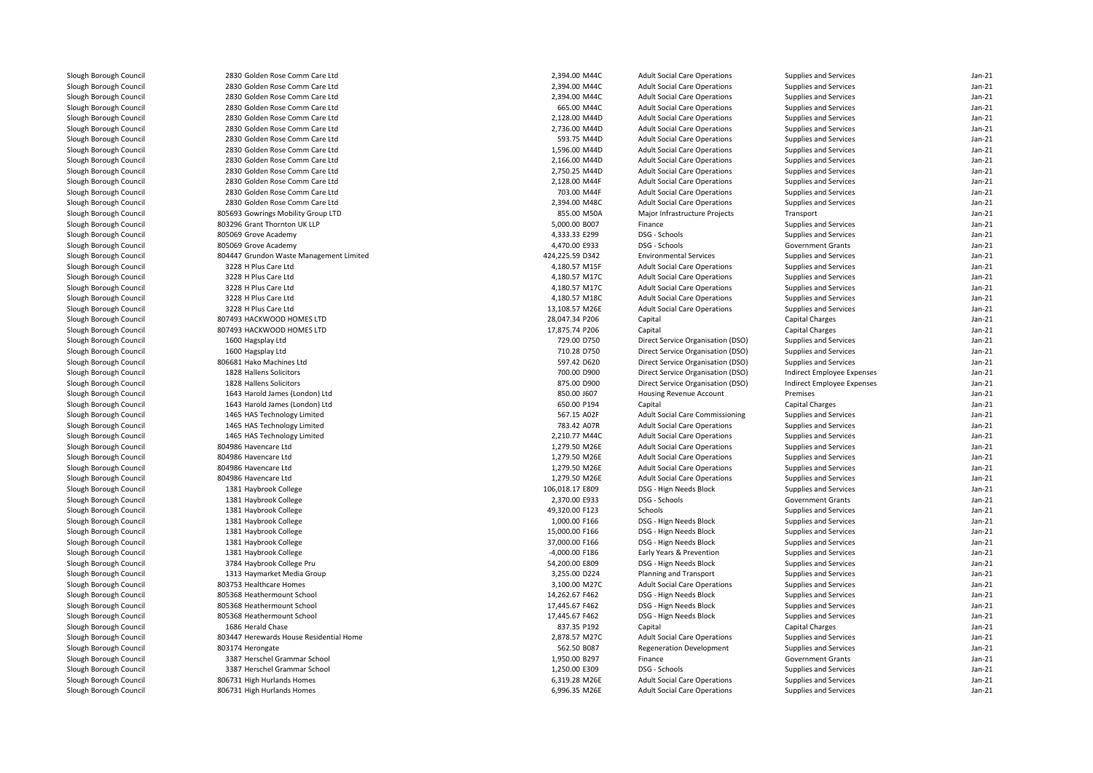| Slough Borough Council | 2830 Golden Rose Comm Care Ltd          | 2,394.00 M44C   | <b>Adult Social Care Operations</b>                           | Supplies and Services             | $Jan-21$ |
|------------------------|-----------------------------------------|-----------------|---------------------------------------------------------------|-----------------------------------|----------|
| Slough Borough Council | 2830 Golden Rose Comm Care Ltd          | 2,394.00 M44C   | <b>Adult Social Care Operations</b>                           | Supplies and Services             | $Jan-21$ |
| Slough Borough Council | 2830 Golden Rose Comm Care Ltd          | 2,394.00 M44C   | <b>Adult Social Care Operations</b>                           | Supplies and Services             | $Jan-21$ |
| Slough Borough Council | 2830 Golden Rose Comm Care Ltd          | 665.00 M44C     | <b>Adult Social Care Operations</b>                           | Supplies and Services             | $Jan-21$ |
| Slough Borough Council | 2830 Golden Rose Comm Care Ltd          | 2,128.00 M44D   | <b>Adult Social Care Operations</b>                           | Supplies and Services             | $Jan-21$ |
| Slough Borough Council | 2830 Golden Rose Comm Care Ltd          | 2,736.00 M44D   | <b>Adult Social Care Operations</b>                           | Supplies and Services             | $Jan-21$ |
| Slough Borough Council | 2830 Golden Rose Comm Care Ltd          | 593.75 M44D     | <b>Adult Social Care Operations</b>                           | Supplies and Services             | $Jan-21$ |
| Slough Borough Council | 2830 Golden Rose Comm Care Ltd          | 1,596.00 M44D   | <b>Adult Social Care Operations</b>                           | Supplies and Services             | $Jan-21$ |
| Slough Borough Council | 2830 Golden Rose Comm Care Ltd          | 2,166.00 M44D   | <b>Adult Social Care Operations</b>                           | Supplies and Services             | Jan-21   |
| Slough Borough Council | 2830 Golden Rose Comm Care Ltd          | 2,750.25 M44D   | <b>Adult Social Care Operations</b>                           | Supplies and Services             | $Jan-21$ |
| Slough Borough Council | 2830 Golden Rose Comm Care Ltd          | 2,128.00 M44F   | <b>Adult Social Care Operations</b>                           | Supplies and Services             | Jan-21   |
| Slough Borough Council | 2830 Golden Rose Comm Care Ltd          | 703.00 M44F     | <b>Adult Social Care Operations</b>                           | Supplies and Services             | $Jan-21$ |
| Slough Borough Council | 2830 Golden Rose Comm Care Ltd          | 2,394.00 M48C   | <b>Adult Social Care Operations</b>                           | Supplies and Services             | $Jan-21$ |
| Slough Borough Council | 805693 Gowrings Mobility Group LTD      | 855.00 M50A     | Major Infrastructure Projects                                 | Transport                         | $Jan-21$ |
| Slough Borough Council | 803296 Grant Thornton UK LLP            | 5,000.00 B007   | Finance                                                       | Supplies and Services             | $Jan-21$ |
| Slough Borough Council | 805069 Grove Academy                    | 4,333.33 E299   | DSG - Schools                                                 | Supplies and Services             | $Jan-21$ |
| Slough Borough Council | 805069 Grove Academy                    | 4,470.00 E933   | DSG - Schools                                                 | <b>Government Grants</b>          | $Jan-21$ |
| Slough Borough Council | 804447 Grundon Waste Management Limited | 424.225.59 D342 | <b>Environmental Services</b>                                 | Supplies and Services             | $Jan-21$ |
| Slough Borough Council | 3228 H Plus Care Ltd                    | 4,180.57 M15F   | <b>Adult Social Care Operations</b>                           | Supplies and Services             | $Jan-21$ |
| Slough Borough Council | 3228 H Plus Care Ltd                    | 4,180.57 M17C   | <b>Adult Social Care Operations</b>                           | Supplies and Services             | $Jan-21$ |
| Slough Borough Council | 3228 H Plus Care Ltd                    | 4,180.57 M17C   | <b>Adult Social Care Operations</b>                           | Supplies and Services             | $Jan-21$ |
| Slough Borough Council | 3228 H Plus Care Ltd                    | 4,180.57 M18C   | <b>Adult Social Care Operations</b>                           | Supplies and Services             | $Jan-21$ |
| Slough Borough Council | 3228 H Plus Care Ltd                    | 13,108.57 M26E  | <b>Adult Social Care Operations</b>                           | Supplies and Services             | $Jan-21$ |
| Slough Borough Council | 807493 HACKWOOD HOMES LTD               | 28,047.34 P206  | Capital                                                       | <b>Capital Charges</b>            | $Jan-21$ |
| Slough Borough Council | 807493 HACKWOOD HOMES LTD               | 17,875.74 P206  | Capital                                                       | <b>Capital Charges</b>            | $Jan-21$ |
| Slough Borough Council | 1600 Hagsplay Ltd                       | 729.00 D750     | Direct Service Organisation (DSO)                             | Supplies and Services             | $Jan-21$ |
| Slough Borough Council | 1600 Hagsplay Ltd                       | 710.28 D750     | Direct Service Organisation (DSO)                             | Supplies and Services             | $Jan-21$ |
| Slough Borough Council | 806681 Hako Machines Ltd                | 597.42 D620     | Direct Service Organisation (DSO)                             | Supplies and Services             | $Jan-21$ |
| Slough Borough Council | 1828 Hallens Solicitors                 | 700.00 D900     | Direct Service Organisation (DSO)                             | Indirect Employee Expenses        | $Jan-21$ |
| Slough Borough Council | 1828 Hallens Solicitors                 | 875.00 D900     | Direct Service Organisation (DSO)                             | <b>Indirect Employee Expenses</b> | $Jan-21$ |
| Slough Borough Council | 1643 Harold James (London) Ltd          | 850.00 J607     | Housing Revenue Account                                       | Premises                          | $Jan-21$ |
| Slough Borough Council | 1643 Harold James (London) Ltd          | 650.00 P194     | Capital                                                       | Capital Charges                   | $Jan-21$ |
| Slough Borough Council | 1465 HAS Technology Limited             | 567.15 A02F     | <b>Adult Social Care Commissioning</b>                        | Supplies and Services             | $Jan-21$ |
| Slough Borough Council | 1465 HAS Technology Limited             | 783.42 A07R     | <b>Adult Social Care Operations</b>                           | Supplies and Services             | $Jan-21$ |
| Slough Borough Council | 1465 HAS Technology Limited             | 2,210.77 M44C   | <b>Adult Social Care Operations</b>                           | Supplies and Services             | Jan-21   |
| Slough Borough Council | 804986 Havencare Ltd                    | 1,279.50 M26E   | <b>Adult Social Care Operations</b>                           | Supplies and Services             | $Jan-21$ |
| Slough Borough Council | 804986 Havencare Ltd                    | 1,279.50 M26E   | <b>Adult Social Care Operations</b>                           | Supplies and Services             | $Jan-21$ |
| Slough Borough Council | 804986 Havencare Ltd                    | 1,279.50 M26E   | <b>Adult Social Care Operations</b>                           | Supplies and Services             | $Jan-21$ |
| Slough Borough Council | 804986 Havencare Ltd                    | 1,279.50 M26E   | <b>Adult Social Care Operations</b>                           | Supplies and Services             | Jan-21   |
| Slough Borough Council | 1381 Haybrook College                   | 106,018.17 E809 | DSG - Hign Needs Block                                        | Supplies and Services             | $Jan-21$ |
| Slough Borough Council | 1381 Haybrook College                   | 2,370.00 E933   | DSG - Schools                                                 | <b>Government Grants</b>          | $Jan-21$ |
| Slough Borough Council | 1381 Haybrook College                   | 49,320.00 F123  | Schools                                                       | Supplies and Services             | $Jan-21$ |
| Slough Borough Council | 1381 Haybrook College                   | 1,000.00 F166   | DSG - Hign Needs Block                                        | Supplies and Services             | $Jan-21$ |
| Slough Borough Council | 1381 Haybrook College                   | 15,000.00 F166  | DSG - Hign Needs Block                                        | Supplies and Services             | Jan-21   |
| Slough Borough Council | 1381 Haybrook College                   | 37,000.00 F166  | DSG - Hign Needs Block                                        | Supplies and Services             | $Jan-21$ |
| Slough Borough Council | 1381 Haybrook College                   | -4,000.00 F186  | Early Years & Prevention                                      | Supplies and Services             | $Jan-21$ |
| Slough Borough Council | 3784 Haybrook College Pru               | 54,200.00 E809  | DSG - Hign Needs Block                                        | Supplies and Services             | $Jan-21$ |
| Slough Borough Council | 1313 Haymarket Media Group              | 3.255.00 D224   |                                                               |                                   | Jan-21   |
|                        | 803753 Healthcare Homes                 | 3,100.00 M27C   | Planning and Transport                                        | Supplies and Services             | $Jan-21$ |
| Slough Borough Council | 805368 Heathermount School              | 14,262.67 F462  | <b>Adult Social Care Operations</b><br>DSG - Hign Needs Block | Supplies and Services             | $Jan-21$ |
| Slough Borough Council |                                         |                 |                                                               | Supplies and Services             |          |
| Slough Borough Council | 805368 Heathermount School              | 17,445.67 F462  | DSG - Hign Needs Block                                        | Supplies and Services             | $Jan-21$ |
| Slough Borough Council | 805368 Heathermount School              | 17,445.67 F462  | DSG - Hign Needs Block                                        | Supplies and Services             | Jan-21   |
| Slough Borough Council | 1686 Herald Chase                       | 837.35 P192     | Capital                                                       | Capital Charges                   | $Jan-21$ |
| Slough Borough Council | 803447 Herewards House Residential Home | 2,878.57 M27C   | <b>Adult Social Care Operations</b>                           | Supplies and Services             | Jan-21   |
| Slough Borough Council | 803174 Herongate                        | 562.50 B087     | <b>Regeneration Development</b>                               | Supplies and Services             | $Jan-21$ |
| Slough Borough Council | 3387 Herschel Grammar School            | 1,950.00 B297   | Finance                                                       | <b>Government Grants</b>          | $Jan-21$ |
| Slough Borough Council | 3387 Herschel Grammar School            | 1,250.00 E309   | DSG - Schools                                                 | Supplies and Services             | $Jan-21$ |
| Slough Borough Council | 806731 High Hurlands Homes              | 6,319.28 M26E   | <b>Adult Social Care Operations</b>                           | Supplies and Services             | $Jan-21$ |
| Slough Borough Council | 806731 High Hurlands Homes              | 6,996.35 M26E   | <b>Adult Social Care Operations</b>                           | Supplies and Services             | $Jan-21$ |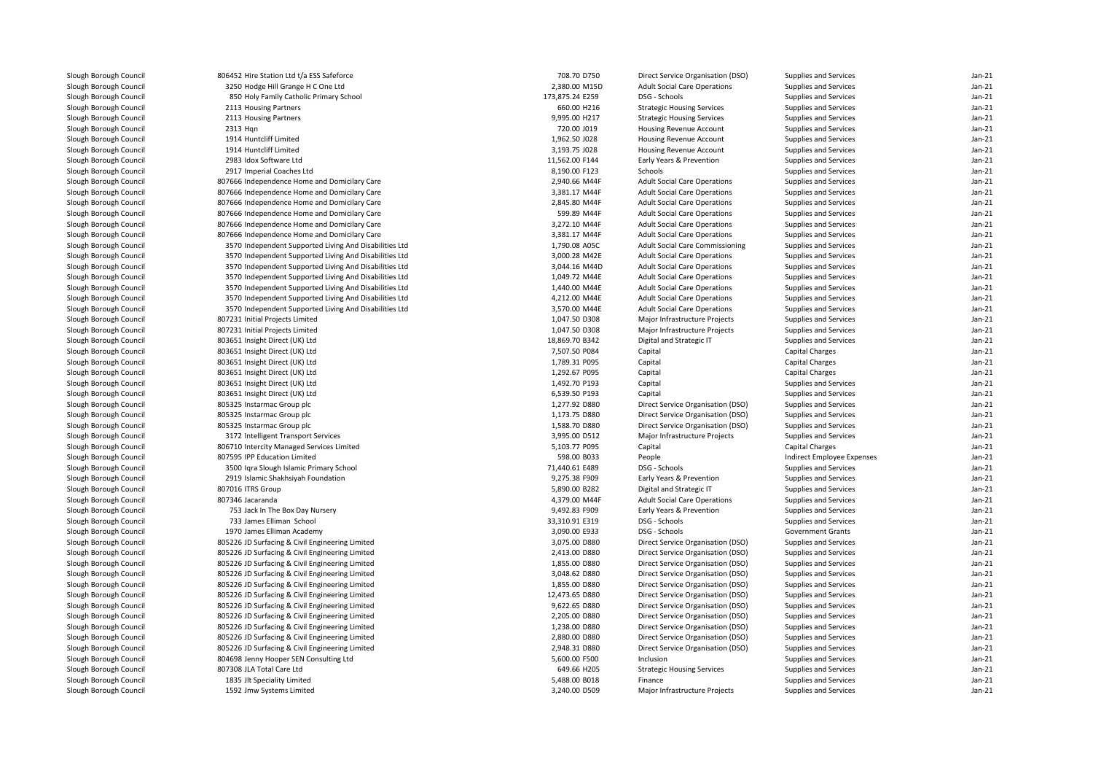| Slough Borough Council | 806452 Hire Station Ltd t/a ESS Safeforce                                 | 708.70 D750     | Direct Service Organisation (DSO)   | Supplies and Services      | $Jan-21$ |
|------------------------|---------------------------------------------------------------------------|-----------------|-------------------------------------|----------------------------|----------|
| Slough Borough Council | 3250 Hodge Hill Grange H C One Ltd                                        | 2,380.00 M15D   | <b>Adult Social Care Operations</b> | Supplies and Services      | $Jan-21$ |
| Slough Borough Council | 850 Holy Family Catholic Primary School                                   | 173,875.24 E259 | DSG - Schools                       | Supplies and Services      | $Jan-21$ |
| Slough Borough Council | 2113 Housing Partners                                                     | 660.00 H216     | <b>Strategic Housing Services</b>   | Supplies and Services      | $Jan-21$ |
| Slough Borough Council | 2113 Housing Partners                                                     | 9,995.00 H217   | <b>Strategic Housing Services</b>   | Supplies and Services      | $Jan-21$ |
| Slough Borough Council | 2313 Hqn                                                                  | 720.00 J019     | Housing Revenue Account             | Supplies and Services      | $Jan-21$ |
| Slough Borough Council | 1914 Huntcliff Limited                                                    | 1,962.50 J028   | <b>Housing Revenue Account</b>      | Supplies and Services      | $Jan-21$ |
| Slough Borough Council | 1914 Huntcliff Limited                                                    | 3,193.75 J028   | <b>Housing Revenue Account</b>      | Supplies and Services      | $Jan-21$ |
| Slough Borough Council | 2983 Idox Software Ltd                                                    | 11,562.00 F144  | Early Years & Prevention            | Supplies and Services      | $Jan-21$ |
| Slough Borough Council | 2917 Imperial Coaches Ltd                                                 | 8,190.00 F123   | Schools                             | Supplies and Services      | $Jan-21$ |
| Slough Borough Council | 807666 Independence Home and Domicilary Care                              | 2,940.66 M44F   | <b>Adult Social Care Operations</b> | Supplies and Services      | $Jan-21$ |
| Slough Borough Council | 807666 Independence Home and Domicilary Care                              | 3,381.17 M44F   | <b>Adult Social Care Operations</b> | Supplies and Services      | Jan-21   |
|                        |                                                                           |                 |                                     |                            | $Jan-21$ |
| Slough Borough Council | 807666 Independence Home and Domicilary Care                              | 2,845.80 M44F   | <b>Adult Social Care Operations</b> | Supplies and Services      | $Jan-21$ |
| Slough Borough Council | 807666 Independence Home and Domicilary Care                              | 599.89 M44F     | <b>Adult Social Care Operations</b> | Supplies and Services      |          |
| Slough Borough Council | 807666 Independence Home and Domicilary Care                              | 3,272.10 M44F   | <b>Adult Social Care Operations</b> | Supplies and Services      | $Jan-21$ |
| Slough Borough Council | 807666 Independence Home and Domicilary Care                              | 3,381.17 M44F   | <b>Adult Social Care Operations</b> | Supplies and Services      | $Jan-21$ |
| Slough Borough Council | 3570 Independent Supported Living And Disabilities Ltd                    | 1,790.08 A05C   | Adult Social Care Commissioning     | Supplies and Services      | $Jan-21$ |
| Slough Borough Council | 3570 Independent Supported Living And Disabilities Ltd                    | 3,000.28 M42E   | <b>Adult Social Care Operations</b> | Supplies and Services      | $Jan-21$ |
| Slough Borough Council | 3570 Independent Supported Living And Disabilities Ltd                    | 3,044.16 M44D   | <b>Adult Social Care Operations</b> | Supplies and Services      | $Jan-21$ |
| Slough Borough Council | 3570 Independent Supported Living And Disabilities Ltd                    | 1,049.72 M44E   | <b>Adult Social Care Operations</b> | Supplies and Services      | $Jan-21$ |
| Slough Borough Council | 3570 Independent Supported Living And Disabilities Ltd                    | 1,440.00 M44E   | <b>Adult Social Care Operations</b> | Supplies and Services      | Jan-21   |
| Slough Borough Council | 3570 Independent Supported Living And Disabilities Ltd                    | 4,212.00 M44E   | <b>Adult Social Care Operations</b> | Supplies and Services      | $Jan-21$ |
| Slough Borough Council | 3570 Independent Supported Living And Disabilities Ltd                    | 3,570.00 M44E   | <b>Adult Social Care Operations</b> | Supplies and Services      | Jan-21   |
| Slough Borough Council | 807231 Initial Projects Limited                                           | 1,047.50 D308   | Major Infrastructure Projects       | Supplies and Services      | $Jan-21$ |
| Slough Borough Council | 807231 Initial Projects Limited                                           | 1,047.50 D308   | Major Infrastructure Projects       | Supplies and Services      | Jan-21   |
| Slough Borough Council | 803651 Insight Direct (UK) Ltd                                            | 18,869.70 B342  | Digital and Strategic IT            | Supplies and Services      | $Jan-21$ |
| Slough Borough Council | 803651 Insight Direct (UK) Ltd                                            | 7,507.50 P084   | Capital                             | Capital Charges            | $Jan-21$ |
| Slough Borough Council | 803651 Insight Direct (UK) Ltd                                            | 1,789.31 P095   | Capital                             | Capital Charges            | $Jan-21$ |
| Slough Borough Council | 803651 Insight Direct (UK) Ltd                                            | 1,292.67 P095   | Capital                             | Capital Charges            | $Jan-21$ |
| Slough Borough Council | 803651 Insight Direct (UK) Ltd                                            | 1,492.70 P193   | Capital                             | Supplies and Services      | $Jan-21$ |
| Slough Borough Council | 803651 Insight Direct (UK) Ltd                                            | 6,539.50 P193   | Capital                             | Supplies and Services      | $Jan-21$ |
| Slough Borough Council | 805325 Instarmac Group plc                                                | 1,277.92 D880   | Direct Service Organisation (DSO)   | Supplies and Services      | $Jan-21$ |
| Slough Borough Council | 805325 Instarmac Group plc                                                | 1,173.75 D880   | Direct Service Organisation (DSO)   | Supplies and Services      | $Jan-21$ |
| Slough Borough Council | 805325 Instarmac Group plc                                                | 1,588.70 D880   | Direct Service Organisation (DSO)   | Supplies and Services      | Jan-21   |
| Slough Borough Council | 3172 Intelligent Transport Services                                       | 3,995.00 D512   | Major Infrastructure Projects       | Supplies and Services      | $Jan-21$ |
|                        |                                                                           |                 |                                     |                            | $Jan-21$ |
| Slough Borough Council | 806710 Intercity Managed Services Limited<br>807595 IPP Education Limited | 5,103.77 P095   | Capital                             | <b>Capital Charges</b>     |          |
| Slough Borough Council |                                                                           | 598.00 B033     | People                              | Indirect Employee Expenses | $Jan-21$ |
| Slough Borough Council | 3500 Igra Slough Islamic Primary School                                   | 71,440.61 E489  | DSG - Schools                       | Supplies and Services      | $Jan-21$ |
| Slough Borough Council | 2919 Islamic Shakhsiyah Foundation                                        | 9,275.38 F909   | Early Years & Prevention            | Supplies and Services      | $Jan-21$ |
| Slough Borough Council | 807016 ITRS Group                                                         | 5,890.00 B282   | Digital and Strategic IT            | Supplies and Services      | $Jan-21$ |
| Slough Borough Council | 807346 Jacaranda                                                          | 4,379.00 M44F   | <b>Adult Social Care Operations</b> | Supplies and Services      | $Jan-21$ |
| Slough Borough Council | 753 Jack In The Box Day Nursery                                           | 9,492.83 F909   | Early Years & Prevention            | Supplies and Services      | $Jan-21$ |
| Slough Borough Council | 733 James Elliman School                                                  | 33,310.91 E319  | DSG - Schools                       | Supplies and Services      | $Jan-21$ |
| Slough Borough Council | 1970 James Elliman Academy                                                | 3,090.00 E933   | DSG - Schools                       | <b>Government Grants</b>   | $Jan-21$ |
| Slough Borough Council | 805226 JD Surfacing & Civil Engineering Limited                           | 3,075.00 D880   | Direct Service Organisation (DSO)   | Supplies and Services      | Jan-21   |
| Slough Borough Council | 805226 JD Surfacing & Civil Engineering Limited                           | 2,413.00 D880   | Direct Service Organisation (DSO)   | Supplies and Services      | $Jan-21$ |
| Slough Borough Council | 805226 JD Surfacing & Civil Engineering Limited                           | 1,855.00 D880   | Direct Service Organisation (DSO)   | Supplies and Services      | Jan-21   |
| Slough Borough Council | 805226 JD Surfacing & Civil Engineering Limited                           | 3,048.62 D880   | Direct Service Organisation (DSO)   | Supplies and Services      | $Jan-21$ |
| Slough Borough Council | 805226 JD Surfacing & Civil Engineering Limited                           | 1,855.00 D880   | Direct Service Organisation (DSO)   | Supplies and Services      | $Jan-21$ |
| Slough Borough Council | 805226 JD Surfacing & Civil Engineering Limited                           | 12,473.65 D880  | Direct Service Organisation (DSO)   | Supplies and Services      | $Jan-21$ |
| Slough Borough Council | 805226 JD Surfacing & Civil Engineering Limited                           | 9,622.65 D880   | Direct Service Organisation (DSO)   | Supplies and Services      | $Jan-21$ |
| Slough Borough Council | 805226 JD Surfacing & Civil Engineering Limited                           | 2,205.00 D880   | Direct Service Organisation (DSO)   | Supplies and Services      | $Jan-21$ |
| Slough Borough Council | 805226 JD Surfacing & Civil Engineering Limited                           | 1,238.00 D880   | Direct Service Organisation (DSO)   | Supplies and Services      | $Jan-21$ |
| Slough Borough Council | 805226 JD Surfacing & Civil Engineering Limited                           | 2,880.00 D880   | Direct Service Organisation (DSO)   | Supplies and Services      | $Jan-21$ |
| Slough Borough Council | 805226 JD Surfacing & Civil Engineering Limited                           | 2,948.31 D880   | Direct Service Organisation (DSO)   | Supplies and Services      | $Jan-21$ |
| Slough Borough Council | 804698 Jenny Hooper SEN Consulting Ltd                                    | 5,600.00 F500   | Inclusion                           | Supplies and Services      | $Jan-21$ |
| Slough Borough Council | 807308 JLA Total Care Ltd                                                 | 649.66 H205     | <b>Strategic Housing Services</b>   | Supplies and Services      | $Jan-21$ |
| Slough Borough Council | 1835 Jlt Speciality Limited                                               | 5,488.00 B018   | Finance                             | Supplies and Services      | Jan-21   |
| Slough Borough Council | 1592 Jmw Systems Limited                                                  | 3,240.00 D509   | Major Infrastructure Projects       | Supplies and Services      | $Jan-21$ |
|                        |                                                                           |                 |                                     |                            |          |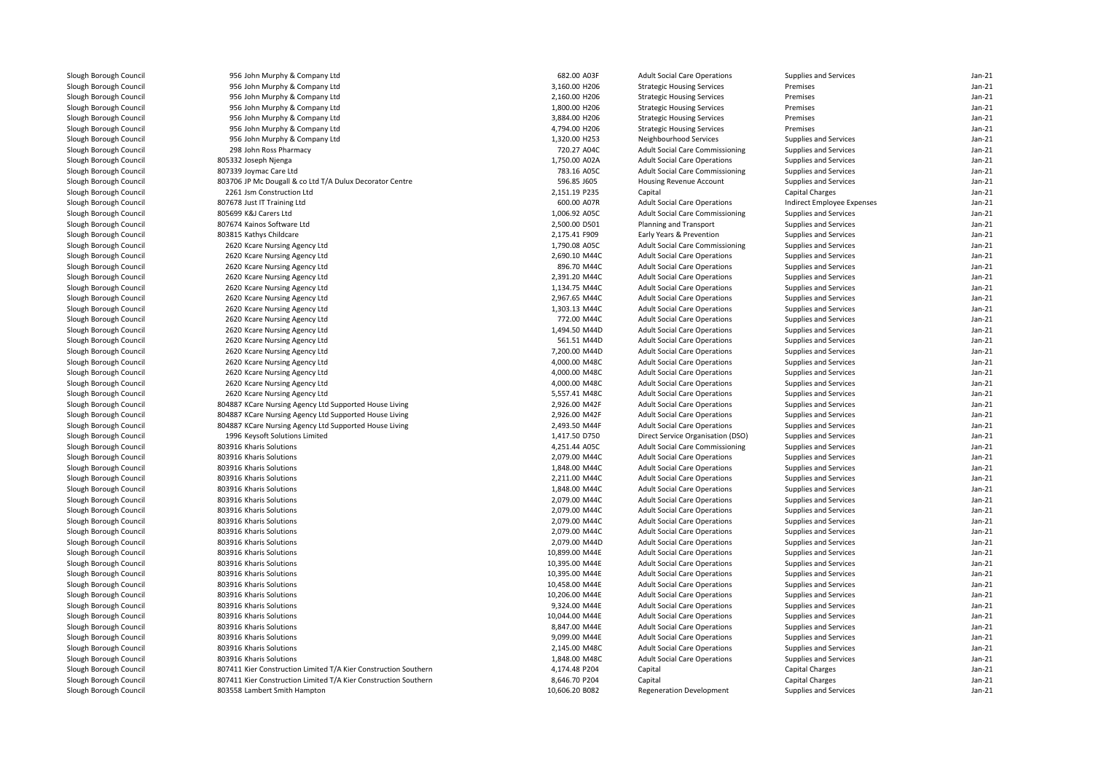| Slough Borough Council | 956 John Murphy & Company Ltd                                   | 682.00 A03F    | <b>Adult Social Care Operations</b>                                        | Supplies and Services                          | $Jan-21$ |
|------------------------|-----------------------------------------------------------------|----------------|----------------------------------------------------------------------------|------------------------------------------------|----------|
| Slough Borough Council | 956 John Murphy & Company Ltd                                   | 3,160.00 H206  | <b>Strategic Housing Services</b>                                          | Premises                                       | $Jan-21$ |
| Slough Borough Council | 956 John Murphy & Company Ltd                                   | 2,160.00 H206  | <b>Strategic Housing Services</b>                                          | Premises                                       | $Jan-21$ |
| Slough Borough Council | 956 John Murphy & Company Ltd                                   | 1,800.00 H206  | <b>Strategic Housing Services</b>                                          | Premises                                       | $Jan-21$ |
| Slough Borough Council | 956 John Murphy & Company Ltd                                   | 3,884.00 H206  | <b>Strategic Housing Services</b>                                          | Premises                                       | $Jan-21$ |
| Slough Borough Council | 956 John Murphy & Company Ltd                                   | 4,794.00 H206  | <b>Strategic Housing Services</b>                                          | Premises                                       | $Jan-21$ |
| Slough Borough Council | 956 John Murphy & Company Ltd                                   | 1,320.00 H253  | Neighbourhood Services                                                     | Supplies and Services                          | $Jan-21$ |
| Slough Borough Council | 298 John Ross Pharmacy                                          | 720.27 A04C    | Adult Social Care Commissioning                                            | Supplies and Services                          | $Jan-21$ |
| Slough Borough Council | 805332 Joseph Njenga                                            | 1,750.00 A02A  | <b>Adult Social Care Operations</b>                                        | Supplies and Services                          | $Jan-21$ |
| Slough Borough Council | 807339 Joymac Care Ltd                                          | 783.16 A05C    | <b>Adult Social Care Commissioning</b>                                     | Supplies and Services                          | $Jan-21$ |
| Slough Borough Council | 803706 JP Mc Dougall & co Ltd T/A Dulux Decorator Centre        | 596.85 J605    | <b>Housing Revenue Account</b>                                             | Supplies and Services                          | $Jan-21$ |
| Slough Borough Council | 2261 Jsm Construction Ltd                                       | 2,151.19 P235  | Capital                                                                    | Capital Charges                                | $Jan-21$ |
| Slough Borough Council | 807678 Just IT Training Ltd                                     | 600.00 A07R    | <b>Adult Social Care Operations</b>                                        | Indirect Employee Expenses                     | $Jan-21$ |
| Slough Borough Council | 805699 K&J Carers Ltd                                           | 1,006.92 A05C  | <b>Adult Social Care Commissioning</b>                                     | Supplies and Services                          | $Jan-21$ |
| Slough Borough Council | 807674 Kainos Software Ltd                                      | 2,500.00 D501  | Planning and Transport                                                     | Supplies and Services                          | $Jan-21$ |
| Slough Borough Council | 803815 Kathys Childcare                                         | 2,175.41 F909  | Early Years & Prevention                                                   | Supplies and Services                          | $Jan-21$ |
| Slough Borough Council | 2620 Kcare Nursing Agency Ltd                                   | 1,790.08 A05C  | Adult Social Care Commissioning                                            | Supplies and Services                          | $Jan-21$ |
| Slough Borough Council | 2620 Kcare Nursing Agency Ltd                                   | 2,690.10 M44C  | <b>Adult Social Care Operations</b>                                        | Supplies and Services                          | $Jan-21$ |
| Slough Borough Council | 2620 Kcare Nursing Agency Ltd                                   | 896.70 M44C    | <b>Adult Social Care Operations</b>                                        | Supplies and Services                          | $Jan-21$ |
| Slough Borough Council | 2620 Kcare Nursing Agency Ltd                                   | 2,391.20 M44C  | <b>Adult Social Care Operations</b>                                        | Supplies and Services                          | $Jan-21$ |
| Slough Borough Council | 2620 Kcare Nursing Agency Ltd                                   | 1,134.75 M44C  | <b>Adult Social Care Operations</b>                                        | Supplies and Services                          | $Jan-21$ |
| Slough Borough Council | 2620 Kcare Nursing Agency Ltd                                   | 2,967.65 M44C  | <b>Adult Social Care Operations</b>                                        | Supplies and Services                          | $Jan-21$ |
| Slough Borough Council | 2620 Kcare Nursing Agency Ltd                                   | 1,303.13 M44C  | <b>Adult Social Care Operations</b>                                        | Supplies and Services                          | $Jan-21$ |
| Slough Borough Council | 2620 Kcare Nursing Agency Ltd                                   | 772.00 M44C    | <b>Adult Social Care Operations</b>                                        | Supplies and Services                          | $Jan-21$ |
| Slough Borough Council | 2620 Kcare Nursing Agency Ltd                                   | 1,494.50 M44D  | <b>Adult Social Care Operations</b>                                        | Supplies and Services                          | $Jan-21$ |
| Slough Borough Council | 2620 Kcare Nursing Agency Ltd                                   | 561.51 M44D    | <b>Adult Social Care Operations</b>                                        | Supplies and Services                          | $Jan-21$ |
| Slough Borough Council | 2620 Kcare Nursing Agency Ltd                                   | 7,200.00 M44D  | <b>Adult Social Care Operations</b>                                        | Supplies and Services                          | $Jan-21$ |
| Slough Borough Council | 2620 Kcare Nursing Agency Ltd                                   | 4,000.00 M48C  | <b>Adult Social Care Operations</b>                                        | Supplies and Services                          | $Jan-21$ |
| Slough Borough Council | 2620 Kcare Nursing Agency Ltd                                   | 4,000.00 M48C  | <b>Adult Social Care Operations</b>                                        | Supplies and Services                          | $Jan-21$ |
| Slough Borough Council | 2620 Kcare Nursing Agency Ltd                                   | 4,000.00 M48C  | <b>Adult Social Care Operations</b>                                        | Supplies and Services                          | $Jan-21$ |
| Slough Borough Council | 2620 Kcare Nursing Agency Ltd                                   | 5,557.41 M48C  | <b>Adult Social Care Operations</b>                                        | Supplies and Services                          | $Jan-21$ |
| Slough Borough Council | 804887 KCare Nursing Agency Ltd Supported House Living          | 2,926.00 M42F  | <b>Adult Social Care Operations</b>                                        | Supplies and Services                          | $Jan-21$ |
| Slough Borough Council | 804887 KCare Nursing Agency Ltd Supported House Living          | 2,926.00 M42F  | <b>Adult Social Care Operations</b>                                        | Supplies and Services                          | $Jan-21$ |
| Slough Borough Council | 804887 KCare Nursing Agency Ltd Supported House Living          | 2,493.50 M44F  | <b>Adult Social Care Operations</b>                                        | Supplies and Services                          | $Jan-21$ |
| Slough Borough Council | 1996 Keysoft Solutions Limited                                  | 1,417.50 D750  | Direct Service Organisation (DSO)                                          | Supplies and Services                          | $Jan-21$ |
| Slough Borough Council | 803916 Kharis Solutions                                         | 4,251.44 A05C  | <b>Adult Social Care Commissioning</b>                                     | Supplies and Services                          | $Jan-21$ |
| Slough Borough Council | 803916 Kharis Solutions                                         | 2,079.00 M44C  | <b>Adult Social Care Operations</b>                                        | Supplies and Services                          | $Jan-21$ |
| Slough Borough Council | 803916 Kharis Solutions                                         | 1,848.00 M44C  | <b>Adult Social Care Operations</b>                                        | Supplies and Services                          | $Jan-21$ |
| Slough Borough Council | 803916 Kharis Solutions                                         | 2,211.00 M44C  | <b>Adult Social Care Operations</b>                                        | Supplies and Services                          | $Jan-21$ |
| Slough Borough Council | 803916 Kharis Solutions                                         | 1,848.00 M44C  | <b>Adult Social Care Operations</b>                                        | Supplies and Services                          | $Jan-21$ |
| Slough Borough Council | 803916 Kharis Solutions                                         | 2,079.00 M44C  |                                                                            |                                                | $Jan-21$ |
| Slough Borough Council | 803916 Kharis Solutions                                         | 2,079.00 M44C  | <b>Adult Social Care Operations</b><br><b>Adult Social Care Operations</b> | Supplies and Services<br>Supplies and Services | $Jan-21$ |
| Slough Borough Council | 803916 Kharis Solutions                                         |                |                                                                            |                                                | $Jan-21$ |
|                        |                                                                 | 2,079.00 M44C  | <b>Adult Social Care Operations</b>                                        | Supplies and Services                          | $Jan-21$ |
| Slough Borough Council | 803916 Kharis Solutions                                         | 2,079.00 M44C  | <b>Adult Social Care Operations</b>                                        | Supplies and Services                          | $Jan-21$ |
| Slough Borough Council | 803916 Kharis Solutions                                         | 2,079.00 M44D  | <b>Adult Social Care Operations</b>                                        | Supplies and Services                          | $Jan-21$ |
| Slough Borough Council | 803916 Kharis Solutions                                         | 10,899.00 M44E | <b>Adult Social Care Operations</b>                                        | Supplies and Services                          |          |
| Slough Borough Council | 803916 Kharis Solutions                                         | 10,395.00 M44E | <b>Adult Social Care Operations</b>                                        | Supplies and Services                          | $Jan-21$ |
| Slough Borough Council | 803916 Kharis Solutions                                         | 10,395.00 M44E | <b>Adult Social Care Operations</b>                                        | Supplies and Services                          | $Jan-21$ |
| Slough Borough Council | 803916 Kharis Solutions                                         | 10,458.00 M44E | <b>Adult Social Care Operations</b>                                        | Supplies and Services                          | $Jan-21$ |
| Slough Borough Council | 803916 Kharis Solutions                                         | 10,206.00 M44E | <b>Adult Social Care Operations</b>                                        | Supplies and Services                          | $Jan-21$ |
| Slough Borough Council | 803916 Kharis Solutions                                         | 9,324.00 M44E  | <b>Adult Social Care Operations</b>                                        | Supplies and Services                          | $Jan-21$ |
| Slough Borough Council | 803916 Kharis Solutions                                         | 10,044.00 M44E | <b>Adult Social Care Operations</b>                                        | Supplies and Services                          | $Jan-21$ |
| Slough Borough Council | 803916 Kharis Solutions                                         | 8,847.00 M44E  | <b>Adult Social Care Operations</b>                                        | Supplies and Services                          | $Jan-21$ |
| Slough Borough Council | 803916 Kharis Solutions                                         | 9,099.00 M44E  | <b>Adult Social Care Operations</b>                                        | Supplies and Services                          | $Jan-21$ |
| Slough Borough Council | 803916 Kharis Solutions                                         | 2,145.00 M48C  | <b>Adult Social Care Operations</b>                                        | Supplies and Services                          | $Jan-21$ |
| Slough Borough Council | 803916 Kharis Solutions                                         | 1,848.00 M48C  | <b>Adult Social Care Operations</b>                                        | Supplies and Services                          | $Jan-21$ |
| Slough Borough Council | 807411 Kier Construction Limited T/A Kier Construction Southern | 4,174.48 P204  | Capital                                                                    | <b>Capital Charges</b>                         | Jan-21   |
| Slough Borough Council | 807411 Kier Construction Limited T/A Kier Construction Southern | 8,646.70 P204  | Capital                                                                    | <b>Capital Charges</b>                         | $Jan-21$ |
| Slough Borough Council | 803558 Lambert Smith Hampton                                    | 10,606.20 B082 | Regeneration Development                                                   | Supplies and Services                          | Jan-21   |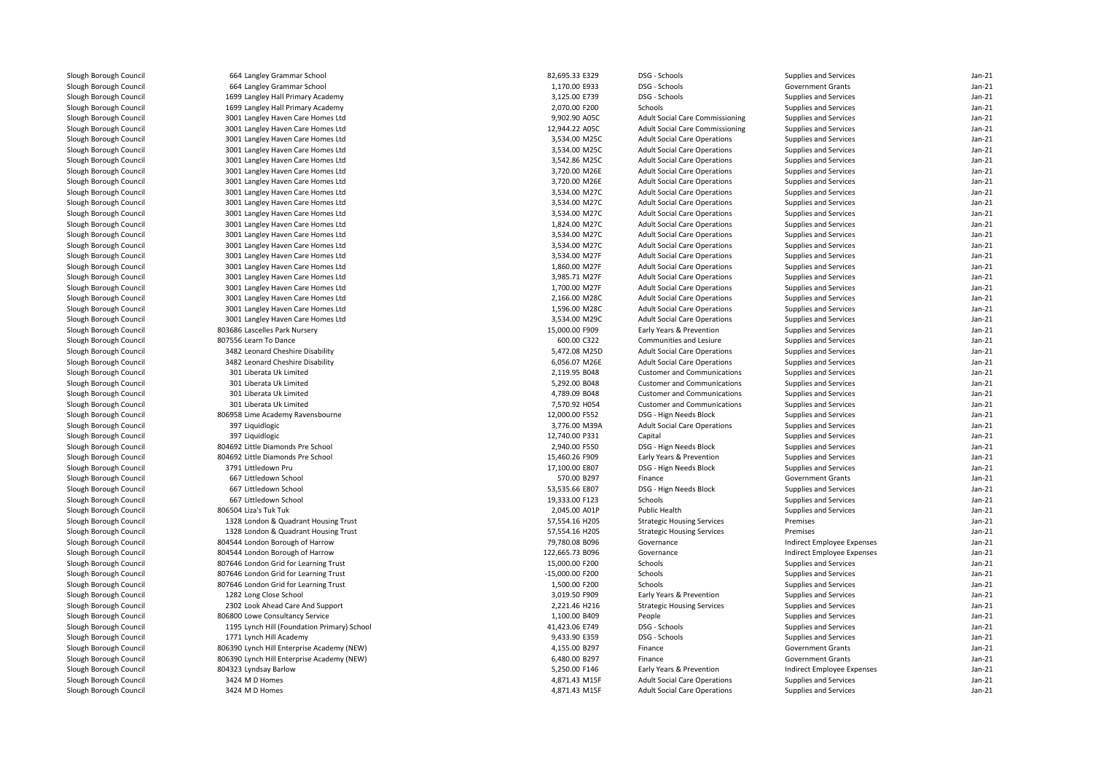| Slough Borough Council | 664 Langley Grammar School                  | 82,695.33 E329  | DSG - Schools                          | Supplies and Services      | $Jan-21$ |
|------------------------|---------------------------------------------|-----------------|----------------------------------------|----------------------------|----------|
| Slough Borough Council | 664 Langley Grammar School                  | 1,170.00 E933   | DSG - Schools                          | <b>Government Grants</b>   | $Jan-21$ |
| Slough Borough Council | 1699 Langley Hall Primary Academy           | 3,125.00 E739   | DSG - Schools                          | Supplies and Services      | $Jan-21$ |
| Slough Borough Council | 1699 Langley Hall Primary Academy           | 2,070.00 F200   | Schools                                | Supplies and Services      | $Jan-21$ |
| Slough Borough Council | 3001 Langley Haven Care Homes Ltd           | 9,902.90 A05C   | <b>Adult Social Care Commissioning</b> | Supplies and Services      | $Jan-21$ |
| Slough Borough Council | 3001 Langley Haven Care Homes Ltd           | 12,944.22 A05C  | <b>Adult Social Care Commissioning</b> | Supplies and Services      | $Jan-21$ |
| Slough Borough Council | 3001 Langley Haven Care Homes Ltd           | 3,534.00 M25C   | <b>Adult Social Care Operations</b>    | Supplies and Services      | $Jan-21$ |
| Slough Borough Council | 3001 Langley Haven Care Homes Ltd           | 3,534.00 M25C   | <b>Adult Social Care Operations</b>    | Supplies and Services      | $Jan-21$ |
| Slough Borough Council | 3001 Langley Haven Care Homes Ltd           | 3,542.86 M25C   | <b>Adult Social Care Operations</b>    | Supplies and Services      | $Jan-21$ |
| Slough Borough Council | 3001 Langley Haven Care Homes Ltd           | 3,720.00 M26E   | <b>Adult Social Care Operations</b>    | Supplies and Services      | $Jan-21$ |
| Slough Borough Council | 3001 Langley Haven Care Homes Ltd           | 3,720.00 M26E   | <b>Adult Social Care Operations</b>    | Supplies and Services      | Jan-21   |
| Slough Borough Council | 3001 Langley Haven Care Homes Ltd           | 3,534.00 M27C   | <b>Adult Social Care Operations</b>    | Supplies and Services      | $Jan-21$ |
| Slough Borough Council | 3001 Langley Haven Care Homes Ltd           | 3,534.00 M27C   | <b>Adult Social Care Operations</b>    | Supplies and Services      | $Jan-21$ |
| Slough Borough Council | 3001 Langley Haven Care Homes Ltd           | 3,534.00 M27C   | <b>Adult Social Care Operations</b>    | Supplies and Services      | $Jan-21$ |
| Slough Borough Council | 3001 Langley Haven Care Homes Ltd           | 1,824.00 M27C   | <b>Adult Social Care Operations</b>    | Supplies and Services      | Jan-21   |
| Slough Borough Council | 3001 Langley Haven Care Homes Ltd           | 3,534.00 M27C   | <b>Adult Social Care Operations</b>    | Supplies and Services      | $Jan-21$ |
| Slough Borough Council | 3001 Langley Haven Care Homes Ltd           | 3,534.00 M27C   | <b>Adult Social Care Operations</b>    | Supplies and Services      | $Jan-21$ |
| Slough Borough Council | 3001 Langley Haven Care Homes Ltd           | 3,534.00 M27F   | <b>Adult Social Care Operations</b>    | Supplies and Services      | $Jan-21$ |
| Slough Borough Council | 3001 Langley Haven Care Homes Ltd           | 1,860.00 M27F   | <b>Adult Social Care Operations</b>    | Supplies and Services      | $Jan-21$ |
| Slough Borough Council | 3001 Langley Haven Care Homes Ltd           | 3,985.71 M27F   | <b>Adult Social Care Operations</b>    | Supplies and Services      | Jan-21   |
| Slough Borough Council | 3001 Langley Haven Care Homes Ltd           | 1,700.00 M27F   | <b>Adult Social Care Operations</b>    | Supplies and Services      | $Jan-21$ |
| Slough Borough Council | 3001 Langley Haven Care Homes Ltd           | 2,166.00 M28C   | <b>Adult Social Care Operations</b>    | Supplies and Services      | Jan-21   |
| Slough Borough Council | 3001 Langley Haven Care Homes Ltd           | 1,596.00 M28C   | <b>Adult Social Care Operations</b>    | Supplies and Services      | $Jan-21$ |
| Slough Borough Council | 3001 Langley Haven Care Homes Ltd           | 3,534.00 M29C   | <b>Adult Social Care Operations</b>    | Supplies and Services      | $Jan-21$ |
| Slough Borough Council | 803686 Lascelles Park Nursery               | 15,000.00 F909  | Early Years & Prevention               | Supplies and Services      | $Jan-21$ |
| Slough Borough Council | 807556 Learn To Dance                       | 600.00 C322     | Communities and Lesiure                | Supplies and Services      | $Jan-21$ |
|                        | 3482 Leonard Cheshire Disability            | 5,472.08 M25D   |                                        |                            | $Jan-21$ |
| Slough Borough Council |                                             |                 | <b>Adult Social Care Operations</b>    | Supplies and Services      |          |
| Slough Borough Council | 3482 Leonard Cheshire Disability            | 6,056.07 M26E   | <b>Adult Social Care Operations</b>    | Supplies and Services      | $Jan-21$ |
| Slough Borough Council | 301 Liberata Uk Limited                     | 2,119.95 B048   | <b>Customer and Communications</b>     | Supplies and Services      | $Jan-21$ |
| Slough Borough Council | 301 Liberata Uk Limited                     | 5,292.00 B048   | <b>Customer and Communications</b>     | Supplies and Services      | $Jan-21$ |
| Slough Borough Council | 301 Liberata Uk Limited                     | 4,789.09 B048   | <b>Customer and Communications</b>     | Supplies and Services      | Jan-21   |
| Slough Borough Council | 301 Liberata Uk Limited                     | 7,570.92 H054   | <b>Customer and Communications</b>     | Supplies and Services      | $Jan-21$ |
| Slough Borough Council | 806958 Lime Academy Ravensbourne            | 12,000.00 F552  | DSG - Hign Needs Block                 | Supplies and Services      | Jan-21   |
| Slough Borough Council | 397 Liquidlogic                             | 3,776.00 M39A   | <b>Adult Social Care Operations</b>    | Supplies and Services      | $Jan-21$ |
| Slough Borough Council | 397 Liquidlogic                             | 12,740.00 P331  | Capital                                | Supplies and Services      | $Jan-21$ |
| Slough Borough Council | 804692 Little Diamonds Pre School           | 2,940.00 F550   | DSG - Hign Needs Block                 | Supplies and Services      | $Jan-21$ |
| Slough Borough Council | 804692 Little Diamonds Pre School           | 15,460.26 F909  | Early Years & Prevention               | Supplies and Services      | $Jan-21$ |
| Slough Borough Council | 3791 Littledown Pru                         | 17,100.00 E807  | DSG - Hign Needs Block                 | Supplies and Services      | $Jan-21$ |
| Slough Borough Council | 667 Littledown School                       | 570.00 B297     | Finance                                | <b>Government Grants</b>   | $Jan-21$ |
| Slough Borough Council | 667 Littledown School                       | 53,535.66 E807  | DSG - Hign Needs Block                 | Supplies and Services      | Jan-21   |
| Slough Borough Council | 667 Littledown School                       | 19,333.00 F123  | Schools                                | Supplies and Services      | $Jan-21$ |
| Slough Borough Council | 806504 Liza's Tuk Tuk                       | 2,045.00 A01P   | Public Health                          | Supplies and Services      | Jan-21   |
| Slough Borough Council | 1328 London & Quadrant Housing Trust        | 57,554.16 H205  | <b>Strategic Housing Services</b>      | Premises                   | $Jan-21$ |
| Slough Borough Council | 1328 London & Quadrant Housing Trust        | 57,554.16 H205  | <b>Strategic Housing Services</b>      | Premises                   | $Jan-21$ |
| Slough Borough Council | 804544 London Borough of Harrow             | 79,780.08 B096  | Governance                             | Indirect Employee Expenses | $Jan-21$ |
| Slough Borough Council | 804544 London Borough of Harrow             | 122,665.73 B096 | Governance                             | Indirect Employee Expenses | $Jan-21$ |
| Slough Borough Council | 807646 London Grid for Learning Trust       | 15,000.00 F200  | Schools                                | Supplies and Services      | $Jan-21$ |
| Slough Borough Council | 807646 London Grid for Learning Trust       | -15,000.00 F200 | Schools                                | Supplies and Services      | $Jan-21$ |
| Slough Borough Council | 807646 London Grid for Learning Trust       | 1,500.00 F200   | Schools                                | Supplies and Services      | Jan-21   |
| Slough Borough Council | 1282 Long Close School                      | 3,019.50 F909   | Early Years & Prevention               | Supplies and Services      | $Jan-21$ |
| Slough Borough Council | 2302 Look Ahead Care And Support            | 2,221.46 H216   | <b>Strategic Housing Services</b>      | Supplies and Services      | $Jan-21$ |
| Slough Borough Council | 806800 Lowe Consultancy Service             | 1,100.00 B409   | People                                 | Supplies and Services      | $Jan-21$ |
|                        | 1195 Lynch Hill (Foundation Primary) School | 41,423.06 E749  | DSG - Schools                          |                            | Jan-21   |
| Slough Borough Council |                                             |                 |                                        | Supplies and Services      |          |
| Slough Borough Council | 1771 Lynch Hill Academy                     | 9,433.90 E359   | DSG - Schools                          | Supplies and Services      | $Jan-21$ |
| Slough Borough Council | 806390 Lynch Hill Enterprise Academy (NEW)  | 4,155.00 B297   | Finance                                | <b>Government Grants</b>   | Jan-21   |
| Slough Borough Council | 806390 Lynch Hill Enterprise Academy (NEW)  | 6,480.00 B297   | Finance                                | <b>Government Grants</b>   | $Jan-21$ |
| Slough Borough Council | 804323 Lyndsay Barlow                       | 5,250.00 F146   | Early Years & Prevention               | Indirect Employee Expenses | $Jan-21$ |
| Slough Borough Council | 3424 M D Homes                              | 4,871.43 M15F   | <b>Adult Social Care Operations</b>    | Supplies and Services      | Jan-21   |
| Slough Borough Council | 3424 M D Homes                              | 4,871.43 M15F   | <b>Adult Social Care Operations</b>    | Supplies and Services      | $Jan-21$ |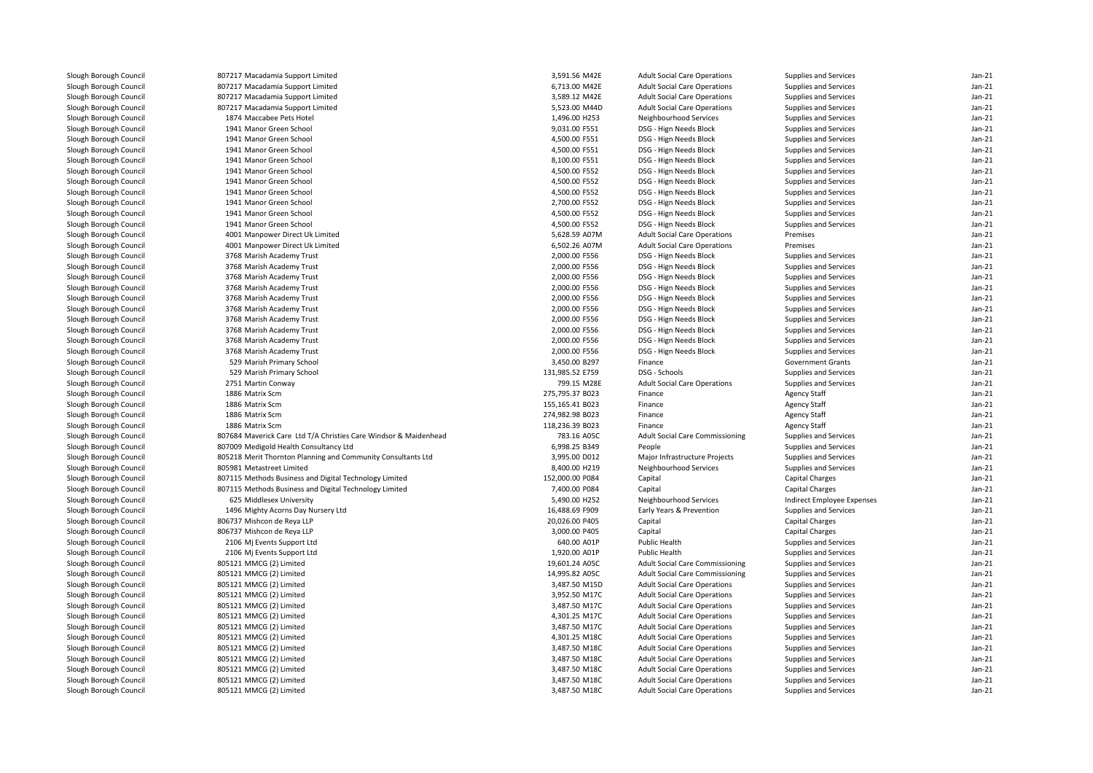| Slough Borough Council | 807217 Macadamia Support Limited                                 | 3,591.56 M42E   | <b>Adult Social Care Operations</b>    | Supplies and Services        | Jan-21   |
|------------------------|------------------------------------------------------------------|-----------------|----------------------------------------|------------------------------|----------|
| Slough Borough Council | 807217 Macadamia Support Limited                                 | 6,713.00 M42E   | <b>Adult Social Care Operations</b>    | Supplies and Services        | $Jan-21$ |
| Slough Borough Council | 807217 Macadamia Support Limited                                 | 3,589.12 M42E   | <b>Adult Social Care Operations</b>    | Supplies and Services        | $Jan-21$ |
| Slough Borough Council | 807217 Macadamia Support Limited                                 | 5,523.00 M44D   | <b>Adult Social Care Operations</b>    | Supplies and Services        | $Jan-21$ |
| Slough Borough Council | 1874 Maccabee Pets Hotel                                         | 1,496.00 H253   | Neighbourhood Services                 | Supplies and Services        | $Jan-21$ |
| Slough Borough Council | 1941 Manor Green School                                          | 9,031.00 F551   | DSG - Hign Needs Block                 | Supplies and Services        | $Jan-21$ |
| Slough Borough Council | 1941 Manor Green School                                          | 4,500.00 F551   | DSG - Hign Needs Block                 | Supplies and Services        | $Jan-21$ |
| Slough Borough Council | 1941 Manor Green School                                          | 4,500.00 F551   | DSG - Hign Needs Block                 | Supplies and Services        | $Jan-21$ |
| Slough Borough Council | 1941 Manor Green School                                          | 8,100.00 F551   | DSG - Hign Needs Block                 | Supplies and Services        | $Jan-21$ |
| Slough Borough Council | 1941 Manor Green School                                          | 4,500.00 F552   | DSG - Hign Needs Block                 | Supplies and Services        | $Jan-21$ |
| Slough Borough Council | 1941 Manor Green School                                          | 4,500.00 F552   | DSG - Hign Needs Block                 | Supplies and Services        | $Jan-21$ |
| Slough Borough Council | 1941 Manor Green School                                          | 4,500.00 F552   | DSG - Hign Needs Block                 | Supplies and Services        | $Jan-21$ |
| Slough Borough Council | 1941 Manor Green School                                          | 2,700.00 F552   | DSG - Hign Needs Block                 | Supplies and Services        | $Jan-21$ |
| Slough Borough Council | 1941 Manor Green School                                          | 4,500.00 F552   | DSG - Hign Needs Block                 | Supplies and Services        | $Jan-21$ |
| Slough Borough Council | 1941 Manor Green School                                          | 4,500.00 F552   | DSG - Hign Needs Block                 | Supplies and Services        | $Jan-21$ |
| Slough Borough Council | 4001 Manpower Direct Uk Limited                                  | 5,628.59 A07M   | <b>Adult Social Care Operations</b>    | Premises                     | $Jan-21$ |
| Slough Borough Council | 4001 Manpower Direct Uk Limited                                  | 6,502.26 A07M   | <b>Adult Social Care Operations</b>    | Premises                     | $Jan-21$ |
| Slough Borough Council | 3768 Marish Academy Trust                                        | 2,000.00 F556   | DSG - Hign Needs Block                 | Supplies and Services        | $Jan-21$ |
| Slough Borough Council | 3768 Marish Academy Trust                                        | 2,000.00 F556   | DSG - Hign Needs Block                 | Supplies and Services        | $Jan-21$ |
| Slough Borough Council | 3768 Marish Academy Trust                                        | 2,000.00 F556   | DSG - Hign Needs Block                 | Supplies and Services        | $Jan-21$ |
| Slough Borough Council | 3768 Marish Academy Trust                                        | 2,000.00 F556   | DSG - Hign Needs Block                 | Supplies and Services        | $Jan-21$ |
| Slough Borough Council | 3768 Marish Academy Trust                                        | 2,000.00 F556   | DSG - Hign Needs Block                 | Supplies and Services        | $Jan-21$ |
| Slough Borough Council | 3768 Marish Academy Trust                                        | 2,000.00 F556   | DSG - Hign Needs Block                 | Supplies and Services        | $Jan-21$ |
| Slough Borough Council | 3768 Marish Academy Trust                                        | 2,000.00 F556   | DSG - Hign Needs Block                 | Supplies and Services        | $Jan-21$ |
| Slough Borough Council | 3768 Marish Academy Trust                                        | 2,000.00 F556   | DSG - Hign Needs Block                 | Supplies and Services        | $Jan-21$ |
| Slough Borough Council | 3768 Marish Academy Trust                                        | 2,000.00 F556   | DSG - Hign Needs Block                 | Supplies and Services        | $Jan-21$ |
| Slough Borough Council | 3768 Marish Academy Trust                                        | 2,000.00 F556   | DSG - Hign Needs Block                 | Supplies and Services        | $Jan-21$ |
| Slough Borough Council | 529 Marish Primary School                                        | 3,450.00 B297   | Finance                                | <b>Government Grants</b>     | $Jan-21$ |
| Slough Borough Council | 529 Marish Primary School                                        | 131,985.52 E759 | DSG - Schools                          | Supplies and Services        | $Jan-21$ |
| Slough Borough Council | 2751 Martin Conway                                               | 799.15 M28E     | <b>Adult Social Care Operations</b>    | Supplies and Services        | $Jan-21$ |
| Slough Borough Council | 1886 Matrix Scm                                                  | 275,795.37 B023 | Finance                                | <b>Agency Staff</b>          | $Jan-21$ |
| Slough Borough Council | 1886 Matrix Scm                                                  | 155,165.41 B023 | Finance                                | <b>Agency Staff</b>          | Jan-21   |
| Slough Borough Council | 1886 Matrix Scm                                                  | 274,982.98 B023 | Finance                                | <b>Agency Staff</b>          | $Jan-21$ |
| Slough Borough Council | 1886 Matrix Scm                                                  | 118,236.39 B023 | Finance                                | <b>Agency Staff</b>          | $Jan-21$ |
| Slough Borough Council | 807684 Maverick Care Ltd T/A Christies Care Windsor & Maidenhead | 783.16 A05C     | <b>Adult Social Care Commissioning</b> | Supplies and Services        | $Jan-21$ |
|                        |                                                                  | 6,998.25 B349   |                                        |                              | $Jan-21$ |
| Slough Borough Council | 807009 Medigold Health Consultancy Ltd                           |                 | People                                 | Supplies and Services        |          |
| Slough Borough Council | 805218 Merit Thornton Planning and Community Consultants Ltd     | 3,995.00 D012   | Major Infrastructure Projects          | Supplies and Services        | $Jan-21$ |
| Slough Borough Council | 805981 Metastreet Limited                                        | 8,400.00 H219   | Neighbourhood Services                 | Supplies and Services        | $Jan-21$ |
| Slough Borough Council | 807115 Methods Business and Digital Technology Limited           | 152,000.00 P084 | Capital                                | <b>Capital Charges</b>       | $Jan-21$ |
| Slough Borough Council | 807115 Methods Business and Digital Technology Limited           | 7,400.00 P084   | Capital                                | <b>Capital Charges</b>       | $Jan-21$ |
| Slough Borough Council | 625 Middlesex University                                         | 5,490.00 H252   | Neighbourhood Services                 | Indirect Employee Expenses   | $Jan-21$ |
| Slough Borough Council | 1496 Mighty Acorns Day Nursery Ltd                               | 16,488.69 F909  | Early Years & Prevention               | <b>Supplies and Services</b> | $Jan-21$ |
| Slough Borough Council | 806737 Mishcon de Reya LLP                                       | 20,026.00 P405  | Capital                                | <b>Capital Charges</b>       | $Jan-21$ |
| Slough Borough Council | 806737 Mishcon de Reya LLP                                       | 3,000.00 P405   | Capital                                | Capital Charges              | $Jan-21$ |
| Slough Borough Council | 2106 Mj Events Support Ltd                                       | 640.00 A01P     | Public Health                          | Supplies and Services        | $Jan-21$ |
| Slough Borough Council | 2106 Mj Events Support Ltd                                       | 1,920.00 A01P   | Public Health                          | Supplies and Services        | $Jan-21$ |
| Slough Borough Council | 805121 MMCG (2) Limited                                          | 19,601.24 A05C  | <b>Adult Social Care Commissioning</b> | Supplies and Services        | $Jan-21$ |
| Slough Borough Council | 805121 MMCG (2) Limited                                          | 14,995.82 A05C  | <b>Adult Social Care Commissioning</b> | Supplies and Services        | $Jan-21$ |
| Slough Borough Council | 805121 MMCG (2) Limited                                          | 3,487.50 M15D   | <b>Adult Social Care Operations</b>    | Supplies and Services        | $Jan-21$ |
| Slough Borough Council | 805121 MMCG (2) Limited                                          | 3,952.50 M17C   | <b>Adult Social Care Operations</b>    | Supplies and Services        | $Jan-21$ |
| Slough Borough Council | 805121 MMCG (2) Limited                                          | 3,487.50 M17C   | <b>Adult Social Care Operations</b>    | Supplies and Services        | $Jan-21$ |
| Slough Borough Council | 805121 MMCG (2) Limited                                          | 4,301.25 M17C   | <b>Adult Social Care Operations</b>    | Supplies and Services        | $Jan-21$ |
| Slough Borough Council | 805121 MMCG (2) Limited                                          | 3,487.50 M17C   | <b>Adult Social Care Operations</b>    | Supplies and Services        | $Jan-21$ |
| Slough Borough Council | 805121 MMCG (2) Limited                                          | 4,301.25 M18C   | <b>Adult Social Care Operations</b>    | Supplies and Services        | $Jan-21$ |
| Slough Borough Council | 805121 MMCG (2) Limited                                          | 3,487.50 M18C   | <b>Adult Social Care Operations</b>    | Supplies and Services        | $Jan-21$ |
| Slough Borough Council | 805121 MMCG (2) Limited                                          | 3,487.50 M18C   | <b>Adult Social Care Operations</b>    | Supplies and Services        | $Jan-21$ |
| Slough Borough Council | 805121 MMCG (2) Limited                                          | 3,487.50 M18C   | <b>Adult Social Care Operations</b>    | Supplies and Services        | $Jan-21$ |
| Slough Borough Council | 805121 MMCG (2) Limited                                          | 3,487.50 M18C   | <b>Adult Social Care Operations</b>    | Supplies and Services        | $Jan-21$ |
| Slough Borough Council | 805121 MMCG (2) Limited                                          | 3,487.50 M18C   | <b>Adult Social Care Operations</b>    | Supplies and Services        | $Jan-21$ |
|                        |                                                                  |                 |                                        |                              |          |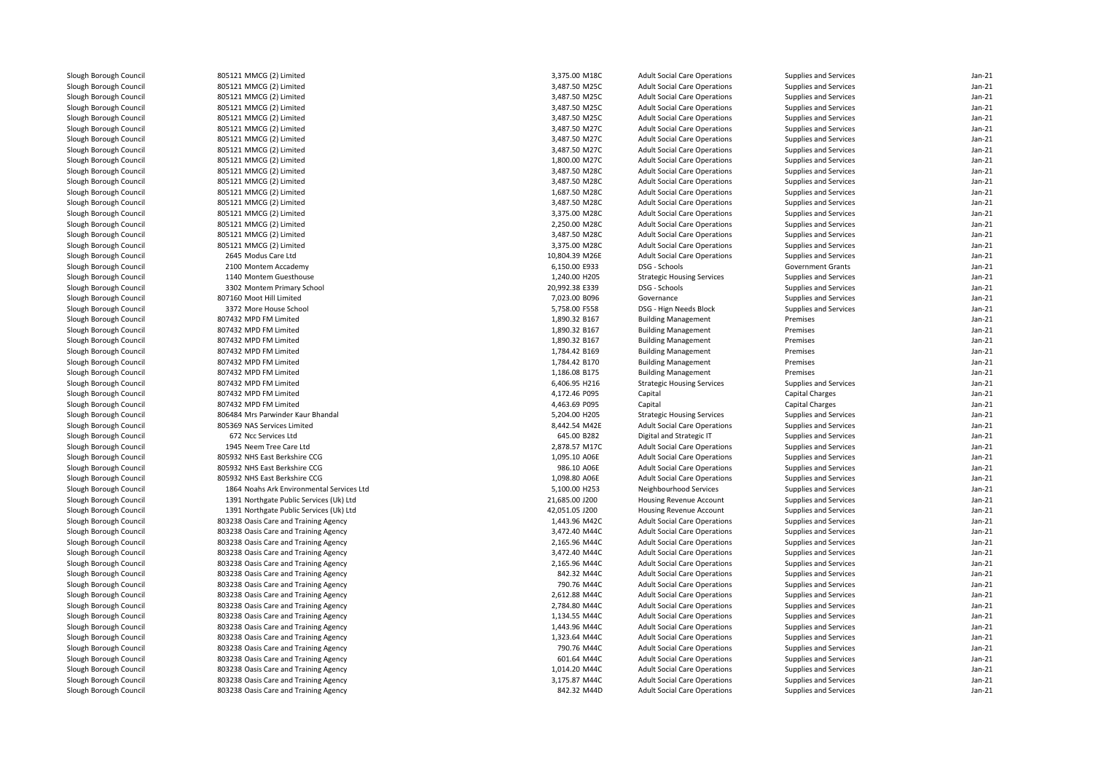| Slough Borough Council | 805121 MMCG (2) Limited                   | 3,375.00 M18C  | <b>Adult Social Care Operations</b> | Supplies and Services    | $Jan-21$ |
|------------------------|-------------------------------------------|----------------|-------------------------------------|--------------------------|----------|
| Slough Borough Council | 805121 MMCG (2) Limited                   | 3,487.50 M25C  | <b>Adult Social Care Operations</b> | Supplies and Services    | $Jan-21$ |
| Slough Borough Council | 805121 MMCG (2) Limited                   | 3,487.50 M25C  | <b>Adult Social Care Operations</b> | Supplies and Services    | Jan-21   |
| Slough Borough Council | 805121 MMCG (2) Limited                   | 3,487.50 M25C  | <b>Adult Social Care Operations</b> | Supplies and Services    | $Jan-21$ |
| Slough Borough Council | 805121 MMCG (2) Limited                   | 3,487.50 M25C  | <b>Adult Social Care Operations</b> | Supplies and Services    | $Jan-21$ |
| Slough Borough Council | 805121 MMCG (2) Limited                   | 3,487.50 M27C  | <b>Adult Social Care Operations</b> | Supplies and Services    | $Jan-21$ |
| Slough Borough Council | 805121 MMCG (2) Limited                   | 3,487.50 M27C  | <b>Adult Social Care Operations</b> | Supplies and Services    | $Jan-21$ |
| Slough Borough Council | 805121 MMCG (2) Limited                   | 3,487.50 M27C  | <b>Adult Social Care Operations</b> | Supplies and Services    | Jan-21   |
| Slough Borough Council | 805121 MMCG (2) Limited                   | 1,800.00 M27C  | <b>Adult Social Care Operations</b> | Supplies and Services    | $Jan-21$ |
| Slough Borough Council | 805121 MMCG (2) Limited                   | 3,487.50 M28C  | <b>Adult Social Care Operations</b> | Supplies and Services    | Jan-21   |
| Slough Borough Council | 805121 MMCG (2) Limited                   | 3,487.50 M28C  | <b>Adult Social Care Operations</b> | Supplies and Services    | $Jan-21$ |
| Slough Borough Council | 805121 MMCG (2) Limited                   | 1,687.50 M28C  | <b>Adult Social Care Operations</b> | Supplies and Services    | Jan-21   |
| Slough Borough Council | 805121 MMCG (2) Limited                   | 3,487.50 M28C  | <b>Adult Social Care Operations</b> | Supplies and Services    | Jan-21   |
| Slough Borough Council | 805121 MMCG (2) Limited                   | 3,375.00 M28C  | <b>Adult Social Care Operations</b> | Supplies and Services    | $Jan-21$ |
| Slough Borough Council | 805121 MMCG (2) Limited                   | 2,250.00 M28C  | <b>Adult Social Care Operations</b> | Supplies and Services    | $Jan-21$ |
| Slough Borough Council | 805121 MMCG (2) Limited                   | 3,487.50 M28C  | <b>Adult Social Care Operations</b> | Supplies and Services    | $Jan-21$ |
| Slough Borough Council | 805121 MMCG (2) Limited                   | 3,375.00 M28C  | <b>Adult Social Care Operations</b> | Supplies and Services    | $Jan-21$ |
| Slough Borough Council | 2645 Modus Care Ltd                       | 10,804.39 M26E | <b>Adult Social Care Operations</b> | Supplies and Services    | $Jan-21$ |
| Slough Borough Council | 2100 Montem Accademy                      | 6,150.00 E933  | DSG - Schools                       | <b>Government Grants</b> | $Jan-21$ |
| Slough Borough Council | 1140 Montem Guesthouse                    | 1,240.00 H205  | <b>Strategic Housing Services</b>   | Supplies and Services    | $Jan-21$ |
| Slough Borough Council | 3302 Montem Primary School                | 20,992.38 E339 | DSG - Schools                       | Supplies and Services    | $Jan-21$ |
| Slough Borough Council | 807160 Moot Hill Limited                  | 7,023.00 B096  | Governance                          | Supplies and Services    | $Jan-21$ |
| Slough Borough Council | 3372 More House School                    | 5,758.00 F558  | DSG - Hign Needs Block              | Supplies and Services    | Jan-21   |
| Slough Borough Council | 807432 MPD FM Limited                     | 1,890.32 B167  | <b>Building Management</b>          | Premises                 | $Jan-21$ |
| Slough Borough Council | 807432 MPD FM Limited                     | 1,890.32 B167  | <b>Building Management</b>          | Premises                 | Jan-21   |
| Slough Borough Council | 807432 MPD FM Limited                     | 1,890.32 B167  | <b>Building Management</b>          | Premises                 | $Jan-21$ |
| Slough Borough Council | 807432 MPD FM Limited                     | 1,784.42 B169  | <b>Building Management</b>          | Premises                 | $Jan-21$ |
| Slough Borough Council | 807432 MPD FM Limited                     | 1,784.42 B170  | <b>Building Management</b>          | Premises                 | Jan-21   |
| Slough Borough Council | 807432 MPD FM Limited                     | 1,186.08 B175  | <b>Building Management</b>          | Premises                 | $Jan-21$ |
| Slough Borough Council | 807432 MPD FM Limited                     | 6,406.95 H216  | <b>Strategic Housing Services</b>   | Supplies and Services    | Jan-21   |
| Slough Borough Council | 807432 MPD FM Limited                     | 4,172.46 P095  | Capital                             | <b>Capital Charges</b>   | $Jan-21$ |
| Slough Borough Council | 807432 MPD FM Limited                     | 4,463.69 P095  | Capital                             | Capital Charges          | $Jan-21$ |
| Slough Borough Council | 806484 Mrs Parwinder Kaur Bhandal         | 5,204.00 H205  | <b>Strategic Housing Services</b>   | Supplies and Services    | $Jan-21$ |
| Slough Borough Council | 805369 NAS Services Limited               | 8,442.54 M42E  | <b>Adult Social Care Operations</b> | Supplies and Services    | $Jan-21$ |
| Slough Borough Council | 672 Ncc Services Ltd                      | 645.00 B282    | Digital and Strategic IT            | Supplies and Services    | Jan-21   |
| Slough Borough Council | 1945 Neem Tree Care Ltd                   | 2,878.57 M17C  | <b>Adult Social Care Operations</b> | Supplies and Services    | $Jan-21$ |
| Slough Borough Council | 805932 NHS East Berkshire CCG             | 1,095.10 A06E  | <b>Adult Social Care Operations</b> | Supplies and Services    | $Jan-21$ |
| Slough Borough Council | 805932 NHS East Berkshire CCG             | 986.10 A06E    | <b>Adult Social Care Operations</b> | Supplies and Services    | $Jan-21$ |
| Slough Borough Council | 805932 NHS East Berkshire CCG             | 1,098.80 A06E  | <b>Adult Social Care Operations</b> | Supplies and Services    | $Jan-21$ |
| Slough Borough Council | 1864 Noahs Ark Environmental Services Ltd | 5,100.00 H253  | Neighbourhood Services              | Supplies and Services    | Jan-21   |
| Slough Borough Council | 1391 Northgate Public Services (Uk) Ltd   | 21,685.00 J200 | Housing Revenue Account             | Supplies and Services    | $Jan-21$ |
| Slough Borough Council | 1391 Northgate Public Services (Uk) Ltd   | 42,051.05 J200 | Housing Revenue Account             | Supplies and Services    | Jan-21   |
| Slough Borough Council | 803238 Oasis Care and Training Agency     | 1.443.96 M42C  | <b>Adult Social Care Operations</b> | Supplies and Services    | $Jan-21$ |
| Slough Borough Council | 803238 Oasis Care and Training Agency     | 3,472.40 M44C  | <b>Adult Social Care Operations</b> | Supplies and Services    | $Jan-21$ |
| Slough Borough Council | 803238 Oasis Care and Training Agency     | 2,165.96 M44C  | <b>Adult Social Care Operations</b> | Supplies and Services    | $Jan-21$ |
| Slough Borough Council | 803238 Oasis Care and Training Agency     | 3,472.40 M44C  | <b>Adult Social Care Operations</b> | Supplies and Services    | $Jan-21$ |
| Slough Borough Council | 803238 Oasis Care and Training Agency     | 2,165.96 M44C  | <b>Adult Social Care Operations</b> | Supplies and Services    | $Jan-21$ |
| Slough Borough Council | 803238 Oasis Care and Training Agency     | 842.32 M44C    | <b>Adult Social Care Operations</b> | Supplies and Services    | $Jan-21$ |
| Slough Borough Council | 803238 Oasis Care and Training Agency     | 790.76 M44C    | <b>Adult Social Care Operations</b> | Supplies and Services    | $Jan-21$ |
| Slough Borough Council | 803238 Oasis Care and Training Agency     | 2,612.88 M44C  | <b>Adult Social Care Operations</b> | Supplies and Services    | Jan-21   |
| Slough Borough Council | 803238 Oasis Care and Training Agency     | 2,784.80 M44C  | <b>Adult Social Care Operations</b> | Supplies and Services    | $Jan-21$ |
| Slough Borough Council | 803238 Oasis Care and Training Agency     | 1,134.55 M44C  | <b>Adult Social Care Operations</b> | Supplies and Services    | Jan-21   |
| Slough Borough Council | 803238 Oasis Care and Training Agency     | 1,443.96 M44C  | <b>Adult Social Care Operations</b> | Supplies and Services    | $Jan-21$ |
| Slough Borough Council | 803238 Oasis Care and Training Agency     | 1,323.64 M44C  | <b>Adult Social Care Operations</b> | Supplies and Services    | Jan-21   |
| Slough Borough Council | 803238 Oasis Care and Training Agency     | 790.76 M44C    | <b>Adult Social Care Operations</b> | Supplies and Services    | $Jan-21$ |
| Slough Borough Council | 803238 Oasis Care and Training Agency     | 601.64 M44C    | <b>Adult Social Care Operations</b> | Supplies and Services    | Jan-21   |
| Slough Borough Council | 803238 Oasis Care and Training Agency     | 1,014.20 M44C  | <b>Adult Social Care Operations</b> | Supplies and Services    | $Jan-21$ |
| Slough Borough Council | 803238 Oasis Care and Training Agency     | 3,175.87 M44C  | <b>Adult Social Care Operations</b> | Supplies and Services    | $Jan-21$ |
| Slough Borough Council | 803238 Oasis Care and Training Agency     | 842.32 M44D    | <b>Adult Social Care Operations</b> | Supplies and Services    | $Jan-21$ |
|                        |                                           |                |                                     |                          |          |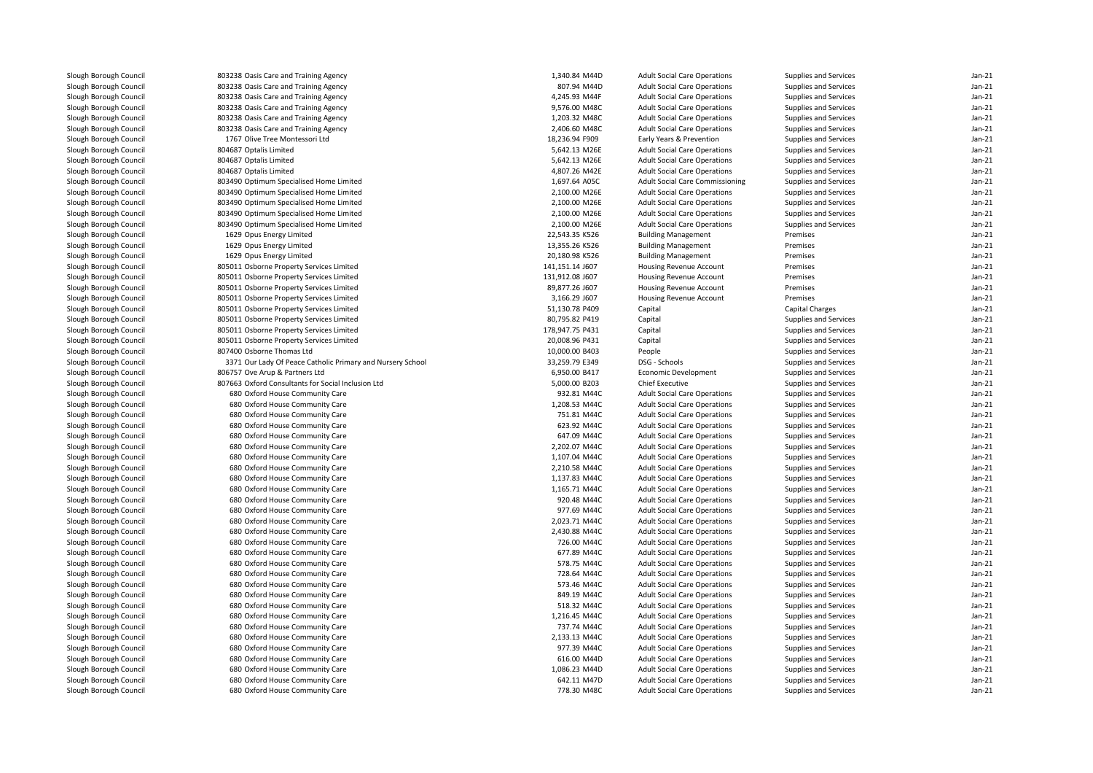| Slough Borough Council | 803238 Oasis Care and Training Agency                      | 1,340.84 M44D   | <b>Adult Social Care Operations</b> | Supplies and Services  | $Jan-21$ |
|------------------------|------------------------------------------------------------|-----------------|-------------------------------------|------------------------|----------|
| Slough Borough Council | 803238 Oasis Care and Training Agency                      | 807.94 M44D     | <b>Adult Social Care Operations</b> | Supplies and Services  | $Jan-21$ |
| Slough Borough Council | 803238 Oasis Care and Training Agency                      | 4,245.93 M44F   | <b>Adult Social Care Operations</b> | Supplies and Services  | Jan-21   |
| Slough Borough Council | 803238 Oasis Care and Training Agency                      | 9,576.00 M48C   | <b>Adult Social Care Operations</b> | Supplies and Services  | $Jan-21$ |
| Slough Borough Council | 803238 Oasis Care and Training Agency                      | 1,203.32 M48C   | <b>Adult Social Care Operations</b> | Supplies and Services  | $Jan-21$ |
| Slough Borough Council | 803238 Oasis Care and Training Agency                      | 2,406.60 M48C   | <b>Adult Social Care Operations</b> | Supplies and Services  | $Jan-21$ |
| Slough Borough Council | 1767 Olive Tree Montessori Ltd                             | 18,236.94 F909  | Early Years & Prevention            | Supplies and Services  | $Jan-21$ |
| Slough Borough Council | 804687 Optalis Limited                                     | 5,642.13 M26E   | <b>Adult Social Care Operations</b> | Supplies and Services  | $Jan-21$ |
| Slough Borough Council | 804687 Optalis Limited                                     | 5,642.13 M26E   | <b>Adult Social Care Operations</b> | Supplies and Services  | $Jan-21$ |
| Slough Borough Council | 804687 Optalis Limited                                     | 4,807.26 M42E   | <b>Adult Social Care Operations</b> | Supplies and Services  | $Jan-21$ |
| Slough Borough Council | 803490 Optimum Specialised Home Limited                    | 1,697.64 A05C   | Adult Social Care Commissioning     | Supplies and Services  | $Jan-21$ |
| Slough Borough Council | 803490 Optimum Specialised Home Limited                    | 2,100.00 M26E   | <b>Adult Social Care Operations</b> | Supplies and Services  | $Jan-21$ |
| Slough Borough Council | 803490 Optimum Specialised Home Limited                    | 2,100.00 M26E   | <b>Adult Social Care Operations</b> | Supplies and Services  | $Jan-21$ |
| Slough Borough Council | 803490 Optimum Specialised Home Limited                    | 2,100.00 M26E   | <b>Adult Social Care Operations</b> | Supplies and Services  | $Jan-21$ |
| Slough Borough Council | 803490 Optimum Specialised Home Limited                    | 2,100.00 M26E   | <b>Adult Social Care Operations</b> | Supplies and Services  | $Jan-21$ |
| Slough Borough Council | 1629 Opus Energy Limited                                   | 22,543.35 K526  | <b>Building Management</b>          | Premises               | $Jan-21$ |
| Slough Borough Council | 1629 Opus Energy Limited                                   | 13,355.26 K526  | <b>Building Management</b>          | Premises               | $Jan-21$ |
| Slough Borough Council | 1629 Opus Energy Limited                                   | 20,180.98 K526  | <b>Building Management</b>          | Premises               | $Jan-21$ |
| Slough Borough Council | 805011 Osborne Property Services Limited                   | 141,151.14 J607 | Housing Revenue Account             | Premises               | $Jan-21$ |
| Slough Borough Council | 805011 Osborne Property Services Limited                   | 131,912.08 J607 | Housing Revenue Account             | Premises               | $Jan-21$ |
| Slough Borough Council | 805011 Osborne Property Services Limited                   | 89,877.26 J607  | Housing Revenue Account             | Premises               | $Jan-21$ |
| Slough Borough Council | 805011 Osborne Property Services Limited                   | 3,166.29 J607   | Housing Revenue Account             | Premises               | $Jan-21$ |
| Slough Borough Council | 805011 Osborne Property Services Limited                   | 51,130.78 P409  | Capital                             | <b>Capital Charges</b> | $Jan-21$ |
| Slough Borough Council | 805011 Osborne Property Services Limited                   | 80,795.82 P419  | Capital                             | Supplies and Services  | $Jan-21$ |
| Slough Borough Council | 805011 Osborne Property Services Limited                   | 178,947.75 P431 | Capital                             | Supplies and Services  | $Jan-21$ |
| Slough Borough Council | 805011 Osborne Property Services Limited                   | 20,008.96 P431  | Capital                             | Supplies and Services  | $Jan-21$ |
| Slough Borough Council | 807400 Osborne Thomas Ltd                                  | 10,000.00 B403  | People                              | Supplies and Services  | $Jan-21$ |
| Slough Borough Council | 3371 Our Lady Of Peace Catholic Primary and Nursery School | 33,259.79 E349  | DSG - Schools                       | Supplies and Services  | $Jan-21$ |
| Slough Borough Council | 806757 Ove Arup & Partners Ltd                             | 6,950.00 B417   | Economic Development                | Supplies and Services  | $Jan-21$ |
| Slough Borough Council | 807663 Oxford Consultants for Social Inclusion Ltd         | 5,000.00 B203   | <b>Chief Executive</b>              | Supplies and Services  | Jan-21   |
| Slough Borough Council | 680 Oxford House Community Care                            | 932.81 M44C     | <b>Adult Social Care Operations</b> | Supplies and Services  | $Jan-21$ |
| Slough Borough Council | 680 Oxford House Community Care                            | 1,208.53 M44C   | <b>Adult Social Care Operations</b> | Supplies and Services  | $Jan-21$ |
| Slough Borough Council | 680 Oxford House Community Care                            | 751.81 M44C     | <b>Adult Social Care Operations</b> | Supplies and Services  | $Jan-21$ |
| Slough Borough Council | 680 Oxford House Community Care                            | 623.92 M44C     | <b>Adult Social Care Operations</b> | Supplies and Services  | Jan-21   |
| Slough Borough Council | 680 Oxford House Community Care                            | 647.09 M44C     | <b>Adult Social Care Operations</b> | Supplies and Services  | $Jan-21$ |
|                        |                                                            |                 |                                     |                        |          |
| Slough Borough Council | 680 Oxford House Community Care                            | 2,202.07 M44C   | <b>Adult Social Care Operations</b> | Supplies and Services  | $Jan-21$ |
| Slough Borough Council | 680 Oxford House Community Care                            | 1,107.04 M44C   | <b>Adult Social Care Operations</b> | Supplies and Services  | $Jan-21$ |
| Slough Borough Council | 680 Oxford House Community Care                            | 2,210.58 M44C   | <b>Adult Social Care Operations</b> | Supplies and Services  | $Jan-21$ |
| Slough Borough Council | 680 Oxford House Community Care                            | 1,137.83 M44C   | <b>Adult Social Care Operations</b> | Supplies and Services  | $Jan-21$ |
| Slough Borough Council | 680 Oxford House Community Care                            | 1,165.71 M44C   | <b>Adult Social Care Operations</b> | Supplies and Services  | $Jan-21$ |
| Slough Borough Council | 680 Oxford House Community Care                            | 920.48 M44C     | <b>Adult Social Care Operations</b> | Supplies and Services  | $Jan-21$ |
| Slough Borough Council | 680 Oxford House Community Care                            | 977.69 M44C     | <b>Adult Social Care Operations</b> | Supplies and Services  | $Jan-21$ |
| Slough Borough Council | 680 Oxford House Community Care                            | 2,023.71 M44C   | <b>Adult Social Care Operations</b> | Supplies and Services  | $Jan-21$ |
| Slough Borough Council | 680 Oxford House Community Care                            | 2,430.88 M44C   | <b>Adult Social Care Operations</b> | Supplies and Services  | $Jan-21$ |
| Slough Borough Council | 680 Oxford House Community Care                            | 726.00 M44C     | <b>Adult Social Care Operations</b> | Supplies and Services  | $Jan-21$ |
| Slough Borough Council | 680 Oxford House Community Care                            | 677.89 M44C     | <b>Adult Social Care Operations</b> | Supplies and Services  | $Jan-21$ |
| Slough Borough Council | 680 Oxford House Community Care                            | 578.75 M44C     | <b>Adult Social Care Operations</b> | Supplies and Services  | $Jan-21$ |
| Slough Borough Council | 680 Oxford House Community Care                            | 728.64 M44C     | <b>Adult Social Care Operations</b> | Supplies and Services  | $Jan-21$ |
| Slough Borough Council | 680 Oxford House Community Care                            | 573.46 M44C     | <b>Adult Social Care Operations</b> | Supplies and Services  | $Jan-21$ |
| Slough Borough Council | 680 Oxford House Community Care                            | 849.19 M44C     | <b>Adult Social Care Operations</b> | Supplies and Services  | $Jan-21$ |
| Slough Borough Council | 680 Oxford House Community Care                            | 518.32 M44C     | <b>Adult Social Care Operations</b> | Supplies and Services  | $Jan-21$ |
| Slough Borough Council | 680 Oxford House Community Care                            | 1,216.45 M44C   | <b>Adult Social Care Operations</b> | Supplies and Services  | $Jan-21$ |
| Slough Borough Council | 680 Oxford House Community Care                            | 737.74 M44C     | <b>Adult Social Care Operations</b> | Supplies and Services  | $Jan-21$ |
| Slough Borough Council | 680 Oxford House Community Care                            | 2,133.13 M44C   | <b>Adult Social Care Operations</b> | Supplies and Services  | $Jan-21$ |
| Slough Borough Council | 680 Oxford House Community Care                            | 977.39 M44C     | <b>Adult Social Care Operations</b> | Supplies and Services  | $Jan-21$ |
| Slough Borough Council | 680 Oxford House Community Care                            | 616.00 M44D     | <b>Adult Social Care Operations</b> | Supplies and Services  | $Jan-21$ |
| Slough Borough Council | 680 Oxford House Community Care                            | 1,086.23 M44D   | <b>Adult Social Care Operations</b> | Supplies and Services  | $Jan-21$ |
| Slough Borough Council | 680 Oxford House Community Care                            | 642.11 M47D     | <b>Adult Social Care Operations</b> | Supplies and Services  | $Jan-21$ |
| Slough Borough Council | 680 Oxford House Community Care                            | 778.30 M48C     | <b>Adult Social Care Operations</b> | Supplies and Services  | $Jan-21$ |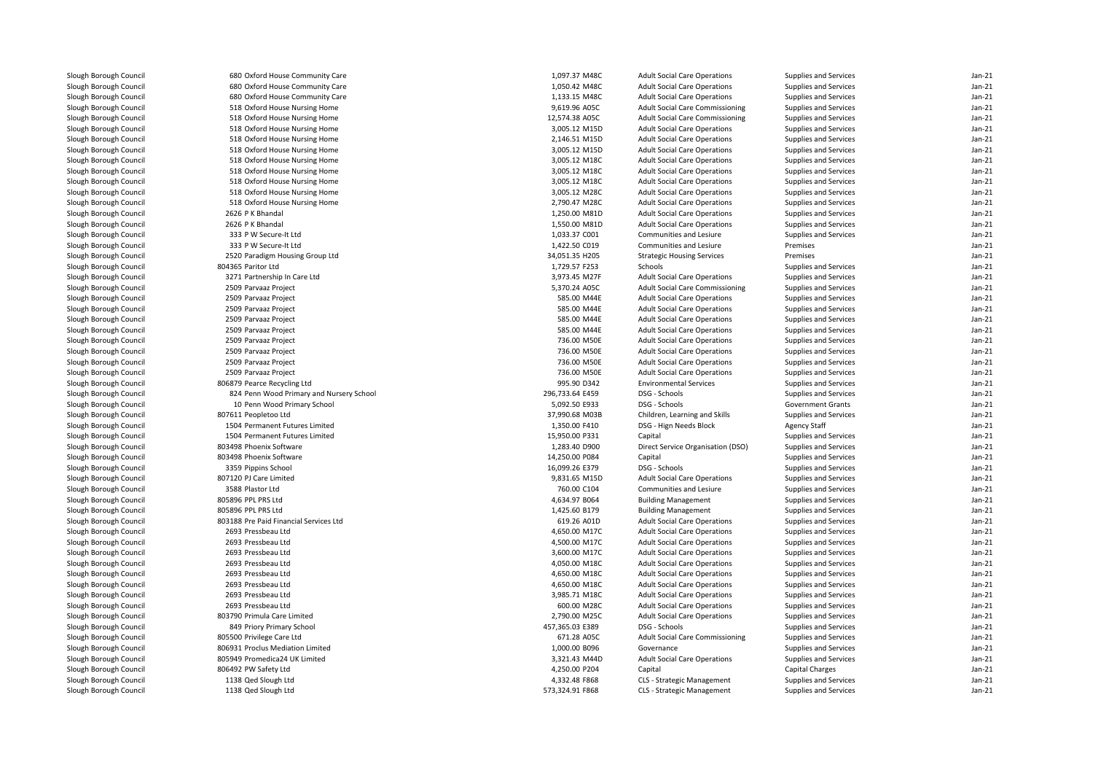| Slough Borough Council | 680 Oxford House Community Care          | 1,097.37 M48C   | <b>Adult Social Care Operations</b>                                        | Supplies and Services                          | $Jan-21$             |
|------------------------|------------------------------------------|-----------------|----------------------------------------------------------------------------|------------------------------------------------|----------------------|
| Slough Borough Council | 680 Oxford House Community Care          | 1,050.42 M48C   | <b>Adult Social Care Operations</b>                                        | Supplies and Services                          | $Jan-21$             |
| Slough Borough Council | 680 Oxford House Community Care          | 1,133.15 M48C   | <b>Adult Social Care Operations</b>                                        | Supplies and Services                          | $Jan-21$             |
| Slough Borough Council | 518 Oxford House Nursing Home            | 9,619.96 A05C   | Adult Social Care Commissioning                                            | Supplies and Services                          | $Jan-21$             |
| Slough Borough Council | 518 Oxford House Nursing Home            | 12,574.38 A05C  | Adult Social Care Commissioning                                            | Supplies and Services                          | $Jan-21$             |
| Slough Borough Council | 518 Oxford House Nursing Home            | 3,005.12 M15D   | <b>Adult Social Care Operations</b>                                        | Supplies and Services                          | $Jan-21$             |
| Slough Borough Council | 518 Oxford House Nursing Home            | 2,146.51 M15D   | <b>Adult Social Care Operations</b>                                        | Supplies and Services                          | $Jan-21$             |
| Slough Borough Council | 518 Oxford House Nursing Home            | 3,005.12 M15D   | <b>Adult Social Care Operations</b>                                        | Supplies and Services                          | $Jan-21$             |
| Slough Borough Council | 518 Oxford House Nursing Home            | 3,005.12 M18C   | <b>Adult Social Care Operations</b>                                        | Supplies and Services                          | $Jan-21$             |
| Slough Borough Council | 518 Oxford House Nursing Home            | 3,005.12 M18C   | <b>Adult Social Care Operations</b>                                        | Supplies and Services                          | $Jan-21$             |
| Slough Borough Council | 518 Oxford House Nursing Home            | 3,005.12 M18C   | <b>Adult Social Care Operations</b>                                        | Supplies and Services                          | $Jan-21$             |
| Slough Borough Council | 518 Oxford House Nursing Home            | 3,005.12 M28C   | <b>Adult Social Care Operations</b>                                        | Supplies and Services                          | $Jan-21$             |
| Slough Borough Council | 518 Oxford House Nursing Home            | 2,790.47 M28C   | <b>Adult Social Care Operations</b>                                        | Supplies and Services                          | $Jan-21$             |
| Slough Borough Council | 2626 P K Bhandal                         | 1,250.00 M81D   | <b>Adult Social Care Operations</b>                                        | Supplies and Services                          | $Jan-21$             |
| Slough Borough Council | 2626 P K Bhandal                         | 1,550.00 M81D   | <b>Adult Social Care Operations</b>                                        | Supplies and Services                          | Jan-21               |
| Slough Borough Council | 333 P W Secure-It Ltd                    | 1,033.37 C001   | Communities and Lesiure                                                    | Supplies and Services                          | $Jan-21$             |
| Slough Borough Council | 333 P W Secure-It Ltd                    | 1,422.50 C019   | Communities and Lesiure                                                    | Premises                                       | Jan-21               |
| Slough Borough Council | 2520 Paradigm Housing Group Ltd          | 34,051.35 H205  | <b>Strategic Housing Services</b>                                          | Premises                                       | $Jan-21$             |
| Slough Borough Council | 804365 Paritor Ltd                       | 1,729.57 F253   | Schools                                                                    | Supplies and Services                          | $Jan-21$             |
| Slough Borough Council | 3271 Partnership In Care Ltd             | 3,973.45 M27F   | <b>Adult Social Care Operations</b>                                        | Supplies and Services                          | $Jan-21$             |
| Slough Borough Council | 2509 Parvaaz Project                     | 5,370.24 A05C   | Adult Social Care Commissioning                                            | Supplies and Services                          | $Jan-21$             |
| Slough Borough Council | 2509 Parvaaz Project                     | 585.00 M44E     | <b>Adult Social Care Operations</b>                                        | Supplies and Services                          | $Jan-21$             |
| Slough Borough Council | 2509 Parvaaz Project                     | 585.00 M44E     | <b>Adult Social Care Operations</b>                                        | Supplies and Services                          | Jan-21               |
| Slough Borough Council | 2509 Parvaaz Project                     | 585.00 M44E     | <b>Adult Social Care Operations</b>                                        | Supplies and Services                          | $Jan-21$             |
| Slough Borough Council | 2509 Parvaaz Project                     | 585.00 M44E     |                                                                            |                                                | $Jan-21$             |
| Slough Borough Council | 2509 Parvaaz Project                     | 736.00 M50E     | <b>Adult Social Care Operations</b><br><b>Adult Social Care Operations</b> | Supplies and Services<br>Supplies and Services | $Jan-21$             |
|                        | 2509 Parvaaz Project                     | 736.00 M50E     | <b>Adult Social Care Operations</b>                                        |                                                | $Jan-21$             |
| Slough Borough Council |                                          |                 |                                                                            | Supplies and Services                          |                      |
| Slough Borough Council | 2509 Parvaaz Project                     | 736.00 M50E     | <b>Adult Social Care Operations</b>                                        | Supplies and Services                          | $Jan-21$<br>$Jan-21$ |
| Slough Borough Council | 2509 Parvaaz Project                     | 736.00 M50E     | <b>Adult Social Care Operations</b>                                        | Supplies and Services                          |                      |
| Slough Borough Council | 806879 Pearce Recycling Ltd              | 995.90 D342     | <b>Environmental Services</b>                                              | Supplies and Services                          | $Jan-21$             |
| Slough Borough Council | 824 Penn Wood Primary and Nursery School | 296,733.64 E459 | DSG - Schools                                                              | Supplies and Services                          | $Jan-21$             |
| Slough Borough Council | 10 Penn Wood Primary School              | 5,092.50 E933   | DSG - Schools                                                              | <b>Government Grants</b>                       | $Jan-21$             |
| Slough Borough Council | 807611 Peopletoo Ltd                     | 37,990.68 M03B  | Children, Learning and Skills                                              | Supplies and Services                          | $Jan-21$             |
| Slough Borough Council | 1504 Permanent Futures Limited           | 1,350.00 F410   | DSG - Hign Needs Block                                                     | <b>Agency Staff</b>                            | $Jan-21$             |
| Slough Borough Council | 1504 Permanent Futures Limited           | 15,950.00 P331  | Capital                                                                    | Supplies and Services                          | $Jan-21$             |
| Slough Borough Council | 803498 Phoenix Software                  | 1,283.40 D900   | Direct Service Organisation (DSO)                                          | Supplies and Services                          | $Jan-21$             |
| Slough Borough Council | 803498 Phoenix Software                  | 14,250.00 P084  | Capital                                                                    | Supplies and Services                          | $Jan-21$             |
| Slough Borough Council | 3359 Pippins School                      | 16,099.26 E379  | DSG - Schools                                                              | Supplies and Services                          | $Jan-21$             |
| Slough Borough Council | 807120 PJ Care Limited                   | 9,831.65 M15D   | <b>Adult Social Care Operations</b>                                        | Supplies and Services                          | $Jan-21$             |
| Slough Borough Council | 3588 Plastor Ltd                         | 760.00 C104     | Communities and Lesiure                                                    | Supplies and Services                          | $Jan-21$             |
| Slough Borough Council | 805896 PPL PRS Ltd                       | 4,634.97 B064   | <b>Building Management</b>                                                 | Supplies and Services                          | $Jan-21$             |
| Slough Borough Council | 805896 PPL PRS Ltd                       | 1,425.60 B179   | <b>Building Management</b>                                                 | Supplies and Services                          | $Jan-21$             |
| Slough Borough Council | 803188 Pre Paid Financial Services Ltd   | 619.26 A01D     | <b>Adult Social Care Operations</b>                                        | Supplies and Services                          | $Jan-21$             |
| Slough Borough Council | 2693 Pressbeau Ltd                       | 4,650.00 M17C   | <b>Adult Social Care Operations</b>                                        | Supplies and Services                          | Jan-21               |
| Slough Borough Council | 2693 Pressbeau Ltd                       | 4,500.00 M17C   | <b>Adult Social Care Operations</b>                                        | Supplies and Services                          | $Jan-21$             |
| Slough Borough Council | 2693 Pressbeau Ltd                       | 3,600.00 M17C   | <b>Adult Social Care Operations</b>                                        | Supplies and Services                          | Jan-21               |
| Slough Borough Council | 2693 Pressbeau Ltd                       | 4,050.00 M18C   | <b>Adult Social Care Operations</b>                                        | Supplies and Services                          | $Jan-21$             |
| Slough Borough Council | 2693 Pressbeau Ltd                       | 4,650.00 M18C   | <b>Adult Social Care Operations</b>                                        | Supplies and Services                          | $Jan-21$             |
| Slough Borough Council | 2693 Pressbeau Ltd                       | 4,650.00 M18C   | <b>Adult Social Care Operations</b>                                        | Supplies and Services                          | $Jan-21$             |
| Slough Borough Council | 2693 Pressbeau Ltd                       | 3,985.71 M18C   | <b>Adult Social Care Operations</b>                                        | Supplies and Services                          | $Jan-21$             |
| Slough Borough Council | 2693 Pressbeau Ltd                       | 600.00 M28C     | <b>Adult Social Care Operations</b>                                        | Supplies and Services                          | $Jan-21$             |
| Slough Borough Council | 803790 Primula Care Limited              | 2,790.00 M25C   | <b>Adult Social Care Operations</b>                                        | Supplies and Services                          | $Jan-21$             |
| Slough Borough Council | 849 Priory Primary School                | 457,365.03 E389 | DSG - Schools                                                              | Supplies and Services                          | $Jan-21$             |
| Slough Borough Council | 805500 Privilege Care Ltd                | 671.28 A05C     | <b>Adult Social Care Commissioning</b>                                     | Supplies and Services                          | $Jan-21$             |
| Slough Borough Council | 806931 Proclus Mediation Limited         | 1,000.00 B096   | Governance                                                                 | Supplies and Services                          | $Jan-21$             |
| Slough Borough Council | 805949 Promedica24 UK Limited            | 3,321.43 M44D   | <b>Adult Social Care Operations</b>                                        | Supplies and Services                          | Jan-21               |
| Slough Borough Council | 806492 PW Safety Ltd                     | 4,250.00 P204   | Capital                                                                    | <b>Capital Charges</b>                         | $Jan-21$             |
| Slough Borough Council | 1138 Qed Slough Ltd                      | 4,332.48 F868   | CLS - Strategic Management                                                 | Supplies and Services                          | Jan-21               |
| Slough Borough Council | 1138 Qed Slough Ltd                      | 573,324.91 F868 | CLS - Strategic Management                                                 | Supplies and Services                          | $Jan-21$             |
|                        |                                          |                 |                                                                            |                                                |                      |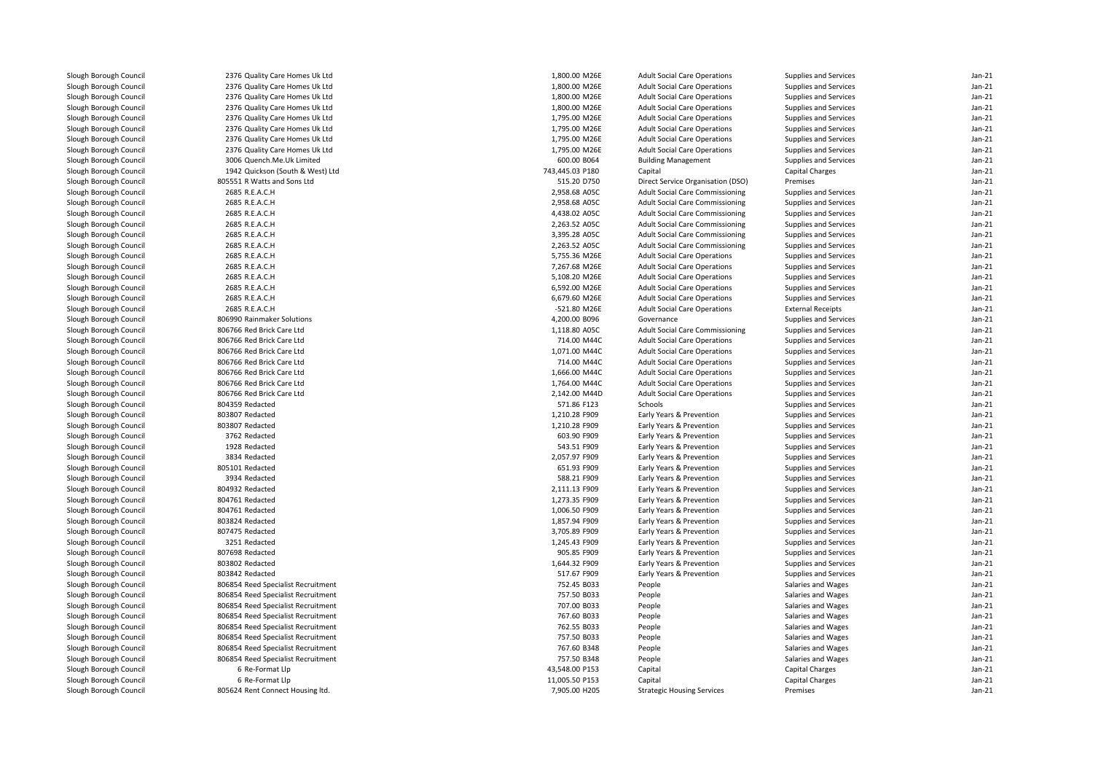| Slough Borough Council | 2376 Quality Care Homes Uk Ltd     | 1,800.00 M26E   | <b>Adult Social Care Operations</b>    | Supplies and Services    | $Jan-21$ |
|------------------------|------------------------------------|-----------------|----------------------------------------|--------------------------|----------|
| Slough Borough Council | 2376 Quality Care Homes Uk Ltd     | 1,800.00 M26E   | <b>Adult Social Care Operations</b>    | Supplies and Services    | $Jan-21$ |
| Slough Borough Council | 2376 Quality Care Homes Uk Ltd     | 1,800.00 M26E   | <b>Adult Social Care Operations</b>    | Supplies and Services    | $Jan-21$ |
| Slough Borough Council | 2376 Quality Care Homes Uk Ltd     | 1,800.00 M26E   | <b>Adult Social Care Operations</b>    | Supplies and Services    | $Jan-21$ |
| Slough Borough Council | 2376 Quality Care Homes Uk Ltd     | 1,795.00 M26E   | <b>Adult Social Care Operations</b>    | Supplies and Services    | Jan-21   |
| Slough Borough Council | 2376 Quality Care Homes Uk Ltd     | 1,795.00 M26E   | <b>Adult Social Care Operations</b>    | Supplies and Services    | $Jan-21$ |
| Slough Borough Council | 2376 Quality Care Homes Uk Ltd     | 1,795.00 M26E   | <b>Adult Social Care Operations</b>    | Supplies and Services    | $Jan-21$ |
| Slough Borough Council | 2376 Quality Care Homes Uk Ltd     | 1,795.00 M26E   | <b>Adult Social Care Operations</b>    | Supplies and Services    | $Jan-21$ |
| Slough Borough Council | 3006 Quench.Me.Uk Limited          | 600.00 B064     | <b>Building Management</b>             | Supplies and Services    | Jan-21   |
| Slough Borough Council | 1942 Quickson (South & West) Ltd   | 743,445.03 P180 | Capital                                | Capital Charges          | $Jan-21$ |
| Slough Borough Council | 805551 R Watts and Sons Ltd        | 515.20 D750     | Direct Service Organisation (DSO)      | Premises                 | Jan-21   |
| Slough Borough Council | 2685 R.E.A.C.H                     | 2,958.68 A05C   | <b>Adult Social Care Commissioning</b> | Supplies and Services    | $Jan-21$ |
| Slough Borough Council | 2685 R.E.A.C.H                     | 2,958.68 A05C   | <b>Adult Social Care Commissioning</b> | Supplies and Services    | Jan-21   |
| Slough Borough Council | 2685 R.E.A.C.H                     | 4,438.02 A05C   | <b>Adult Social Care Commissioning</b> | Supplies and Services    | $Jan-21$ |
| Slough Borough Council | 2685 R.E.A.C.H                     | 2,263.52 A05C   | <b>Adult Social Care Commissioning</b> | Supplies and Services    | Jan-21   |
| Slough Borough Council | 2685 R.E.A.C.H                     | 3,395.28 A05C   | Adult Social Care Commissioning        | Supplies and Services    | $Jan-21$ |
| Slough Borough Council | 2685 R.E.A.C.H                     | 2,263.52 A05C   | <b>Adult Social Care Commissioning</b> | Supplies and Services    | Jan-21   |
| Slough Borough Council | 2685 R.E.A.C.H                     | 5,755.36 M26E   | <b>Adult Social Care Operations</b>    | Supplies and Services    | $Jan-21$ |
| Slough Borough Council | 2685 R.E.A.C.H                     | 7,267.68 M26E   | <b>Adult Social Care Operations</b>    | Supplies and Services    | $Jan-21$ |
| Slough Borough Council | 2685 R.E.A.C.H                     | 5,108.20 M26E   | <b>Adult Social Care Operations</b>    | Supplies and Services    | $Jan-21$ |
| Slough Borough Council | 2685 R.E.A.C.H                     | 6,592.00 M26E   | <b>Adult Social Care Operations</b>    | Supplies and Services    | $Jan-21$ |
| Slough Borough Council | 2685 R.E.A.C.H                     | 6,679.60 M26E   | <b>Adult Social Care Operations</b>    | Supplies and Services    | $Jan-21$ |
| Slough Borough Council | 2685 R.E.A.C.H                     | -521.80 M26E    | <b>Adult Social Care Operations</b>    | <b>External Receipts</b> | $Jan-21$ |
| Slough Borough Council | 806990 Rainmaker Solutions         | 4,200.00 B096   | Governance                             | Supplies and Services    | $Jan-21$ |
| Slough Borough Council | 806766 Red Brick Care Ltd          | 1,118.80 A05C   | Adult Social Care Commissioning        | Supplies and Services    | $Jan-21$ |
| Slough Borough Council | 806766 Red Brick Care Ltd          | 714.00 M44C     | <b>Adult Social Care Operations</b>    | Supplies and Services    | Jan-21   |
| Slough Borough Council | 806766 Red Brick Care Ltd          | 1,071.00 M44C   | <b>Adult Social Care Operations</b>    | Supplies and Services    | $Jan-21$ |
| Slough Borough Council | 806766 Red Brick Care Ltd          | 714.00 M44C     | <b>Adult Social Care Operations</b>    | Supplies and Services    | $Jan-21$ |
| Slough Borough Council | 806766 Red Brick Care Ltd          | 1,666.00 M44C   | <b>Adult Social Care Operations</b>    | Supplies and Services    | $Jan-21$ |
| Slough Borough Council | 806766 Red Brick Care Ltd          | 1,764.00 M44C   | <b>Adult Social Care Operations</b>    | Supplies and Services    | $Jan-21$ |
| Slough Borough Council | 806766 Red Brick Care Ltd          | 2,142.00 M44D   | <b>Adult Social Care Operations</b>    | Supplies and Services    | $Jan-21$ |
| Slough Borough Council | 804359 Redacted                    | 571.86 F123     | Schools                                | Supplies and Services    | $Jan-21$ |
| Slough Borough Council | 803807 Redacted                    | 1,210.28 F909   | Early Years & Prevention               | Supplies and Services    | $Jan-21$ |
| Slough Borough Council | 803807 Redacted                    | 1,210.28 F909   | Early Years & Prevention               | Supplies and Services    | $Jan-21$ |
|                        | 3762 Redacted                      | 603.90 F909     | Early Years & Prevention               |                          | $Jan-21$ |
| Slough Borough Council |                                    |                 |                                        | Supplies and Services    |          |
| Slough Borough Council | 1928 Redacted                      | 543.51 F909     | Early Years & Prevention               | Supplies and Services    | $Jan-21$ |
| Slough Borough Council | 3834 Redacted                      | 2,057.97 F909   | Early Years & Prevention               | Supplies and Services    | $Jan-21$ |
| Slough Borough Council | 805101 Redacted                    | 651.93 F909     | Early Years & Prevention               | Supplies and Services    | $Jan-21$ |
| Slough Borough Council | 3934 Redacted                      | 588.21 F909     | Early Years & Prevention               | Supplies and Services    | $Jan-21$ |
| Slough Borough Council | 804932 Redacted                    | 2,111.13 F909   | Early Years & Prevention               | Supplies and Services    | $Jan-21$ |
| Slough Borough Council | 804761 Redacted                    | 1,273.35 F909   | Early Years & Prevention               | Supplies and Services    | $Jan-21$ |
| Slough Borough Council | 804761 Redacted                    | 1,006.50 F909   | Early Years & Prevention               | Supplies and Services    | $Jan-21$ |
| Slough Borough Council | 803824 Redacted                    | 1,857.94 F909   | Early Years & Prevention               | Supplies and Services    | $Jan-21$ |
| Slough Borough Council | 807475 Redacted                    | 3,705.89 F909   | Early Years & Prevention               | Supplies and Services    | $Jan-21$ |
| Slough Borough Council | 3251 Redacted                      | 1,245.43 F909   | Early Years & Prevention               | Supplies and Services    | $Jan-21$ |
| Slough Borough Council | 807698 Redacted                    | 905.85 F909     | Early Years & Prevention               | Supplies and Services    | Jan-21   |
| Slough Borough Council | 803802 Redacted                    | 1,644.32 F909   | Early Years & Prevention               | Supplies and Services    | $Jan-21$ |
| Slough Borough Council | 803842 Redacted                    | 517.67 F909     | Early Years & Prevention               | Supplies and Services    | $Jan-21$ |
| Slough Borough Council | 806854 Reed Specialist Recruitment | 752.45 B033     | People                                 | Salaries and Wages       | $Jan-21$ |
| Slough Borough Council | 806854 Reed Specialist Recruitment | 757.50 B033     | People                                 | Salaries and Wages       | Jan-21   |
| Slough Borough Council | 806854 Reed Specialist Recruitment | 707.00 B033     | People                                 | Salaries and Wages       | $Jan-21$ |
| Slough Borough Council | 806854 Reed Specialist Recruitment | 767.60 B033     | People                                 | Salaries and Wages       | Jan-21   |
| Slough Borough Council | 806854 Reed Specialist Recruitment | 762.55 B033     | People                                 | Salaries and Wages       | $Jan-21$ |
| Slough Borough Council | 806854 Reed Specialist Recruitment | 757.50 B033     | People                                 | Salaries and Wages       | Jan-21   |
| Slough Borough Council | 806854 Reed Specialist Recruitment | 767.60 B348     | People                                 | Salaries and Wages       | $Jan-21$ |
| Slough Borough Council | 806854 Reed Specialist Recruitment | 757.50 B348     | People                                 | Salaries and Wages       | $Jan-21$ |
| Slough Borough Council | 6 Re-Format Llp                    | 43,548.00 P153  | Capital                                | <b>Capital Charges</b>   | $Jan-21$ |
| Slough Borough Council | 6 Re-Format Llp                    | 11,005.50 P153  | Capital                                | <b>Capital Charges</b>   | $Jan-21$ |
| Slough Borough Council | 805624 Rent Connect Housing ltd.   | 7,905.00 H205   | <b>Strategic Housing Services</b>      | Premises                 | $Jan-21$ |
|                        |                                    |                 |                                        |                          |          |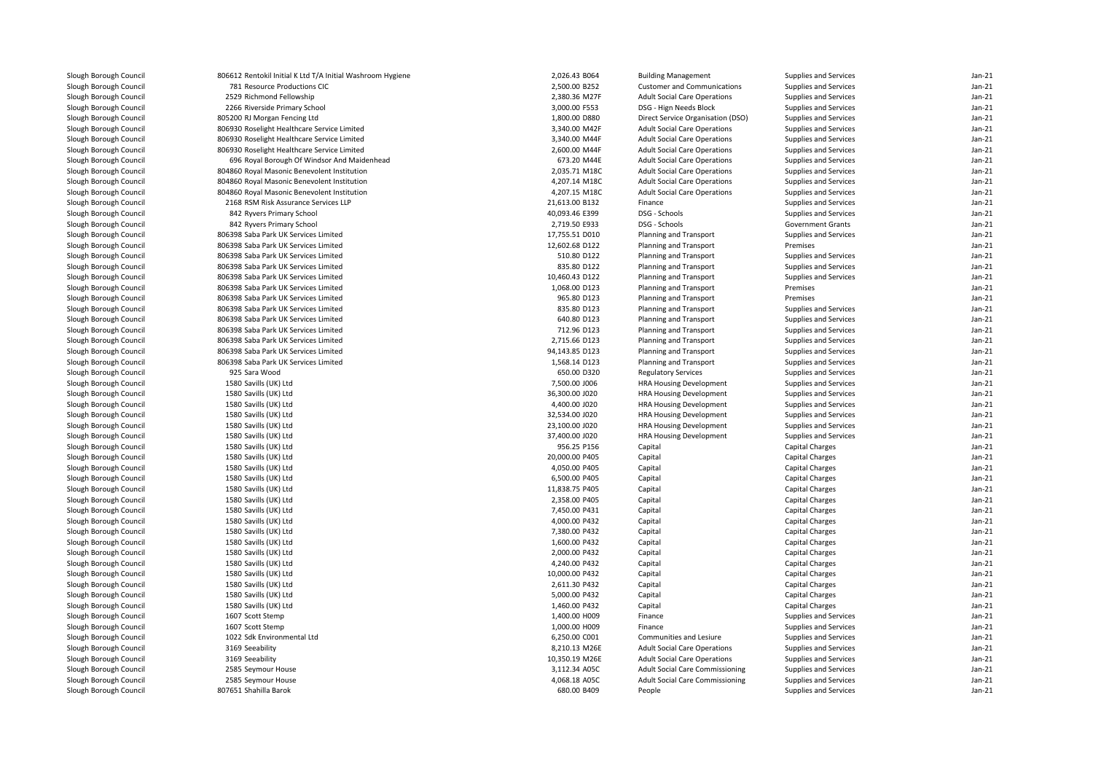| Slough Borough Council | 806612 Rentokil Initial K Ltd T/A Initial Washroom Hygiene | 2,026.43 B064  | <b>Building Management</b>             | Supplies and Services    | $Jan-21$ |
|------------------------|------------------------------------------------------------|----------------|----------------------------------------|--------------------------|----------|
| Slough Borough Council | 781 Resource Productions CIC                               | 2,500.00 B252  | <b>Customer and Communications</b>     | Supplies and Services    | Jan-21   |
| Slough Borough Council | 2529 Richmond Fellowship                                   | 2,380.36 M27F  | <b>Adult Social Care Operations</b>    | Supplies and Services    | $Jan-21$ |
| Slough Borough Council | 2266 Riverside Primary School                              | 3,000.00 F553  | DSG - Hign Needs Block                 | Supplies and Services    | Jan-21   |
| Slough Borough Council | 805200 RJ Morgan Fencing Ltd                               | 1,800.00 D880  | Direct Service Organisation (DSO)      | Supplies and Services    | $Jan-21$ |
| Slough Borough Council | 806930 Roselight Healthcare Service Limited                | 3,340.00 M42F  | <b>Adult Social Care Operations</b>    | Supplies and Services    | $Jan-21$ |
| Slough Borough Council | 806930 Roselight Healthcare Service Limited                | 3,340.00 M44F  | <b>Adult Social Care Operations</b>    | Supplies and Services    | $Jan-21$ |
| Slough Borough Council | 806930 Roselight Healthcare Service Limited                | 2,600.00 M44F  | <b>Adult Social Care Operations</b>    | Supplies and Services    | $Jan-21$ |
| Slough Borough Council | 696 Royal Borough Of Windsor And Maidenhead                | 673.20 M44E    | <b>Adult Social Care Operations</b>    | Supplies and Services    | $Jan-21$ |
| Slough Borough Council | 804860 Royal Masonic Benevolent Institution                | 2,035.71 M18C  | <b>Adult Social Care Operations</b>    | Supplies and Services    | $Jan-21$ |
| Slough Borough Council | 804860 Royal Masonic Benevolent Institution                | 4,207.14 M18C  | <b>Adult Social Care Operations</b>    | Supplies and Services    | $Jan-21$ |
| Slough Borough Council | 804860 Royal Masonic Benevolent Institution                | 4,207.15 M18C  | <b>Adult Social Care Operations</b>    | Supplies and Services    | $Jan-21$ |
| Slough Borough Council | 2168 RSM Risk Assurance Services LLP                       | 21,613.00 B132 | Finance                                | Supplies and Services    | $Jan-21$ |
| Slough Borough Council | 842 Ryvers Primary School                                  | 40,093.46 E399 | DSG - Schools                          | Supplies and Services    | $Jan-21$ |
| Slough Borough Council | 842 Ryvers Primary School                                  | 2,719.50 E933  | DSG - Schools                          | <b>Government Grants</b> | $Jan-21$ |
| Slough Borough Council | 806398 Saba Park UK Services Limited                       | 17,755.51 D010 | Planning and Transport                 | Supplies and Services    | $Jan-21$ |
| Slough Borough Council | 806398 Saba Park UK Services Limited                       | 12,602.68 D122 | Planning and Transport                 | Premises                 | $Jan-21$ |
| Slough Borough Council | 806398 Saba Park UK Services Limited                       | 510.80 D122    | Planning and Transport                 | Supplies and Services    | $Jan-21$ |
| Slough Borough Council | 806398 Saba Park UK Services Limited                       | 835.80 D122    | Planning and Transport                 | Supplies and Services    | $Jan-21$ |
| Slough Borough Council | 806398 Saba Park UK Services Limited                       | 10,460.43 D122 | Planning and Transport                 | Supplies and Services    | Jan-21   |
| Slough Borough Council | 806398 Saba Park UK Services Limited                       | 1,068.00 D123  | Planning and Transport                 | Premises                 | $Jan-21$ |
| Slough Borough Council | 806398 Saba Park UK Services Limited                       | 965.80 D123    | Planning and Transport                 | Premises                 | $Jan-21$ |
| Slough Borough Council | 806398 Saba Park UK Services Limited                       | 835.80 D123    | Planning and Transport                 | Supplies and Services    | $Jan-21$ |
| Slough Borough Council | 806398 Saba Park UK Services Limited                       | 640.80 D123    | Planning and Transport                 | Supplies and Services    | $Jan-21$ |
| Slough Borough Council | 806398 Saba Park UK Services Limited                       | 712.96 D123    | Planning and Transport                 | Supplies and Services    | Jan-21   |
| Slough Borough Council | 806398 Saba Park UK Services Limited                       | 2,715.66 D123  | Planning and Transport                 | Supplies and Services    | $Jan-21$ |
| Slough Borough Council | 806398 Saba Park UK Services Limited                       | 94,143.85 D123 | Planning and Transport                 | Supplies and Services    | $Jan-21$ |
| Slough Borough Council | 806398 Saba Park UK Services Limited                       | 1,568.14 D123  | Planning and Transport                 | Supplies and Services    | $Jan-21$ |
| Slough Borough Council | 925 Sara Wood                                              | 650.00 D320    | <b>Regulatory Services</b>             | Supplies and Services    | $Jan-21$ |
| Slough Borough Council | 1580 Savills (UK) Ltd                                      | 7,500.00 J006  | <b>HRA Housing Development</b>         | Supplies and Services    | $Jan-21$ |
| Slough Borough Council | 1580 Savills (UK) Ltd                                      | 36,300.00 J020 | <b>HRA Housing Development</b>         | Supplies and Services    | $Jan-21$ |
| Slough Borough Council | 1580 Savills (UK) Ltd                                      | 4,400.00 J020  | <b>HRA Housing Development</b>         | Supplies and Services    | $Jan-21$ |
| Slough Borough Council | 1580 Savills (UK) Ltd                                      | 32,534.00 J020 | <b>HRA Housing Development</b>         | Supplies and Services    | $Jan-21$ |
| Slough Borough Council | 1580 Savills (UK) Ltd                                      | 23,100.00 J020 | <b>HRA Housing Development</b>         | Supplies and Services    | $Jan-21$ |
| Slough Borough Council | 1580 Savills (UK) Ltd                                      | 37,400.00 J020 | <b>HRA Housing Development</b>         | Supplies and Services    | $Jan-21$ |
| Slough Borough Council | 1580 Savills (UK) Ltd                                      | 956.25 P156    | Capital                                | <b>Capital Charges</b>   | $Jan-21$ |
| Slough Borough Council | 1580 Savills (UK) Ltd                                      | 20,000.00 P405 | Capital                                | <b>Capital Charges</b>   | Jan-21   |
| Slough Borough Council | 1580 Savills (UK) Ltd                                      | 4,050.00 P405  | Capital                                | <b>Capital Charges</b>   | $Jan-21$ |
| Slough Borough Council | 1580 Savills (UK) Ltd                                      | 6,500.00 P405  | Capital                                | <b>Capital Charges</b>   | Jan-21   |
| Slough Borough Council | 1580 Savills (UK) Ltd                                      | 11,838.75 P405 | Capital                                | <b>Capital Charges</b>   | $Jan-21$ |
| Slough Borough Council | 1580 Savills (UK) Ltd                                      | 2.358.00 P405  | Capital                                | <b>Capital Charges</b>   | $Jan-21$ |
| Slough Borough Council | 1580 Savills (UK) Ltd                                      | 7,450.00 P431  | Capital                                | <b>Capital Charges</b>   | $Jan-21$ |
| Slough Borough Council | 1580 Savills (UK) Ltd                                      | 4,000.00 P432  | Capital                                | Capital Charges          | $Jan-21$ |
| Slough Borough Council | 1580 Savills (UK) Ltd                                      | 7,380.00 P432  | Capital                                | Capital Charges          | $Jan-21$ |
| Slough Borough Council | 1580 Savills (UK) Ltd                                      | 1,600.00 P432  | Capital                                | Capital Charges          | $Jan-21$ |
| Slough Borough Council | 1580 Savills (UK) Ltd                                      | 2,000.00 P432  | Capital                                | Capital Charges          | $Jan-21$ |
| Slough Borough Council | 1580 Savills (UK) Ltd                                      | 4,240.00 P432  | Capital                                | Capital Charges          | $Jan-21$ |
| Slough Borough Council | 1580 Savills (UK) Ltd                                      | 10,000.00 P432 | Capital                                | <b>Capital Charges</b>   | $Jan-21$ |
| Slough Borough Council | 1580 Savills (UK) Ltd                                      | 2,611.30 P432  | Capital                                | <b>Capital Charges</b>   | $Jan-21$ |
| Slough Borough Council | 1580 Savills (UK) Ltd                                      | 5,000.00 P432  | Capital                                | <b>Capital Charges</b>   | $Jan-21$ |
| Slough Borough Council | 1580 Savills (UK) Ltd                                      | 1,460.00 P432  | Capital                                | <b>Capital Charges</b>   | $Jan-21$ |
| Slough Borough Council | 1607 Scott Stemp                                           | 1,400.00 H009  | Finance                                | Supplies and Services    | $Jan-21$ |
| Slough Borough Council | 1607 Scott Stemp                                           | 1,000.00 H009  | Finance                                | Supplies and Services    | $Jan-21$ |
| Slough Borough Council | 1022 Sdk Environmental Ltd                                 | 6,250.00 C001  | Communities and Lesiure                | Supplies and Services    | $Jan-21$ |
| Slough Borough Council | 3169 Seeability                                            | 8,210.13 M26E  | <b>Adult Social Care Operations</b>    | Supplies and Services    | $Jan-21$ |
| Slough Borough Council | 3169 Seeability                                            | 10,350.19 M26E | <b>Adult Social Care Operations</b>    | Supplies and Services    | $Jan-21$ |
| Slough Borough Council | 2585 Seymour House                                         | 3,112.34 A05C  | <b>Adult Social Care Commissioning</b> | Supplies and Services    | $Jan-21$ |
| Slough Borough Council | 2585 Seymour House                                         | 4,068.18 A05C  | <b>Adult Social Care Commissioning</b> | Supplies and Services    | Jan-21   |
| Slough Borough Council | 807651 Shahilla Barok                                      | 680.00 B409    | People                                 | Supplies and Services    | $Jan-21$ |
|                        |                                                            |                |                                        |                          |          |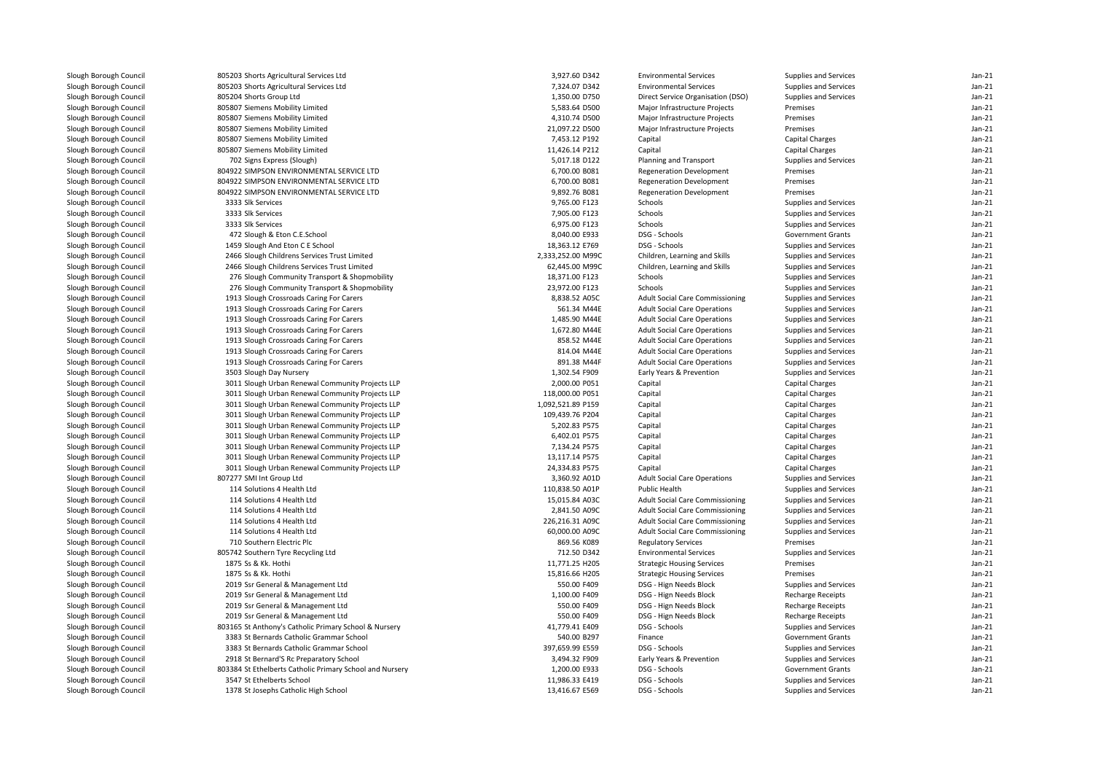| Slough Borough Council | 805203 Shorts Agricultural Services Ltd                  | 3,927.60 D342     | <b>Environmental Services</b>          | Supplies and Services    | $Jan-21$ |
|------------------------|----------------------------------------------------------|-------------------|----------------------------------------|--------------------------|----------|
| Slough Borough Council | 805203 Shorts Agricultural Services Ltd                  | 7,324.07 D342     | <b>Environmental Services</b>          | Supplies and Services    | $Jan-21$ |
| Slough Borough Council | 805204 Shorts Group Ltd                                  | 1,350.00 D750     | Direct Service Organisation (DSO)      | Supplies and Services    | $Jan-21$ |
| Slough Borough Council | 805807 Siemens Mobility Limited                          | 5,583.64 D500     | Major Infrastructure Projects          | Premises                 | $Jan-21$ |
| Slough Borough Council | 805807 Siemens Mobility Limited                          | 4,310.74 D500     | Major Infrastructure Projects          | Premises                 | $Jan-21$ |
| Slough Borough Council | 805807 Siemens Mobility Limited                          | 21,097.22 D500    | Major Infrastructure Projects          | Premises                 | $Jan-21$ |
| Slough Borough Council | 805807 Siemens Mobility Limited                          | 7,453.12 P192     | Capital                                | Capital Charges          | $Jan-21$ |
| Slough Borough Council | 805807 Siemens Mobility Limited                          | 11,426.14 P212    | Capital                                | <b>Capital Charges</b>   | $Jan-21$ |
| Slough Borough Council | 702 Signs Express (Slough)                               | 5,017.18 D122     | Planning and Transport                 | Supplies and Services    | $Jan-21$ |
| Slough Borough Council | 804922 SIMPSON ENVIRONMENTAL SERVICE LTD                 | 6,700.00 B081     | <b>Regeneration Development</b>        | Premises                 | $Jan-21$ |
| Slough Borough Council | 804922 SIMPSON ENVIRONMENTAL SERVICE LTD                 | 6,700.00 B081     | <b>Regeneration Development</b>        | Premises                 | $Jan-21$ |
| Slough Borough Council | 804922 SIMPSON ENVIRONMENTAL SERVICE LTD                 | 9,892.76 B081     | <b>Regeneration Development</b>        | Premises                 | $Jan-21$ |
| Slough Borough Council | 3333 Slk Services                                        | 9,765.00 F123     | Schools                                | Supplies and Services    | $Jan-21$ |
| Slough Borough Council | 3333 Slk Services                                        | 7,905.00 F123     | Schools                                | Supplies and Services    | $Jan-21$ |
| Slough Borough Council | 3333 Slk Services                                        | 6,975.00 F123     | Schools                                | Supplies and Services    | $Jan-21$ |
| Slough Borough Council | 472 Slough & Eton C.E.School                             | 8,040.00 E933     | DSG - Schools                          | <b>Government Grants</b> | $Jan-21$ |
| Slough Borough Council | 1459 Slough And Eton C E School                          | 18,363.12 E769    | DSG - Schools                          | Supplies and Services    | $Jan-21$ |
|                        |                                                          |                   |                                        |                          |          |
| Slough Borough Council | 2466 Slough Childrens Services Trust Limited             | 2,333,252.00 M99C | Children, Learning and Skills          | Supplies and Services    | $Jan-21$ |
| Slough Borough Council | 2466 Slough Childrens Services Trust Limited             | 62,445.00 M99C    | Children, Learning and Skills          | Supplies and Services    | $Jan-21$ |
| Slough Borough Council | 276 Slough Community Transport & Shopmobility            | 18,371.00 F123    | Schools                                | Supplies and Services    | $Jan-21$ |
| Slough Borough Council | 276 Slough Community Transport & Shopmobility            | 23,972.00 F123    | Schools                                | Supplies and Services    | $Jan-21$ |
| Slough Borough Council | 1913 Slough Crossroads Caring For Carers                 | 8,838.52 A05C     | <b>Adult Social Care Commissioning</b> | Supplies and Services    | $Jan-21$ |
| Slough Borough Council | 1913 Slough Crossroads Caring For Carers                 | 561.34 M44E       | <b>Adult Social Care Operations</b>    | Supplies and Services    | $Jan-21$ |
| Slough Borough Council | 1913 Slough Crossroads Caring For Carers                 | 1,485.90 M44E     | <b>Adult Social Care Operations</b>    | Supplies and Services    | $Jan-21$ |
| Slough Borough Council | 1913 Slough Crossroads Caring For Carers                 | 1,672.80 M44E     | <b>Adult Social Care Operations</b>    | Supplies and Services    | $Jan-21$ |
| Slough Borough Council | 1913 Slough Crossroads Caring For Carers                 | 858.52 M44E       | <b>Adult Social Care Operations</b>    | Supplies and Services    | $Jan-21$ |
| Slough Borough Council | 1913 Slough Crossroads Caring For Carers                 | 814.04 M44E       | <b>Adult Social Care Operations</b>    | Supplies and Services    | $Jan-21$ |
| Slough Borough Council | 1913 Slough Crossroads Caring For Carers                 | 891.38 M44F       | <b>Adult Social Care Operations</b>    | Supplies and Services    | $Jan-21$ |
| Slough Borough Council | 3503 Slough Day Nursery                                  | 1,302.54 F909     | Early Years & Prevention               | Supplies and Services    | $Jan-21$ |
| Slough Borough Council | 3011 Slough Urban Renewal Community Projects LLP         | 2,000.00 P051     | Capital                                | <b>Capital Charges</b>   | $Jan-21$ |
| Slough Borough Council | 3011 Slough Urban Renewal Community Projects LLP         | 118,000.00 P051   | Capital                                | Capital Charges          | $Jan-21$ |
| Slough Borough Council | 3011 Slough Urban Renewal Community Projects LLP         | 1,092,521.89 P159 | Capital                                | <b>Capital Charges</b>   | $Jan-21$ |
| Slough Borough Council | 3011 Slough Urban Renewal Community Projects LLP         | 109,439.76 P204   | Capital                                | <b>Capital Charges</b>   | $Jan-21$ |
| Slough Borough Council | 3011 Slough Urban Renewal Community Projects LLP         | 5,202.83 P575     | Capital                                | <b>Capital Charges</b>   | $Jan-21$ |
| Slough Borough Council | 3011 Slough Urban Renewal Community Projects LLP         | 6,402.01 P575     | Capital                                | Capital Charges          | $Jan-21$ |
| Slough Borough Council | 3011 Slough Urban Renewal Community Projects LLP         | 7,134.24 P575     | Capital                                | <b>Capital Charges</b>   | $Jan-21$ |
| Slough Borough Council | 3011 Slough Urban Renewal Community Projects LLP         | 13,117.14 P575    | Capital                                | Capital Charges          | $Jan-21$ |
| Slough Borough Council | 3011 Slough Urban Renewal Community Projects LLP         | 24,334.83 P575    | Capital                                | <b>Capital Charges</b>   | $Jan-21$ |
| Slough Borough Council | 807277 SMI Int Group Ltd                                 | 3,360.92 A01D     | <b>Adult Social Care Operations</b>    | Supplies and Services    | $Jan-21$ |
| Slough Borough Council | 114 Solutions 4 Health Ltd                               | 110,838.50 A01P   | Public Health                          | Supplies and Services    | $Jan-21$ |
| Slough Borough Council | 114 Solutions 4 Health Ltd                               | 15,015.84 A03C    | <b>Adult Social Care Commissioning</b> | Supplies and Services    | $Jan-21$ |
| Slough Borough Council | 114 Solutions 4 Health Ltd                               | 2,841.50 A09C     | <b>Adult Social Care Commissioning</b> | Supplies and Services    | $Jan-21$ |
| Slough Borough Council | 114 Solutions 4 Health Ltd                               | 226,216.31 A09C   | <b>Adult Social Care Commissioning</b> | Supplies and Services    | $Jan-21$ |
| Slough Borough Council | 114 Solutions 4 Health Ltd                               | 60,000.00 A09C    | <b>Adult Social Care Commissioning</b> | Supplies and Services    | $Jan-21$ |
| Slough Borough Council | 710 Southern Electric Plc                                | 869.56 K089       | <b>Regulatory Services</b>             | Premises                 | $Jan-21$ |
| Slough Borough Council | 805742 Southern Tyre Recycling Ltd                       | 712.50 D342       | <b>Environmental Services</b>          | Supplies and Services    | $Jan-21$ |
| Slough Borough Council | 1875 Ss & Kk. Hothi                                      | 11,771.25 H205    | <b>Strategic Housing Services</b>      | Premises                 | $Jan-21$ |
| Slough Borough Council | 1875 Ss & Kk. Hothi                                      | 15,816.66 H205    | <b>Strategic Housing Services</b>      | Premises                 | $Jan-21$ |
| Slough Borough Council | 2019 Ssr General & Management Ltd                        | 550.00 F409       | DSG - Hign Needs Block                 | Supplies and Services    | $Jan-21$ |
| Slough Borough Council | 2019 Ssr General & Management Ltd                        | 1,100.00 F409     | DSG - Hign Needs Block                 | <b>Recharge Receipts</b> | $Jan-21$ |
| Slough Borough Council | 2019 Ssr General & Management Ltd                        | 550.00 F409       | DSG - Hign Needs Block                 | <b>Recharge Receipts</b> | $Jan-21$ |
| Slough Borough Council | 2019 Ssr General & Management Ltd                        | 550.00 F409       | DSG - Hign Needs Block                 | <b>Recharge Receipts</b> | $Jan-21$ |
|                        |                                                          |                   |                                        |                          |          |
| Slough Borough Council | 803165 St Anthony's Catholic Primary School & Nursery    | 41,779.41 E409    | DSG - Schools                          | Supplies and Services    | $Jan-21$ |
| Slough Borough Council | 3383 St Bernards Catholic Grammar School                 | 540.00 B297       | Finance                                | <b>Government Grants</b> | $Jan-21$ |
| Slough Borough Council | 3383 St Bernards Catholic Grammar School                 | 397,659.99 E559   | DSG - Schools                          | Supplies and Services    | $Jan-21$ |
| Slough Borough Council | 2918 St Bernard'S Rc Preparatory School                  | 3,494.32 F909     | Early Years & Prevention               | Supplies and Services    | $Jan-21$ |
| Slough Borough Council | 803384 St Ethelberts Catholic Primary School and Nursery | 1,200.00 E933     | DSG - Schools                          | <b>Government Grants</b> | Jan-21   |
| Slough Borough Council | 3547 St Ethelberts School                                | 11,986.33 E419    | DSG - Schools                          | Supplies and Services    | $Jan-21$ |
| Slough Borough Council | 1378 St Josephs Catholic High School                     | 13,416.67 E569    | DSG - Schools                          | Supplies and Services    | $Jan-21$ |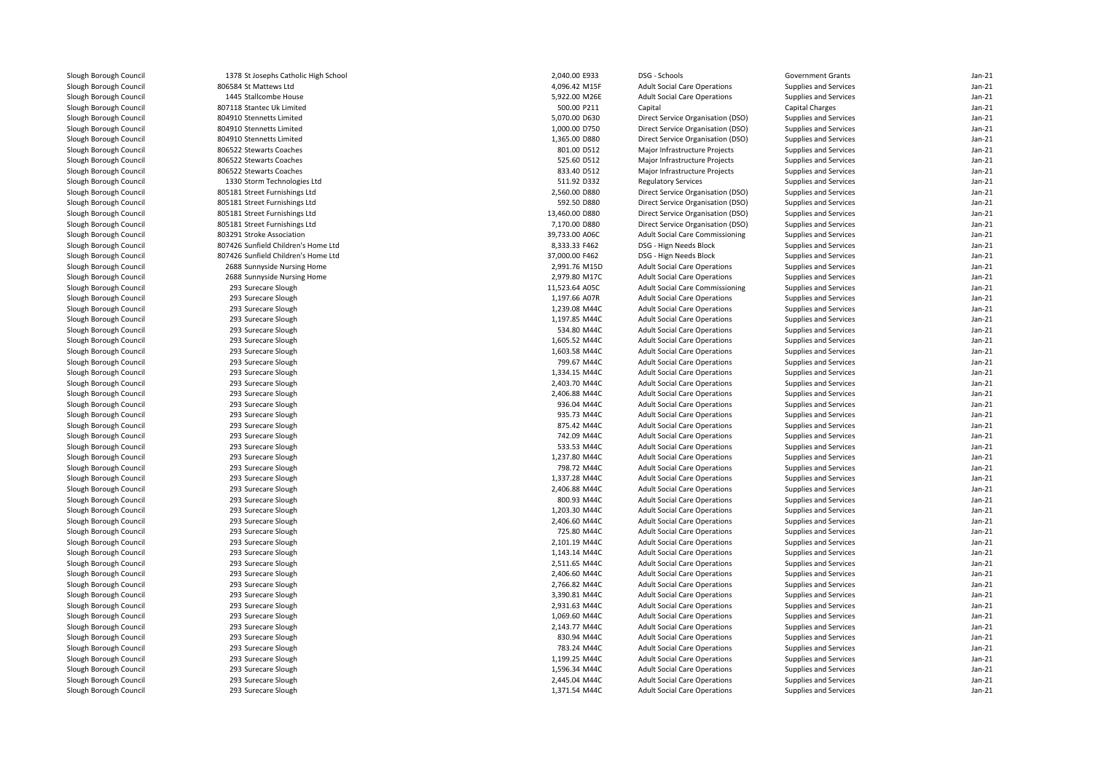| Slough Borough Council | 1378 St Josephs Catholic High School                                       | 2,040.00 E933                   | DSG - Schools                          | <b>Government Grants</b> | $Jan-21$           |
|------------------------|----------------------------------------------------------------------------|---------------------------------|----------------------------------------|--------------------------|--------------------|
| Slough Borough Council | 806584 St Mattews Ltd                                                      | 4,096.42 M15F                   | <b>Adult Social Care Operations</b>    | Supplies and Services    | $Jan-21$           |
| Slough Borough Council | 1445 Stallcombe House                                                      | 5,922.00 M26E                   | <b>Adult Social Care Operations</b>    | Supplies and Services    | Jan-21             |
| Slough Borough Council | 807118 Stantec Uk Limited                                                  | 500.00 P211                     | Capital                                | <b>Capital Charges</b>   | Jan-21             |
| Slough Borough Council | 804910 Stennetts Limited                                                   | 5,070.00 D630                   | Direct Service Organisation (DSO)      | Supplies and Services    | $Jan-21$           |
| Slough Borough Council | 804910 Stennetts Limited                                                   | 1,000.00 D750                   | Direct Service Organisation (DSO)      | Supplies and Services    | $Jan-21$           |
| Slough Borough Council | 804910 Stennetts Limited                                                   | 1,365.00 D880                   | Direct Service Organisation (DSO)      | Supplies and Services    | $Jan-21$           |
| Slough Borough Council | 806522 Stewarts Coaches                                                    | 801.00 D512                     | Major Infrastructure Projects          | Supplies and Services    | Jan-21             |
| Slough Borough Council | 806522 Stewarts Coaches                                                    | 525.60 D512                     | Major Infrastructure Projects          | Supplies and Services    | $Jan-21$           |
| Slough Borough Council | 806522 Stewarts Coaches                                                    | 833.40 D512                     | Major Infrastructure Projects          | Supplies and Services    | $Jan-21$           |
| Slough Borough Council | 1330 Storm Technologies Ltd                                                | 511.92 D332                     | <b>Regulatory Services</b>             | Supplies and Services    | $Jan-21$           |
| Slough Borough Council | 805181 Street Furnishings Ltd                                              | 2,560.00 D880                   | Direct Service Organisation (DSO)      | Supplies and Services    | $Jan-21$           |
| Slough Borough Council | 805181 Street Furnishings Ltd                                              | 592.50 D880                     | Direct Service Organisation (DSO)      | Supplies and Services    | $Jan-21$           |
| Slough Borough Council | 805181 Street Furnishings Ltd                                              | 13,460.00 D880                  | Direct Service Organisation (DSO)      | Supplies and Services    | Jan-21             |
| Slough Borough Council | 805181 Street Furnishings Ltd                                              | 7,170.00 D880                   | Direct Service Organisation (DSO)      | Supplies and Services    | $Jan-21$           |
|                        | 803291 Stroke Association                                                  | 39,733.00 A06C                  |                                        |                          | $Jan-21$           |
| Slough Borough Council |                                                                            |                                 | Adult Social Care Commissioning        | Supplies and Services    |                    |
| Slough Borough Council | 807426 Sunfield Children's Home Ltd<br>807426 Sunfield Children's Home Ltd | 8,333.33 F462<br>37,000.00 F462 | DSG - Hign Needs Block                 | Supplies and Services    | Jan-21<br>$Jan-21$ |
| Slough Borough Council |                                                                            |                                 | DSG - Hign Needs Block                 | Supplies and Services    |                    |
| Slough Borough Council | 2688 Sunnyside Nursing Home                                                | 2,991.76 M15D                   | <b>Adult Social Care Operations</b>    | Supplies and Services    | Jan-21             |
| Slough Borough Council | 2688 Sunnyside Nursing Home                                                | 2,979.80 M17C                   | <b>Adult Social Care Operations</b>    | Supplies and Services    | $Jan-21$           |
| Slough Borough Council | 293 Surecare Slough                                                        | 11,523.64 A05C                  | <b>Adult Social Care Commissioning</b> | Supplies and Services    | Jan-21             |
| Slough Borough Council | 293 Surecare Slough                                                        | 1,197.66 A07R                   | <b>Adult Social Care Operations</b>    | Supplies and Services    | $Jan-21$           |
| Slough Borough Council | 293 Surecare Slough                                                        | 1,239.08 M44C                   | <b>Adult Social Care Operations</b>    | Supplies and Services    | $Jan-21$           |
| Slough Borough Council | 293 Surecare Slough                                                        | 1,197.85 M44C                   | <b>Adult Social Care Operations</b>    | Supplies and Services    | $Jan-21$           |
| Slough Borough Council | 293 Surecare Slough                                                        | 534.80 M44C                     | <b>Adult Social Care Operations</b>    | Supplies and Services    | $Jan-21$           |
| Slough Borough Council | 293 Surecare Slough                                                        | 1,605.52 M44C                   | <b>Adult Social Care Operations</b>    | Supplies and Services    | $Jan-21$           |
| Slough Borough Council | 293 Surecare Slough                                                        | 1,603.58 M44C                   | <b>Adult Social Care Operations</b>    | Supplies and Services    | $Jan-21$           |
| Slough Borough Council | 293 Surecare Slough                                                        | 799.67 M44C                     | <b>Adult Social Care Operations</b>    | Supplies and Services    | $Jan-21$           |
| Slough Borough Council | 293 Surecare Slough                                                        | 1,334.15 M44C                   | <b>Adult Social Care Operations</b>    | Supplies and Services    | $Jan-21$           |
| Slough Borough Council | 293 Surecare Slough                                                        | 2,403.70 M44C                   | <b>Adult Social Care Operations</b>    | Supplies and Services    | Jan-21             |
| Slough Borough Council | 293 Surecare Slough                                                        | 2,406.88 M44C                   | <b>Adult Social Care Operations</b>    | Supplies and Services    | $Jan-21$           |
| Slough Borough Council | 293 Surecare Slough                                                        | 936.04 M44C                     | <b>Adult Social Care Operations</b>    | Supplies and Services    | Jan-21             |
| Slough Borough Council | 293 Surecare Slough                                                        | 935.73 M44C                     | <b>Adult Social Care Operations</b>    | Supplies and Services    | $Jan-21$           |
| Slough Borough Council | 293 Surecare Slough                                                        | 875.42 M44C                     | <b>Adult Social Care Operations</b>    | Supplies and Services    | Jan-21             |
| Slough Borough Council | 293 Surecare Slough                                                        | 742.09 M44C                     | <b>Adult Social Care Operations</b>    | Supplies and Services    | $Jan-21$           |
| Slough Borough Council | 293 Surecare Slough                                                        | 533.53 M44C                     | <b>Adult Social Care Operations</b>    | Supplies and Services    | $Jan-21$           |
| Slough Borough Council | 293 Surecare Slough                                                        | 1,237.80 M44C                   | <b>Adult Social Care Operations</b>    | Supplies and Services    | $Jan-21$           |
| Slough Borough Council | 293 Surecare Slough                                                        | 798.72 M44C                     | <b>Adult Social Care Operations</b>    | Supplies and Services    | $Jan-21$           |
| Slough Borough Council | 293 Surecare Slough                                                        | 1,337.28 M44C                   | <b>Adult Social Care Operations</b>    | Supplies and Services    | $Jan-21$           |
| Slough Borough Council | 293 Surecare Slough                                                        | 2,406.88 M44C                   | <b>Adult Social Care Operations</b>    | Supplies and Services    | $Jan-21$           |
| Slough Borough Council | 293 Surecare Slough                                                        | 800.93 M44C                     | <b>Adult Social Care Operations</b>    | Supplies and Services    | $Jan-21$           |
| Slough Borough Council | 293 Surecare Slough                                                        | 1,203.30 M44C                   | <b>Adult Social Care Operations</b>    | Supplies and Services    | $Jan-21$           |
| Slough Borough Council | 293 Surecare Slough                                                        | 2,406.60 M44C                   | <b>Adult Social Care Operations</b>    | Supplies and Services    | Jan-21             |
| Slough Borough Council | 293 Surecare Slough                                                        | 725.80 M44C                     | <b>Adult Social Care Operations</b>    | Supplies and Services    | $Jan-21$           |
| Slough Borough Council | 293 Surecare Slough                                                        | 2,101.19 M44C                   | <b>Adult Social Care Operations</b>    | Supplies and Services    | Jan-21             |
| Slough Borough Council | 293 Surecare Slough                                                        | 1,143.14 M44C                   | <b>Adult Social Care Operations</b>    | Supplies and Services    | $Jan-21$           |
| Slough Borough Council | 293 Surecare Slough                                                        | 2,511.65 M44C                   | <b>Adult Social Care Operations</b>    | Supplies and Services    | Jan-21             |
| Slough Borough Council | 293 Surecare Slough                                                        | 2,406.60 M44C                   | <b>Adult Social Care Operations</b>    | Supplies and Services    | $Jan-21$           |
| Slough Borough Council | 293 Surecare Slough                                                        | 2,766.82 M44C                   | <b>Adult Social Care Operations</b>    | Supplies and Services    | $Jan-21$           |
| Slough Borough Council | 293 Surecare Slough                                                        | 3,390.81 M44C                   | <b>Adult Social Care Operations</b>    | Supplies and Services    | Jan-21             |
| Slough Borough Council | 293 Surecare Slough                                                        | 2,931.63 M44C                   | <b>Adult Social Care Operations</b>    | Supplies and Services    | $Jan-21$           |
| Slough Borough Council | 293 Surecare Slough                                                        | 1,069.60 M44C                   | <b>Adult Social Care Operations</b>    | Supplies and Services    | $Jan-21$           |
| Slough Borough Council | 293 Surecare Slough                                                        | 2,143.77 M44C                   | <b>Adult Social Care Operations</b>    | Supplies and Services    | $Jan-21$           |
| Slough Borough Council | 293 Surecare Slough                                                        | 830.94 M44C                     | <b>Adult Social Care Operations</b>    | Supplies and Services    | Jan-21             |
| Slough Borough Council | 293 Surecare Slough                                                        | 783.24 M44C                     | <b>Adult Social Care Operations</b>    | Supplies and Services    | $Jan-21$           |
| Slough Borough Council | 293 Surecare Slough                                                        | 1,199.25 M44C                   | <b>Adult Social Care Operations</b>    | Supplies and Services    | Jan-21             |
| Slough Borough Council | 293 Surecare Slough                                                        | 1,596.34 M44C                   | <b>Adult Social Care Operations</b>    | Supplies and Services    | $Jan-21$           |
| Slough Borough Council | 293 Surecare Slough                                                        | 2,445.04 M44C                   | <b>Adult Social Care Operations</b>    | Supplies and Services    | $Jan-21$           |
| Slough Borough Council | 293 Surecare Slough                                                        | 1,371.54 M44C                   | <b>Adult Social Care Operations</b>    | Supplies and Services    | $Jan-21$           |
|                        |                                                                            |                                 |                                        |                          |                    |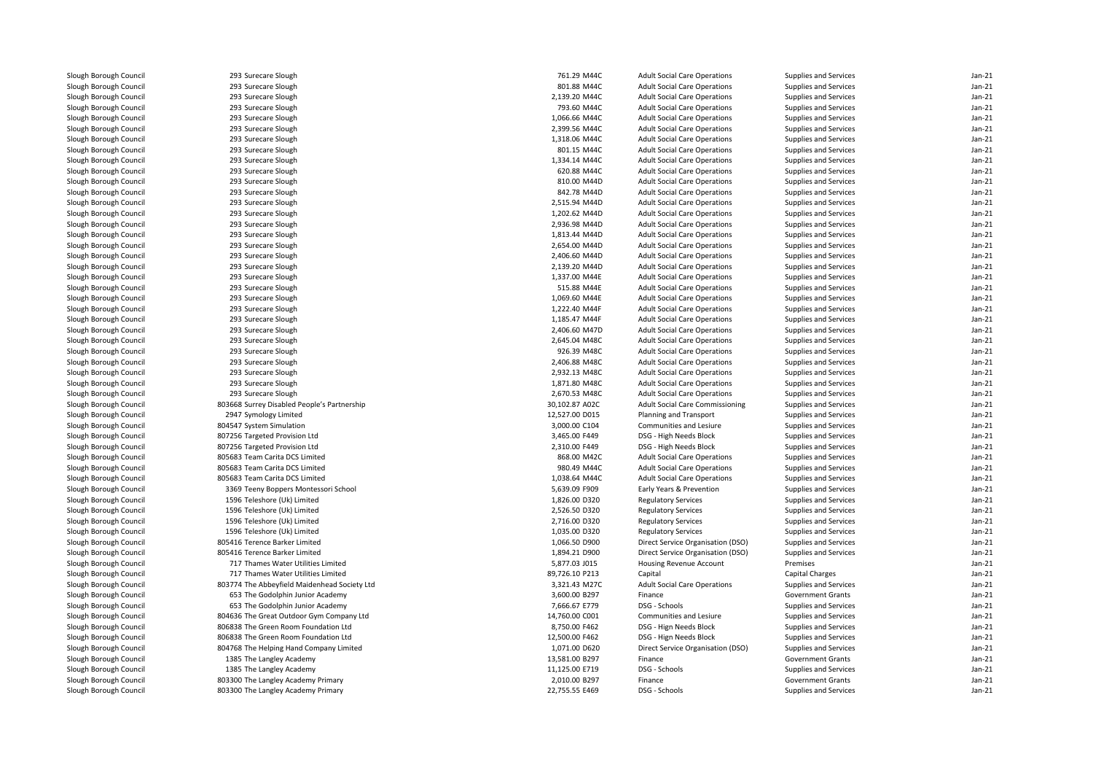| Slough Borough Council                           | 293 Surecare Slough                                                              | 761.29 M44C                    | <b>Adult Social Care Operations</b>                             | Supplies and Services                             | $Jan-21$ |
|--------------------------------------------------|----------------------------------------------------------------------------------|--------------------------------|-----------------------------------------------------------------|---------------------------------------------------|----------|
| Slough Borough Council                           | 293 Surecare Slough                                                              | 801.88 M44C                    | <b>Adult Social Care Operations</b>                             | Supplies and Services                             | $Jan-21$ |
| Slough Borough Council                           | 293 Surecare Slough                                                              | 2,139.20 M44C                  | <b>Adult Social Care Operations</b>                             | Supplies and Services                             | $Jan-21$ |
| Slough Borough Council                           | 293 Surecare Slough                                                              | 793.60 M44C                    | <b>Adult Social Care Operations</b>                             | Supplies and Services                             | $Jan-21$ |
| Slough Borough Council                           | 293 Surecare Slough                                                              | 1,066.66 M44C                  | <b>Adult Social Care Operations</b>                             | Supplies and Services                             | $Jan-21$ |
| Slough Borough Council                           | 293 Surecare Slough                                                              | 2,399.56 M44C                  | <b>Adult Social Care Operations</b>                             | Supplies and Services                             | $Jan-21$ |
| Slough Borough Council                           | 293 Surecare Slough                                                              | 1,318.06 M44C                  | <b>Adult Social Care Operations</b>                             | Supplies and Services                             | $Jan-21$ |
| Slough Borough Council                           | 293 Surecare Slough                                                              | 801.15 M44C                    | <b>Adult Social Care Operations</b>                             | Supplies and Services                             | $Jan-21$ |
| Slough Borough Council                           | 293 Surecare Slough                                                              | 1,334.14 M44C                  | <b>Adult Social Care Operations</b>                             | Supplies and Services                             | $Jan-21$ |
| Slough Borough Council                           | 293 Surecare Slough                                                              | 620.88 M44C                    | <b>Adult Social Care Operations</b>                             | Supplies and Services                             | $Jan-21$ |
| Slough Borough Council                           | 293 Surecare Slough                                                              | 810.00 M44D                    | <b>Adult Social Care Operations</b>                             | Supplies and Services                             | $Jan-21$ |
| Slough Borough Council                           | 293 Surecare Slough                                                              | 842.78 M44D                    | <b>Adult Social Care Operations</b>                             | Supplies and Services                             | $Jan-21$ |
| Slough Borough Council                           | 293 Surecare Slough                                                              | 2,515.94 M44D                  | <b>Adult Social Care Operations</b>                             | Supplies and Services                             | $Jan-21$ |
| Slough Borough Council                           | 293 Surecare Slough                                                              | 1,202.62 M44D                  | <b>Adult Social Care Operations</b>                             | Supplies and Services                             | $Jan-21$ |
| Slough Borough Council                           | 293 Surecare Slough                                                              | 2,936.98 M44D                  | <b>Adult Social Care Operations</b>                             | Supplies and Services                             | $Jan-21$ |
| Slough Borough Council                           | 293 Surecare Slough                                                              | 1,813.44 M44D                  | <b>Adult Social Care Operations</b>                             | Supplies and Services                             | $Jan-21$ |
| Slough Borough Council                           | 293 Surecare Slough                                                              | 2,654.00 M44D                  | <b>Adult Social Care Operations</b>                             | Supplies and Services                             | $Jan-21$ |
| Slough Borough Council                           | 293 Surecare Slough                                                              | 2.406.60 M44D                  | <b>Adult Social Care Operations</b>                             | Supplies and Services                             | $Jan-21$ |
| Slough Borough Council                           | 293 Surecare Slough                                                              | 2,139.20 M44D                  | <b>Adult Social Care Operations</b>                             | Supplies and Services                             | $Jan-21$ |
| Slough Borough Council                           | 293 Surecare Slough                                                              | 1,337.00 M44E                  | <b>Adult Social Care Operations</b>                             | Supplies and Services                             | $Jan-21$ |
| Slough Borough Council                           | 293 Surecare Slough                                                              | 515.88 M44E                    | <b>Adult Social Care Operations</b>                             | Supplies and Services                             | $Jan-21$ |
| Slough Borough Council                           | 293 Surecare Slough                                                              | 1,069.60 M44E                  | <b>Adult Social Care Operations</b>                             | Supplies and Services                             | $Jan-21$ |
| Slough Borough Council                           | 293 Surecare Slough                                                              | 1,222.40 M44F                  | <b>Adult Social Care Operations</b>                             | Supplies and Services                             | $Jan-21$ |
| Slough Borough Council                           | 293 Surecare Slough                                                              | 1,185.47 M44F                  | <b>Adult Social Care Operations</b>                             | Supplies and Services                             | $Jan-21$ |
| Slough Borough Council                           | 293 Surecare Slough                                                              | 2,406.60 M47D                  | <b>Adult Social Care Operations</b>                             | Supplies and Services                             | $Jan-21$ |
| Slough Borough Council                           | 293 Surecare Slough                                                              | 2,645.04 M48C                  | <b>Adult Social Care Operations</b>                             | Supplies and Services                             | $Jan-21$ |
| Slough Borough Council                           | 293 Surecare Slough                                                              | 926.39 M48C                    | <b>Adult Social Care Operations</b>                             | Supplies and Services                             | $Jan-21$ |
| Slough Borough Council                           | 293 Surecare Slough                                                              | 2,406.88 M48C                  | <b>Adult Social Care Operations</b>                             | Supplies and Services                             | $Jan-21$ |
| Slough Borough Council                           | 293 Surecare Slough                                                              | 2,932.13 M48C                  | <b>Adult Social Care Operations</b>                             | Supplies and Services                             | $Jan-21$ |
| Slough Borough Council                           | 293 Surecare Slough                                                              | 1,871.80 M48C                  | <b>Adult Social Care Operations</b>                             | Supplies and Services                             | $Jan-21$ |
| Slough Borough Council                           | 293 Surecare Slough                                                              | 2,670.53 M48C                  | <b>Adult Social Care Operations</b>                             | Supplies and Services                             | $Jan-21$ |
| Slough Borough Council                           | 803668 Surrey Disabled People's Partnership                                      | 30.102.87 A02C                 | <b>Adult Social Care Commissioning</b>                          | Supplies and Services                             | $Jan-21$ |
| Slough Borough Council                           | 2947 Symology Limited                                                            | 12,527.00 D015                 | Planning and Transport                                          | Supplies and Services                             | $Jan-21$ |
| Slough Borough Council                           | 804547 System Simulation                                                         | 3,000.00 C104                  | Communities and Lesiure                                         | Supplies and Services                             | $Jan-21$ |
| Slough Borough Council                           | 807256 Targeted Provision Ltd                                                    | 3,465.00 F449                  | DSG - High Needs Block                                          | Supplies and Services                             | $Jan-21$ |
| Slough Borough Council                           | 807256 Targeted Provision Ltd                                                    | 2,310.00 F449                  | DSG - High Needs Block                                          | Supplies and Services                             | $Jan-21$ |
| Slough Borough Council                           | 805683 Team Carita DCS Limited                                                   | 868.00 M42C                    | <b>Adult Social Care Operations</b>                             | Supplies and Services                             | $Jan-21$ |
| Slough Borough Council                           | 805683 Team Carita DCS Limited                                                   | 980.49 M44C                    | <b>Adult Social Care Operations</b>                             | Supplies and Services                             | $Jan-21$ |
| Slough Borough Council                           | 805683 Team Carita DCS Limited                                                   | 1,038.64 M44C                  | <b>Adult Social Care Operations</b>                             | Supplies and Services                             | $Jan-21$ |
| Slough Borough Council                           | 3369 Teeny Boppers Montessori School                                             | 5,639.09 F909                  | Early Years & Prevention                                        | Supplies and Services                             | $Jan-21$ |
| Slough Borough Council                           | 1596 Teleshore (Uk) Limited                                                      | 1,826.00 D320                  | <b>Regulatory Services</b>                                      | Supplies and Services                             | $Jan-21$ |
| Slough Borough Council                           | 1596 Teleshore (Uk) Limited                                                      | 2,526.50 D320                  | <b>Regulatory Services</b>                                      | Supplies and Services                             | $Jan-21$ |
| Slough Borough Council                           | 1596 Teleshore (Uk) Limited                                                      | 2,716.00 D320                  | <b>Regulatory Services</b>                                      | Supplies and Services                             | $Jan-21$ |
| Slough Borough Council                           |                                                                                  |                                |                                                                 |                                                   | $Jan-21$ |
| Slough Borough Council                           | 1596 Teleshore (Uk) Limited<br>805416 Terence Barker Limited                     | 1,035.00 D320<br>1,066.50 D900 | <b>Regulatory Services</b><br>Direct Service Organisation (DSO) | Supplies and Services<br>Supplies and Services    | $Jan-21$ |
| Slough Borough Council                           | 805416 Terence Barker Limited                                                    | 1,894.21 D900                  | Direct Service Organisation (DSO)                               | Supplies and Services                             | $Jan-21$ |
|                                                  | 717 Thames Water Utilities Limited                                               | 5,877.03 J015                  |                                                                 |                                                   | $Jan-21$ |
| Slough Borough Council<br>Slough Borough Council | 717 Thames Water Utilities Limited                                               | 89,726.10 P213                 | Housing Revenue Account<br>Capital                              | Premises<br>Capital Charges                       | $Jan-21$ |
|                                                  |                                                                                  | 3,321.43 M27C                  |                                                                 |                                                   | $Jan-21$ |
| Slough Borough Council                           | 803774 The Abbeyfield Maidenhead Society Ltd<br>653 The Godolphin Junior Academy | 3,600.00 B297                  | <b>Adult Social Care Operations</b><br>Finance                  | Supplies and Services<br><b>Government Grants</b> | $Jan-21$ |
| Slough Borough Council                           |                                                                                  |                                |                                                                 |                                                   |          |
| Slough Borough Council                           | 653 The Godolphin Junior Academy                                                 | 7,666.67 E779                  | DSG - Schools                                                   | Supplies and Services                             | $Jan-21$ |
| Slough Borough Council                           | 804636 The Great Outdoor Gym Company Ltd                                         | 14,760.00 C001                 | Communities and Lesiure                                         | Supplies and Services                             | $Jan-21$ |
| Slough Borough Council                           | 806838 The Green Room Foundation Ltd                                             | 8,750.00 F462                  | DSG - Hign Needs Block                                          | Supplies and Services                             | $Jan-21$ |
| Slough Borough Council                           | 806838 The Green Room Foundation Ltd                                             | 12,500.00 F462                 | DSG - Hign Needs Block                                          | Supplies and Services                             | $Jan-21$ |
| Slough Borough Council                           | 804768 The Helping Hand Company Limited                                          | 1,071.00 D620                  | Direct Service Organisation (DSO)                               | Supplies and Services                             | $Jan-21$ |
| Slough Borough Council                           | 1385 The Langley Academy                                                         | 13,581.00 B297                 | Finance                                                         | <b>Government Grants</b>                          | $Jan-21$ |
| Slough Borough Council                           | 1385 The Langley Academy                                                         | 11,125.00 E719                 | DSG - Schools                                                   | Supplies and Services                             | $Jan-21$ |
| Slough Borough Council                           | 803300 The Langley Academy Primary                                               | 2,010.00 B297                  | Finance                                                         | <b>Government Grants</b>                          | $Jan-21$ |
| Slough Borough Council                           | 803300 The Langley Academy Primary                                               | 22,755.55 E469                 | DSG - Schools                                                   | Supplies and Services                             | $Jan-21$ |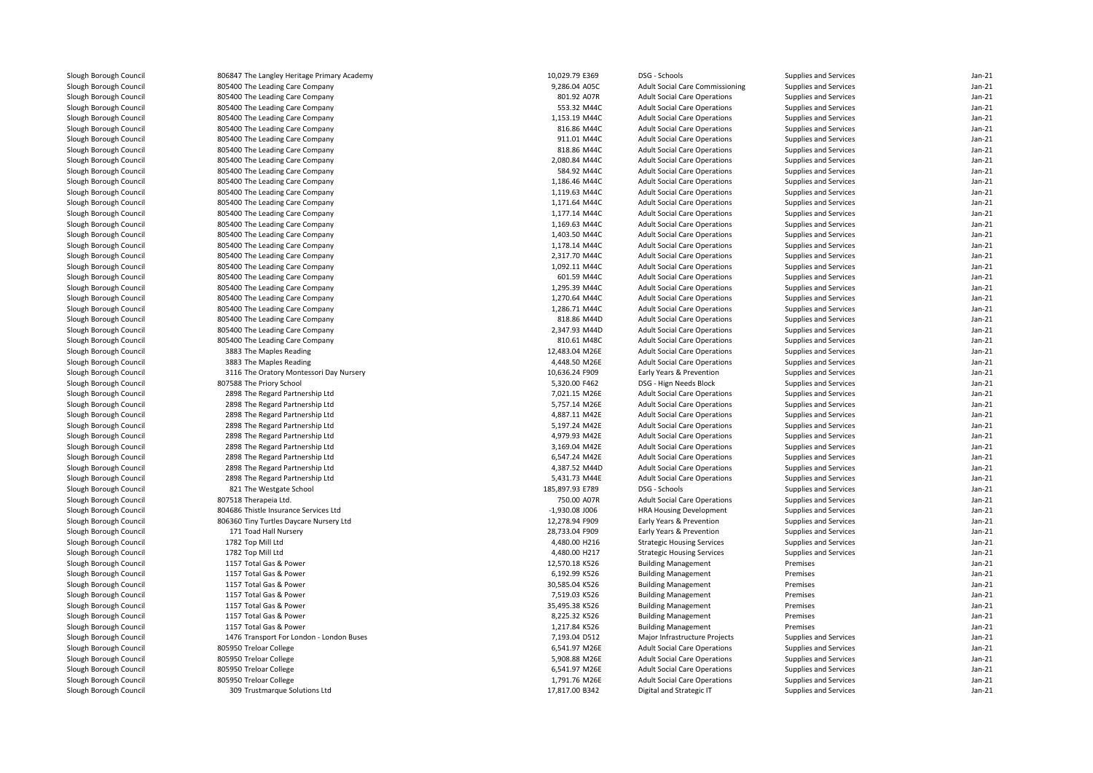| Slough Borough Council | 806847 The Langley Heritage Primary Academy | 10,029.79 E369   | DSG - Schools                          | Supplies and Services | $Jan-21$ |
|------------------------|---------------------------------------------|------------------|----------------------------------------|-----------------------|----------|
| Slough Borough Council | 805400 The Leading Care Company             | 9,286.04 A05C    | <b>Adult Social Care Commissioning</b> | Supplies and Services | $Jan-21$ |
| Slough Borough Council | 805400 The Leading Care Company             | 801.92 A07R      | <b>Adult Social Care Operations</b>    | Supplies and Services | $Jan-21$ |
| Slough Borough Council | 805400 The Leading Care Company             | 553.32 M44C      | <b>Adult Social Care Operations</b>    | Supplies and Services | $Jan-21$ |
| Slough Borough Council | 805400 The Leading Care Company             | 1,153.19 M44C    | <b>Adult Social Care Operations</b>    | Supplies and Services | $Jan-21$ |
| Slough Borough Council | 805400 The Leading Care Company             | 816.86 M44C      | <b>Adult Social Care Operations</b>    | Supplies and Services | $Jan-21$ |
| Slough Borough Council | 805400 The Leading Care Company             | 911.01 M44C      | <b>Adult Social Care Operations</b>    | Supplies and Services | $Jan-21$ |
| Slough Borough Council | 805400 The Leading Care Company             | 818.86 M44C      | <b>Adult Social Care Operations</b>    | Supplies and Services | $Jan-21$ |
| Slough Borough Council | 805400 The Leading Care Company             | 2,080.84 M44C    | <b>Adult Social Care Operations</b>    | Supplies and Services | $Jan-21$ |
| Slough Borough Council | 805400 The Leading Care Company             | 584.92 M44C      | <b>Adult Social Care Operations</b>    | Supplies and Services | $Jan-21$ |
| Slough Borough Council | 805400 The Leading Care Company             | 1,186.46 M44C    | <b>Adult Social Care Operations</b>    | Supplies and Services | $Jan-21$ |
| Slough Borough Council | 805400 The Leading Care Company             | 1,119.63 M44C    | <b>Adult Social Care Operations</b>    | Supplies and Services | $Jan-21$ |
| Slough Borough Council | 805400 The Leading Care Company             | 1,171.64 M44C    | <b>Adult Social Care Operations</b>    | Supplies and Services | $Jan-21$ |
| Slough Borough Council | 805400 The Leading Care Company             | 1,177.14 M44C    | <b>Adult Social Care Operations</b>    | Supplies and Services | $Jan-21$ |
| Slough Borough Council | 805400 The Leading Care Company             | 1,169.63 M44C    | <b>Adult Social Care Operations</b>    | Supplies and Services | $Jan-21$ |
| Slough Borough Council |                                             |                  |                                        |                       | $Jan-21$ |
|                        | 805400 The Leading Care Company             | 1,403.50 M44C    | <b>Adult Social Care Operations</b>    | Supplies and Services | $Jan-21$ |
| Slough Borough Council | 805400 The Leading Care Company             | 1,178.14 M44C    | <b>Adult Social Care Operations</b>    | Supplies and Services | $Jan-21$ |
| Slough Borough Council | 805400 The Leading Care Company             | 2,317.70 M44C    | <b>Adult Social Care Operations</b>    | Supplies and Services |          |
| Slough Borough Council | 805400 The Leading Care Company             | 1,092.11 M44C    | <b>Adult Social Care Operations</b>    | Supplies and Services | $Jan-21$ |
| Slough Borough Council | 805400 The Leading Care Company             | 601.59 M44C      | <b>Adult Social Care Operations</b>    | Supplies and Services | $Jan-21$ |
| Slough Borough Council | 805400 The Leading Care Company             | 1,295.39 M44C    | <b>Adult Social Care Operations</b>    | Supplies and Services | $Jan-21$ |
| Slough Borough Council | 805400 The Leading Care Company             | 1,270.64 M44C    | <b>Adult Social Care Operations</b>    | Supplies and Services | $Jan-21$ |
| Slough Borough Council | 805400 The Leading Care Company             | 1,286.71 M44C    | <b>Adult Social Care Operations</b>    | Supplies and Services | $Jan-21$ |
| Slough Borough Council | 805400 The Leading Care Company             | 818.86 M44D      | <b>Adult Social Care Operations</b>    | Supplies and Services | $Jan-21$ |
| Slough Borough Council | 805400 The Leading Care Company             | 2,347.93 M44D    | <b>Adult Social Care Operations</b>    | Supplies and Services | $Jan-21$ |
| Slough Borough Council | 805400 The Leading Care Company             | 810.61 M48C      | <b>Adult Social Care Operations</b>    | Supplies and Services | $Jan-21$ |
| Slough Borough Council | 3883 The Maples Reading                     | 12,483.04 M26E   | <b>Adult Social Care Operations</b>    | Supplies and Services | $Jan-21$ |
| Slough Borough Council | 3883 The Maples Reading                     | 4,448.50 M26E    | <b>Adult Social Care Operations</b>    | Supplies and Services | Jan-21   |
| Slough Borough Council | 3116 The Oratory Montessori Day Nursery     | 10,636.24 F909   | Early Years & Prevention               | Supplies and Services | $Jan-21$ |
| Slough Borough Council | 807588 The Priory School                    | 5,320.00 F462    | DSG - Hign Needs Block                 | Supplies and Services | Jan-21   |
| Slough Borough Council | 2898 The Regard Partnership Ltd             | 7,021.15 M26E    | <b>Adult Social Care Operations</b>    | Supplies and Services | $Jan-21$ |
| Slough Borough Council | 2898 The Regard Partnership Ltd             | 5,757.14 M26E    | <b>Adult Social Care Operations</b>    | Supplies and Services | $Jan-21$ |
| Slough Borough Council | 2898 The Regard Partnership Ltd             | 4,887.11 M42E    | <b>Adult Social Care Operations</b>    | Supplies and Services | $Jan-21$ |
| Slough Borough Council | 2898 The Regard Partnership Ltd             | 5,197.24 M42E    | <b>Adult Social Care Operations</b>    | Supplies and Services | $Jan-21$ |
| Slough Borough Council | 2898 The Regard Partnership Ltd             | 4,979.93 M42E    | <b>Adult Social Care Operations</b>    | Supplies and Services | $Jan-21$ |
| Slough Borough Council | 2898 The Regard Partnership Ltd             | 3,169.04 M42E    | <b>Adult Social Care Operations</b>    | Supplies and Services | $Jan-21$ |
| Slough Borough Council | 2898 The Regard Partnership Ltd             | 6,547.24 M42E    | <b>Adult Social Care Operations</b>    | Supplies and Services | $Jan-21$ |
| Slough Borough Council | 2898 The Regard Partnership Ltd             | 4,387.52 M44D    | <b>Adult Social Care Operations</b>    | Supplies and Services | $Jan-21$ |
| Slough Borough Council | 2898 The Regard Partnership Ltd             | 5,431.73 M44E    | <b>Adult Social Care Operations</b>    | Supplies and Services | $Jan-21$ |
| Slough Borough Council | 821 The Westgate School                     | 185,897.93 E789  | DSG - Schools                          | Supplies and Services | $Jan-21$ |
| Slough Borough Council | 807518 Therapeia Ltd.                       | 750.00 A07R      | <b>Adult Social Care Operations</b>    | Supplies and Services | $Jan-21$ |
| Slough Borough Council | 804686 Thistle Insurance Services Ltd       | $-1,930.08$ J006 | <b>HRA Housing Development</b>         | Supplies and Services | $Jan-21$ |
| Slough Borough Council | 806360 Tiny Turtles Daycare Nursery Ltd     | 12,278.94 F909   | Early Years & Prevention               | Supplies and Services | $Jan-21$ |
| Slough Borough Council | 171 Toad Hall Nursery                       | 28,733.04 F909   | Early Years & Prevention               | Supplies and Services | $Jan-21$ |
| Slough Borough Council | 1782 Top Mill Ltd                           | 4,480.00 H216    | <b>Strategic Housing Services</b>      | Supplies and Services | Jan-21   |
| Slough Borough Council | 1782 Top Mill Ltd                           | 4,480.00 H217    | <b>Strategic Housing Services</b>      | Supplies and Services | $Jan-21$ |
| Slough Borough Council | 1157 Total Gas & Power                      | 12,570.18 K526   | <b>Building Management</b>             | Premises              | Jan-21   |
| Slough Borough Council | 1157 Total Gas & Power                      | 6,192.99 K526    | <b>Building Management</b>             | Premises              | $Jan-21$ |
| Slough Borough Council | 1157 Total Gas & Power                      | 30,585.04 K526   | <b>Building Management</b>             | Premises              | $Jan-21$ |
| Slough Borough Council | 1157 Total Gas & Power                      | 7,519.03 K526    | <b>Building Management</b>             | Premises              | $Jan-21$ |
| Slough Borough Council | 1157 Total Gas & Power                      | 35,495.38 K526   | <b>Building Management</b>             | Premises              | Jan-21   |
| Slough Borough Council | 1157 Total Gas & Power                      | 8,225.32 K526    | <b>Building Management</b>             | Premises              | $Jan-21$ |
| Slough Borough Council | 1157 Total Gas & Power                      | 1,217.84 K526    | <b>Building Management</b>             | Premises              | Jan-21   |
| Slough Borough Council | 1476 Transport For London - London Buses    | 7,193.04 D512    | Major Infrastructure Projects          | Supplies and Services | $Jan-21$ |
| Slough Borough Council | 805950 Treloar College                      | 6,541.97 M26E    | <b>Adult Social Care Operations</b>    | Supplies and Services | $Jan-21$ |
| Slough Borough Council | 805950 Treloar College                      | 5,908.88 M26E    | <b>Adult Social Care Operations</b>    | Supplies and Services | $Jan-21$ |
| Slough Borough Council | 805950 Treloar College                      | 6,541.97 M26E    | <b>Adult Social Care Operations</b>    | Supplies and Services | Jan-21   |
| Slough Borough Council | 805950 Treloar College                      | 1,791.76 M26E    | <b>Adult Social Care Operations</b>    | Supplies and Services | $Jan-21$ |
| Slough Borough Council | 309 Trustmarque Solutions Ltd               | 17,817.00 B342   | Digital and Strategic IT               | Supplies and Services | Jan-21   |
|                        |                                             |                  |                                        |                       |          |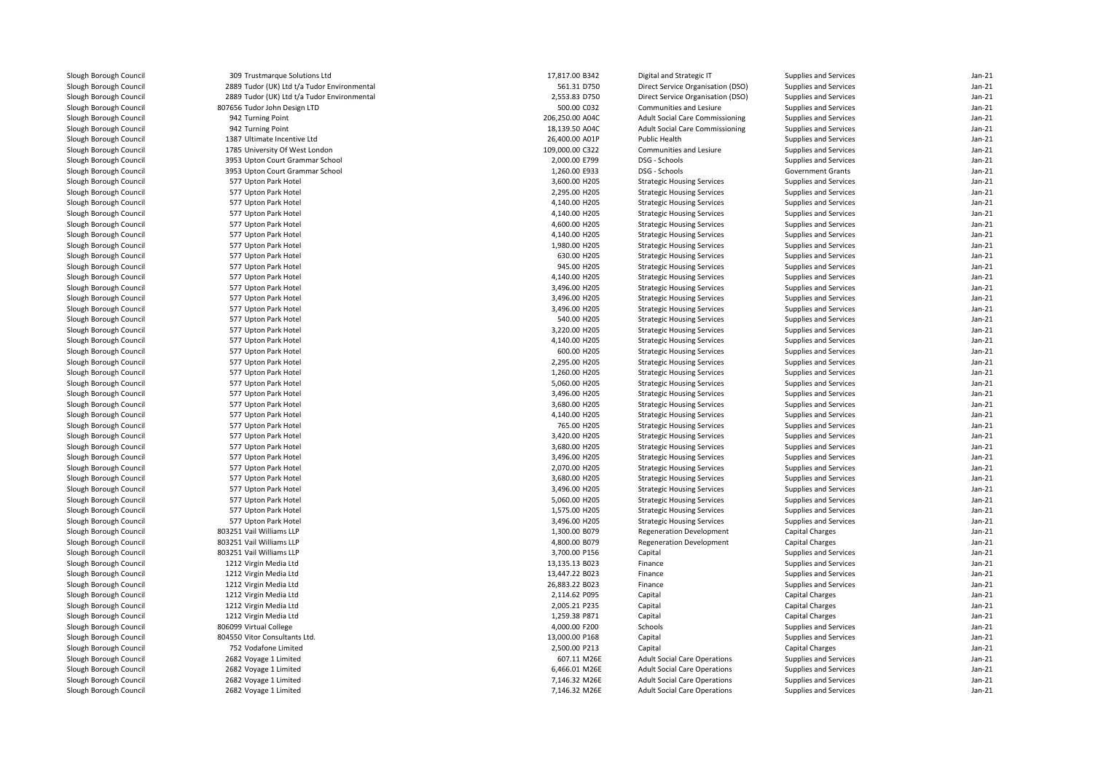| Slough Borough Council                           | 309 Trustmarque Solutions Ltd               | 17,817.00 B342                 | Digital and Strategic IT               | Supplies and Services    | $Jan-21$             |
|--------------------------------------------------|---------------------------------------------|--------------------------------|----------------------------------------|--------------------------|----------------------|
| Slough Borough Council                           | 2889 Tudor (UK) Ltd t/a Tudor Environmental | 561.31 D750                    | Direct Service Organisation (DSO)      | Supplies and Services    | $Jan-21$             |
| Slough Borough Council                           | 2889 Tudor (UK) Ltd t/a Tudor Environmental | 2,553.83 D750                  | Direct Service Organisation (DSO)      | Supplies and Services    | $Jan-21$             |
| Slough Borough Council                           | 807656 Tudor John Design LTD                | 500.00 C032                    | Communities and Lesiure                | Supplies and Services    | $Jan-21$             |
| Slough Borough Council                           | 942 Turning Point                           | 206,250.00 A04C                | <b>Adult Social Care Commissioning</b> | Supplies and Services    | $Jan-21$             |
| Slough Borough Council                           | 942 Turning Point                           | 18,139.50 A04C                 | <b>Adult Social Care Commissioning</b> | Supplies and Services    | $Jan-21$             |
| Slough Borough Council                           | 1387 Ultimate Incentive Ltd                 | 26,400.00 A01P                 | Public Health                          | Supplies and Services    | $Jan-21$             |
| Slough Borough Council                           | 1785 University Of West London              | 109,000.00 C322                | Communities and Lesiure                | Supplies and Services    | $Jan-21$             |
| Slough Borough Council                           | 3953 Upton Court Grammar School             | 2,000.00 E799                  | DSG - Schools                          | Supplies and Services    | $Jan-21$             |
| Slough Borough Council                           | 3953 Upton Court Grammar School             | 1,260.00 E933                  | DSG - Schools                          | <b>Government Grants</b> | $Jan-21$             |
| Slough Borough Council                           | 577 Upton Park Hotel                        | 3,600.00 H205                  | <b>Strategic Housing Services</b>      | Supplies and Services    | $Jan-21$             |
| Slough Borough Council                           | 577 Upton Park Hotel                        | 2,295.00 H205                  | <b>Strategic Housing Services</b>      | Supplies and Services    | $Jan-21$             |
| Slough Borough Council                           | 577 Upton Park Hotel                        | 4,140.00 H205                  | <b>Strategic Housing Services</b>      | Supplies and Services    | $Jan-21$             |
| Slough Borough Council                           | 577 Upton Park Hotel                        | 4,140.00 H205                  | <b>Strategic Housing Services</b>      | Supplies and Services    | $Jan-21$             |
| Slough Borough Council                           | 577 Upton Park Hotel                        | 4,600.00 H205                  | <b>Strategic Housing Services</b>      | Supplies and Services    | $Jan-21$             |
| Slough Borough Council                           | 577 Upton Park Hotel                        | 4,140.00 H205                  | <b>Strategic Housing Services</b>      | Supplies and Services    | $Jan-21$             |
| Slough Borough Council                           | 577 Upton Park Hotel                        | 1,980.00 H205                  | <b>Strategic Housing Services</b>      | Supplies and Services    | $Jan-21$             |
| Slough Borough Council                           | 577 Upton Park Hotel                        | 630.00 H205                    | <b>Strategic Housing Services</b>      | Supplies and Services    | $Jan-21$             |
| Slough Borough Council                           | 577 Upton Park Hotel                        | 945.00 H205                    | <b>Strategic Housing Services</b>      | Supplies and Services    | $Jan-21$             |
| Slough Borough Council                           | 577 Upton Park Hotel                        | 4,140.00 H205                  | <b>Strategic Housing Services</b>      | Supplies and Services    | $Jan-21$             |
| Slough Borough Council                           | 577 Upton Park Hotel                        | 3,496.00 H205                  | <b>Strategic Housing Services</b>      | Supplies and Services    | $Jan-21$             |
| Slough Borough Council                           | 577 Upton Park Hotel                        | 3,496.00 H205                  | <b>Strategic Housing Services</b>      | Supplies and Services    | $Jan-21$             |
| Slough Borough Council                           | 577 Upton Park Hotel                        | 3,496.00 H205                  | <b>Strategic Housing Services</b>      | Supplies and Services    | $Jan-21$             |
| Slough Borough Council                           | 577 Upton Park Hotel                        | 540.00 H205                    | <b>Strategic Housing Services</b>      | Supplies and Services    | $Jan-21$             |
| Slough Borough Council                           | 577 Upton Park Hotel                        | 3,220.00 H205                  | <b>Strategic Housing Services</b>      | Supplies and Services    | $Jan-21$             |
| Slough Borough Council                           | 577 Upton Park Hotel                        | 4,140.00 H205                  | <b>Strategic Housing Services</b>      | Supplies and Services    | $Jan-21$             |
| Slough Borough Council                           | 577 Upton Park Hotel                        | 600.00 H205                    | <b>Strategic Housing Services</b>      | Supplies and Services    | $Jan-21$             |
| Slough Borough Council                           | 577 Upton Park Hotel                        | 2,295.00 H205                  | <b>Strategic Housing Services</b>      | Supplies and Services    | $Jan-21$             |
| Slough Borough Council                           | 577 Upton Park Hotel                        | 1,260.00 H205                  | <b>Strategic Housing Services</b>      | Supplies and Services    | $Jan-21$             |
| Slough Borough Council                           | 577 Upton Park Hotel                        | 5,060.00 H205                  |                                        | Supplies and Services    | $Jan-21$             |
|                                                  | 577 Upton Park Hotel                        | 3,496.00 H205                  | <b>Strategic Housing Services</b>      |                          | $Jan-21$             |
| Slough Borough Council                           |                                             |                                | <b>Strategic Housing Services</b>      | Supplies and Services    |                      |
| Slough Borough Council<br>Slough Borough Council | 577 Upton Park Hotel                        | 3,680.00 H205<br>4,140.00 H205 | <b>Strategic Housing Services</b>      | Supplies and Services    | $Jan-21$<br>$Jan-21$ |
|                                                  | 577 Upton Park Hotel                        |                                | <b>Strategic Housing Services</b>      | Supplies and Services    |                      |
| Slough Borough Council                           | 577 Upton Park Hotel                        | 765.00 H205                    | <b>Strategic Housing Services</b>      | Supplies and Services    | $Jan-21$<br>$Jan-21$ |
| Slough Borough Council                           | 577 Upton Park Hotel                        | 3,420.00 H205                  | <b>Strategic Housing Services</b>      | Supplies and Services    |                      |
| Slough Borough Council                           | 577 Upton Park Hotel                        | 3,680.00 H205                  | <b>Strategic Housing Services</b>      | Supplies and Services    | $Jan-21$             |
| Slough Borough Council                           | 577 Upton Park Hotel                        | 3,496.00 H205                  | <b>Strategic Housing Services</b>      | Supplies and Services    | $Jan-21$             |
| Slough Borough Council                           | 577 Upton Park Hotel                        | 2,070.00 H205                  | <b>Strategic Housing Services</b>      | Supplies and Services    | $Jan-21$             |
| Slough Borough Council                           | 577 Upton Park Hotel                        | 3,680.00 H205                  | <b>Strategic Housing Services</b>      | Supplies and Services    | $Jan-21$             |
| Slough Borough Council                           | 577 Upton Park Hotel                        | 3,496.00 H205                  | <b>Strategic Housing Services</b>      | Supplies and Services    | $Jan-21$             |
| Slough Borough Council                           | 577 Upton Park Hotel                        | 5,060.00 H205                  | <b>Strategic Housing Services</b>      | Supplies and Services    | $Jan-21$             |
| Slough Borough Council                           | 577 Upton Park Hotel                        | 1,575.00 H205                  | <b>Strategic Housing Services</b>      | Supplies and Services    | $Jan-21$             |
| Slough Borough Council                           | 577 Upton Park Hotel                        | 3,496.00 H205                  | <b>Strategic Housing Services</b>      | Supplies and Services    | $Jan-21$             |
| Slough Borough Council                           | 803251 Vail Williams LLP                    | 1,300.00 B079                  | <b>Regeneration Development</b>        | <b>Capital Charges</b>   | $Jan-21$             |
| Slough Borough Council                           | 803251 Vail Williams LLP                    | 4,800.00 B079                  | <b>Regeneration Development</b>        | <b>Capital Charges</b>   | $Jan-21$             |
| Slough Borough Council                           | 803251 Vail Williams LLP                    | 3,700.00 P156                  | Capital                                | Supplies and Services    | $Jan-21$             |
| Slough Borough Council                           | 1212 Virgin Media Ltd                       | 13,135.13 B023                 | Finance                                | Supplies and Services    | $Jan-21$             |
| Slough Borough Council                           | 1212 Virgin Media Ltd                       | 13,447.22 B023                 | Finance                                | Supplies and Services    | $Jan-21$             |
| Slough Borough Council                           | 1212 Virgin Media Ltd                       | 26,883.22 B023                 | Finance                                | Supplies and Services    | $Jan-21$             |
| Slough Borough Council                           | 1212 Virgin Media Ltd                       | 2,114.62 P095                  | Capital                                | Capital Charges          | $Jan-21$             |
| Slough Borough Council                           | 1212 Virgin Media Ltd                       | 2,005.21 P235                  | Capital                                | Capital Charges          | $Jan-21$             |
| Slough Borough Council                           | 1212 Virgin Media Ltd                       | 1,259.38 P871                  | Capital                                | Capital Charges          | $Jan-21$             |
| Slough Borough Council                           | 806099 Virtual College                      | 4,000.00 F200                  | Schools                                | Supplies and Services    | $Jan-21$             |
| Slough Borough Council                           | 804550 Vitor Consultants Ltd.               | 13,000.00 P168                 | Capital                                | Supplies and Services    | $Jan-21$             |
| Slough Borough Council                           | 752 Vodafone Limited                        | 2,500.00 P213                  | Capital                                | Capital Charges          | $Jan-21$             |
| Slough Borough Council                           | 2682 Voyage 1 Limited                       | 607.11 M26E                    | <b>Adult Social Care Operations</b>    | Supplies and Services    | $Jan-21$             |
| Slough Borough Council                           | 2682 Voyage 1 Limited                       | 6,466.01 M26E                  | <b>Adult Social Care Operations</b>    | Supplies and Services    | $Jan-21$             |
| Slough Borough Council                           | 2682 Voyage 1 Limited                       | 7,146.32 M26E                  | <b>Adult Social Care Operations</b>    | Supplies and Services    | $Jan-21$             |
| Slough Borough Council                           | 2682 Voyage 1 Limited                       | 7,146.32 M26E                  | <b>Adult Social Care Operations</b>    | Supplies and Services    | $Jan-21$             |
|                                                  |                                             |                                |                                        |                          |                      |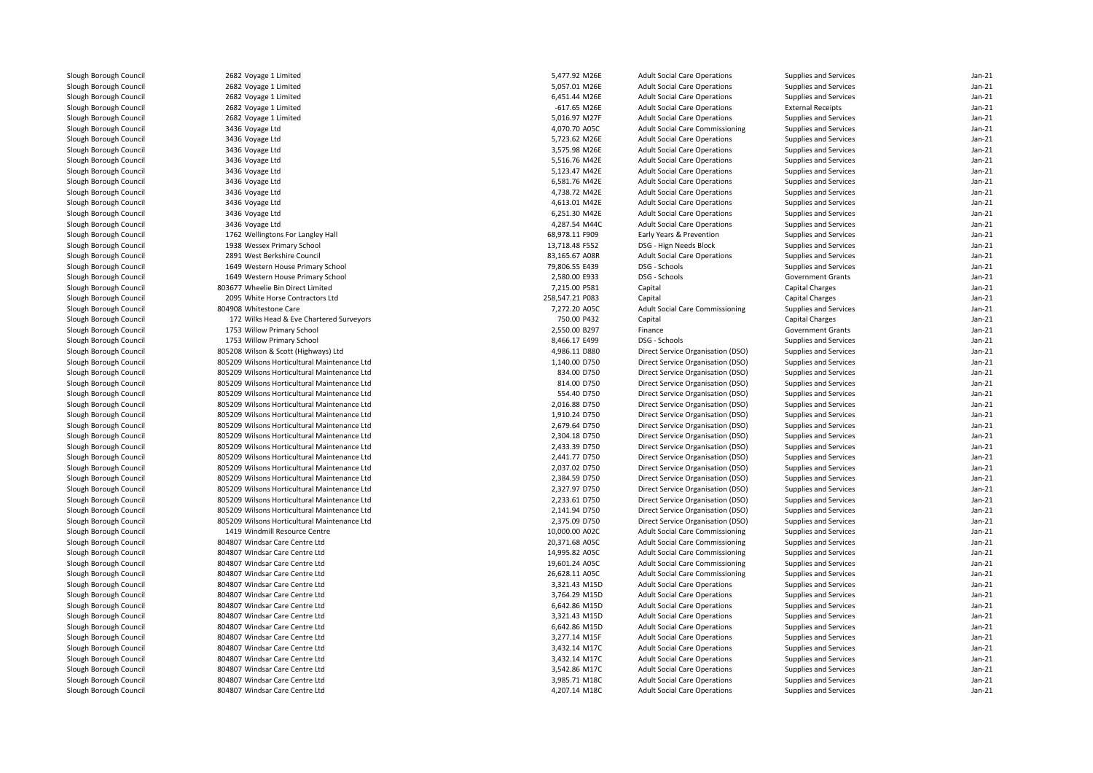| Slough Borough Council | 2682 Voyage 1 Limited                        | 5,477.92 M26E   | <b>Adult Social Care Operations</b>    | Supplies and Services    | $Jan-21$ |
|------------------------|----------------------------------------------|-----------------|----------------------------------------|--------------------------|----------|
| Slough Borough Council | 2682 Voyage 1 Limited                        | 5,057.01 M26E   | <b>Adult Social Care Operations</b>    | Supplies and Services    | $Jan-21$ |
| Slough Borough Council | 2682 Voyage 1 Limited                        | 6,451.44 M26E   | <b>Adult Social Care Operations</b>    | Supplies and Services    | $Jan-21$ |
| Slough Borough Council | 2682 Voyage 1 Limited                        | $-617.65$ M26E  | <b>Adult Social Care Operations</b>    | <b>External Receipts</b> | $Jan-21$ |
| Slough Borough Council | 2682 Voyage 1 Limited                        | 5,016.97 M27F   | <b>Adult Social Care Operations</b>    | Supplies and Services    | $Jan-21$ |
| Slough Borough Council | 3436 Voyage Ltd                              | 4,070.70 A05C   | <b>Adult Social Care Commissioning</b> | Supplies and Services    | $Jan-21$ |
| Slough Borough Council | 3436 Voyage Ltd                              | 5,723.62 M26E   | <b>Adult Social Care Operations</b>    | Supplies and Services    | $Jan-21$ |
| Slough Borough Council | 3436 Voyage Ltd                              | 3,575.98 M26E   | <b>Adult Social Care Operations</b>    | Supplies and Services    | $Jan-21$ |
| Slough Borough Council | 3436 Voyage Ltd                              | 5,516.76 M42E   | <b>Adult Social Care Operations</b>    | Supplies and Services    | $Jan-21$ |
| Slough Borough Council | 3436 Voyage Ltd                              | 5,123.47 M42E   | <b>Adult Social Care Operations</b>    | Supplies and Services    | $Jan-21$ |
| Slough Borough Council | 3436 Voyage Ltd                              | 6,581.76 M42E   | <b>Adult Social Care Operations</b>    | Supplies and Services    | $Jan-21$ |
| Slough Borough Council | 3436 Voyage Ltd                              | 4,738.72 M42E   | <b>Adult Social Care Operations</b>    | Supplies and Services    | $Jan-21$ |
| Slough Borough Council | 3436 Voyage Ltd                              | 4,613.01 M42E   | <b>Adult Social Care Operations</b>    | Supplies and Services    | $Jan-21$ |
| Slough Borough Council | 3436 Voyage Ltd                              | 6,251.30 M42E   | <b>Adult Social Care Operations</b>    | Supplies and Services    | $Jan-21$ |
| Slough Borough Council | 3436 Voyage Ltd                              | 4,287.54 M44C   | <b>Adult Social Care Operations</b>    | Supplies and Services    | $Jan-21$ |
| Slough Borough Council | 1762 Wellingtons For Langley Hall            | 68,978.11 F909  | Early Years & Prevention               | Supplies and Services    | $Jan-21$ |
| Slough Borough Council | 1938 Wessex Primary School                   | 13,718.48 F552  | DSG - Hign Needs Block                 | Supplies and Services    | $Jan-21$ |
| Slough Borough Council | 2891 West Berkshire Council                  | 83.165.67 A08R  | <b>Adult Social Care Operations</b>    | Supplies and Services    | $Jan-21$ |
| Slough Borough Council | 1649 Western House Primary School            | 79,806.55 E439  | DSG - Schools                          | Supplies and Services    | $Jan-21$ |
| Slough Borough Council | 1649 Western House Primary School            | 2,580.00 E933   | DSG - Schools                          | <b>Government Grants</b> | $Jan-21$ |
| Slough Borough Council | 803677 Wheelie Bin Direct Limited            | 7,215.00 P581   | Capital                                | Capital Charges          | $Jan-21$ |
| Slough Borough Council | 2095 White Horse Contractors Ltd             | 258.547.21 P083 | Capital                                | <b>Capital Charges</b>   | $Jan-21$ |
| Slough Borough Council | 804908 Whitestone Care                       | 7,272.20 A05C   | <b>Adult Social Care Commissioning</b> | Supplies and Services    | $Jan-21$ |
| Slough Borough Council | 172 Wilks Head & Eve Chartered Surveyors     | 750.00 P432     | Capital                                | <b>Capital Charges</b>   | $Jan-21$ |
| Slough Borough Council | 1753 Willow Primary School                   | 2,550.00 B297   | Finance                                | <b>Government Grants</b> | $Jan-21$ |
| Slough Borough Council | 1753 Willow Primary School                   | 8,466.17 E499   | DSG - Schools                          | Supplies and Services    | $Jan-21$ |
| Slough Borough Council | 805208 Wilson & Scott (Highways) Ltd         | 4,986.11 D880   | Direct Service Organisation (DSO)      | Supplies and Services    | $Jan-21$ |
| Slough Borough Council | 805209 Wilsons Horticultural Maintenance Ltd | 1,140.00 D750   | Direct Service Organisation (DSO)      | Supplies and Services    | $Jan-21$ |
| Slough Borough Council | 805209 Wilsons Horticultural Maintenance Ltd | 834.00 D750     | Direct Service Organisation (DSO)      | Supplies and Services    | $Jan-21$ |
| Slough Borough Council | 805209 Wilsons Horticultural Maintenance Ltd | 814.00 D750     | Direct Service Organisation (DSO)      | Supplies and Services    | $Jan-21$ |
| Slough Borough Council | 805209 Wilsons Horticultural Maintenance Ltd | 554.40 D750     | Direct Service Organisation (DSO)      | Supplies and Services    | $Jan-21$ |
| Slough Borough Council | 805209 Wilsons Horticultural Maintenance Ltd | 2.016.88 D750   | Direct Service Organisation (DSO)      | Supplies and Services    | $Jan-21$ |
| Slough Borough Council | 805209 Wilsons Horticultural Maintenance Ltd | 1,910.24 D750   | Direct Service Organisation (DSO)      | Supplies and Services    | $Jan-21$ |
| Slough Borough Council | 805209 Wilsons Horticultural Maintenance Ltd | 2,679.64 D750   | Direct Service Organisation (DSO)      | Supplies and Services    | $Jan-21$ |
| Slough Borough Council | 805209 Wilsons Horticultural Maintenance Ltd | 2,304.18 D750   | Direct Service Organisation (DSO)      | Supplies and Services    | $Jan-21$ |
| Slough Borough Council | 805209 Wilsons Horticultural Maintenance Ltd | 2,433.39 D750   | Direct Service Organisation (DSO)      | Supplies and Services    | $Jan-21$ |
| Slough Borough Council | 805209 Wilsons Horticultural Maintenance Ltd | 2,441.77 D750   | Direct Service Organisation (DSO)      | Supplies and Services    | $Jan-21$ |
| Slough Borough Council | 805209 Wilsons Horticultural Maintenance Ltd | 2,037.02 D750   | Direct Service Organisation (DSO)      | Supplies and Services    | $Jan-21$ |
| Slough Borough Council | 805209 Wilsons Horticultural Maintenance Ltd | 2,384.59 D750   | Direct Service Organisation (DSO)      | Supplies and Services    | $Jan-21$ |
| Slough Borough Council | 805209 Wilsons Horticultural Maintenance Ltd | 2,327.97 D750   | Direct Service Organisation (DSO)      | Supplies and Services    | $Jan-21$ |
| Slough Borough Council | 805209 Wilsons Horticultural Maintenance Ltd | 2,233.61 D750   | Direct Service Organisation (DSO)      | Supplies and Services    | $Jan-21$ |
| Slough Borough Council | 805209 Wilsons Horticultural Maintenance Ltd | 2,141.94 D750   | Direct Service Organisation (DSO)      | Supplies and Services    | $Jan-21$ |
| Slough Borough Council | 805209 Wilsons Horticultural Maintenance Ltd | 2,375.09 D750   | Direct Service Organisation (DSO)      | Supplies and Services    | $Jan-21$ |
| Slough Borough Council | 1419 Windmill Resource Centre                | 10,000.00 A02C  | <b>Adult Social Care Commissioning</b> | Supplies and Services    | $Jan-21$ |
| Slough Borough Council | 804807 Windsar Care Centre Ltd               | 20,371.68 A05C  | <b>Adult Social Care Commissioning</b> | Supplies and Services    | $Jan-21$ |
| Slough Borough Council | 804807 Windsar Care Centre Ltd               | 14,995.82 A05C  | <b>Adult Social Care Commissioning</b> | Supplies and Services    | $Jan-21$ |
| Slough Borough Council | 804807 Windsar Care Centre Ltd               | 19,601.24 A05C  | <b>Adult Social Care Commissioning</b> | Supplies and Services    | $Jan-21$ |
| Slough Borough Council | 804807 Windsar Care Centre Ltd               | 26,628.11 A05C  | <b>Adult Social Care Commissioning</b> | Supplies and Services    | $Jan-21$ |
| Slough Borough Council | 804807 Windsar Care Centre Ltd               | 3,321.43 M15D   | <b>Adult Social Care Operations</b>    | Supplies and Services    | $Jan-21$ |
| Slough Borough Council | 804807 Windsar Care Centre Ltd               | 3,764.29 M15D   | <b>Adult Social Care Operations</b>    | Supplies and Services    | $Jan-21$ |
| Slough Borough Council | 804807 Windsar Care Centre Ltd               | 6,642.86 M15D   | <b>Adult Social Care Operations</b>    | Supplies and Services    | $Jan-21$ |
| Slough Borough Council | 804807 Windsar Care Centre Ltd               | 3,321.43 M15D   | <b>Adult Social Care Operations</b>    | Supplies and Services    | $Jan-21$ |
| Slough Borough Council | 804807 Windsar Care Centre Ltd               | 6,642.86 M15D   | <b>Adult Social Care Operations</b>    | Supplies and Services    | $Jan-21$ |
|                        |                                              |                 |                                        |                          |          |
| Slough Borough Council | 804807 Windsar Care Centre Ltd               | 3,277.14 M15F   | <b>Adult Social Care Operations</b>    | Supplies and Services    | $Jan-21$ |
| Slough Borough Council | 804807 Windsar Care Centre Ltd               | 3,432.14 M17C   | <b>Adult Social Care Operations</b>    | Supplies and Services    | $Jan-21$ |
| Slough Borough Council | 804807 Windsar Care Centre Ltd               | 3,432.14 M17C   | <b>Adult Social Care Operations</b>    | Supplies and Services    | $Jan-21$ |
| Slough Borough Council | 804807 Windsar Care Centre Ltd               | 3,542.86 M17C   | <b>Adult Social Care Operations</b>    | Supplies and Services    | $Jan-21$ |
| Slough Borough Council | 804807 Windsar Care Centre Ltd               | 3,985.71 M18C   | <b>Adult Social Care Operations</b>    | Supplies and Services    | $Jan-21$ |
| Slough Borough Council | 804807 Windsar Care Centre Ltd               | 4,207.14 M18C   | <b>Adult Social Care Operations</b>    | Supplies and Services    | $Jan-21$ |